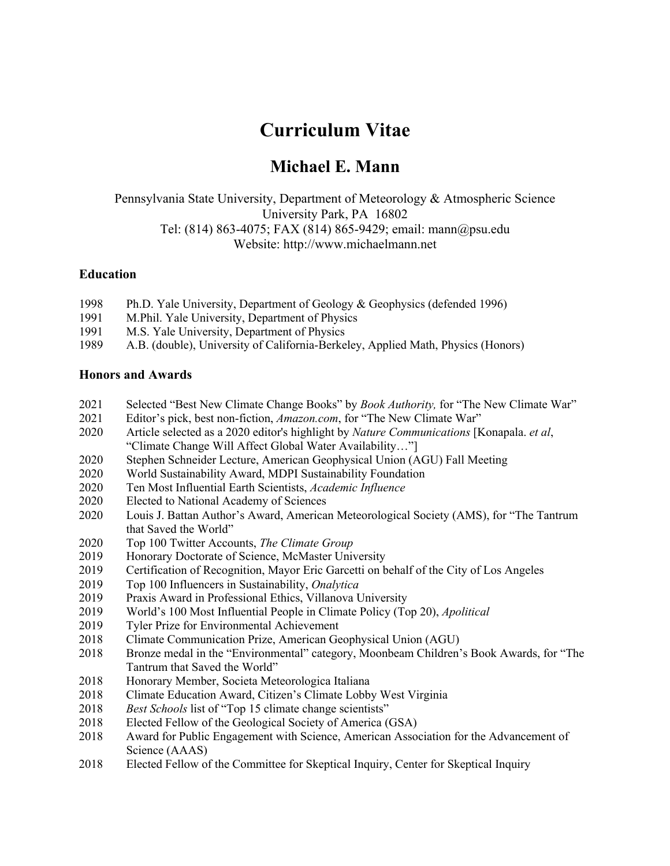# **Curriculum Vitae**

# **Michael E. Mann**

Pennsylvania State University, Department of Meteorology & Atmospheric Science University Park, PA 16802 Tel: (814) 863-4075; FAX (814) 865-9429; email: mann@psu.edu Website: http://www.michaelmann.net

#### **Education**

- 1998 Ph.D. Yale University, Department of Geology & Geophysics (defended 1996)
- 1991 M.Phil. Yale University, Department of Physics
- 1991 M.S. Yale University, Department of Physics
- 1989 A.B. (double), University of California-Berkeley, Applied Math, Physics (Honors)

#### **Honors and Awards**

- 2021 Selected "Best New Climate Change Books" by *Book Authority,* for "The New Climate War"
- 2021 Editor's pick, best non-fiction, *Amazon.com*, for "The New Climate War"
- 2020 Article selected as a 2020 editor's highlight by *Nature Communications* [Konapala. *et al*, "Climate Change Will Affect Global Water Availability…"]
- 2020 Stephen Schneider Lecture, American Geophysical Union (AGU) Fall Meeting
- 2020 World Sustainability Award, MDPI Sustainability Foundation
- 2020 Ten Most Influential Earth Scientists, *Academic Influence*
- 2020 Elected to National Academy of Sciences
- 2020 Louis J. Battan Author's Award, American Meteorological Society (AMS), for "The Tantrum that Saved the World"
- 2020 Top 100 Twitter Accounts, *The Climate Group*
- 2019 Honorary Doctorate of Science, McMaster University
- 2019 Certification of Recognition, Mayor Eric Garcetti on behalf of the City of Los Angeles
- 2019 Top 100 Influencers in Sustainability, *Onalytica*
- 2019 Praxis Award in Professional Ethics, Villanova University
- 2019 World's 100 Most Influential People in Climate Policy (Top 20), *Apolitical*
- 2019 Tyler Prize for Environmental Achievement
- 2018 Climate Communication Prize, American Geophysical Union (AGU)
- 2018 Bronze medal in the "Environmental" category, Moonbeam Children's Book Awards, for "The Tantrum that Saved the World"
- 2018 Honorary Member, Societa Meteorologica Italiana
- 2018 Climate Education Award, Citizen's Climate Lobby West Virginia
- 2018 *Best Schools* list of "Top 15 climate change scientists"
- 2018 Elected Fellow of the Geological Society of America (GSA)
- 2018 Award for Public Engagement with Science, American Association for the Advancement of Science (AAAS)
- 2018 Elected Fellow of the Committee for Skeptical Inquiry, Center for Skeptical Inquiry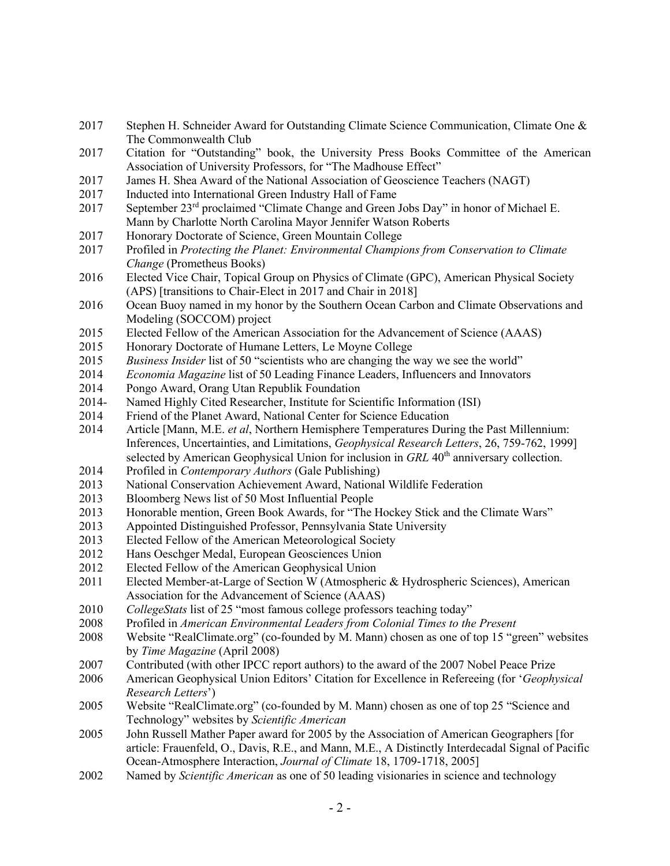- 2017 Stephen H. Schneider Award for Outstanding Climate Science Communication, Climate One & The Commonwealth Club
- 2017 Citation for "Outstanding" book, the University Press Books Committee of the American Association of University Professors, for "The Madhouse Effect"
- 2017 James H. Shea Award of the National Association of Geoscience Teachers (NAGT)
- 2017 Inducted into International Green Industry Hall of Fame
- 2017 September 23rd proclaimed "Climate Change and Green Jobs Day" in honor of Michael E. Mann by Charlotte North Carolina Mayor Jennifer Watson Roberts
- 2017 Honorary Doctorate of Science, Green Mountain College
- 2017 Profiled in *Protecting the Planet: Environmental Champions from Conservation to Climate Change* (Prometheus Books)
- 2016 Elected Vice Chair, Topical Group on Physics of Climate (GPC), American Physical Society (APS) [transitions to Chair-Elect in 2017 and Chair in 2018]
- 2016 Ocean Buoy named in my honor by the Southern Ocean Carbon and Climate Observations and Modeling (SOCCOM) project
- 2015 Elected Fellow of the American Association for the Advancement of Science (AAAS)
- 2015 Honorary Doctorate of Humane Letters, Le Moyne College
- 2015 *Business Insider* list of 50 "scientists who are changing the way we see the world"
- 2014 *Economia Magazine* list of 50 Leading Finance Leaders, Influencers and Innovators
- 2014 Pongo Award, Orang Utan Republik Foundation
- 2014- Named Highly Cited Researcher, Institute for Scientific Information (ISI)
- 2014 Friend of the Planet Award, National Center for Science Education
- 2014 Article [Mann, M.E. *et al*, Northern Hemisphere Temperatures During the Past Millennium: Inferences, Uncertainties, and Limitations, *Geophysical Research Letters*, 26, 759-762, 1999] selected by American Geophysical Union for inclusion in *GRL* 40<sup>th</sup> anniversary collection.
- 2014 Profiled in *Contemporary Authors* (Gale Publishing)
- 2013 National Conservation Achievement Award, National Wildlife Federation
- 2013 Bloomberg News list of 50 Most Influential People
- 2013 Honorable mention, Green Book Awards, for "The Hockey Stick and the Climate Wars"
- 2013 Appointed Distinguished Professor, Pennsylvania State University
- 2013 Elected Fellow of the American Meteorological Society
- 2012 Hans Oeschger Medal, European Geosciences Union
- 2012 Elected Fellow of the American Geophysical Union
- 2011 Elected Member-at-Large of Section W (Atmospheric & Hydrospheric Sciences), American Association for the Advancement of Science (AAAS)
- 2010 *CollegeStats* list of 25 "most famous college professors teaching today"
- 2008 Profiled in *American Environmental Leaders from Colonial Times to the Present*
- 2008 Website "RealClimate.org" (co-founded by M. Mann) chosen as one of top 15 "green" websites by *Time Magazine* (April 2008)
- 2007 Contributed (with other IPCC report authors) to the award of the 2007 Nobel Peace Prize
- 2006 American Geophysical Union Editors' Citation for Excellence in Refereeing (for '*Geophysical Research Letters*')
- 2005 Website "RealClimate.org" (co-founded by M. Mann) chosen as one of top 25 "Science and Technology" websites by *Scientific American*
- 2005 John Russell Mather Paper award for 2005 by the Association of American Geographers [for article: Frauenfeld, O., Davis, R.E., and Mann, M.E., A Distinctly Interdecadal Signal of Pacific Ocean-Atmosphere Interaction, *Journal of Climate* 18, 1709-1718, 2005]
- 2002 Named by *Scientific American* as one of 50 leading visionaries in science and technology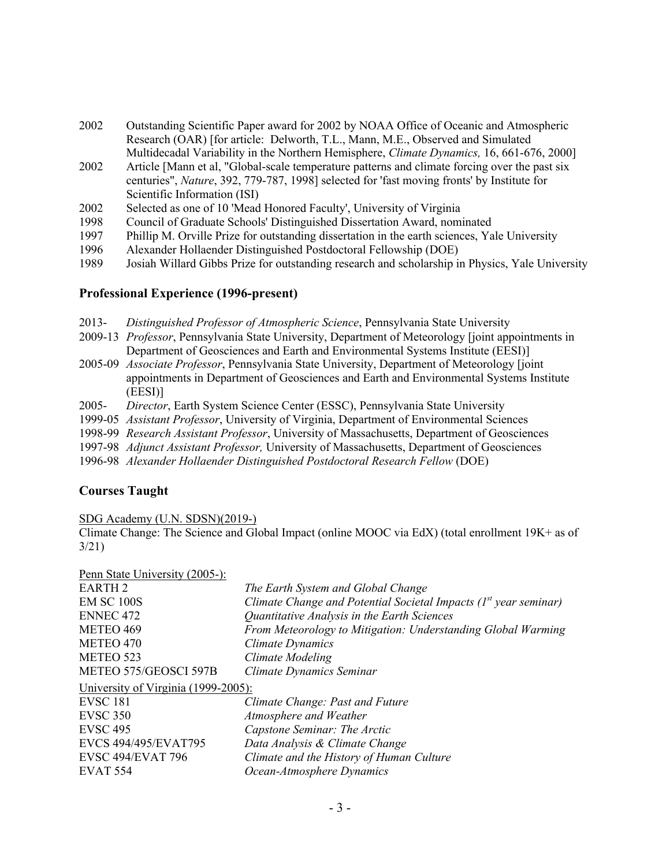- 2002 Outstanding Scientific Paper award for 2002 by NOAA Office of Oceanic and Atmospheric Research (OAR) [for article: Delworth, T.L., Mann, M.E., Observed and Simulated Multidecadal Variability in the Northern Hemisphere, *Climate Dynamics,* 16, 661-676, 2000]
- 2002 Article [Mann et al, "Global-scale temperature patterns and climate forcing over the past six centuries", *Nature*, 392, 779-787, 1998] selected for 'fast moving fronts' by Institute for Scientific Information (ISI)
- 2002 Selected as one of 10 'Mead Honored Faculty', University of Virginia
- 1998 Council of Graduate Schools' Distinguished Dissertation Award, nominated
- 1997 Phillip M. Orville Prize for outstanding dissertation in the earth sciences, Yale University
- 1996 Alexander Hollaender Distinguished Postdoctoral Fellowship (DOE)
- 1989 Josiah Willard Gibbs Prize for outstanding research and scholarship in Physics, Yale University

#### **Professional Experience (1996-present)**

- 2013- *Distinguished Professor of Atmospheric Science*, Pennsylvania State University
- 2009-13 *Professor*, Pennsylvania State University, Department of Meteorology [joint appointments in Department of Geosciences and Earth and Environmental Systems Institute (EESI)]
- 2005-09 *Associate Professor*, Pennsylvania State University, Department of Meteorology [joint appointments in Department of Geosciences and Earth and Environmental Systems Institute (EESI)]
- 2005- *Director*, Earth System Science Center (ESSC), Pennsylvania State University
- 1999-05 *Assistant Professor*, University of Virginia, Department of Environmental Sciences
- 1998-99 *Research Assistant Professor*, University of Massachusetts, Department of Geosciences
- 1997-98 *Adjunct Assistant Professor,* University of Massachusetts, Department of Geosciences
- 1996-98 *Alexander Hollaender Distinguished Postdoctoral Research Fellow* (DOE)

#### **Courses Taught**

SDG Academy (U.N. SDSN)(2019-)

Climate Change: The Science and Global Impact (online MOOC via EdX) (total enrollment 19K+ as of 3/21)

Penn State University (2005-):

| The Earth System and Global Change                                 |
|--------------------------------------------------------------------|
| Climate Change and Potential Societal Impacts $(Ist$ year seminar) |
| Quantitative Analysis in the Earth Sciences                        |
| From Meteorology to Mitigation: Understanding Global Warming       |
| Climate Dynamics                                                   |
| <b>Climate Modeling</b>                                            |
| Climate Dynamics Seminar                                           |
| University of Virginia (1999-2005):                                |
| Climate Change: Past and Future                                    |
| Atmosphere and Weather                                             |
| Capstone Seminar: The Arctic                                       |
| Data Analysis & Climate Change                                     |
| Climate and the History of Human Culture                           |
| Ocean-Atmosphere Dynamics                                          |
|                                                                    |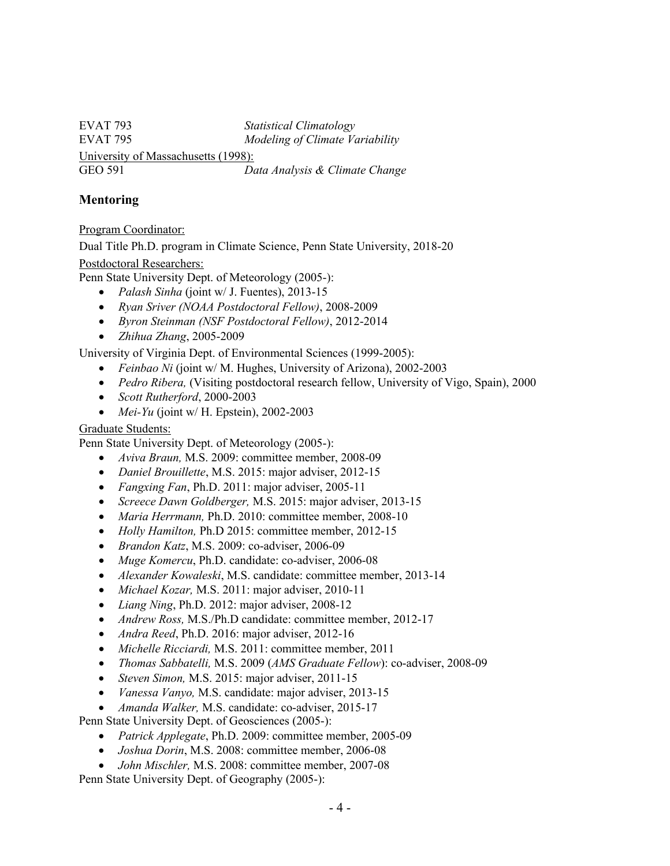EVAT 793 *Statistical Climatology* EVAT 795 *Modeling of Climate Variability* University of Massachusetts (1998): GEO 591 *Data Analysis & Climate Change*

# **Mentoring**

#### Program Coordinator:

Dual Title Ph.D. program in Climate Science, Penn State University, 2018-20

#### Postdoctoral Researchers:

Penn State University Dept. of Meteorology (2005-):

- *Palash Sinha* (joint w/ J. Fuentes), 2013-15
- *Ryan Sriver (NOAA Postdoctoral Fellow)*, 2008-2009
- *Byron Steinman (NSF Postdoctoral Fellow)*, 2012-2014
- *Zhihua Zhang*, 2005-2009

University of Virginia Dept. of Environmental Sciences (1999-2005):

- *Feinbao Ni* (joint w/ M. Hughes, University of Arizona), 2002-2003
- *Pedro Ribera,* (Visiting postdoctoral research fellow, University of Vigo, Spain), 2000
- *Scott Rutherford*, 2000-2003
- *Mei-Yu* (joint w/ H. Epstein), 2002-2003

#### Graduate Students:

Penn State University Dept. of Meteorology (2005-):

- *Aviva Braun,* M.S. 2009: committee member, 2008-09
- *Daniel Brouillette*, M.S. 2015: major adviser, 2012-15
- *Fangxing Fan*, Ph.D. 2011: major adviser, 2005-11
- *Screece Dawn Goldberger,* M.S. 2015: major adviser, 2013-15
- *Maria Herrmann,* Ph.D. 2010: committee member, 2008-10
- *Holly Hamilton,* Ph.D 2015: committee member, 2012-15
- *Brandon Katz*, M.S. 2009: co-adviser, 2006-09
- *Muge Komercu*, Ph.D. candidate: co-adviser, 2006-08
- *Alexander Kowaleski*, M.S. candidate: committee member, 2013-14
- *Michael Kozar,* M.S. 2011: major adviser, 2010-11
- *Liang Ning*, Ph.D. 2012: major adviser, 2008-12
- *Andrew Ross,* M.S./Ph.D candidate: committee member, 2012-17
- *Andra Reed*, Ph.D. 2016: major adviser, 2012-16
- *Michelle Ricciardi,* M.S. 2011: committee member, 2011
- *Thomas Sabbatelli,* M.S. 2009 (*AMS Graduate Fellow*): co-adviser, 2008-09
- *Steven Simon,* M.S. 2015: major adviser, 2011-15
- *Vanessa Vanyo,* M.S. candidate: major adviser, 2013-15
- *Amanda Walker,* M.S. candidate: co-adviser, 2015-17

Penn State University Dept. of Geosciences (2005-):

- *Patrick Applegate*, Ph.D. 2009: committee member, 2005-09
- *Joshua Dorin*, M.S. 2008: committee member, 2006-08
- *John Mischler,* M.S. 2008: committee member, 2007-08

Penn State University Dept. of Geography (2005-):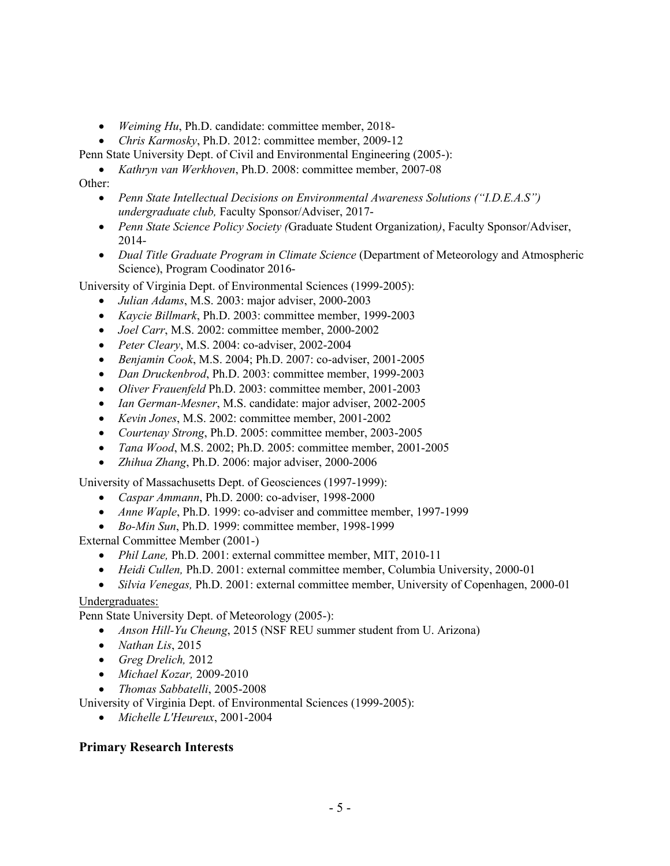- *Weiming Hu*, Ph.D. candidate: committee member, 2018-
- *Chris Karmosky*, Ph.D. 2012: committee member, 2009-12
- Penn State University Dept. of Civil and Environmental Engineering (2005-):
	- *Kathryn van Werkhoven*, Ph.D. 2008: committee member, 2007-08

#### Other:

- *Penn State Intellectual Decisions on Environmental Awareness Solutions ("I.D.E.A.S") undergraduate club,* Faculty Sponsor/Adviser, 2017-
- *Penn State Science Policy Society (*Graduate Student Organization*)*, Faculty Sponsor/Adviser, 2014-
- *Dual Title Graduate Program in Climate Science* (Department of Meteorology and Atmospheric Science), Program Coodinator 2016-

University of Virginia Dept. of Environmental Sciences (1999-2005):

- *Julian Adams*, M.S. 2003: major adviser, 2000-2003
- *Kaycie Billmark*, Ph.D. 2003: committee member, 1999-2003
- *Joel Carr*, M.S. 2002: committee member, 2000-2002
- *Peter Cleary*, M.S. 2004: co-adviser, 2002-2004
- *Benjamin Cook*, M.S. 2004; Ph.D. 2007: co-adviser, 2001-2005
- *Dan Druckenbrod*, Ph.D. 2003: committee member, 1999-2003
- *Oliver Frauenfeld* Ph.D. 2003: committee member, 2001-2003
- *Ian German-Mesner*, M.S. candidate: major adviser, 2002-2005
- *Kevin Jones*, M.S. 2002: committee member, 2001-2002
- *Courtenay Strong*, Ph.D. 2005: committee member, 2003-2005
- *Tana Wood*, M.S. 2002; Ph.D. 2005: committee member, 2001-2005
- *Zhihua Zhang*, Ph.D. 2006: major adviser, 2000-2006

University of Massachusetts Dept. of Geosciences (1997-1999):

- *Caspar Ammann*, Ph.D. 2000: co-adviser, 1998-2000
- *Anne Waple*, Ph.D. 1999: co-adviser and committee member, 1997-1999
- *Bo-Min Sun*, Ph.D. 1999: committee member, 1998-1999

External Committee Member (2001-)

- *Phil Lane,* Ph.D. 2001: external committee member, MIT, 2010-11
- *Heidi Cullen,* Ph.D. 2001: external committee member, Columbia University, 2000-01
- *Silvia Venegas,* Ph.D. 2001: external committee member, University of Copenhagen, 2000-01

#### Undergraduates:

Penn State University Dept. of Meteorology (2005-):

- *Anson Hill-Yu Cheung*, 2015 (NSF REU summer student from U. Arizona)
- *Nathan Lis*, 2015
- *Greg Drelich,* 2012
- *Michael Kozar,* 2009-2010
- *Thomas Sabbatelli*, 2005-2008
- University of Virginia Dept. of Environmental Sciences (1999-2005):
	- *Michelle L'Heureux*, 2001-2004

#### **Primary Research Interests**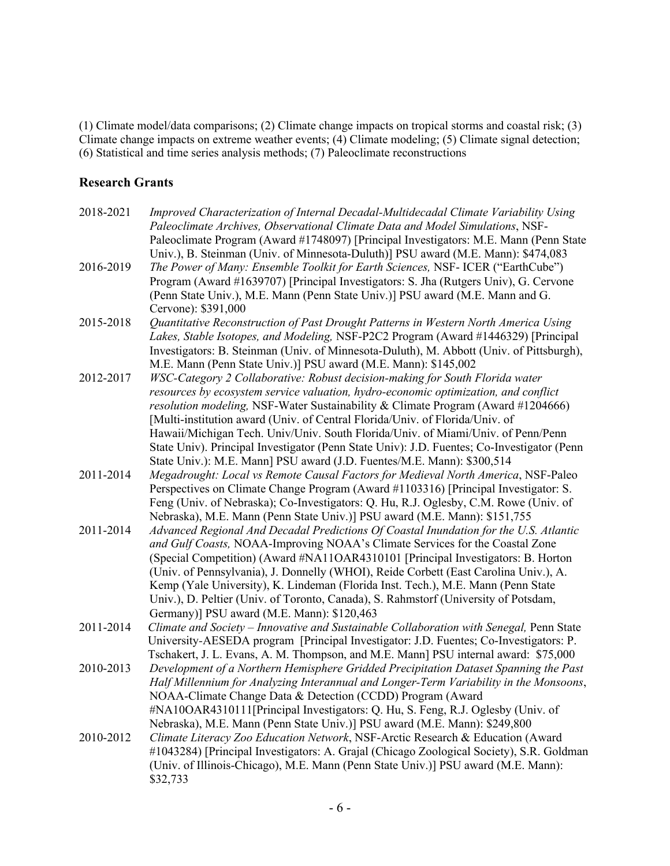(1) Climate model/data comparisons; (2) Climate change impacts on tropical storms and coastal risk; (3) Climate change impacts on extreme weather events; (4) Climate modeling; (5) Climate signal detection; (6) Statistical and time series analysis methods; (7) Paleoclimate reconstructions

# **Research Grants**

| 2018-2021 | Improved Characterization of Internal Decadal-Multidecadal Climate Variability Using<br>Paleoclimate Archives, Observational Climate Data and Model Simulations, NSF-<br>Paleoclimate Program (Award #1748097) [Principal Investigators: M.E. Mann (Penn State<br>Univ.), B. Steinman (Univ. of Minnesota-Duluth)] PSU award (M.E. Mann): \$474,083                                                                                                                                                                                                                                                 |
|-----------|-----------------------------------------------------------------------------------------------------------------------------------------------------------------------------------------------------------------------------------------------------------------------------------------------------------------------------------------------------------------------------------------------------------------------------------------------------------------------------------------------------------------------------------------------------------------------------------------------------|
| 2016-2019 | The Power of Many: Ensemble Toolkit for Earth Sciences, NSF- ICER ("EarthCube")<br>Program (Award #1639707) [Principal Investigators: S. Jha (Rutgers Univ), G. Cervone<br>(Penn State Univ.), M.E. Mann (Penn State Univ.)] PSU award (M.E. Mann and G.<br>Cervone): \$391,000                                                                                                                                                                                                                                                                                                                     |
| 2015-2018 | Quantitative Reconstruction of Past Drought Patterns in Western North America Using<br>Lakes, Stable Isotopes, and Modeling, NSF-P2C2 Program (Award #1446329) [Principal<br>Investigators: B. Steinman (Univ. of Minnesota-Duluth), M. Abbott (Univ. of Pittsburgh),<br>M.E. Mann (Penn State Univ.)] PSU award (M.E. Mann): \$145,002                                                                                                                                                                                                                                                             |
| 2012-2017 | WSC-Category 2 Collaborative: Robust decision-making for South Florida water<br>resources by ecosystem service valuation, hydro-economic optimization, and conflict<br>resolution modeling, NSF-Water Sustainability & Climate Program (Award #1204666)<br>[Multi-institution award (Univ. of Central Florida/Univ. of Florida/Univ. of<br>Hawaii/Michigan Tech. Univ/Univ. South Florida/Univ. of Miami/Univ. of Penn/Penn<br>State Univ). Principal Investigator (Penn State Univ): J.D. Fuentes; Co-Investigator (Penn<br>State Univ.): M.E. Mann] PSU award (J.D. Fuentes/M.E. Mann): \$300,514 |
| 2011-2014 | Megadrought: Local vs Remote Causal Factors for Medieval North America, NSF-Paleo<br>Perspectives on Climate Change Program (Award #1103316) [Principal Investigator: S.<br>Feng (Univ. of Nebraska); Co-Investigators: Q. Hu, R.J. Oglesby, C.M. Rowe (Univ. of<br>Nebraska), M.E. Mann (Penn State Univ.)] PSU award (M.E. Mann): \$151,755                                                                                                                                                                                                                                                       |
| 2011-2014 | Advanced Regional And Decadal Predictions Of Coastal Inundation for the U.S. Atlantic<br>and Gulf Coasts, NOAA-Improving NOAA's Climate Services for the Coastal Zone<br>(Special Competition) (Award #NA11OAR4310101 [Principal Investigators: B. Horton<br>(Univ. of Pennsylvania), J. Donnelly (WHOI), Reide Corbett (East Carolina Univ.), A.<br>Kemp (Yale University), K. Lindeman (Florida Inst. Tech.), M.E. Mann (Penn State<br>Univ.), D. Peltier (Univ. of Toronto, Canada), S. Rahmstorf (University of Potsdam,<br>Germany)] PSU award (M.E. Mann): \$120,463                          |
| 2011-2014 | Climate and Society - Innovative and Sustainable Collaboration with Senegal, Penn State<br>University-AESEDA program [Principal Investigator: J.D. Fuentes; Co-Investigators: P.<br>Tschakert, J. L. Evans, A. M. Thompson, and M.E. Mann] PSU internal award: \$75,000                                                                                                                                                                                                                                                                                                                             |
| 2010-2013 | Development of a Northern Hemisphere Gridded Precipitation Dataset Spanning the Past<br>Half Millennium for Analyzing Interannual and Longer-Term Variability in the Monsoons,<br>NOAA-Climate Change Data & Detection (CCDD) Program (Award<br>#NA10OAR4310111[Principal Investigators: Q. Hu, S. Feng, R.J. Oglesby (Univ. of<br>Nebraska), M.E. Mann (Penn State Univ.)] PSU award (M.E. Mann): \$249,800                                                                                                                                                                                        |
| 2010-2012 | Climate Literacy Zoo Education Network, NSF-Arctic Research & Education (Award<br>#1043284) [Principal Investigators: A. Grajal (Chicago Zoological Society), S.R. Goldman<br>(Univ. of Illinois-Chicago), M.E. Mann (Penn State Univ.)] PSU award (M.E. Mann):<br>\$32,733                                                                                                                                                                                                                                                                                                                         |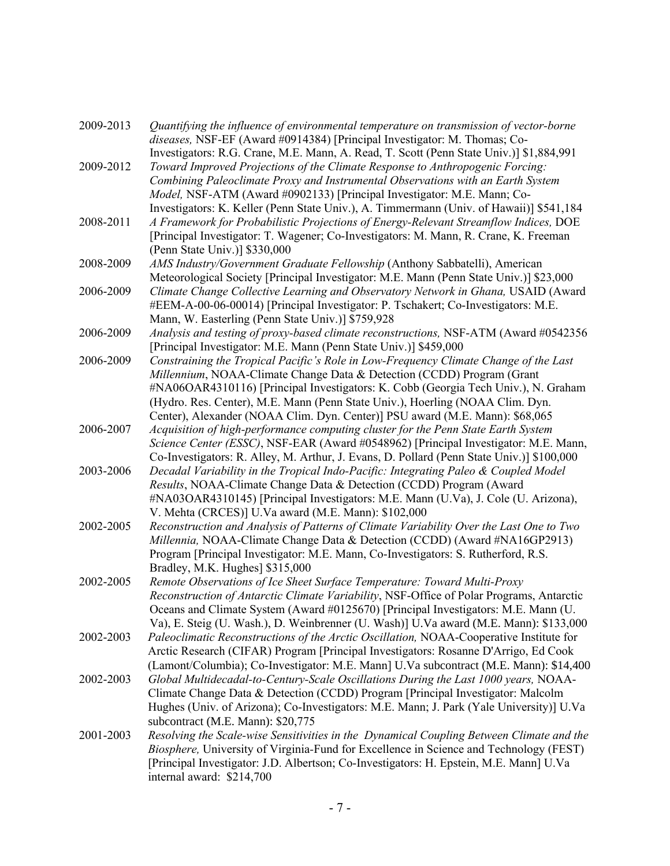| 2009-2013 | Quantifying the influence of environmental temperature on transmission of vector-borne<br>diseases, NSF-EF (Award #0914384) [Principal Investigator: M. Thomas; Co-             |
|-----------|---------------------------------------------------------------------------------------------------------------------------------------------------------------------------------|
|           | Investigators: R.G. Crane, M.E. Mann, A. Read, T. Scott (Penn State Univ.)] \$1,884,991                                                                                         |
| 2009-2012 | Toward Improved Projections of the Climate Response to Anthropogenic Forcing:                                                                                                   |
|           | Combining Paleoclimate Proxy and Instrumental Observations with an Earth System                                                                                                 |
|           | Model, NSF-ATM (Award #0902133) [Principal Investigator: M.E. Mann; Co-                                                                                                         |
| 2008-2011 | Investigators: K. Keller (Penn State Univ.), A. Timmermann (Univ. of Hawaii)] \$541,184<br>A Framework for Probabilistic Projections of Energy-Relevant Streamflow Indices, DOE |
|           | [Principal Investigator: T. Wagener; Co-Investigators: M. Mann, R. Crane, K. Freeman                                                                                            |
|           | (Penn State Univ.)] \$330,000                                                                                                                                                   |
| 2008-2009 | AMS Industry/Government Graduate Fellowship (Anthony Sabbatelli), American                                                                                                      |
|           | Meteorological Society [Principal Investigator: M.E. Mann (Penn State Univ.)] \$23,000                                                                                          |
| 2006-2009 | Climate Change Collective Learning and Observatory Network in Ghana, USAID (Award                                                                                               |
|           | #EEM-A-00-06-00014) [Principal Investigator: P. Tschakert; Co-Investigators: M.E.                                                                                               |
|           | Mann, W. Easterling (Penn State Univ.)] \$759,928                                                                                                                               |
| 2006-2009 | Analysis and testing of proxy-based climate reconstructions, NSF-ATM (Award #0542356                                                                                            |
|           | [Principal Investigator: M.E. Mann (Penn State Univ.)] \$459,000                                                                                                                |
| 2006-2009 | Constraining the Tropical Pacific's Role in Low-Frequency Climate Change of the Last                                                                                            |
|           | Millennium, NOAA-Climate Change Data & Detection (CCDD) Program (Grant                                                                                                          |
|           | #NA06OAR4310116) [Principal Investigators: K. Cobb (Georgia Tech Univ.), N. Graham                                                                                              |
|           | (Hydro. Res. Center), M.E. Mann (Penn State Univ.), Hoerling (NOAA Clim. Dyn.                                                                                                   |
|           | Center), Alexander (NOAA Clim. Dyn. Center)] PSU award (M.E. Mann): \$68,065                                                                                                    |
| 2006-2007 | Acquisition of high-performance computing cluster for the Penn State Earth System                                                                                               |
|           | Science Center (ESSC), NSF-EAR (Award #0548962) [Principal Investigator: M.E. Mann,                                                                                             |
|           | Co-Investigators: R. Alley, M. Arthur, J. Evans, D. Pollard (Penn State Univ.)] \$100,000                                                                                       |
| 2003-2006 | Decadal Variability in the Tropical Indo-Pacific: Integrating Paleo & Coupled Model                                                                                             |
|           | Results, NOAA-Climate Change Data & Detection (CCDD) Program (Award                                                                                                             |
|           | #NA03OAR4310145) [Principal Investigators: M.E. Mann (U.Va), J. Cole (U. Arizona),<br>V. Mehta (CRCES)] U.Va award (M.E. Mann): \$102,000                                       |
| 2002-2005 | Reconstruction and Analysis of Patterns of Climate Variability Over the Last One to Two                                                                                         |
|           | Millennia, NOAA-Climate Change Data & Detection (CCDD) (Award #NA16GP2913)                                                                                                      |
|           | Program [Principal Investigator: M.E. Mann, Co-Investigators: S. Rutherford, R.S.                                                                                               |
|           | Bradley, M.K. Hughes] \$315,000                                                                                                                                                 |
| 2002-2005 | Remote Observations of Ice Sheet Surface Temperature: Toward Multi-Proxy                                                                                                        |
|           | Reconstruction of Antarctic Climate Variability, NSF-Office of Polar Programs, Antarctic                                                                                        |
|           | Oceans and Climate System (Award #0125670) [Principal Investigators: M.E. Mann (U.                                                                                              |
|           | Va), E. Steig (U. Wash.), D. Weinbrenner (U. Wash)] U.Va award (M.E. Mann): \$133,000                                                                                           |
| 2002-2003 | Paleoclimatic Reconstructions of the Arctic Oscillation, NOAA-Cooperative Institute for                                                                                         |
|           | Arctic Research (CIFAR) Program [Principal Investigators: Rosanne D'Arrigo, Ed Cook                                                                                             |
|           | (Lamont/Columbia); Co-Investigator: M.E. Mann] U.Va subcontract (M.E. Mann): \$14,400                                                                                           |
| 2002-2003 | Global Multidecadal-to-Century-Scale Oscillations During the Last 1000 years, NOAA-                                                                                             |
|           | Climate Change Data & Detection (CCDD) Program [Principal Investigator: Malcolm                                                                                                 |
|           | Hughes (Univ. of Arizona); Co-Investigators: M.E. Mann; J. Park (Yale University)] U.Va                                                                                         |
|           | subcontract (M.E. Mann): \$20,775                                                                                                                                               |
| 2001-2003 | Resolving the Scale-wise Sensitivities in the Dynamical Coupling Between Climate and the                                                                                        |
|           | Biosphere, University of Virginia-Fund for Excellence in Science and Technology (FEST)                                                                                          |
|           | [Principal Investigator: J.D. Albertson; Co-Investigators: H. Epstein, M.E. Mann] U.Va                                                                                          |
|           | internal award: \$214,700                                                                                                                                                       |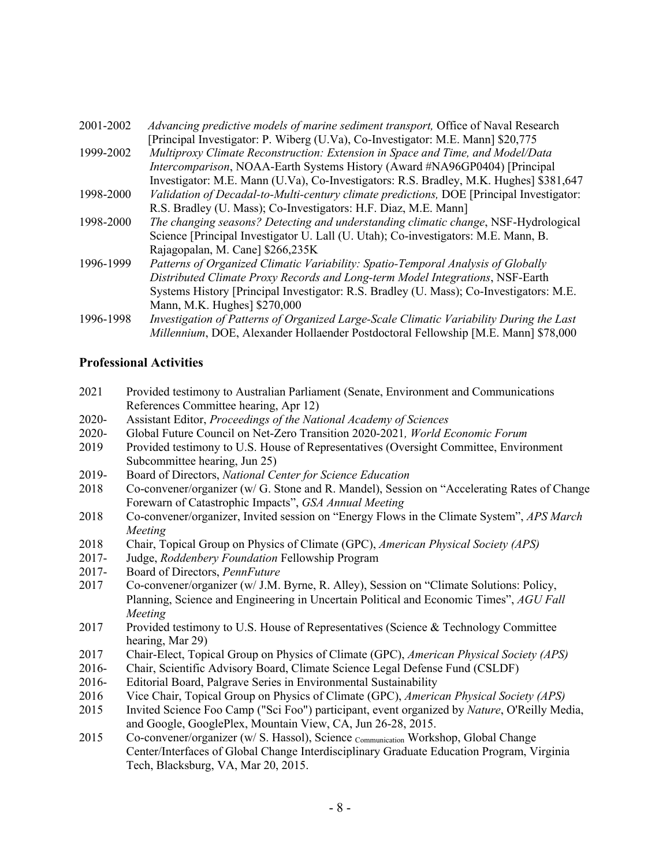| 2001-2002 | Advancing predictive models of marine sediment transport, Office of Naval Research       |
|-----------|------------------------------------------------------------------------------------------|
|           | [Principal Investigator: P. Wiberg (U.Va), Co-Investigator: M.E. Mann] \$20,775          |
| 1999-2002 | Multiproxy Climate Reconstruction: Extension in Space and Time, and Model/Data           |
|           | Intercomparison, NOAA-Earth Systems History (Award #NA96GP0404) [Principal               |
|           | Investigator: M.E. Mann (U.Va), Co-Investigators: R.S. Bradley, M.K. Hughes] \$381,647   |
| 1998-2000 | Validation of Decadal-to-Multi-century climate predictions, DOE [Principal Investigator: |
|           | R.S. Bradley (U. Mass); Co-Investigators: H.F. Diaz, M.E. Mann]                          |
| 1998-2000 | The changing seasons? Detecting and understanding climatic change, NSF-Hydrological      |
|           | Science [Principal Investigator U. Lall (U. Utah); Co-investigators: M.E. Mann, B.       |
|           | Rajagopalan, M. Cane] \$266,235K                                                         |
| 1996-1999 | Patterns of Organized Climatic Variability: Spatio-Temporal Analysis of Globally         |
|           | Distributed Climate Proxy Records and Long-term Model Integrations, NSF-Earth            |
|           | Systems History [Principal Investigator: R.S. Bradley (U. Mass); Co-Investigators: M.E.  |
|           | Mann, M.K. Hughes] \$270,000                                                             |
| 1996-1998 | Investigation of Patterns of Organized Large-Scale Climatic Variability During the Last  |
|           | Millennium, DOE, Alexander Hollaender Postdoctoral Fellowship [M.E. Mann] \$78,000       |

#### **Professional Activities**

| 2021 | Provided testimony to Australian Parliament (Senate, Environment and Communications |
|------|-------------------------------------------------------------------------------------|
|      | References Committee hearing, Apr 12)                                               |

- 2020- Assistant Editor, *Proceedings of the National Academy of Sciences*
- 2020- Global Future Council on Net-Zero Transition 2020-2021*, World Economic Forum*
- 2019 Provided testimony to U.S. House of Representatives (Oversight Committee, Environment Subcommittee hearing, Jun 25)
- 2019- Board of Directors, *National Center for Science Education*
- 2018 Co-convener/organizer (w/ G. Stone and R. Mandel), Session on "Accelerating Rates of Change Forewarn of Catastrophic Impacts", *GSA Annual Meeting*
- 2018 Co-convener/organizer, Invited session on "Energy Flows in the Climate System", *APS March Meeting*
- 2018 Chair, Topical Group on Physics of Climate (GPC), *American Physical Society (APS)*
- 2017- Judge, *Roddenbery Foundation* Fellowship Program
- 2017- Board of Directors, *PennFuture*
- 2017 Co-convener/organizer (w/ J.M. Byrne, R. Alley), Session on "Climate Solutions: Policy, Planning, Science and Engineering in Uncertain Political and Economic Times", *AGU Fall Meeting*
- 2017 Provided testimony to U.S. House of Representatives (Science & Technology Committee hearing, Mar 29)
- 2017 Chair-Elect, Topical Group on Physics of Climate (GPC), *American Physical Society (APS)*
- 2016- Chair, Scientific Advisory Board, Climate Science Legal Defense Fund (CSLDF)
- 2016- Editorial Board, Palgrave Series in Environmental Sustainability
- 2016 Vice Chair, Topical Group on Physics of Climate (GPC), *American Physical Society (APS)*
- 2015 Invited Science Foo Camp ("Sci Foo") participant, event organized by *Nature*, O'Reilly Media, and Google, GooglePlex, Mountain View, CA, Jun 26-28, 2015.
- 2015 Co-convener/organizer (w/ S. Hassol), Science Communication Workshop, Global Change Center/Interfaces of Global Change Interdisciplinary Graduate Education Program, Virginia Tech, Blacksburg, VA, Mar 20, 2015.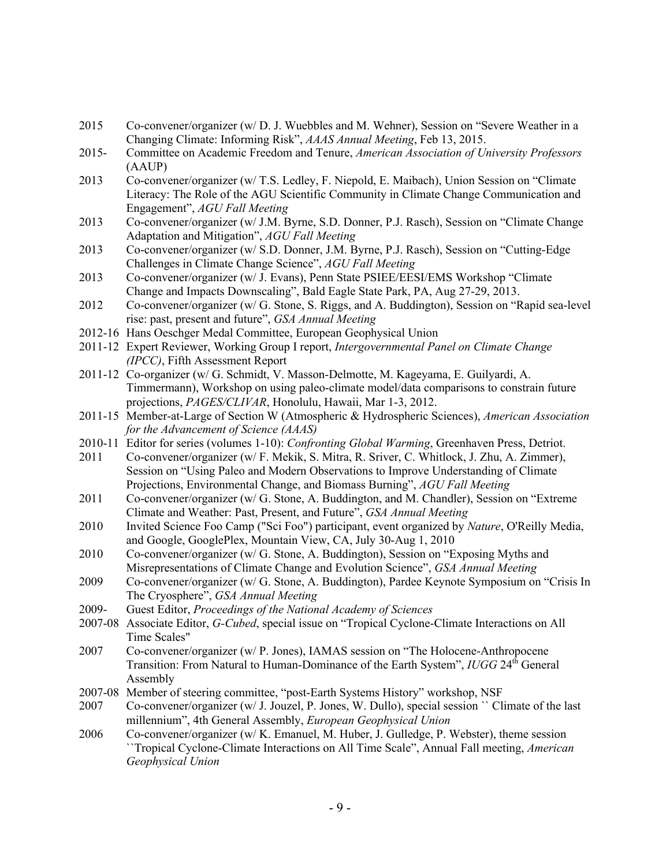- 2015 Co-convener/organizer (w/ D. J. Wuebbles and M. Wehner), Session on "Severe Weather in a Changing Climate: Informing Risk", *AAAS Annual Meeting*, Feb 13, 2015.
- 2015- Committee on Academic Freedom and Tenure, *American Association of University Professors* (AAUP)
- 2013 Co-convener/organizer (w/ T.S. Ledley, F. Niepold, E. Maibach), Union Session on "Climate Literacy: The Role of the AGU Scientific Community in Climate Change Communication and Engagement", *AGU Fall Meeting*
- 2013 Co-convener/organizer (w/ J.M. Byrne, S.D. Donner, P.J. Rasch), Session on "Climate Change Adaptation and Mitigation", *AGU Fall Meeting*
- 2013 Co-convener/organizer (w/ S.D. Donner, J.M. Byrne, P.J. Rasch), Session on "Cutting-Edge Challenges in Climate Change Science", *AGU Fall Meeting*
- 2013 Co-convener/organizer (w/ J. Evans), Penn State PSIEE/EESI/EMS Workshop "Climate Change and Impacts Downscaling", Bald Eagle State Park, PA, Aug 27-29, 2013.
- 2012 Co-convener/organizer (w/ G. Stone, S. Riggs, and A. Buddington), Session on "Rapid sea-level rise: past, present and future", *GSA Annual Meeting*
- 2012-16 Hans Oeschger Medal Committee, European Geophysical Union
- 2011-12 Expert Reviewer, Working Group I report, *Intergovernmental Panel on Climate Change (IPCC)*, Fifth Assessment Report
- 2011-12 Co-organizer (w/ G. Schmidt, V. Masson-Delmotte, M. Kageyama, E. Guilyardi, A. Timmermann), Workshop on using paleo-climate model/data comparisons to constrain future projections, *PAGES/CLIVAR*, Honolulu, Hawaii, Mar 1-3, 2012.
- 2011-15 Member-at-Large of Section W (Atmospheric & Hydrospheric Sciences), *American Association for the Advancement of Science (AAAS)*
- 2010-11 Editor for series (volumes 1-10): *Confronting Global Warming*, Greenhaven Press, Detriot.
- 2011 Co-convener/organizer (w/ F. Mekik, S. Mitra, R. Sriver, C. Whitlock, J. Zhu, A. Zimmer), Session on "Using Paleo and Modern Observations to Improve Understanding of Climate Projections, Environmental Change, and Biomass Burning", *AGU Fall Meeting*
- 2011 Co-convener/organizer (w/ G. Stone, A. Buddington, and M. Chandler), Session on "Extreme Climate and Weather: Past, Present, and Future", *GSA Annual Meeting*
- 2010 Invited Science Foo Camp ("Sci Foo") participant, event organized by *Nature*, O'Reilly Media, and Google, GooglePlex, Mountain View, CA, July 30-Aug 1, 2010
- 2010 Co-convener/organizer (w/ G. Stone, A. Buddington), Session on "Exposing Myths and Misrepresentations of Climate Change and Evolution Science", *GSA Annual Meeting*
- 2009 Co-convener/organizer (w/ G. Stone, A. Buddington), Pardee Keynote Symposium on "Crisis In The Cryosphere", *GSA Annual Meeting*
- 2009- Guest Editor, *Proceedings of the National Academy of Sciences*
- 2007-08 Associate Editor, *G-Cubed*, special issue on "Tropical Cyclone-Climate Interactions on All Time Scales"
- 2007 Co-convener/organizer (w/ P. Jones), IAMAS session on "The Holocene-Anthropocene Transition: From Natural to Human-Dominance of the Earth System", *IUGG* 24<sup>th</sup> General Assembly
- 2007-08 Member of steering committee, "post-Earth Systems History" workshop, NSF
- 2007 Co-convener/organizer (w/ J. Jouzel, P. Jones, W. Dullo), special session `` Climate of the last millennium", 4th General Assembly, *European Geophysical Union*
- 2006 Co-convener/organizer (w/ K. Emanuel, M. Huber, J. Gulledge, P. Webster), theme session ``Tropical Cyclone-Climate Interactions on All Time Scale", Annual Fall meeting, *American Geophysical Union*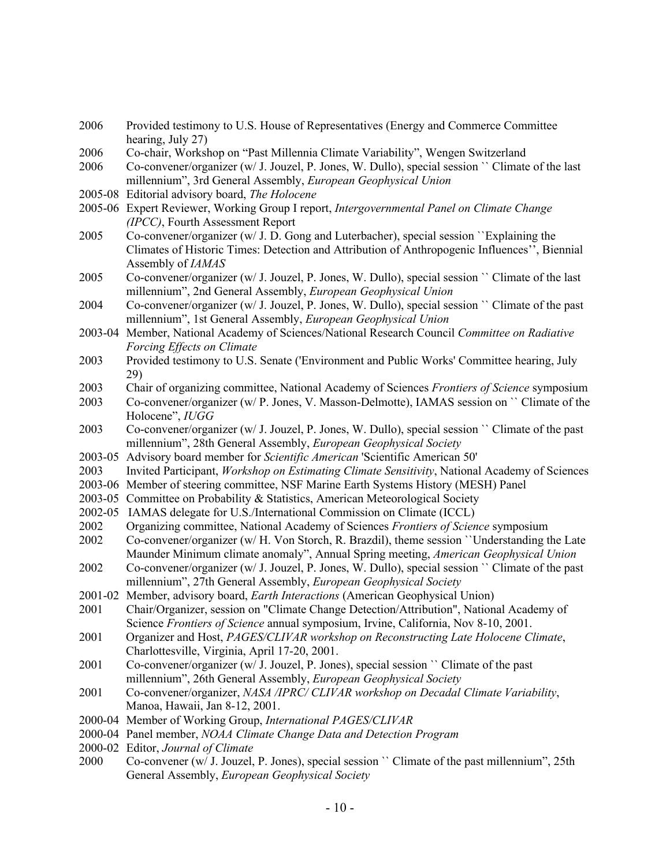2006 Provided testimony to U.S. House of Representatives (Energy and Commerce Committee hearing, July 27) 2006 Co-chair, Workshop on "Past Millennia Climate Variability", Wengen Switzerland 2006 Co-convener/organizer (w/ J. Jouzel, P. Jones, W. Dullo), special session `` Climate of the last millennium", 3rd General Assembly, *European Geophysical Union* 2005-08 Editorial advisory board, *The Holocene* 2005-06 Expert Reviewer, Working Group I report, *Intergovernmental Panel on Climate Change (IPCC)*, Fourth Assessment Report 2005 Co-convener/organizer (w/ J. D. Gong and Luterbacher), special session ``Explaining the Climates of Historic Times: Detection and Attribution of Anthropogenic Influences'', Biennial Assembly of *IAMAS*  2005 Co-convener/organizer (w/ J. Jouzel, P. Jones, W. Dullo), special session `` Climate of the last millennium", 2nd General Assembly, *European Geophysical Union* 2004 Co-convener/organizer (w/ J. Jouzel, P. Jones, W. Dullo), special session `` Climate of the past millennium", 1st General Assembly, *European Geophysical Union* 2003-04 Member, National Academy of Sciences/National Research Council *Committee on Radiative Forcing Effects on Climate* 2003 Provided testimony to U.S. Senate ('Environment and Public Works' Committee hearing, July 29) 2003 Chair of organizing committee, National Academy of Sciences *Frontiers of Science* symposium 2003 Co-convener/organizer (w/ P. Jones, V. Masson-Delmotte), IAMAS session on `` Climate of the Holocene", *IUGG* 2003 Co-convener/organizer (w/ J. Jouzel, P. Jones, W. Dullo), special session `` Climate of the past millennium", 28th General Assembly, *European Geophysical Society* 2003-05 Advisory board member for *Scientific American* 'Scientific American 50' 2003 Invited Participant, *Workshop on Estimating Climate Sensitivity*, National Academy of Sciences 2003-06 Member of steering committee, NSF Marine Earth Systems History (MESH) Panel 2003-05 Committee on Probability & Statistics, American Meteorological Society 2002-05 IAMAS delegate for U.S./International Commission on Climate (ICCL) 2002 Organizing committee, National Academy of Sciences *Frontiers of Science* symposium 2002 Co-convener/organizer (w/ H. Von Storch, R. Brazdil), theme session ``Understanding the Late Maunder Minimum climate anomaly", Annual Spring meeting, *American Geophysical Union* 2002 Co-convener/organizer (w/ J. Jouzel, P. Jones, W. Dullo), special session `` Climate of the past millennium", 27th General Assembly, *European Geophysical Society* 2001-02 Member, advisory board, *Earth Interactions* (American Geophysical Union) 2001 Chair/Organizer, session on "Climate Change Detection/Attribution", National Academy of Science *Frontiers of Science* annual symposium, Irvine, California, Nov 8-10, 2001. 2001 Organizer and Host, *PAGES/CLIVAR workshop on Reconstructing Late Holocene Climate*, Charlottesville, Virginia, April 17-20, 2001. 2001 Co-convener/organizer (w/ J. Jouzel, P. Jones), special session `` Climate of the past millennium", 26th General Assembly, *European Geophysical Society* 2001 Co-convener/organizer, *NASA /IPRC/ CLIVAR workshop on Decadal Climate Variability*, Manoa, Hawaii, Jan 8-12, 2001. 2000-04 Member of Working Group, *International PAGES/CLIVAR* 2000-04 Panel member, *NOAA Climate Change Data and Detection Program* 2000-02 Editor, *Journal of Climate* 2000 Co-convener (w/ J. Jouzel, P. Jones), special session `` Climate of the past millennium", 25th General Assembly, *European Geophysical Society*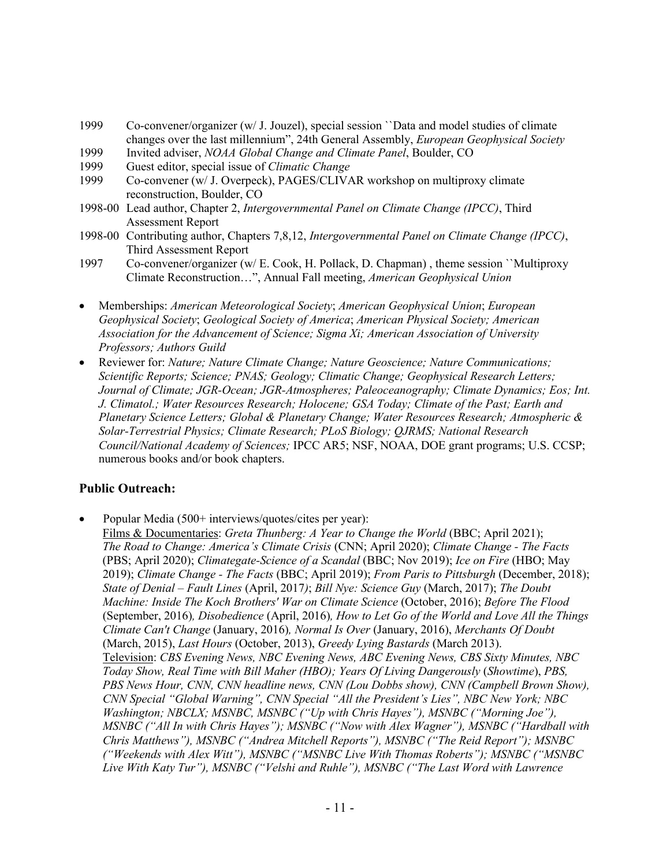- 1999 Co-convener/organizer (w/ J. Jouzel), special session ``Data and model studies of climate changes over the last millennium", 24th General Assembly, *European Geophysical Society*
- 1999 Invited adviser, *NOAA Global Change and Climate Panel*, Boulder, CO
- 1999 Guest editor, special issue of *Climatic Change*
- Co-convener (w/ J. Overpeck), PAGES/CLIVAR workshop on multiproxy climate reconstruction, Boulder, CO
- 1998-00 Lead author, Chapter 2, *Intergovernmental Panel on Climate Change (IPCC)*, Third Assessment Report
- 1998-00 Contributing author, Chapters 7,8,12, *Intergovernmental Panel on Climate Change (IPCC)*, Third Assessment Report
- 1997 Co-convener/organizer (w/ E. Cook, H. Pollack, D. Chapman) , theme session ``Multiproxy Climate Reconstruction…", Annual Fall meeting, *American Geophysical Union*
- Memberships: *American Meteorological Society*; *American Geophysical Union*; *European Geophysical Society*; *Geological Society of America*; *American Physical Society; American Association for the Advancement of Science; Sigma Xi; American Association of University Professors; Authors Guild*
- Reviewer for: *Nature; Nature Climate Change; Nature Geoscience; Nature Communications; Scientific Reports; Science; PNAS; Geology; Climatic Change; Geophysical Research Letters; Journal of Climate; JGR-Ocean; JGR-Atmospheres; Paleoceanography; Climate Dynamics; Eos; Int. J. Climatol.; Water Resources Research; Holocene; GSA Today; Climate of the Past; Earth and Planetary Science Letters; Global & Planetary Change; Water Resources Research; Atmospheric & Solar-Terrestrial Physics; Climate Research; PLoS Biology; QJRMS; National Research Council/National Academy of Sciences;* IPCC AR5; NSF, NOAA, DOE grant programs; U.S. CCSP; numerous books and/or book chapters.

#### **Public Outreach:**

- Popular Media (500+ interviews/quotes/cites per year):
	- Films & Documentaries: *Greta Thunberg: A Year to Change the World* (BBC; April 2021); *The Road to Change: America's Climate Crisis* (CNN; April 2020); *Climate Change - The Facts* (PBS; April 2020); *Climategate-Science of a Scandal* (BBC; Nov 2019); *Ice on Fire* (HBO; May 2019); *Climate Change - The Facts* (BBC; April 2019); *From Paris to Pittsburgh* (December, 2018); *State of Denial – Fault Lines* (April, 2017*)*; *Bill Nye: Science Guy* (March, 2017); *The Doubt Machine: Inside The Koch Brothers' War on Climate Science* (October, 2016); *Before The Flood*  (September, 2016)*, Disobedience* (April, 2016)*, How to Let Go of the World and Love All the Things Climate Can't Change* (January, 2016)*, Normal Is Over* (January, 2016), *Merchants Of Doubt* (March, 2015), *Last Hours* (October, 2013), *Greedy Lying Bastards* (March 2013). Television: *CBS Evening News, NBC Evening News, ABC Evening News, CBS Sixty Minutes, NBC Today Show, Real Time with Bill Maher (HBO); Years Of Living Dangerously* (*Showtime*), *PBS, PBS News Hour, CNN, CNN headline news, CNN (Lou Dobbs show), CNN (Campbell Brown Show), CNN Special "Global Warning", CNN Special "All the President's Lies", NBC New York; NBC Washington; NBCLX; MSNBC, MSNBC ("Up with Chris Hayes"), MSNBC ("Morning Joe"), MSNBC ("All In with Chris Hayes"); MSNBC ("Now with Alex Wagner"), MSNBC ("Hardball with Chris Matthews"), MSNBC ("Andrea Mitchell Reports"), MSNBC ("The Reid Report"); MSNBC ("Weekends with Alex Witt"), MSNBC ("MSNBC Live With Thomas Roberts"); MSNBC ("MSNBC Live With Katy Tur"), MSNBC ("Velshi and Ruhle"), MSNBC ("The Last Word with Lawrence*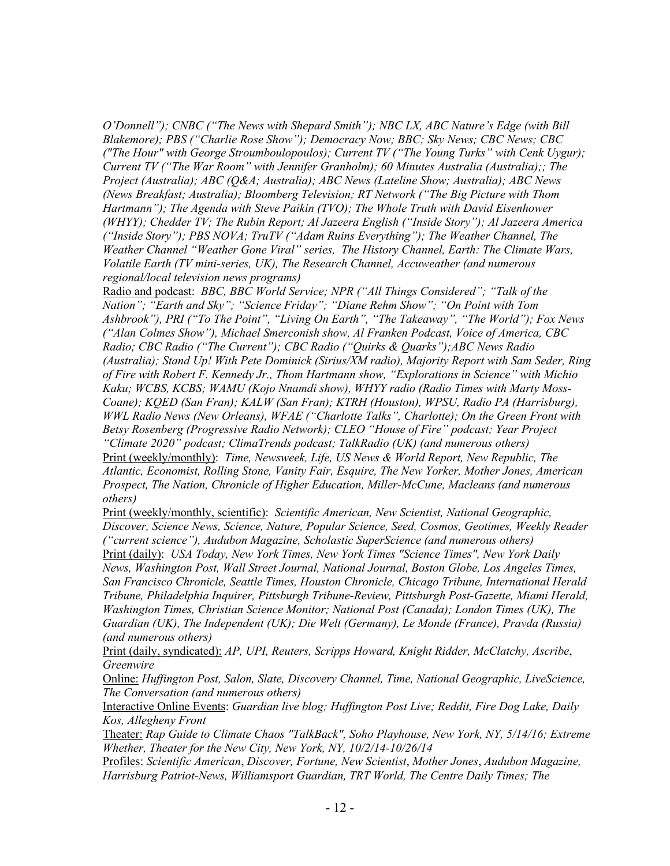*O'Donnell"); CNBC ("The News with Shepard Smith"); NBC LX, ABC Nature's Edge (with Bill Blakemore); PBS ("Charlie Rose Show"); Democracy Now; BBC; Sky News; CBC News; CBC ("The Hour" with George Stroumboulopoulos); Current TV ("The Young Turks" with Cenk Uygur); Current TV ("The War Room" with Jennifer Granholm); 60 Minutes Australia (Australia);; The Project (Australia); ABC (Q&A; Australia); ABC News (Lateline Show; Australia); ABC News (News Breakfast; Australia); Bloomberg Television; RT Network ("The Big Picture with Thom Hartmann"); The Agenda with Steve Paikin (TVO); The Whole Truth with David Eisenhower (WHYY); Chedder TV; The Rubin Report; Al Jazeera English ("Inside Story"); Al Jazeera America ("Inside Story"); PBS NOVA; TruTV ("Adam Ruins Everything"); The Weather Channel, The Weather Channel "Weather Gone Viral" series, The History Channel, Earth: The Climate Wars, Volatile Earth (TV mini-series, UK), The Research Channel, Accuweather (and numerous regional/local television news programs)*

Radio and podcast: *BBC, BBC World Service; NPR ("All Things Considered"; "Talk of the Nation"; "Earth and Sky"; "Science Friday"; "Diane Rehm Show"; "On Point with Tom Ashbrook"), PRI ("To The Point", "Living On Earth", "The Takeaway", "The World"); Fox News ("Alan Colmes Show"), Michael Smerconish show, Al Franken Podcast, Voice of America, CBC Radio; CBC Radio ("The Current"); CBC Radio ("Quirks & Quarks");ABC News Radio (Australia); Stand Up! With Pete Dominick (Sirius/XM radio), Majority Report with Sam Seder, Ring of Fire with Robert F. Kennedy Jr., Thom Hartmann show, "Explorations in Science" with Michio Kaku; WCBS, KCBS; WAMU (Kojo Nnamdi show), WHYY radio (Radio Times with Marty Moss-Coane); KQED (San Fran); KALW (San Fran); KTRH (Houston), WPSU, Radio PA (Harrisburg), WWL Radio News (New Orleans), WFAE ("Charlotte Talks", Charlotte); On the Green Front with Betsy Rosenberg (Progressive Radio Network); CLEO "House of Fire" podcast; Year Project "Climate 2020" podcast; ClimaTrends podcast; TalkRadio (UK) (and numerous others)* Print (weekly/monthly): *Time, Newsweek, Life, US News & World Report, New Republic, The Atlantic, Economist, Rolling Stone, Vanity Fair, Esquire, The New Yorker, Mother Jones, American Prospect, The Nation, Chronicle of Higher Education, Miller-McCune, Macleans (and numerous* 

*others)*

Print (weekly/monthly, scientific): *Scientific American, New Scientist, National Geographic, Discover, Science News, Science, Nature, Popular Science, Seed, Cosmos, Geotimes, Weekly Reader ("current science"), Audubon Magazine, Scholastic SuperScience (and numerous others)*

Print (daily): *USA Today, New York Times, New York Times "Science Times", New York Daily News, Washington Post, Wall Street Journal, National Journal, Boston Globe, Los Angeles Times, San Francisco Chronicle, Seattle Times, Houston Chronicle, Chicago Tribune, International Herald Tribune, Philadelphia Inquirer, Pittsburgh Tribune-Review, Pittsburgh Post-Gazette, Miami Herald, Washington Times, Christian Science Monitor; National Post (Canada); London Times (UK), The Guardian (UK), The Independent (UK); Die Welt (Germany), Le Monde (France), Pravda (Russia) (and numerous others)*

Print (daily, syndicated): *AP, UPI, Reuters, Scripps Howard, Knight Ridder, McClatchy, Ascribe*, *Greenwire*

Online: *Huffington Post, Salon, Slate, Discovery Channel, Time, National Geographic, LiveScience, The Conversation (and numerous others)*

Interactive Online Events: *Guardian live blog; Huffington Post Live; Reddit, Fire Dog Lake, Daily Kos, Allegheny Front*

Theater: *Rap Guide to Climate Chaos "TalkBack", Soho Playhouse, New York, NY, 5/14/16; Extreme Whether, Theater for the New City, New York, NY, 10/2/14-10/26/14*

Profiles: *Scientific American*, *Discover, Fortune, New Scientist*, *Mother Jones*, *Audubon Magazine, Harrisburg Patriot-News, Williamsport Guardian, TRT World, The Centre Daily Times; The*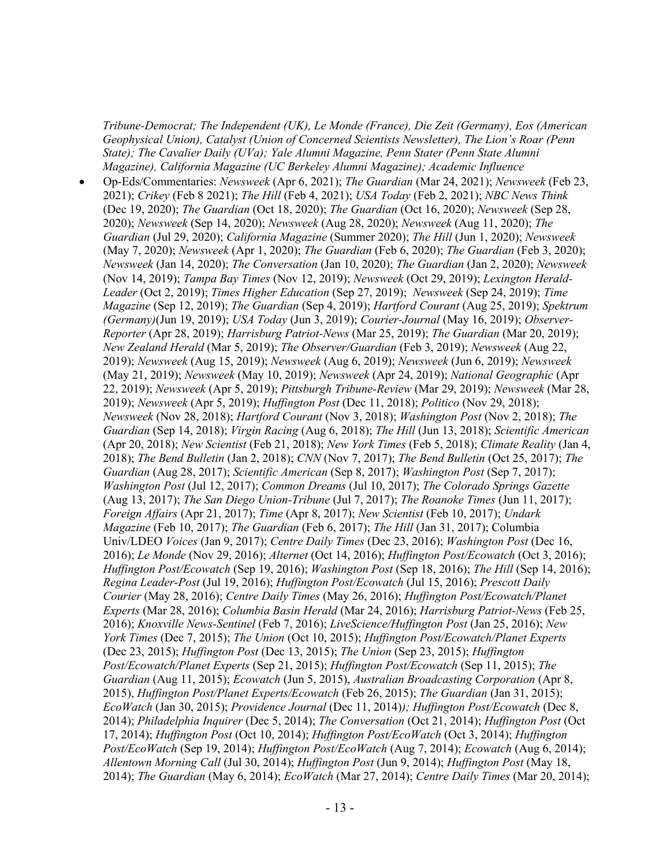*Tribune-Democrat; The Independent (UK), Le Monde (France), Die Zeit (Germany), Eos (American Geophysical Union), Catalyst (Union of Concerned Scientists Newsletter), The Lion's Roar (Penn State); The Cavalier Daily (UVa); Yale Alumni Magazine, Penn Stater (Penn State Alumni Magazine), California Magazine (UC Berkeley Alumni Magazine); Academic Influence*

• Op-Eds/Commentaries: *Newsweek* (Apr 6, 2021); *The Guardian* (Mar 24, 2021); *Newsweek* (Feb 23, 2021); *Crikey* (Feb 8 2021); *The Hill* (Feb 4, 2021); *USA Today* (Feb 2, 2021); *NBC News Think* (Dec 19, 2020); *The Guardian* (Oct 18, 2020); *The Guardian* (Oct 16, 2020); *Newsweek* (Sep 28, 2020); *Newsweek* (Sep 14, 2020); *Newsweek* (Aug 28, 2020); *Newsweek* (Aug 11, 2020); *The Guardian* (Jul 29, 2020); *California Magazine* (Summer 2020); *The Hill* (Jun 1, 2020); *Newsweek* (May 7, 2020); *Newsweek* (Apr 1, 2020); *The Guardian* (Feb 6, 2020); *The Guardian* (Feb 3, 2020); *Newsweek* (Jan 14, 2020); *The Conversation* (Jan 10, 2020); *The Guardian* (Jan 2, 2020); *Newsweek* (Nov 14, 2019); *Tampa Bay Times* (Nov 12, 2019); *Newsweek* (Oct 29, 2019); *Lexington Herald-Leader* (Oct 2, 2019); *Times Higher Education* (Sep 27, 2019); *Newsweek* (Sep 24, 2019); *Time Magazine* (Sep 12, 2019); *The Guardian* (Sep 4, 2019); *Hartford Courant* (Aug 25, 2019); *Spektrum (Germany)*(Jun 19, 2019); *USA Today* (Jun 3, 2019); *Courier-Journal* (May 16, 2019); *Observer-Reporter* (Apr 28, 2019); *Harrisburg Patriot-News* (Mar 25, 2019); *The Guardian* (Mar 20, 2019); *New Zealand Herald* (Mar 5, 2019); *The Observer/Guardian* (Feb 3, 2019); *Newsweek* (Aug 22, 2019); *Newsweek* (Aug 15, 2019); *Newsweek* (Aug 6, 2019); *Newsweek* (Jun 6, 2019); *Newsweek* (May 21, 2019); *Newsweek* (May 10, 2019); *Newsweek* (Apr 24, 2019); *National Geographic* (Apr 22, 2019); *Newsweek* (Apr 5, 2019); *Pittsburgh Tribune-Review* (Mar 29, 2019); *Newsweek* (Mar 28, 2019); *Newsweek* (Apr 5, 2019); *Huffington Post* (Dec 11, 2018); *Politico* (Nov 29, 2018); *Newsweek* (Nov 28, 2018); *Hartford Courant* (Nov 3, 2018); *Washington Post* (Nov 2, 2018); *The Guardian* (Sep 14, 2018); *Virgin Racing* (Aug 6, 2018); *The Hill* (Jun 13, 2018); *Scientific American* (Apr 20, 2018); *New Scientist* (Feb 21, 2018); *New York Times* (Feb 5, 2018); *Climate Reality* (Jan 4, 2018); *The Bend Bulletin* (Jan 2, 2018); *CNN* (Nov 7, 2017); *The Bend Bulletin* (Oct 25, 2017); *The Guardian* (Aug 28, 2017); *Scientific American* (Sep 8, 2017); *Washington Post* (Sep 7, 2017); *Washington Post* (Jul 12, 2017); *Common Dreams* (Jul 10, 2017); *The Colorado Springs Gazette* (Aug 13, 2017); *The San Diego Union-Tribune* (Jul 7, 2017); *The Roanoke Times* (Jun 11, 2017); *Foreign Affairs* (Apr 21, 2017); *Time* (Apr 8, 2017); *New Scientist* (Feb 10, 2017); *Undark Magazine* (Feb 10, 2017); *The Guardian* (Feb 6, 2017); *The Hill* (Jan 31, 2017); Columbia Univ/LDEO *Voices* (Jan 9, 2017); *Centre Daily Times* (Dec 23, 2016); *Washington Post* (Dec 16, 2016); *Le Monde* (Nov 29, 2016); *Alternet* (Oct 14, 2016); *Huffington Post/Ecowatch* (Oct 3, 2016); *Huffington Post/Ecowatch* (Sep 19, 2016); *Washington Post* (Sep 18, 2016); *The Hill* (Sep 14, 2016); *Regina Leader-Post* (Jul 19, 2016); *Huffington Post/Ecowatch* (Jul 15, 2016); *Prescott Daily Courier* (May 28, 2016); *Centre Daily Times* (May 26, 2016); *Huffington Post/Ecowatch/Planet Experts* (Mar 28, 2016); *Columbia Basin Herald* (Mar 24, 2016); *Harrisburg Patriot-News* (Feb 25, 2016); *Knoxville News-Sentinel* (Feb 7, 2016); *LiveScience/Huffington Post* (Jan 25, 2016); *New York Times* (Dec 7, 2015); *The Union* (Oct 10, 2015); *Huffington Post/Ecowatch/Planet Experts*  (Dec 23, 2015); *Huffington Post* (Dec 13, 2015); *The Union* (Sep 23, 2015); *Huffington Post/Ecowatch/Planet Experts* (Sep 21, 2015); *Huffington Post/Ecowatch* (Sep 11, 2015); *The Guardian* (Aug 11, 2015); *Ecowatch* (Jun 5, 2015), *Australian Broadcasting Corporation* (Apr 8, 2015), *Huffington Post/Planet Experts/Ecowatch* (Feb 26, 2015); *The Guardian* (Jan 31, 2015); *EcoWatch* (Jan 30, 2015); *Providence Journal* (Dec 11, 2014)*); Huffington Post/Ecowatch* (Dec 8, 2014); *Philadelphia Inquirer* (Dec 5, 2014); *The Conversation* (Oct 21, 2014); *Huffington Post* (Oct 17, 2014); *Huffington Post* (Oct 10, 2014); *Huffington Post/EcoWatch* (Oct 3, 2014); *Huffington Post/EcoWatch* (Sep 19, 2014); *Huffington Post/EcoWatch* (Aug 7, 2014); *Ecowatch* (Aug 6, 2014); *Allentown Morning Call* (Jul 30, 2014); *Huffington Post* (Jun 9, 2014); *Huffington Post* (May 18, 2014); *The Guardian* (May 6, 2014); *EcoWatch* (Mar 27, 2014); *Centre Daily Times* (Mar 20, 2014);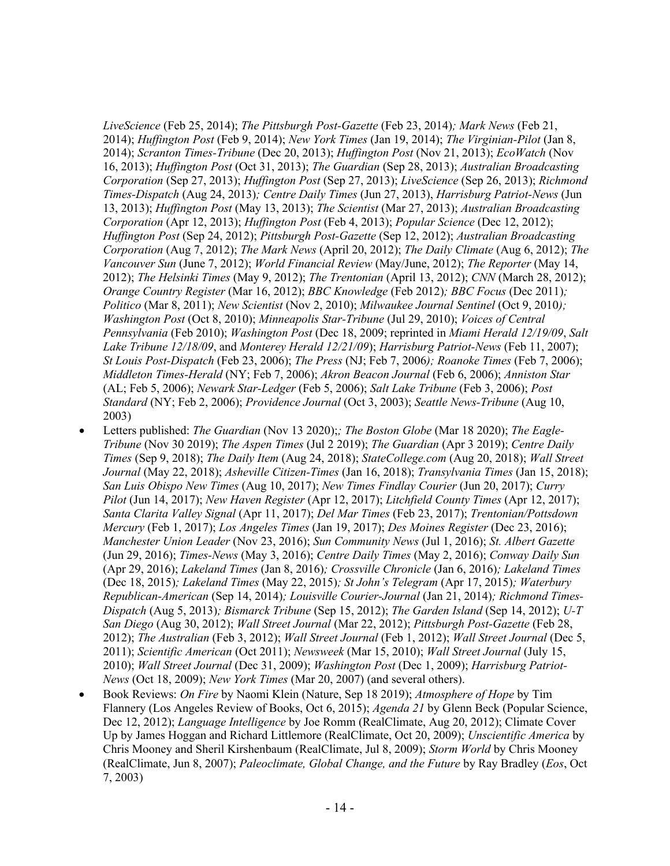*LiveScience* (Feb 25, 2014); *The Pittsburgh Post-Gazette* (Feb 23, 2014)*; Mark News* (Feb 21, 2014); *Huffington Post* (Feb 9, 2014); *New York Times* (Jan 19, 2014); *The Virginian-Pilot* (Jan 8, 2014); *Scranton Times-Tribune* (Dec 20, 2013); *Huffington Post* (Nov 21, 2013); *EcoWatch* (Nov 16, 2013); *Huffington Post* (Oct 31, 2013); *The Guardian* (Sep 28, 2013); *Australian Broadcasting Corporation* (Sep 27, 2013); *Huffington Post* (Sep 27, 2013); *LiveScience* (Sep 26, 2013); *Richmond Times-Dispatch* (Aug 24, 2013)*; Centre Daily Times* (Jun 27, 2013), *Harrisburg Patriot-News* (Jun 13, 2013); *Huffington Post* (May 13, 2013); *The Scientist* (Mar 27, 2013); *Australian Broadcasting Corporation* (Apr 12, 2013); *Huffington Post* (Feb 4, 2013); *Popular Science* (Dec 12, 2012); *Huffington Post* (Sep 24, 2012); *Pittsburgh Post-Gazette* (Sep 12, 2012); *Australian Broadcasting Corporation* (Aug 7, 2012); *The Mark News* (April 20, 2012); *The Daily Climate* (Aug 6, 2012); *The Vancouver Sun* (June 7, 2012); *World Financial Review* (May/June, 2012); *The Reporter* (May 14, 2012); *The Helsinki Times* (May 9, 2012); *The Trentonian* (April 13, 2012); *CNN* (March 28, 2012); *Orange Country Register* (Mar 16, 2012); *BBC Knowledge* (Feb 2012)*; BBC Focus* (Dec 2011)*; Politico* (Mar 8, 2011); *New Scientist* (Nov 2, 2010); *Milwaukee Journal Sentinel* (Oct 9, 2010*); Washington Post* (Oct 8, 2010); *Minneapolis Star-Tribune* (Jul 29, 2010); *Voices of Central Pennsylvania* (Feb 2010); *Washington Post* (Dec 18, 2009; reprinted in *Miami Herald 12/19/09*, *Salt Lake Tribune 12/18/09*, and *Monterey Herald 12/21/09*); *Harrisburg Patriot-News* (Feb 11, 2007); *St Louis Post-Dispatch* (Feb 23, 2006); *The Press* (NJ; Feb 7, 2006*); Roanoke Times* (Feb 7, 2006); *Middleton Times-Herald* (NY; Feb 7, 2006); *Akron Beacon Journal* (Feb 6, 2006); *Anniston Star* (AL; Feb 5, 2006); *Newark Star-Ledger* (Feb 5, 2006); *Salt Lake Tribune* (Feb 3, 2006); *Post Standard* (NY; Feb 2, 2006); *Providence Journal* (Oct 3, 2003); *Seattle News-Tribune* (Aug 10, 2003)

- Letters published: *The Guardian* (Nov 13 2020);*; The Boston Globe* (Mar 18 2020); *The Eagle-Tribune* (Nov 30 2019); *The Aspen Times* (Jul 2 2019); *The Guardian* (Apr 3 2019); *Centre Daily Times* (Sep 9, 2018); *The Daily Item* (Aug 24, 2018); *StateCollege.com* (Aug 20, 2018); *Wall Street Journal* (May 22, 2018); *Asheville Citizen-Times* (Jan 16, 2018); *Transylvania Times* (Jan 15, 2018); *San Luis Obispo New Times* (Aug 10, 2017); *New Times Findlay Courier* (Jun 20, 2017); *Curry Pilot* (Jun 14, 2017); *New Haven Register* (Apr 12, 2017); *Litchfield County Times* (Apr 12, 2017); *Santa Clarita Valley Signal* (Apr 11, 2017); *Del Mar Times* (Feb 23, 2017); *Trentonian/Pottsdown Mercury* (Feb 1, 2017); *Los Angeles Times* (Jan 19, 2017); *Des Moines Register* (Dec 23, 2016); *Manchester Union Leader* (Nov 23, 2016); *Sun Community News* (Jul 1, 2016); *St. Albert Gazette*  (Jun 29, 2016); *Times-News* (May 3, 2016); *Centre Daily Times* (May 2, 2016); *Conway Daily Sun* (Apr 29, 2016); *Lakeland Times* (Jan 8, 2016)*; Crossville Chronicle* (Jan 6, 2016)*; Lakeland Times*  (Dec 18, 2015)*; Lakeland Times* (May 22, 2015)*; St John's Telegram* (Apr 17, 2015)*; Waterbury Republican-American* (Sep 14, 2014)*; Louisville Courier-Journal* (Jan 21, 2014)*; Richmond Times-Dispatch* (Aug 5, 2013)*; Bismarck Tribune* (Sep 15, 2012); *The Garden Island* (Sep 14, 2012); *U-T San Diego* (Aug 30, 2012); *Wall Street Journal* (Mar 22, 2012); *Pittsburgh Post-Gazette* (Feb 28, 2012); *The Australian* (Feb 3, 2012); *Wall Street Journal* (Feb 1, 2012); *Wall Street Journal* (Dec 5, 2011); *Scientific American* (Oct 2011); *Newsweek* (Mar 15, 2010); *Wall Street Journal* (July 15, 2010); *Wall Street Journal* (Dec 31, 2009); *Washington Post* (Dec 1, 2009); *Harrisburg Patriot-News* (Oct 18, 2009); *New York Times* (Mar 20, 2007) (and several others).
- Book Reviews: *On Fire* by Naomi Klein (Nature, Sep 18 2019); *Atmosphere of Hope* by Tim Flannery (Los Angeles Review of Books, Oct 6, 2015); *Agenda 21* by Glenn Beck (Popular Science, Dec 12, 2012); *Language Intelligence* by Joe Romm (RealClimate, Aug 20, 2012); Climate Cover Up by James Hoggan and Richard Littlemore (RealClimate, Oct 20, 2009); *Unscientific America* by Chris Mooney and Sheril Kirshenbaum (RealClimate, Jul 8, 2009); *Storm World* by Chris Mooney (RealClimate, Jun 8, 2007); *Paleoclimate, Global Change, and the Future* by Ray Bradley (*Eos*, Oct 7, 2003)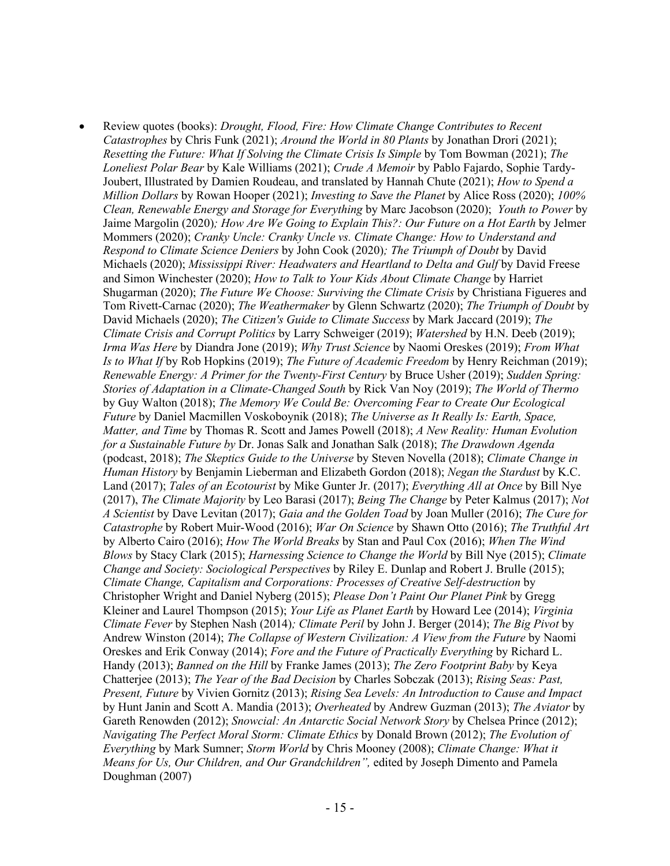• Review quotes (books): *Drought, Flood, Fire: How Climate Change Contributes to Recent Catastrophes* by Chris Funk (2021); *Around the World in 80 Plants* by Jonathan Drori (2021); *Resetting the Future: What If Solving the Climate Crisis Is Simple* by Tom Bowman (2021); *The Loneliest Polar Bear* by Kale Williams (2021); *Crude A Memoir* by Pablo Fajardo, Sophie Tardy-Joubert, Illustrated by Damien Roudeau, and translated by Hannah Chute (2021); *How to Spend a Million Dollars* by Rowan Hooper (2021); *Investing to Save the Planet* by Alice Ross (2020); *100% Clean, Renewable Energy and Storage for Everything* by Marc Jacobson (2020); *Youth to Power* by Jaime Margolin (2020)*; How Are We Going to Explain This?: Our Future on a Hot Earth* by Jelmer Mommers (2020); *Cranky Uncle: Cranky Uncle vs. Climate Change: How to Understand and Respond to Climate Science Deniers* by John Cook (2020)*; The Triumph of Doubt* by David Michaels (2020); *Mississippi River: Headwaters and Heartland to Delta and Gulf* by David Freese and Simon Winchester (2020); *How to Talk to Your Kids About Climate Change* by Harriet Shugarman (2020); *The Future We Choose: Surviving the Climate Crisis* by Christiana Figueres and Tom Rivett-Carnac (2020); *The Weathermaker* by Glenn Schwartz (2020); *The Triumph of Doubt* by David Michaels (2020); *The Citizen's Guide to Climate Success* by Mark Jaccard (2019); *The Climate Crisis and Corrupt Politics* by Larry Schweiger (2019); *Watershed* by H.N. Deeb (2019); *Irma Was Here* by Diandra Jone (2019); *Why Trust Science* by Naomi Oreskes (2019); *From What Is to What If* by Rob Hopkins (2019); *The Future of Academic Freedom* by Henry Reichman (2019); *Renewable Energy: A Primer for the Twenty-First Century* by Bruce Usher (2019); *Sudden Spring: Stories of Adaptation in a Climate-Changed South* by Rick Van Noy (2019); *The World of Thermo* by Guy Walton (2018); *The Memory We Could Be: Overcoming Fear to Create Our Ecological Future* by Daniel Macmillen Voskoboynik (2018); *The Universe as It Really Is: Earth, Space, Matter, and Time* by Thomas R. Scott and James Powell (2018); *A New Reality: Human Evolution for a Sustainable Future by* Dr. Jonas Salk and Jonathan Salk (2018); *The Drawdown Agenda*  (podcast, 2018); *The Skeptics Guide to the Universe* by Steven Novella (2018); *Climate Change in Human History* by Benjamin Lieberman and Elizabeth Gordon (2018); *Negan the Stardust* by K.C. Land (2017); *Tales of an Ecotourist* by Mike Gunter Jr. (2017); *Everything All at Once* by Bill Nye (2017), *The Climate Majority* by Leo Barasi (2017); *Being The Change* by Peter Kalmus (2017); *Not A Scientist* by Dave Levitan (2017); *Gaia and the Golden Toad* by Joan Muller (2016); *The Cure for Catastrophe* by Robert Muir-Wood (2016); *War On Science* by Shawn Otto (2016); *The Truthful Art* by Alberto Cairo (2016); *How The World Breaks* by Stan and Paul Cox (2016); *When The Wind Blows* by Stacy Clark (2015); *Harnessing Science to Change the World* by Bill Nye (2015); *Climate Change and Society: Sociological Perspectives* by Riley E. Dunlap and Robert J. Brulle (2015); *Climate Change, Capitalism and Corporations: Processes of Creative Self-destruction* by Christopher Wright and Daniel Nyberg (2015); *Please Don't Paint Our Planet Pink* by Gregg Kleiner and Laurel Thompson (2015); *Your Life as Planet Earth* by Howard Lee (2014); *Virginia Climate Fever* by Stephen Nash (2014)*; Climate Peril* by John J. Berger (2014); *The Big Pivot* by Andrew Winston (2014); *The Collapse of Western Civilization: A View from the Future* by Naomi Oreskes and Erik Conway (2014); *Fore and the Future of Practically Everything* by Richard L. Handy (2013); *Banned on the Hill* by Franke James (2013); *The Zero Footprint Baby* by Keya Chatterjee (2013); *The Year of the Bad Decision* by Charles Sobczak (2013); *Rising Seas: Past, Present, Future* by Vivien Gornitz (2013); *Rising Sea Levels: An Introduction to Cause and Impact*  by Hunt Janin and Scott A. Mandia (2013); *Overheated* by Andrew Guzman (2013); *The Aviator* by Gareth Renowden (2012); *Snowcial: An Antarctic Social Network Story* by Chelsea Prince (2012); *Navigating The Perfect Moral Storm: Climate Ethics* by Donald Brown (2012); *The Evolution of Everything* by Mark Sumner; *Storm World* by Chris Mooney (2008); *Climate Change: What it Means for Us, Our Children, and Our Grandchildren",* edited by Joseph Dimento and Pamela Doughman (2007)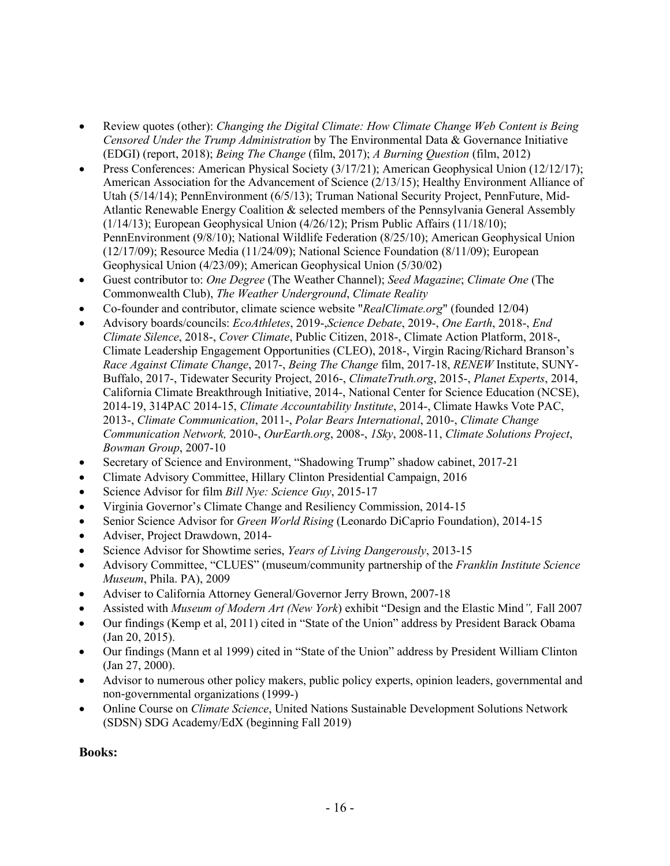- Review quotes (other): *Changing the Digital Climate: How Climate Change Web Content is Being Censored Under the Trump Administration* by The Environmental Data & Governance Initiative (EDGI) (report, 2018); *Being The Change* (film, 2017); *A Burning Question* (film, 2012)
- Press Conferences: American Physical Society (3/17/21); American Geophysical Union (12/12/17); American Association for the Advancement of Science (2/13/15); Healthy Environment Alliance of Utah (5/14/14); PennEnvironment (6/5/13); Truman National Security Project, PennFuture, Mid-Atlantic Renewable Energy Coalition & selected members of the Pennsylvania General Assembly (1/14/13); European Geophysical Union (4/26/12); Prism Public Affairs (11/18/10); PennEnvironment (9/8/10); National Wildlife Federation (8/25/10); American Geophysical Union (12/17/09); Resource Media (11/24/09); National Science Foundation (8/11/09); European Geophysical Union (4/23/09); American Geophysical Union (5/30/02)
- Guest contributor to: *One Degree* (The Weather Channel); *Seed Magazine*; *Climate One* (The Commonwealth Club), *The Weather Underground*, *Climate Reality*
- Co-founder and contributor, climate science website "*RealClimate.org*" (founded 12/04)
- Advisory boards/councils: *EcoAthletes*, 2019-,*Science Debate*, 2019-, *One Earth*, 2018-, *End Climate Silence*, 2018-, *Cover Climate*, Public Citizen, 2018-, Climate Action Platform, 2018-, Climate Leadership Engagement Opportunities (CLEO), 2018-, Virgin Racing/Richard Branson's *Race Against Climate Change*, 2017-, *Being The Change* film, 2017-18, *RENEW* Institute, SUNY-Buffalo, 2017-, Tidewater Security Project, 2016-, *ClimateTruth.org*, 2015-, *Planet Experts*, 2014, California Climate Breakthrough Initiative, 2014-, National Center for Science Education (NCSE), 2014-19, 314PAC 2014-15, *Climate Accountability Institute*, 2014-, Climate Hawks Vote PAC, 2013-, *Climate Communication*, 2011-, *Polar Bears International*, 2010-, *Climate Change Communication Network,* 2010-, *OurEarth.org*, 2008-, *1Sky*, 2008-11, *Climate Solutions Project*, *Bowman Group*, 2007-10
- Secretary of Science and Environment, "Shadowing Trump" shadow cabinet, 2017-21
- Climate Advisory Committee, Hillary Clinton Presidential Campaign, 2016
- Science Advisor for film *Bill Nye: Science Guy*, 2015-17
- Virginia Governor's Climate Change and Resiliency Commission, 2014-15
- Senior Science Advisor for *Green World Rising* (Leonardo DiCaprio Foundation), 2014-15
- Adviser, Project Drawdown, 2014-
- Science Advisor for Showtime series, *Years of Living Dangerously*, 2013-15
- Advisory Committee, "CLUES" (museum/community partnership of the *Franklin Institute Science Museum*, Phila. PA), 2009
- Adviser to California Attorney General/Governor Jerry Brown, 2007-18
- Assisted with *Museum of Modern Art (New York*) exhibit "Design and the Elastic Mind*",* Fall 2007
- Our findings (Kemp et al, 2011) cited in "State of the Union" address by President Barack Obama (Jan 20, 2015).
- Our findings (Mann et al 1999) cited in "State of the Union" address by President William Clinton (Jan 27, 2000).
- Advisor to numerous other policy makers, public policy experts, opinion leaders, governmental and non-governmental organizations (1999-)
- Online Course on *Climate Science*, United Nations Sustainable Development Solutions Network (SDSN) SDG Academy/EdX (beginning Fall 2019)

#### **Books:**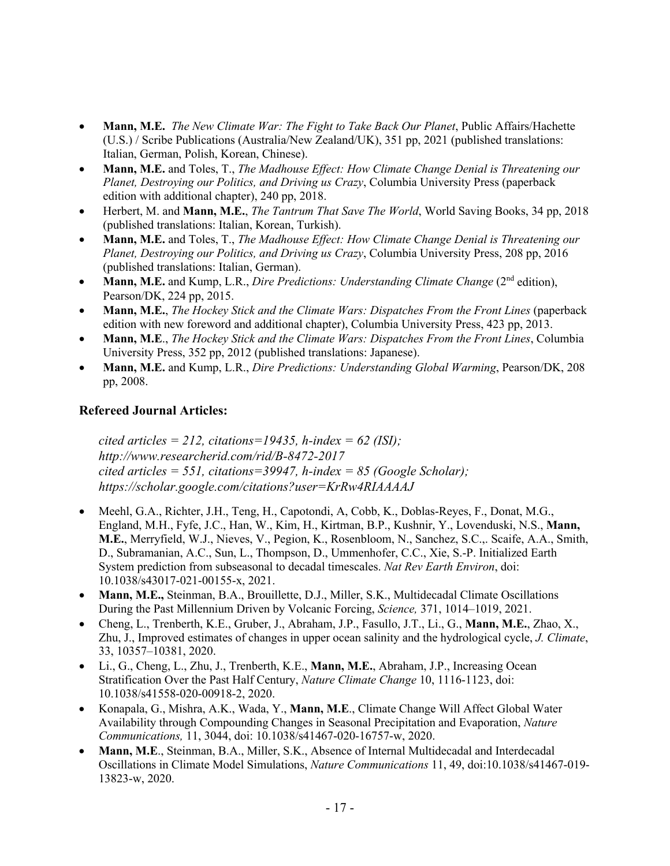- **Mann, M.E.** *The New Climate War: The Fight to Take Back Our Planet*, Public Affairs/Hachette (U.S.) / Scribe Publications (Australia/New Zealand/UK), 351 pp, 2021 (published translations: Italian, German, Polish, Korean, Chinese).
- **Mann, M.E.** and Toles, T., *The Madhouse Effect: How Climate Change Denial is Threatening our Planet, Destroying our Politics, and Driving us Crazy*, Columbia University Press (paperback edition with additional chapter), 240 pp, 2018.
- Herbert, M. and **Mann, M.E.**, *The Tantrum That Save The World*, World Saving Books, 34 pp, 2018 (published translations: Italian, Korean, Turkish).
- **Mann, M.E.** and Toles, T., *The Madhouse Effect: How Climate Change Denial is Threatening our Planet, Destroying our Politics, and Driving us Crazy*, Columbia University Press, 208 pp, 2016 (published translations: Italian, German).
- **Mann, M.E.** and Kump, L.R., *Dire Predictions: Understanding Climate Change* (2<sup>nd</sup> edition). Pearson/DK, 224 pp, 2015.
- **Mann, M.E.**, *The Hockey Stick and the Climate Wars: Dispatches From the Front Lines* (paperback edition with new foreword and additional chapter), Columbia University Press, 423 pp, 2013.
- **Mann, M.E**., *The Hockey Stick and the Climate Wars: Dispatches From the Front Lines*, Columbia University Press, 352 pp, 2012 (published translations: Japanese).
- **Mann, M.E.** and Kump, L.R., *Dire Predictions: Understanding Global Warming*, Pearson/DK, 208 pp, 2008.

# **Refereed Journal Articles:**

*cited articles = 212, citations=19435, h-index = 62 (ISI); http://www.researcherid.com/rid/B-8472-2017 cited articles = 551, citations=39947, h-index = 85 (Google Scholar); https://scholar.google.com/citations?user=KrRw4RIAAAAJ*

- Meehl, G.A., Richter, J.H., Teng, H., Capotondi, A, Cobb, K., Doblas-Reyes, F., Donat, M.G., England, M.H., Fyfe, J.C., Han, W., Kim, H., Kirtman, B.P., Kushnir, Y., Lovenduski, N.S., **Mann, M.E.**, Merryfield, W.J., Nieves, V., Pegion, K., Rosenbloom, N., Sanchez, S.C.,. Scaife, A.A., Smith, D., Subramanian, A.C., Sun, L., Thompson, D., Ummenhofer, C.C., Xie, S.-P. Initialized Earth System prediction from subseasonal to decadal timescales. *Nat Rev Earth Environ*, doi: 10.1038/s43017-021-00155-x, 2021.
- **Mann, M.E.,** Steinman, B.A., Brouillette, D.J., Miller, S.K., Multidecadal Climate Oscillations During the Past Millennium Driven by Volcanic Forcing, *Science,* 371, 1014–1019, 2021.
- Cheng, L., Trenberth, K.E., Gruber, J., Abraham, J.P., Fasullo, J.T., Li., G., **Mann, M.E.**, Zhao, X., Zhu, J., Improved estimates of changes in upper ocean salinity and the hydrological cycle, *J. Climate*, 33, 10357–10381, 2020.
- Li., G., Cheng, L., Zhu, J., Trenberth, K.E., **Mann, M.E.**, Abraham, J.P., Increasing Ocean Stratification Over the Past Half Century, *Nature Climate Change* 10, 1116-1123, doi: 10.1038/s41558-020-00918-2, 2020.
- Konapala, G., Mishra, A.K., Wada, Y., **Mann, M.E**., Climate Change Will Affect Global Water Availability through Compounding Changes in Seasonal Precipitation and Evaporation, *Nature Communications,* 11, 3044, doi: 10.1038/s41467-020-16757-w, 2020.
- **Mann, M.E**., Steinman, B.A., Miller, S.K., Absence of Internal Multidecadal and Interdecadal Oscillations in Climate Model Simulations, *Nature Communications* 11, 49, doi:10.1038/s41467-019- 13823-w, 2020.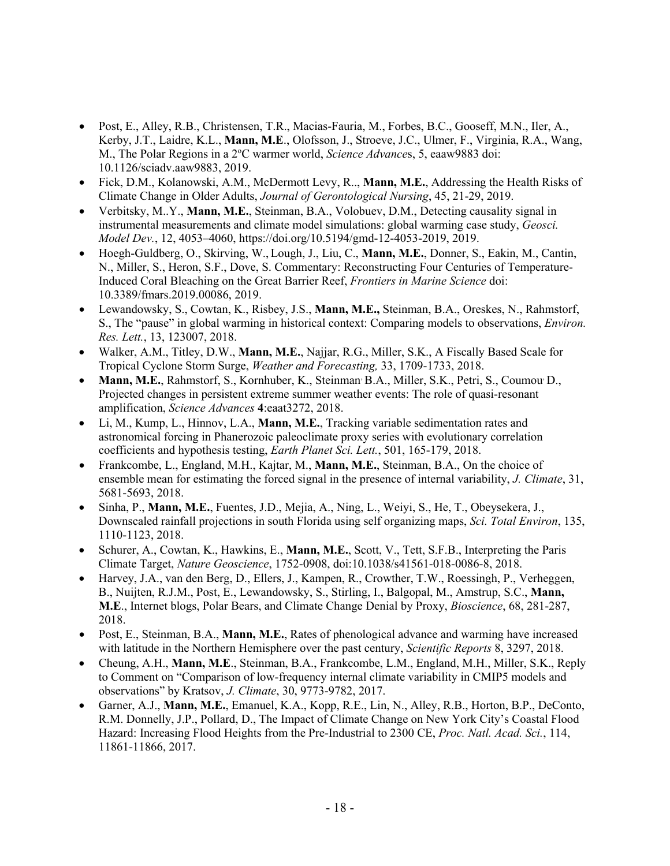- Post, E., Alley, R.B., Christensen, T.R., Macias-Fauria, M., Forbes, B.C., Gooseff, M.N., Iler, A., Kerby, J.T., Laidre, K.L., **Mann, M.E**., Olofsson, J., Stroeve, J.C., Ulmer, F., Virginia, R.A., Wang, M., The Polar Regions in a 2°C warmer world, *Science Advances*, 5, eaaw9883 doi: 10.1126/sciadv.aaw9883, 2019.
- Fick, D.M., Kolanowski, A.M., McDermott Levy, R.., **Mann, M.E.**, Addressing the Health Risks of Climate Change in Older Adults, *Journal of Gerontological Nursing*, 45, 21-29, 2019.
- Verbitsky, M..Y., **Mann, M.E.**, Steinman, B.A., Volobuev, D.M., Detecting causality signal in instrumental measurements and climate model simulations: global warming case study, *Geosci. Model Dev.*, 12, 4053–4060, https://doi.org/10.5194/gmd-12-4053-2019, 2019.
- Hoegh-Guldberg, O., Skirving, W., Lough, J., Liu, C., **Mann, M.E.**, Donner, S., Eakin, M., Cantin, N., Miller, S., Heron, S.F., Dove, S. Commentary: Reconstructing Four Centuries of Temperature-Induced Coral Bleaching on the Great Barrier Reef, *Frontiers in Marine Science* doi: 10.3389/fmars.2019.00086, 2019.
- Lewandowsky, S., Cowtan, K., Risbey, J.S., **Mann, M.E.,** Steinman, B.A., Oreskes, N., Rahmstorf, S., The "pause" in global warming in historical context: Comparing models to observations, *Environ. Res. Lett.*, 13, 123007, 2018.
- Walker, A.M., Titley, D.W., **Mann, M.E.**, Najjar, R.G., Miller, S.K., A Fiscally Based Scale for Tropical Cyclone Storm Surge, *Weather and Forecasting,* 33, 1709-1733, 2018.
- Mann, M.E., Rahmstorf, S., Kornhuber, K., Steinman B.A., Miller, S.K., Petri, S., Coumou D., Projected changes in persistent extreme summer weather events: The role of quasi-resonant amplification, *Science Advances* **4**:eaat3272, 2018.
- Li, M., Kump, L., Hinnov, L.A., **Mann, M.E.**, Tracking variable sedimentation rates and astronomical forcing in Phanerozoic paleoclimate proxy series with evolutionary correlation coefficients and hypothesis testing, *Earth Planet Sci. Lett.*, 501, 165-179, 2018.
- Frankcombe, L., England, M.H., Kajtar, M., **Mann, M.E.**, Steinman, B.A., On the choice of ensemble mean for estimating the forced signal in the presence of internal variability, *J. Climate*, 31, 5681-5693, 2018.
- Sinha, P., **Mann, M.E.**, Fuentes, J.D., Mejia, A., Ning, L., Weiyi, S., He, T., Obeysekera, J., Downscaled rainfall projections in south Florida using self organizing maps, *Sci. Total Environ*, 135, 1110-1123, 2018.
- Schurer, A., Cowtan, K., Hawkins, E., **Mann, M.E.**, Scott, V., Tett, S.F.B., Interpreting the Paris Climate Target, *Nature Geoscience*, 1752-0908, doi:10.1038/s41561-018-0086-8, 2018.
- Harvey, J.A., van den Berg, D., Ellers, J., Kampen, R., Crowther, T.W., Roessingh, P., Verheggen, B., Nuijten, R.J.M., Post, E., Lewandowsky, S., Stirling, I., Balgopal, M., Amstrup, S.C., **Mann, M.E**., Internet blogs, Polar Bears, and Climate Change Denial by Proxy, *Bioscience*, 68, 281-287, 2018.
- Post, E., Steinman, B.A., **Mann, M.E.**, Rates of phenological advance and warming have increased with latitude in the Northern Hemisphere over the past century, *Scientific Reports* 8, 3297, 2018.
- Cheung, A.H., **Mann, M.E**., Steinman, B.A., Frankcombe, L.M., England, M.H., Miller, S.K., Reply to Comment on "Comparison of low-frequency internal climate variability in CMIP5 models and observations" by Kratsov, *J. Climate*, 30, 9773-9782, 2017.
- Garner, A.J., **Mann, M.E.**, Emanuel, K.A., Kopp, R.E., Lin, N., Alley, R.B., Horton, B.P., DeConto, R.M. Donnelly, J.P., Pollard, D., The Impact of Climate Change on New York City's Coastal Flood Hazard: Increasing Flood Heights from the Pre-Industrial to 2300 CE, *Proc. Natl. Acad. Sci.*, 114, 11861-11866, 2017.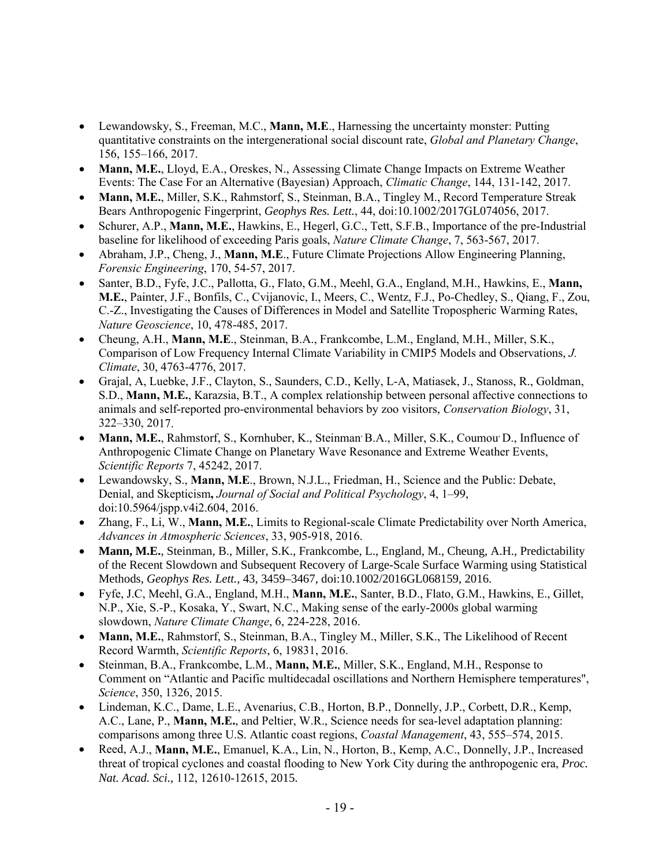- Lewandowsky, S., Freeman, M.C., **Mann, M.E**., Harnessing the uncertainty monster: Putting quantitative constraints on the intergenerational social discount rate, *Global and Planetary Change*, 156, 155–166, 2017.
- **Mann, M.E.**, Lloyd, E.A., Oreskes, N., Assessing Climate Change Impacts on Extreme Weather Events: The Case For an Alternative (Bayesian) Approach, *Climatic Change*, 144, 131-142, 2017.
- **Mann, M.E.**, Miller, S.K., Rahmstorf, S., Steinman, B.A., Tingley M., Record Temperature Streak Bears Anthropogenic Fingerprint, *Geophys Res. Lett.*, 44, doi:10.1002/2017GL074056, 2017.
- Schurer, A.P., **Mann, M.E.**, Hawkins, E., Hegerl, G.C., Tett, S.F.B., Importance of the pre-Industrial baseline for likelihood of exceeding Paris goals, *Nature Climate Change*, 7, 563-567, 2017.
- Abraham, J.P., Cheng, J., **Mann, M.E**., Future Climate Projections Allow Engineering Planning, *Forensic Engineering*, 170, 54-57, 2017.
- Santer, B.D., Fyfe, J.C., Pallotta, G., Flato, G.M., Meehl, G.A., England, M.H., Hawkins, E., **Mann, M.E.**, Painter, J.F., Bonfils, C., Cvijanovic, I., Meers, C., Wentz, F.J., Po-Chedley, S., Qiang, F., Zou, C.-Z., Investigating the Causes of Differences in Model and Satellite Tropospheric Warming Rates, *Nature Geoscience*, 10, 478-485, 2017.
- Cheung, A.H., **Mann, M.E**., Steinman, B.A., Frankcombe, L.M., England, M.H., Miller, S.K., Comparison of Low Frequency Internal Climate Variability in CMIP5 Models and Observations, *J. Climate*, 30, 4763-4776, 2017.
- Grajal, A, Luebke, J.F., Clayton, S., Saunders, C.D., Kelly, L-A, Matiasek, J., Stanoss, R., Goldman, S.D., **Mann, M.E.**, Karazsia, B.T., A complex relationship between personal affective connections to animals and self-reported pro-environmental behaviors by zoo visitors, *Conservation Biology*, 31, 322–330, 2017.
- Mann, M.E., Rahmstorf, S., Kornhuber, K., Steinman<sup>,</sup> B.A., Miller, S.K., Coumou<sup>,</sup> D., Influence of Anthropogenic Climate Change on Planetary Wave Resonance and Extreme Weather Events, *Scientific Reports* 7, 45242, 2017.
- Lewandowsky, S., **Mann, M.E**., Brown, N.J.L., Friedman, H., Science and the Public: Debate, Denial, and Skepticism**,** *Journal of Social and Political Psychology*, 4, 1–99, doi:10.5964/jspp.v4i2.604, 2016.
- Zhang, F., Li, W., **Mann, M.E.**, Limits to Regional-scale Climate Predictability over North America, *Advances in Atmospheric Sciences*, 33, 905-918, 2016.
- **Mann, M.E.**, Steinman, B., Miller, S.K., Frankcombe, L., England, M., Cheung, A.H., Predictability of the Recent Slowdown and Subsequent Recovery of Large-Scale Surface Warming using Statistical Methods, *Geophys Res. Lett.,* 43, 3459–3467, doi:10.1002/2016GL068159, 2016.
- Fyfe, J.C, Meehl, G.A., England, M.H., **Mann, M.E.**, Santer, B.D., Flato, G.M., Hawkins, E., Gillet, N.P., Xie, S.-P., Kosaka, Y., Swart, N.C., Making sense of the early-2000s global warming slowdown, *Nature Climate Change*, 6, 224-228, 2016.
- **Mann, M.E.**, Rahmstorf, S., Steinman, B.A., Tingley M., Miller, S.K., The Likelihood of Recent Record Warmth, *Scientific Reports*, 6, 19831, 2016.
- Steinman, B.A., Frankcombe, L.M., **Mann, M.E.**, Miller, S.K., England, M.H., Response to Comment on "Atlantic and Pacific multidecadal oscillations and Northern Hemisphere temperatures", *Science*, 350, 1326, 2015.
- Lindeman, K.C., Dame, L.E., Avenarius, C.B., Horton, B.P., Donnelly, J.P., Corbett, D.R., Kemp, A.C., Lane, P., **Mann, M.E.**, and Peltier, W.R., Science needs for sea-level adaptation planning: comparisons among three U.S. Atlantic coast regions, *Coastal Management*, 43, 555–574, 2015.
- Reed, A.J., **Mann, M.E.**, Emanuel, K.A., Lin, N., Horton, B., Kemp, A.C., Donnelly, J.P., Increased threat of tropical cyclones and coastal flooding to New York City during the anthropogenic era, *Proc. Nat. Acad. Sci.*, 112, 12610-12615, 2015.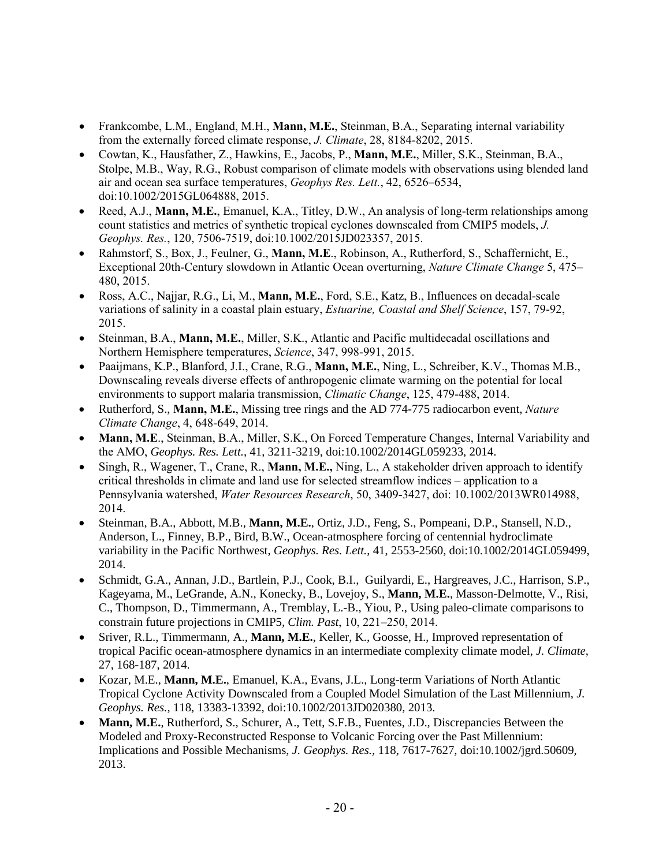- Frankcombe, L.M., England, M.H., **Mann, M.E.**, Steinman, B.A., Separating internal variability from the externally forced climate response, *J. Climate*, 28, 8184-8202, 2015.
- Cowtan, K., Hausfather, Z., Hawkins, E., Jacobs, P., **Mann, M.E.**, Miller, S.K., Steinman, B.A., Stolpe, M.B., Way, R.G., Robust comparison of climate models with observations using blended land air and ocean sea surface temperatures, *Geophys Res. Lett.*, 42, 6526–6534, doi:10.1002/2015GL064888, 2015.
- Reed, A.J., **Mann, M.E.**, Emanuel, K.A., Titley, D.W., An analysis of long-term relationships among count statistics and metrics of synthetic tropical cyclones downscaled from CMIP5 models, *J. Geophys. Res.*, 120, 7506-7519, doi:10.1002/2015JD023357, 2015.
- Rahmstorf, S., Box, J., Feulner, G., **Mann, M.E**., Robinson, A., Rutherford, S., Schaffernicht, E., Exceptional 20th-Century slowdown in Atlantic Ocean overturning, *Nature Climate Change* 5, 475– 480, 2015.
- Ross, A.C., Najjar, R.G., Li, M., **Mann, M.E.**, Ford, S.E., Katz, B., Influences on decadal-scale variations of salinity in a coastal plain estuary, *Estuarine, Coastal and Shelf Science*, 157, 79-92, 2015.
- Steinman, B.A., **Mann, M.E.**, Miller, S.K., Atlantic and Pacific multidecadal oscillations and Northern Hemisphere temperatures, *Science*, 347, 998-991, 2015.
- Paaijmans, K.P., Blanford, J.I., Crane, R.G., **Mann, M.E.**, Ning, L., Schreiber, K.V., Thomas M.B., Downscaling reveals diverse effects of anthropogenic climate warming on the potential for local environments to support malaria transmission, *Climatic Change*, 125, 479-488, 2014.
- Rutherford, S., **Mann, M.E.**, Missing tree rings and the AD 774-775 radiocarbon event, *Nature Climate Change*, 4, 648-649, 2014.
- **Mann, M.E**., Steinman, B.A., Miller, S.K., On Forced Temperature Changes, Internal Variability and the AMO, *Geophys. Res. Lett.*, 41, 3211-3219, doi:10.1002/2014GL059233, 2014.
- Singh, R., Wagener, T., Crane, R., **Mann, M.E.,** Ning, L., A stakeholder driven approach to identify critical thresholds in climate and land use for selected streamflow indices – application to a Pennsylvania watershed, *Water Resources Research*, 50, 3409-3427, doi: 10.1002/2013WR014988, 2014.
- Steinman, B.A., Abbott, M.B., **Mann, M.E.**, Ortiz, J.D., Feng, S., Pompeani, D.P., Stansell, N.D., Anderson, L., Finney, B.P., Bird, B.W., Ocean-atmosphere forcing of centennial hydroclimate variability in the Pacific Northwest, *Geophys. Res. Lett.*, 41, 2553-2560, doi:10.1002/2014GL059499, 2014.
- Schmidt, G.A., Annan, J.D., Bartlein, P.J., Cook, B.I., Guilyardi, E., Hargreaves, J.C., Harrison, S.P., Kageyama, M., LeGrande, A.N., Konecky, B., Lovejoy, S., **Mann, M.E.**, Masson-Delmotte, V., Risi, C., Thompson, D., Timmermann, A., Tremblay, L.-B., Yiou, P., Using paleo-climate comparisons to constrain future projections in CMIP5*, Clim. Past*, 10, 221–250, 2014.
- Sriver, R.L., Timmermann, A., **Mann, M.E.**, Keller, K., Goosse, H., Improved representation of tropical Pacific ocean-atmosphere dynamics in an intermediate complexity climate model, *J. Climate*, 27, 168-187, 2014.
- Kozar, M.E., **Mann, M.E.**, Emanuel, K.A., Evans, J.L., Long-term Variations of North Atlantic Tropical Cyclone Activity Downscaled from a Coupled Model Simulation of the Last Millennium, *J. Geophys. Res.*, 118, 13383-13392, doi:10.1002/2013JD020380, 2013.
- **Mann, M.E.**, Rutherford, S., Schurer, A., Tett, S.F.B., Fuentes, J.D., Discrepancies Between the Modeled and Proxy-Reconstructed Response to Volcanic Forcing over the Past Millennium: Implications and Possible Mechanisms, *J. Geophys. Res.,* 118, 7617-7627, doi:10.1002/jgrd.50609, 2013.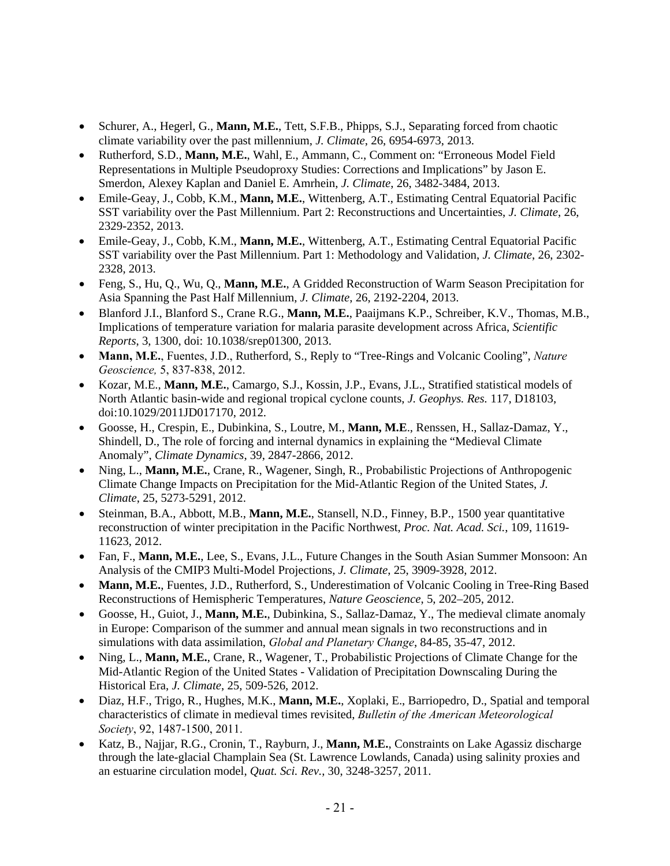- Schurer, A., Hegerl, G., **Mann, M.E.**, Tett, S.F.B., Phipps, S.J., Separating forced from chaotic climate variability over the past millennium, *J. Climate*, 26, 6954-6973, 2013.
- Rutherford, S.D., **Mann, M.E.**, Wahl, E., Ammann, C., Comment on: "Erroneous Model Field Representations in Multiple Pseudoproxy Studies: Corrections and Implications" by Jason E. Smerdon, Alexey Kaplan and Daniel E. Amrhein, *J. Climate*, 26, 3482-3484, 2013.
- Emile-Geay, J., Cobb, K.M., **Mann, M.E.**, Wittenberg, A.T., Estimating Central Equatorial Pacific SST variability over the Past Millennium. Part 2: Reconstructions and Uncertainties, *J. Climate*, 26, 2329-2352, 2013.
- Emile-Geay, J., Cobb, K.M., **Mann, M.E.**, Wittenberg, A.T., Estimating Central Equatorial Pacific SST variability over the Past Millennium. Part 1: Methodology and Validation, *J. Climate*, 26, 2302- 2328, 2013.
- Feng, S., Hu, Q., Wu, Q., **Mann, M.E.**, A Gridded Reconstruction of Warm Season Precipitation for Asia Spanning the Past Half Millennium, *J. Climate*, 26, 2192-2204, 2013.
- Blanford J.I., Blanford S., Crane R.G., **Mann, M.E.**, Paaijmans K.P., Schreiber, K.V., Thomas, M.B., Implications of temperature variation for malaria parasite development across Africa, *Scientific Reports*, 3, 1300, doi: 10.1038/srep01300, 2013.
- **Mann, M.E.**, Fuentes, J.D., Rutherford, S., Reply to "Tree-Rings and Volcanic Cooling", *Nature Geoscience,* 5, 837-838, 2012.
- Kozar, M.E., **Mann, M.E.**, Camargo, S.J., Kossin, J.P., Evans, J.L., Stratified statistical models of North Atlantic basin-wide and regional tropical cyclone counts, *J. Geophys. Res.* 117, D18103, doi:10.1029/2011JD017170, 2012.
- Goosse, H., Crespin, E., Dubinkina, S., Loutre, M., **Mann, M.E**., Renssen, H., Sallaz-Damaz, Y., Shindell, D., The role of forcing and internal dynamics in explaining the "Medieval Climate Anomaly", *Climate Dynamics*, 39, 2847-2866, 2012.
- Ning, L., **Mann, M.E.**, Crane, R., Wagener, Singh, R., Probabilistic Projections of Anthropogenic Climate Change Impacts on Precipitation for the Mid-Atlantic Region of the United States, *J. Climate*, 25, 5273-5291, 2012.
- Steinman, B.A., Abbott, M.B., **Mann, M.E.**, Stansell, N.D., Finney, B.P., 1500 year quantitative reconstruction of winter precipitation in the Pacific Northwest, *Proc. Nat. Acad. Sci.*, 109, 11619- 11623, 2012.
- Fan, F., **Mann, M.E.**, Lee, S., Evans, J.L., Future Changes in the South Asian Summer Monsoon: An Analysis of the CMIP3 Multi-Model Projections, *J. Climate*, 25, 3909-3928, 2012.
- **Mann, M.E.**, Fuentes, J.D., Rutherford, S., Underestimation of Volcanic Cooling in Tree-Ring Based Reconstructions of Hemispheric Temperatures, *Nature Geoscience*, 5, 202–205, 2012.
- Goosse, H., Guiot, J., **Mann, M.E.**, Dubinkina, S., Sallaz-Damaz, Y., The medieval climate anomaly in Europe: Comparison of the summer and annual mean signals in two reconstructions and in simulations with data assimilation, *Global and Planetary Change*, 84-85, 35-47, 2012.
- Ning, L., **Mann, M.E.**, Crane, R., Wagener, T., Probabilistic Projections of Climate Change for the Mid-Atlantic Region of the United States - Validation of Precipitation Downscaling During the Historical Era, *J. Climate*, 25, 509-526, 2012.
- Diaz, H.F., Trigo, R., Hughes, M.K., **Mann, M.E.**, Xoplaki, E., Barriopedro, D., Spatial and temporal characteristics of climate in medieval times revisited, *Bulletin of the American Meteorological Society*, 92, 1487-1500, 2011.
- Katz, B., Najjar, R.G., Cronin, T., Rayburn, J., **Mann, M.E.**, Constraints on Lake Agassiz discharge through the late-glacial Champlain Sea (St. Lawrence Lowlands, Canada) using salinity proxies and an estuarine circulation model, *Quat. Sci. Rev.*, 30, 3248-3257, 2011.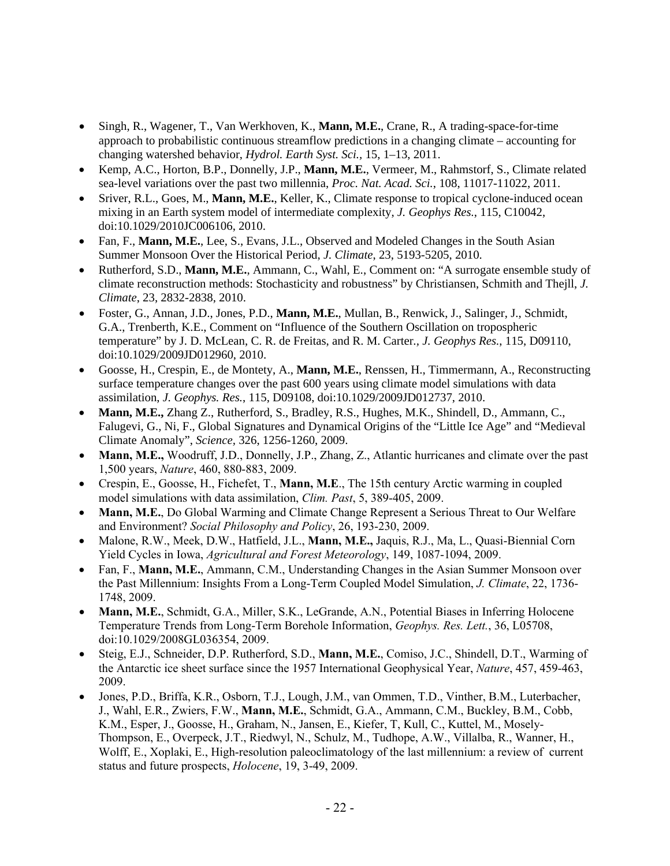- Singh, R., Wagener, T., Van Werkhoven, K., **Mann, M.E.**, Crane, R., A trading-space-for-time approach to probabilistic continuous streamflow predictions in a changing climate – accounting for changing watershed behavior, *Hydrol. Earth Syst. Sci.,* 15, 1–13, 2011.
- Kemp, A.C., Horton, B.P., Donnelly, J.P., **Mann, M.E.**, Vermeer, M., Rahmstorf, S., Climate related sea-level variations over the past two millennia, *Proc. Nat. Acad. Sci.*, 108, 11017-11022, 2011.
- Sriver, R.L., Goes, M., **Mann, M.E.**, Keller, K., Climate response to tropical cyclone-induced ocean mixing in an Earth system model of intermediate complexity, *J. Geophys Res.*, 115, C10042, doi:10.1029/2010JC006106, 2010.
- Fan, F., **Mann, M.E.**, Lee, S., Evans, J.L., Observed and Modeled Changes in the South Asian Summer Monsoon Over the Historical Period, *J. Climate*, 23, 5193-5205, 2010.
- Rutherford, S.D., **Mann, M.E.**, Ammann, C., Wahl, E., Comment on: "A surrogate ensemble study of climate reconstruction methods: Stochasticity and robustness" by Christiansen, Schmith and Thejll, *J. Climate*, 23, 2832-2838, 2010.
- Foster, G., Annan, J.D., Jones, P.D., **Mann, M.E.**, Mullan, B., Renwick, J., Salinger, J., Schmidt, G.A., Trenberth, K.E., Comment on "Influence of the Southern Oscillation on tropospheric temperature" by J. D. McLean, C. R. de Freitas, and R. M. Carter*., J. Geophys Res.*, 115, D09110, doi:10.1029/2009JD012960, 2010.
- Goosse, H., Crespin, E., de Montety, A., **Mann, M.E.**, Renssen, H., Timmermann, A., Reconstructing surface temperature changes over the past 600 years using climate model simulations with data assimilation, *J. Geophys. Res.*, 115, D09108, doi:10.1029/2009JD012737, 2010.
- **Mann, M.E.,** Zhang Z., Rutherford, S., Bradley, R.S., Hughes, M.K., Shindell, D., Ammann, C., Falugevi, G., Ni, F., Global Signatures and Dynamical Origins of the "Little Ice Age" and "Medieval Climate Anomaly", *Science,* 326, 1256-1260, 2009.
- **Mann, M.E.,** Woodruff, J.D., Donnelly, J.P., Zhang, Z., Atlantic hurricanes and climate over the past 1,500 years, *Nature*, 460, 880-883, 2009.
- Crespin, E., Goosse, H., Fichefet, T., **Mann, M.E**., The 15th century Arctic warming in coupled model simulations with data assimilation, *Clim. Past*, 5, 389-405, 2009.
- **Mann, M.E.**, Do Global Warming and Climate Change Represent a Serious Threat to Our Welfare and Environment? *Social Philosophy and Policy*, 26, 193-230, 2009.
- Malone, R.W., Meek, D.W., Hatfield, J.L., **Mann, M.E.,** Jaquis, R.J., Ma, L., Quasi-Biennial Corn Yield Cycles in Iowa, *Agricultural and Forest Meteorology*, 149, 1087-1094, 2009.
- Fan, F., **Mann, M.E.**, Ammann, C.M., Understanding Changes in the Asian Summer Monsoon over the Past Millennium: Insights From a Long-Term Coupled Model Simulation, *J. Climate*, 22, 1736- 1748, 2009.
- **Mann, M.E.**, Schmidt, G.A., Miller, S.K., LeGrande, A.N., Potential Biases in Inferring Holocene Temperature Trends from Long-Term Borehole Information, *Geophys. Res. Lett.*, 36, L05708, doi:10.1029/2008GL036354, 2009.
- Steig, E.J., Schneider, D.P. Rutherford, S.D., **Mann, M.E.**, Comiso, J.C., Shindell, D.T., Warming of the Antarctic ice sheet surface since the 1957 International Geophysical Year, *Nature*, 457, 459-463, 2009.
- Jones, P.D., Briffa, K.R., Osborn, T.J., Lough, J.M., van Ommen, T.D., Vinther, B.M., Luterbacher, J., Wahl, E.R., Zwiers, F.W., **Mann, M.E.**, Schmidt, G.A., Ammann, C.M., Buckley, B.M., Cobb, K.M., Esper, J., Goosse, H., Graham, N., Jansen, E., Kiefer, T, Kull, C., Kuttel, M., Mosely-Thompson, E., Overpeck, J.T., Riedwyl, N., Schulz, M., Tudhope, A.W., Villalba, R., Wanner, H., Wolff, E., Xoplaki, E., High-resolution paleoclimatology of the last millennium: a review of current status and future prospects, *Holocene*, 19, 3-49, 2009.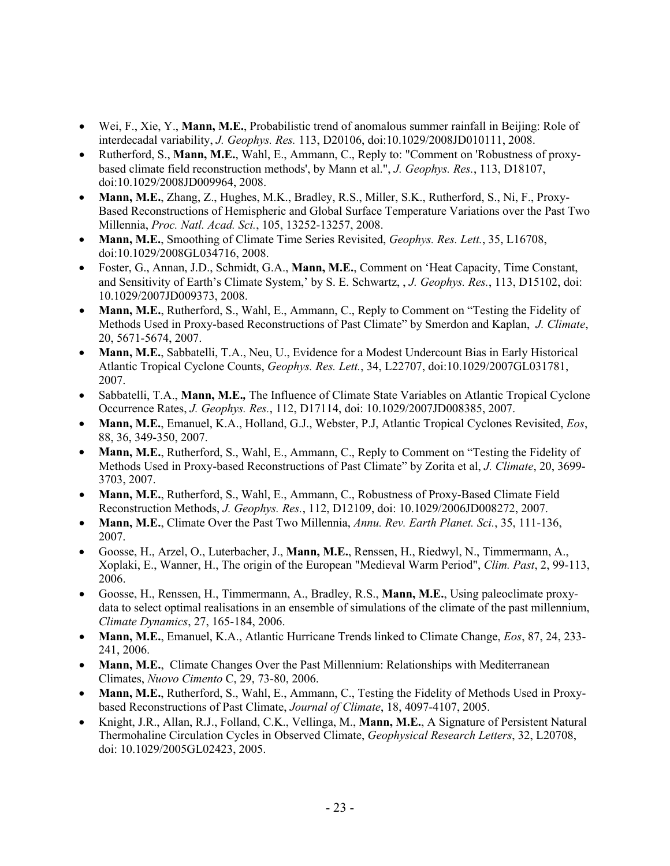- Wei, F., Xie, Y., **Mann, M.E.**, Probabilistic trend of anomalous summer rainfall in Beijing: Role of interdecadal variability, *J. Geophys. Res.* 113, D20106, doi:10.1029/2008JD010111, 2008.
- Rutherford, S., **Mann, M.E.**, Wahl, E., Ammann, C., Reply to: "Comment on 'Robustness of proxybased climate field reconstruction methods', by Mann et al.", *J. Geophys. Res.*, 113, D18107, doi:10.1029/2008JD009964, 2008.
- **Mann, M.E.**, Zhang, Z., Hughes, M.K., Bradley, R.S., Miller, S.K., Rutherford, S., Ni, F., Proxy-Based Reconstructions of Hemispheric and Global Surface Temperature Variations over the Past Two Millennia, *Proc. Natl. Acad. Sci.*, 105, 13252-13257, 2008.
- **Mann, M.E.**, Smoothing of Climate Time Series Revisited, *Geophys. Res. Lett.*, 35, L16708, doi:10.1029/2008GL034716, 2008.
- Foster, G., Annan, J.D., Schmidt, G.A., **Mann, M.E.**, Comment on 'Heat Capacity, Time Constant, and Sensitivity of Earth's Climate System,' by S. E. Schwartz, , *J. Geophys. Res.*, 113, D15102, doi: 10.1029/2007JD009373, 2008.
- **Mann, M.E.**, Rutherford, S., Wahl, E., Ammann, C., Reply to Comment on "Testing the Fidelity of Methods Used in Proxy-based Reconstructions of Past Climate" by Smerdon and Kaplan, *J. Climate*, 20, 5671-5674, 2007.
- **Mann, M.E.**, Sabbatelli, T.A., Neu, U., Evidence for a Modest Undercount Bias in Early Historical Atlantic Tropical Cyclone Counts, *Geophys. Res. Lett.*, 34, L22707, doi:10.1029/2007GL031781, 2007.
- Sabbatelli, T.A., **Mann, M.E.***,* The Influence of Climate State Variables on Atlantic Tropical Cyclone Occurrence Rates, *J. Geophys. Res.*, 112, D17114, doi: 10.1029/2007JD008385, 2007.
- **Mann, M.E.**, Emanuel, K.A., Holland, G.J., Webster, P.J, Atlantic Tropical Cyclones Revisited, *Eos*, 88, 36, 349-350, 2007.
- **Mann, M.E.**, Rutherford, S., Wahl, E., Ammann, C., Reply to Comment on "Testing the Fidelity of Methods Used in Proxy-based Reconstructions of Past Climate" by Zorita et al, *J. Climate*, 20, 3699- 3703, 2007.
- **Mann, M.E.**, Rutherford, S., Wahl, E., Ammann, C., Robustness of Proxy-Based Climate Field Reconstruction Methods, *J. Geophys. Res.*, 112, D12109, doi: 10.1029/2006JD008272, 2007.
- **Mann, M.E.**, Climate Over the Past Two Millennia, *Annu. Rev. Earth Planet. Sci.*, 35, 111-136, 2007.
- Goosse, H., Arzel, O., Luterbacher, J., **Mann, M.E.**, Renssen, H., Riedwyl, N., Timmermann, A., Xoplaki, E., Wanner, H., The origin of the European "Medieval Warm Period", *Clim. Past*, 2, 99-113, 2006.
- Goosse, H., Renssen, H., Timmermann, A., Bradley, R.S., **Mann, M.E.**, Using paleoclimate proxydata to select optimal realisations in an ensemble of simulations of the climate of the past millennium, *Climate Dynamics*, 27, 165-184, 2006.
- **Mann, M.E.**, Emanuel, K.A., Atlantic Hurricane Trends linked to Climate Change, *Eos*, 87, 24, 233- 241, 2006.
- **Mann, M.E.**, Climate Changes Over the Past Millennium: Relationships with Mediterranean Climates, *Nuovo Cimento* C, 29, 73-80, 2006.
- **Mann, M.E.**, Rutherford, S., Wahl, E., Ammann, C., Testing the Fidelity of Methods Used in Proxybased Reconstructions of Past Climate, *Journal of Climate*, 18, 4097-4107, 2005.
- Knight, J.R., Allan, R.J., Folland, C.K., Vellinga, M., **Mann, M.E.**, A Signature of Persistent Natural Thermohaline Circulation Cycles in Observed Climate, *Geophysical Research Letters*, 32, L20708, doi: 10.1029/2005GL02423, 2005.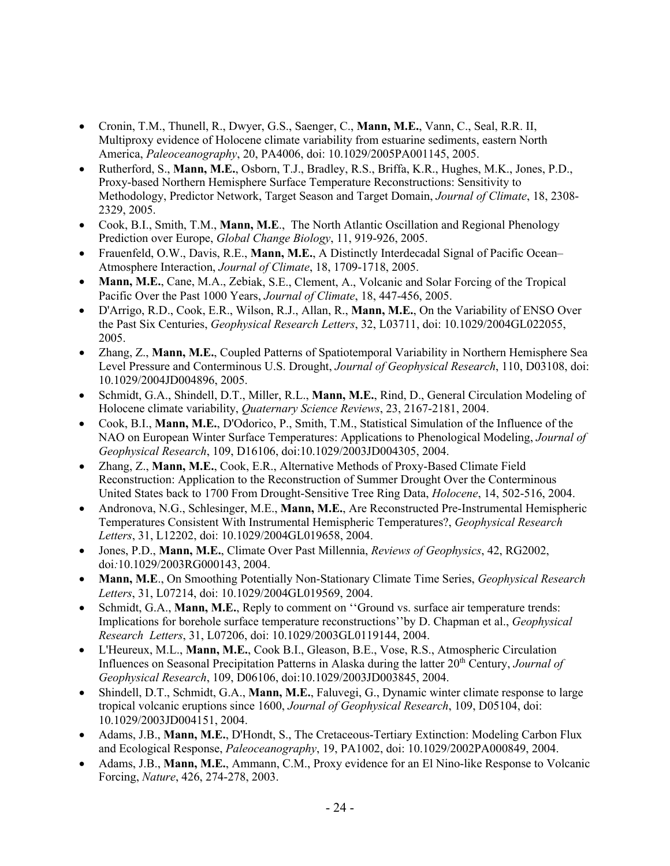- Cronin, T.M., Thunell, R., Dwyer, G.S., Saenger, C., **Mann, M.E.**, Vann, C., Seal, R.R. II, Multiproxy evidence of Holocene climate variability from estuarine sediments, eastern North America, *Paleoceanography*, 20, PA4006, doi: 10.1029/2005PA001145, 2005.
- Rutherford, S., **Mann, M.E.**, Osborn, T.J., Bradley, R.S., Briffa, K.R., Hughes, M.K., Jones, P.D., Proxy-based Northern Hemisphere Surface Temperature Reconstructions: Sensitivity to Methodology, Predictor Network, Target Season and Target Domain, *Journal of Climate*, 18, 2308- 2329, 2005.
- Cook, B.I., Smith, T.M., **Mann, M.E**., The North Atlantic Oscillation and Regional Phenology Prediction over Europe, *Global Change Biology*, 11, 919-926, 2005.
- Frauenfeld, O.W., Davis, R.E., **Mann, M.E.**, A Distinctly Interdecadal Signal of Pacific Ocean– Atmosphere Interaction, *Journal of Climate*, 18, 1709-1718, 2005.
- **Mann, M.E.**, Cane, M.A., Zebiak, S.E., Clement, A., Volcanic and Solar Forcing of the Tropical Pacific Over the Past 1000 Years, *Journal of Climate*, 18, 447-456, 2005.
- D'Arrigo, R.D., Cook, E.R., Wilson, R.J., Allan, R., **Mann, M.E.**, On the Variability of ENSO Over the Past Six Centuries, *Geophysical Research Letters*, 32, L03711, doi: 10.1029/2004GL022055, 2005.
- Zhang, Z., **Mann, M.E.**, Coupled Patterns of Spatiotemporal Variability in Northern Hemisphere Sea Level Pressure and Conterminous U.S. Drought, *Journal of Geophysical Research*, 110, D03108, doi: 10.1029/2004JD004896, 2005.
- Schmidt, G.A., Shindell, D.T., Miller, R.L., **Mann, M.E.**, Rind, D., General Circulation Modeling of Holocene climate variability, *Quaternary Science Reviews*, 23, 2167-2181, 2004.
- Cook, B.I., **Mann, M.E.**, D'Odorico, P., Smith, T.M., Statistical Simulation of the Influence of the NAO on European Winter Surface Temperatures: Applications to Phenological Modeling, *Journal of Geophysical Research*, 109, D16106, doi:10.1029/2003JD004305, 2004.
- Zhang, Z., **Mann, M.E.**, Cook, E.R., Alternative Methods of Proxy-Based Climate Field Reconstruction: Application to the Reconstruction of Summer Drought Over the Conterminous United States back to 1700 From Drought-Sensitive Tree Ring Data, *Holocene*, 14, 502-516, 2004.
- Andronova, N.G., Schlesinger, M.E., **Mann, M.E.**, Are Reconstructed Pre-Instrumental Hemispheric Temperatures Consistent With Instrumental Hemispheric Temperatures?, *Geophysical Research Letters*, 31, L12202, doi: 10.1029/2004GL019658, 2004.
- Jones, P.D., **Mann, M.E.**, Climate Over Past Millennia, *Reviews of Geophysics*, 42, RG2002, doi*:*10.1029/2003RG000143, 2004.
- **Mann, M.E**., On Smoothing Potentially Non-Stationary Climate Time Series, *Geophysical Research Letters*, 31, L07214, doi: 10.1029/2004GL019569, 2004.
- Schmidt, G.A., **Mann, M.E.**, Reply to comment on ''Ground vs. surface air temperature trends: Implications for borehole surface temperature reconstructions''by D. Chapman et al., *Geophysical Research Letters*, 31, L07206, doi: 10.1029/2003GL0119144, 2004.
- L'Heureux, M.L., **Mann, M.E.**, Cook B.I., Gleason, B.E., Vose, R.S., Atmospheric Circulation Influences on Seasonal Precipitation Patterns in Alaska during the latter 20<sup>th</sup> Century, *Journal of Geophysical Research*, 109, D06106, doi:10.1029/2003JD003845, 2004.
- Shindell, D.T., Schmidt, G.A., **Mann, M.E.**, Faluvegi, G., Dynamic winter climate response to large tropical volcanic eruptions since 1600, *Journal of Geophysical Research*, 109, D05104, doi: 10.1029/2003JD004151, 2004.
- Adams, J.B., **Mann, M.E.**, D'Hondt, S., The Cretaceous-Tertiary Extinction: Modeling Carbon Flux and Ecological Response, *Paleoceanography*, 19, PA1002, doi: 10.1029/2002PA000849, 2004.
- Adams, J.B., **Mann, M.E.**, Ammann, C.M., Proxy evidence for an El Nino-like Response to Volcanic Forcing, *Nature*, 426, 274-278, 2003.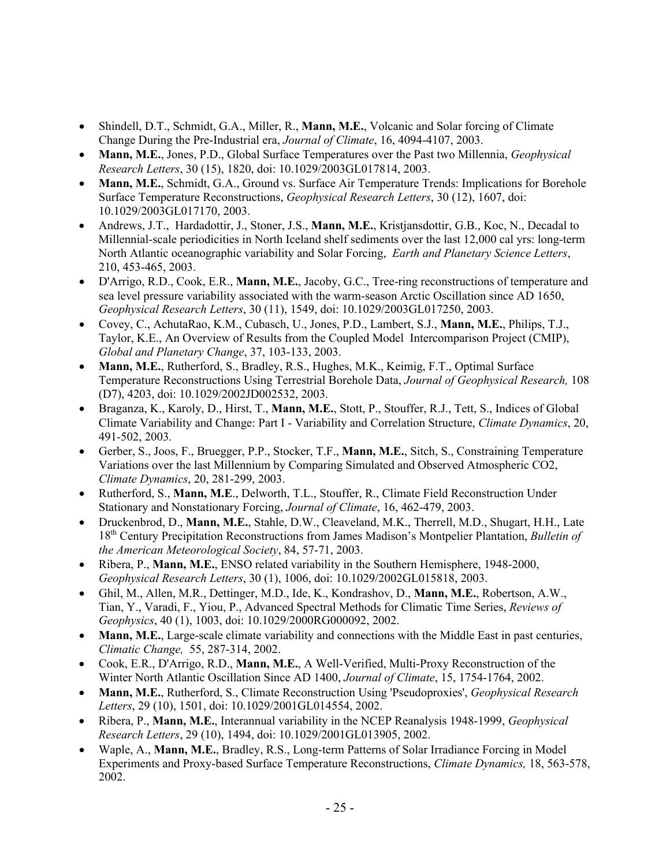- Shindell, D.T., Schmidt, G.A., Miller, R., **Mann, M.E.**, Volcanic and Solar forcing of Climate Change During the Pre-Industrial era, *Journal of Climate*, 16, 4094-4107, 2003.
- **Mann, M.E.**, Jones, P.D., Global Surface Temperatures over the Past two Millennia, *Geophysical Research Letters*, 30 (15), 1820, doi: 10.1029/2003GL017814, 2003.
- **Mann, M.E.**, Schmidt, G.A., Ground vs. Surface Air Temperature Trends: Implications for Borehole Surface Temperature Reconstructions, *Geophysical Research Letters*, 30 (12), 1607, doi: 10.1029/2003GL017170, 2003.
- Andrews, J.T., Hardadottir, J., Stoner, J.S., **Mann, M.E.**, Kristjansdottir, G.B., Koc, N., Decadal to Millennial-scale periodicities in North Iceland shelf sediments over the last 12,000 cal yrs: long-term North Atlantic oceanographic variability and Solar Forcing, *Earth and Planetary Science Letters*, 210, 453-465, 2003.
- D'Arrigo, R.D., Cook, E.R., **Mann, M.E.**, Jacoby, G.C., Tree-ring reconstructions of temperature and sea level pressure variability associated with the warm-season Arctic Oscillation since AD 1650, *Geophysical Research Letters*, 30 (11), 1549, doi: 10.1029/2003GL017250, 2003.
- Covey, C., AchutaRao, K.M., Cubasch, U., Jones, P.D., Lambert, S.J., **Mann, M.E.**, Philips, T.J., Taylor, K.E., An Overview of Results from the Coupled Model Intercomparison Project (CMIP), *Global and Planetary Change*, 37, 103-133, 2003.
- **Mann, M.E.**, Rutherford, S., Bradley, R.S., Hughes, M.K., Keimig, F.T., Optimal Surface Temperature Reconstructions Using Terrestrial Borehole Data, *Journal of Geophysical Research,* 108 (D7), 4203, doi: 10.1029/2002JD002532, 2003.
- Braganza, K., Karoly, D., Hirst, T., **Mann, M.E.**, Stott, P., Stouffer, R.J., Tett, S., Indices of Global Climate Variability and Change: Part I - Variability and Correlation Structure, *Climate Dynamics*, 20, 491-502, 2003.
- Gerber, S., Joos, F., Bruegger, P.P., Stocker, T.F., **Mann, M.E.**, Sitch, S., Constraining Temperature Variations over the last Millennium by Comparing Simulated and Observed Atmospheric CO2, *Climate Dynamics*, 20, 281-299, 2003.
- Rutherford, S., **Mann, M.E**., Delworth, T.L., Stouffer, R., Climate Field Reconstruction Under Stationary and Nonstationary Forcing, *Journal of Climate*, 16, 462-479, 2003.
- Druckenbrod, D., **Mann, M.E.**, Stahle, D.W., Cleaveland, M.K., Therrell, M.D., Shugart, H.H., Late 18th Century Precipitation Reconstructions from James Madison's Montpelier Plantation, *Bulletin of the American Meteorological Society*, 84, 57-71, 2003.
- Ribera, P., **Mann, M.E.**, ENSO related variability in the Southern Hemisphere, 1948-2000, *Geophysical Research Letters*, 30 (1), 1006, doi: 10.1029/2002GL015818, 2003.
- Ghil, M., Allen, M.R., Dettinger, M.D., Ide, K., Kondrashov, D., **Mann, M.E.**, Robertson, A.W., Tian, Y., Varadi, F., Yiou, P., Advanced Spectral Methods for Climatic Time Series, *Reviews of Geophysics*, 40 (1), 1003, doi: 10.1029/2000RG000092, 2002.
- **Mann, M.E.**, Large-scale climate variability and connections with the Middle East in past centuries, *Climatic Change,* 55, 287-314, 2002.
- Cook, E.R., D'Arrigo, R.D., **Mann, M.E.**, A Well-Verified, Multi-Proxy Reconstruction of the Winter North Atlantic Oscillation Since AD 1400, *Journal of Climate*, 15, 1754-1764, 2002.
- **Mann, M.E.**, Rutherford, S., Climate Reconstruction Using 'Pseudoproxies', *Geophysical Research Letters*, 29 (10), 1501, doi: 10.1029/2001GL014554, 2002.
- Ribera, P., **Mann, M.E.**, Interannual variability in the NCEP Reanalysis 1948-1999, *Geophysical Research Letters*, 29 (10), 1494, doi: 10.1029/2001GL013905, 2002.
- Waple, A., **Mann, M.E.**, Bradley, R.S., Long-term Patterns of Solar Irradiance Forcing in Model Experiments and Proxy-based Surface Temperature Reconstructions, *Climate Dynamics,* 18, 563-578, 2002.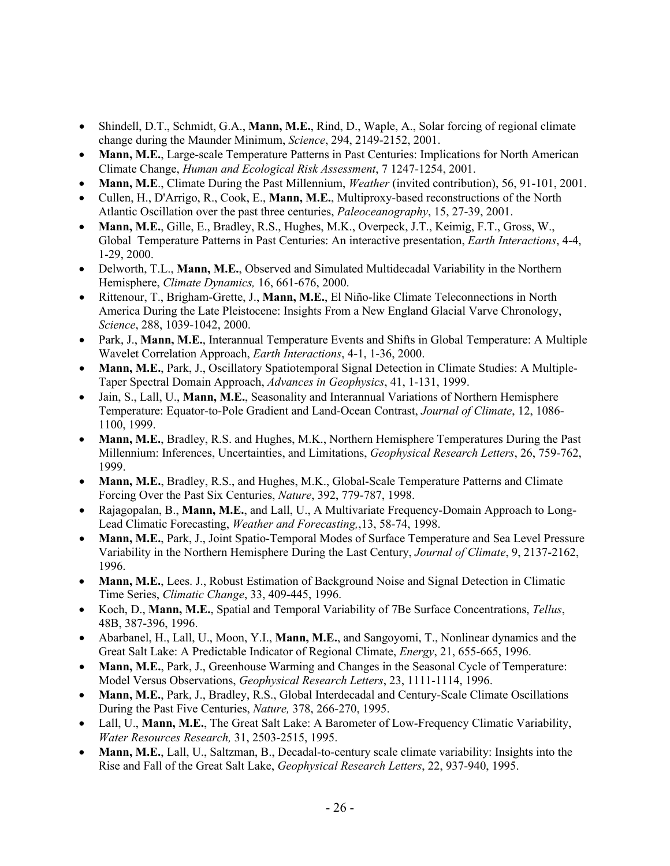- Shindell, D.T., Schmidt, G.A., **Mann, M.E.**, Rind, D., Waple, A., Solar forcing of regional climate change during the Maunder Minimum, *Science*, 294, 2149-2152, 2001.
- **Mann, M.E.**, Large-scale Temperature Patterns in Past Centuries: Implications for North American Climate Change, *Human and Ecological Risk Assessment*, 7 1247-1254, 2001.
- **Mann, M.E**., Climate During the Past Millennium, *Weather* (invited contribution), 56, 91-101, 2001.
- Cullen, H., D'Arrigo, R., Cook, E., **Mann, M.E.**, Multiproxy-based reconstructions of the North Atlantic Oscillation over the past three centuries, *Paleoceanography*, 15, 27-39, 2001.
- **Mann, M.E.**, Gille, E., Bradley, R.S., Hughes, M.K., Overpeck, J.T., Keimig, F.T., Gross, W., Global Temperature Patterns in Past Centuries: An interactive presentation, *Earth Interactions*, 4-4, 1-29, 2000.
- Delworth, T.L., **Mann, M.E.**, Observed and Simulated Multidecadal Variability in the Northern Hemisphere, *Climate Dynamics,* 16, 661-676, 2000.
- Rittenour, T., Brigham-Grette, J., **Mann, M.E.**, El Niño-like Climate Teleconnections in North America During the Late Pleistocene: Insights From a New England Glacial Varve Chronology, *Science*, 288, 1039-1042, 2000.
- Park, J., **Mann, M.E.**, Interannual Temperature Events and Shifts in Global Temperature: A Multiple Wavelet Correlation Approach, *Earth Interactions*, 4-1, 1-36, 2000.
- **Mann, M.E.**, Park, J., Oscillatory Spatiotemporal Signal Detection in Climate Studies: A Multiple-Taper Spectral Domain Approach, *Advances in Geophysics*, 41, 1-131, 1999.
- Jain, S., Lall, U., **Mann, M.E.**, Seasonality and Interannual Variations of Northern Hemisphere Temperature: Equator-to-Pole Gradient and Land-Ocean Contrast, *Journal of Climate*, 12, 1086- 1100, 1999.
- **Mann, M.E.**, Bradley, R.S. and Hughes, M.K., Northern Hemisphere Temperatures During the Past Millennium: Inferences, Uncertainties, and Limitations, *Geophysical Research Letters*, 26, 759-762, 1999.
- **Mann, M.E.**, Bradley, R.S., and Hughes, M.K., Global-Scale Temperature Patterns and Climate Forcing Over the Past Six Centuries, *Nature*, 392, 779-787, 1998.
- Rajagopalan, B., **Mann, M.E.**, and Lall, U., A Multivariate Frequency-Domain Approach to Long-Lead Climatic Forecasting, *Weather and Forecasting,*,13, 58-74, 1998.
- **Mann, M.E.**, Park, J., Joint Spatio-Temporal Modes of Surface Temperature and Sea Level Pressure Variability in the Northern Hemisphere During the Last Century, *Journal of Climate*, 9, 2137-2162, 1996.
- **Mann, M.E.**, Lees. J., Robust Estimation of Background Noise and Signal Detection in Climatic Time Series, *Climatic Change*, 33, 409-445, 1996.
- Koch, D., **Mann, M.E.**, Spatial and Temporal Variability of 7Be Surface Concentrations, *Tellus*, 48B, 387-396, 1996.
- Abarbanel, H., Lall, U., Moon, Y.I., **Mann, M.E.**, and Sangoyomi, T., Nonlinear dynamics and the Great Salt Lake: A Predictable Indicator of Regional Climate, *Energy*, 21, 655-665, 1996.
- **Mann, M.E.**, Park, J., Greenhouse Warming and Changes in the Seasonal Cycle of Temperature: Model Versus Observations, *Geophysical Research Letters*, 23, 1111-1114, 1996.
- **Mann, M.E.**, Park, J., Bradley, R.S., Global Interdecadal and Century-Scale Climate Oscillations During the Past Five Centuries, *Nature,* 378, 266-270, 1995.
- Lall, U., **Mann, M.E.**, The Great Salt Lake: A Barometer of Low-Frequency Climatic Variability, *Water Resources Research,* 31, 2503-2515, 1995.
- **Mann, M.E.**, Lall, U., Saltzman, B., Decadal-to-century scale climate variability: Insights into the Rise and Fall of the Great Salt Lake, *Geophysical Research Letters*, 22, 937-940, 1995.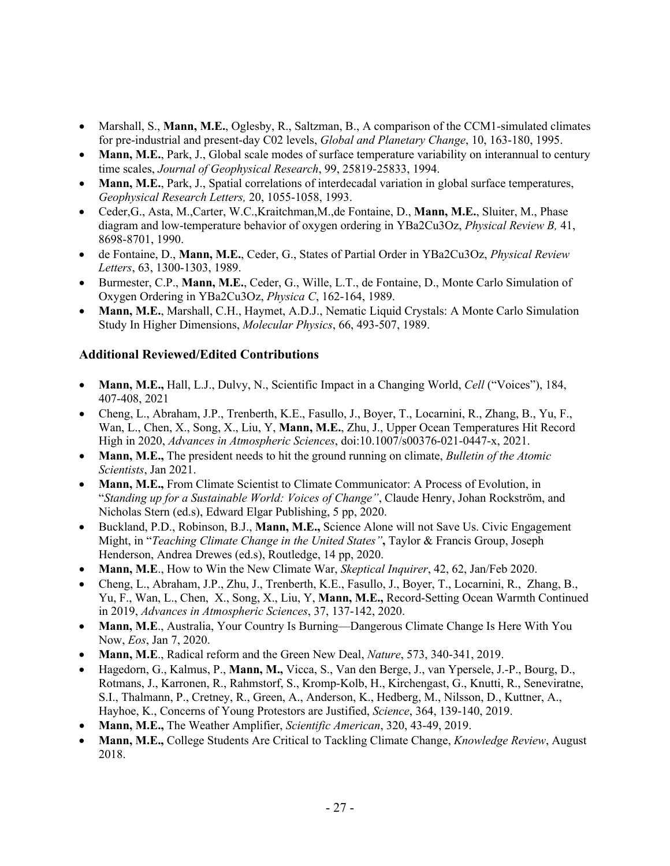- Marshall, S., **Mann, M.E.**, Oglesby, R., Saltzman, B., A comparison of the CCM1-simulated climates for pre-industrial and present-day C02 levels, *Global and Planetary Change*, 10, 163-180, 1995.
- **Mann, M.E.**, Park, J., Global scale modes of surface temperature variability on interannual to century time scales, *Journal of Geophysical Research*, 99, 25819-25833, 1994.
- **Mann, M.E.**, Park, J., Spatial correlations of interdecadal variation in global surface temperatures, *Geophysical Research Letters,* 20, 1055-1058, 1993.
- Ceder,G., Asta, M.,Carter, W.C.,Kraitchman,M.,de Fontaine, D., **Mann, M.E.**, Sluiter, M., Phase diagram and low-temperature behavior of oxygen ordering in YBa2Cu3Oz, *Physical Review B,* 41, 8698-8701, 1990.
- de Fontaine, D., **Mann, M.E.**, Ceder, G., States of Partial Order in YBa2Cu3Oz, *Physical Review Letters*, 63, 1300-1303, 1989.
- Burmester, C.P., **Mann, M.E.**, Ceder, G., Wille, L.T., de Fontaine, D., Monte Carlo Simulation of Oxygen Ordering in YBa2Cu3Oz, *Physica C*, 162-164, 1989.
- **Mann, M.E.**, Marshall, C.H., Haymet, A.D.J., Nematic Liquid Crystals: A Monte Carlo Simulation Study In Higher Dimensions, *Molecular Physics*, 66, 493-507, 1989.

# **Additional Reviewed/Edited Contributions**

- **Mann, M.E.,** Hall, L.J., Dulvy, N., Scientific Impact in a Changing World, *Cell* ("Voices"), 184, 407-408, 2021
- Cheng, L., Abraham, J.P., Trenberth, K.E., Fasullo, J., Boyer, T., Locarnini, R., Zhang, B., Yu, F., Wan, L., Chen, X., Song, X., Liu, Y, **Mann, M.E.**, Zhu, J., Upper Ocean Temperatures Hit Record High in 2020, *Advances in Atmospheric Sciences*, doi:10.1007/s00376-021-0447-x, 2021.
- **Mann, M.E.,** The president needs to hit the ground running on climate, *Bulletin of the Atomic Scientists*, Jan 2021.
- **Mann, M.E.,** From Climate Scientist to Climate Communicator: A Process of Evolution, in "*Standing up for a Sustainable World: Voices of Change"*, Claude Henry, Johan Rockström, and Nicholas Stern (ed.s), Edward Elgar Publishing, 5 pp, 2020.
- Buckland, P.D., Robinson, B.J., **Mann, M.E.,** Science Alone will not Save Us. Civic Engagement Might, in "*Teaching Climate Change in the United States"***,** Taylor & Francis Group, Joseph Henderson, Andrea Drewes (ed.s), Routledge, 14 pp, 2020.
- **Mann, M.E**., How to Win the New Climate War, *Skeptical Inquirer*, 42, 62, Jan/Feb 2020.
- Cheng, L., Abraham, J.P., Zhu, J., Trenberth, K.E., Fasullo, J., Boyer, T., Locarnini, R., Zhang, B., Yu, F., Wan, L., Chen, X., Song, X., Liu, Y, **Mann, M.E.,** Record-Setting Ocean Warmth Continued in 2019, *Advances in Atmospheric Sciences*, 37, 137-142, 2020.
- Mann, M.E., Australia, Your Country Is Burning—Dangerous Climate Change Is Here With You Now, *Eos*, Jan 7, 2020.
- **Mann, M.E**., Radical reform and the Green New Deal, *Nature*, 573, 340-341, 2019.
- Hagedorn, G., Kalmus, P., **Mann, M.,** Vicca, S., Van den Berge, J., van Ypersele, J.-P., Bourg, D., Rotmans, J., Karronen, R., Rahmstorf, S., Kromp-Kolb, H., Kirchengast, G., Knutti, R., Seneviratne, S.I., Thalmann, P., Cretney, R., Green, A., Anderson, K., Hedberg, M., Nilsson, D., Kuttner, A., Hayhoe, K., Concerns of Young Protestors are Justified, *Science*, 364, 139-140, 2019.
- **Mann, M.E.,** The Weather Amplifier, *Scientific American*, 320, 43-49, 2019.
- **Mann, M.E.,** College Students Are Critical to Tackling Climate Change, *Knowledge Review*, August 2018.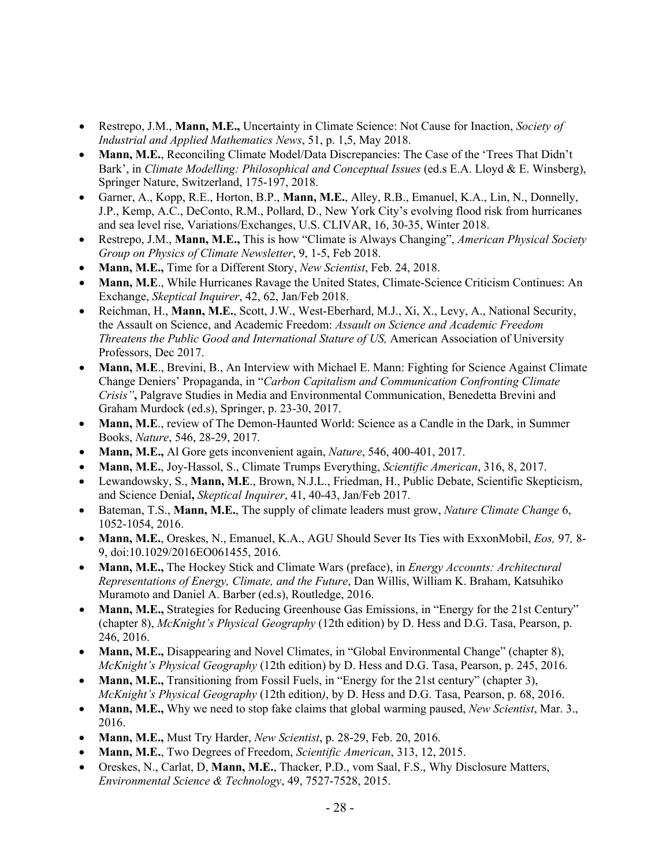- Restrepo, J.M., **Mann, M.E.,** Uncertainty in Climate Science: Not Cause for Inaction, *Society of Industrial and Applied Mathematics News*, 51, p. 1,5, May 2018.
- **Mann, M.E.**, Reconciling Climate Model/Data Discrepancies: The Case of the 'Trees That Didn't Bark', in *Climate Modelling: Philosophical and Conceptual Issues* (ed.s E.A. Lloyd & E. Winsberg), Springer Nature, Switzerland, 175-197, 2018.
- Garner, A., Kopp, R.E., Horton, B.P., **Mann, M.E.**, Alley, R.B., Emanuel, K.A., Lin, N., Donnelly, J.P., Kemp, A.C., DeConto, R.M., Pollard, D., New York City's evolving flood risk from hurricanes and sea level rise, Variations/Exchanges, U.S. CLIVAR, 16, 30-35, Winter 2018.
- Restrepo, J.M., **Mann, M.E.,** This is how "Climate is Always Changing", *American Physical Society Group on Physics of Climate Newsletter*, 9, 1-5, Feb 2018.
- **Mann, M.E.,** Time for a Different Story, *New Scientist*, Feb. 24, 2018.
- **Mann, M.E**., While Hurricanes Ravage the United States, Climate-Science Criticism Continues: An Exchange, *Skeptical Inquirer*, 42, 62, Jan/Feb 2018.
- Reichman, H., **Mann, M.E.**, Scott, J.W., West-Eberhard, M.J., Xi, X., Levy, A., National Security, the Assault on Science, and Academic Freedom: *Assault on Science and Academic Freedom Threatens the Public Good and International Stature of US,* American Association of University Professors, Dec 2017.
- **Mann, M.E**., Brevini, B., An Interview with Michael E. Mann: Fighting for Science Against Climate Change Deniers' Propaganda, in "*Carbon Capitalism and Communication Confronting Climate Crisis"***,** Palgrave Studies in Media and Environmental Communication, Benedetta Brevini and Graham Murdock (ed.s), Springer, p. 23-30, 2017.
- **Mann, M.E**., review of The Demon-Haunted World: Science as a Candle in the Dark, in Summer Books, *Nature*, 546, 28-29, 2017.
- **Mann, M.E.,** Al Gore gets inconvenient again, *Nature*, 546, 400-401, 2017.
- **Mann, M.E.**, Joy-Hassol, S., Climate Trumps Everything, *Scientific American*, 316, 8, 2017.
- Lewandowsky, S., **Mann, M.E**., Brown, N.J.L., Friedman, H., Public Debate, Scientific Skepticism, and Science Denial**,** *Skeptical Inquirer*, 41, 40-43, Jan/Feb 2017.
- Bateman, T.S., **Mann, M.E.**, The supply of climate leaders must grow, *Nature Climate Change* 6, 1052-1054, 2016.
- **Mann, M.E.**, Oreskes, N., Emanuel, K.A., AGU Should Sever Its Ties with ExxonMobil, *Eos,* 97*,* 8- 9, doi:10.1029/2016EO061455, 2016.
- **Mann, M.E.,** The Hockey Stick and Climate Wars (preface), in *Energy Accounts: Architectural Representations of Energy, Climate, and the Future*, Dan Willis, William K. Braham, Katsuhiko Muramoto and Daniel A. Barber (ed.s), Routledge, 2016.
- **Mann, M.E.,** Strategies for Reducing Greenhouse Gas Emissions, in "Energy for the 21st Century" (chapter 8), *McKnight's Physical Geography* (12th edition) by D. Hess and D.G. Tasa, Pearson, p. 246, 2016.
- **Mann, M.E.,** Disappearing and Novel Climates, in "Global Environmental Change" (chapter 8), *McKnight's Physical Geography* (12th edition) by D. Hess and D.G. Tasa, Pearson, p. 245, 2016.
- **Mann, M.E.,** Transitioning from Fossil Fuels, in "Energy for the 21st century" (chapter 3), *McKnight's Physical Geography* (12th edition*)*, by D. Hess and D.G. Tasa, Pearson, p. 68, 2016.
- **Mann, M.E.,** Why we need to stop fake claims that global warming paused, *New Scientist*, Mar. 3., 2016.
- **Mann, M.E.,** Must Try Harder, *New Scientist*, p. 28-29, Feb. 20, 2016.
- **Mann, M.E.**, Two Degrees of Freedom, *Scientific American*, 313, 12, 2015.
- Oreskes, N., Carlat, D, **Mann, M.E.**, Thacker, P.D., vom Saal, F.S., Why Disclosure Matters, *Environmental Science & Technology*, 49, 7527-7528, 2015.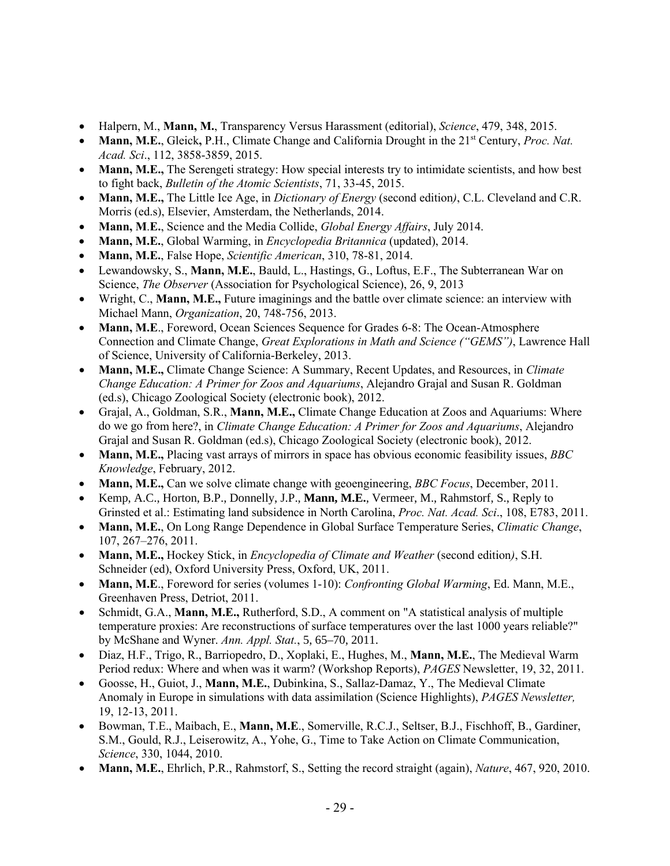- Halpern, M., **Mann, M.**, Transparency Versus Harassment (editorial), *Science*, 479, 348, 2015.
- **Mann, M.E.**, Gleick**,** P.H., Climate Change and California Drought in the 21st Century, *Proc. Nat. Acad. Sci*., 112, 3858-3859, 2015.
- **Mann, M.E.,** The Serengeti strategy: How special interests try to intimidate scientists, and how best to fight back, *Bulletin of the Atomic Scientists*, 71, 33-45, 2015.
- **Mann, M.E.,** The Little Ice Age, in *Dictionary of Energy* (second edition*)*, C.L. Cleveland and C.R. Morris (ed.s), Elsevier, Amsterdam, the Netherlands, 2014.
- **Mann, M**.**E.**, Science and the Media Collide, *Global Energy Affairs*, July 2014.
- **Mann, M.E.**, Global Warming, in *Encyclopedia Britannica* (updated), 2014.
- **Mann, M.E.**, False Hope, *Scientific American*, 310, 78-81, 2014.
- Lewandowsky, S., **Mann, M.E.**, Bauld, L., Hastings, G., Loftus, E.F., The Subterranean War on Science, *The Observer* (Association for Psychological Science), 26, 9, 2013
- Wright, C., **Mann, M.E.,** Future imaginings and the battle over climate science: an interview with Michael Mann, *Organization*, 20, 748-756, 2013.
- **Mann, M.E.**, Foreword, Ocean Sciences Sequence for Grades 6-8: The Ocean-Atmosphere Connection and Climate Change, *Great Explorations in Math and Science ("GEMS")*, Lawrence Hall of Science, University of California-Berkeley, 2013.
- **Mann, M.E.,** Climate Change Science: A Summary, Recent Updates, and Resources, in *Climate Change Education: A Primer for Zoos and Aquariums*, Alejandro Grajal and Susan R. Goldman (ed.s), Chicago Zoological Society (electronic book), 2012.
- Grajal, A., Goldman, S.R., **Mann, M.E.,** Climate Change Education at Zoos and Aquariums: Where do we go from here?, in *Climate Change Education: A Primer for Zoos and Aquariums*, Alejandro Grajal and Susan R. Goldman (ed.s), Chicago Zoological Society (electronic book), 2012.
- **Mann, M.E.,** Placing vast arrays of mirrors in space has obvious economic feasibility issues, *BBC Knowledge*, February, 2012.
- **Mann, M.E.,** Can we solve climate change with geoengineering, *BBC Focus*, December, 2011.
- Kemp, A.C., Horton, B.P., Donnelly, J.P., **Mann, M.E.**, Vermeer, M., Rahmstorf, S., Reply to Grinsted et al.: Estimating land subsidence in North Carolina, *Proc. Nat. Acad. Sci*., 108, E783, 2011.
- **Mann, M.E.**, On Long Range Dependence in Global Surface Temperature Series, *Climatic Change*, 107, 267–276, 2011.
- **Mann, M.E.,** Hockey Stick, in *Encyclopedia of Climate and Weather* (second edition*)*, S.H. Schneider (ed), Oxford University Press, Oxford, UK, 2011.
- **Mann, M.E**., Foreword for series (volumes 1-10): *Confronting Global Warming*, Ed. Mann, M.E., Greenhaven Press, Detriot, 2011.
- Schmidt, G.A., **Mann, M.E.,** Rutherford, S.D., A comment on "A statistical analysis of multiple temperature proxies: Are reconstructions of surface temperatures over the last 1000 years reliable?" by McShane and Wyner. *Ann. Appl. Stat.*, 5, 65–70, 2011.
- Diaz, H.F., Trigo, R., Barriopedro, D., Xoplaki, E., Hughes, M., **Mann, M.E.**, The Medieval Warm Period redux: Where and when was it warm? (Workshop Reports), *PAGES* Newsletter, 19, 32, 2011.
- Goosse, H., Guiot, J., **Mann, M.E.**, Dubinkina, S., Sallaz-Damaz, Y., The Medieval Climate Anomaly in Europe in simulations with data assimilation (Science Highlights), *PAGES Newsletter,*  19, 12-13, 2011.
- Bowman, T.E., Maibach, E., **Mann, M.E**., Somerville, R.C.J., Seltser, B.J., Fischhoff, B., Gardiner, S.M., Gould, R.J., Leiserowitz, A., Yohe, G., Time to Take Action on Climate Communication, *Science*, 330, 1044, 2010.
- **Mann, M.E.**, Ehrlich, P.R., Rahmstorf, S., Setting the record straight (again), *Nature*, 467, 920, 2010.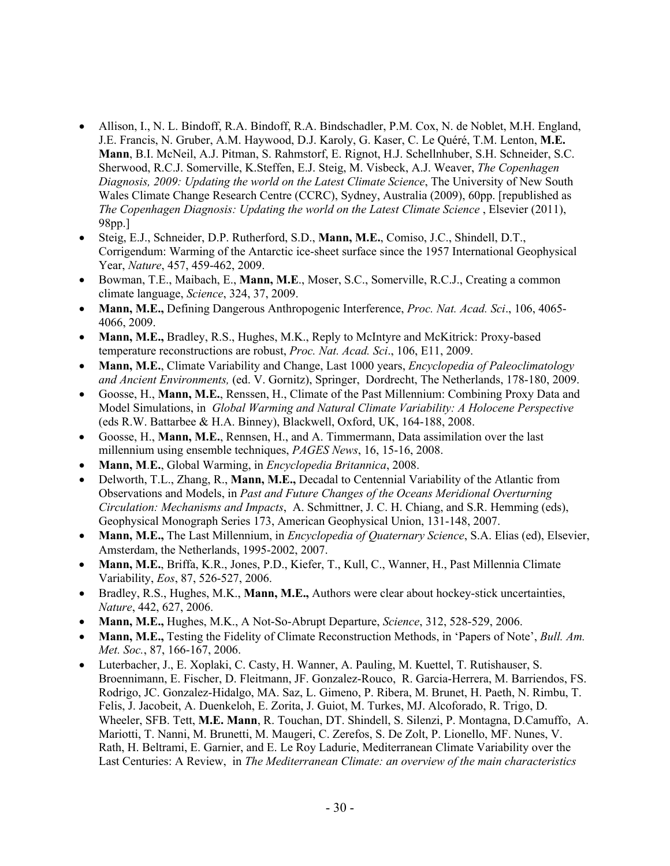- Allison, I., N. L. Bindoff, R.A. Bindoff, R.A. Bindschadler, P.M. Cox, N. de Noblet, M.H. England, J.E. Francis, N. Gruber, A.M. Haywood, D.J. Karoly, G. Kaser, C. Le Quéré, T.M. Lenton, **M.E. Mann**, B.I. McNeil, A.J. Pitman, S. Rahmstorf, E. Rignot, H.J. Schellnhuber, S.H. Schneider, S.C. Sherwood, R.C.J. Somerville, K.Steffen, E.J. Steig, M. Visbeck, A.J. Weaver, *The Copenhagen Diagnosis, 2009: Updating the world on the Latest Climate Science*, The University of New South Wales Climate Change Research Centre (CCRC), Sydney, Australia (2009), 60pp. [republished as *The Copenhagen Diagnosis: Updating the world on the Latest Climate Science* , Elsevier (2011), 98pp.]
- Steig, E.J., Schneider, D.P. Rutherford, S.D., **Mann, M.E.**, Comiso, J.C., Shindell, D.T., Corrigendum: Warming of the Antarctic ice-sheet surface since the 1957 International Geophysical Year, *Nature*, 457, 459-462, 2009.
- Bowman, T.E., Maibach, E., **Mann, M.E**., Moser, S.C., Somerville, R.C.J., Creating a common climate language, *Science*, 324, 37, 2009.
- **Mann, M.E.,** Defining Dangerous Anthropogenic Interference, *Proc. Nat. Acad. Sci*., 106, 4065- 4066, 2009.
- **Mann, M.E.,** Bradley, R.S., Hughes, M.K., Reply to McIntyre and McKitrick: Proxy-based temperature reconstructions are robust, *Proc. Nat. Acad. Sci*., 106, E11, 2009.
- **Mann, M.E.**, Climate Variability and Change, Last 1000 years, *Encyclopedia of Paleoclimatology and Ancient Environments,* (ed. V. Gornitz), Springer, Dordrecht, The Netherlands, 178-180, 2009.
- Goosse, H., **Mann, M.E.**, Renssen, H., Climate of the Past Millennium: Combining Proxy Data and Model Simulations, in *Global Warming and Natural Climate Variability: A Holocene Perspective*  (eds R.W. Battarbee & H.A. Binney), Blackwell, Oxford, UK, 164-188, 2008.
- Goosse, H., **Mann, M.E.**, Rennsen, H., and A. Timmermann, Data assimilation over the last millennium using ensemble techniques, *PAGES News*, 16, 15-16, 2008.
- **Mann, M**.**E.**, Global Warming, in *Encyclopedia Britannica*, 2008.
- Delworth, T.L., Zhang, R., **Mann, M.E.,** Decadal to Centennial Variability of the Atlantic from Observations and Models, in *Past and Future Changes of the Oceans Meridional Overturning Circulation: Mechanisms and Impacts*, A. Schmittner, J. C. H. Chiang, and S.R. Hemming (eds), Geophysical Monograph Series 173, American Geophysical Union, 131-148, 2007.
- **Mann, M.E.,** The Last Millennium, in *Encyclopedia of Quaternary Science*, S.A. Elias (ed), Elsevier, Amsterdam, the Netherlands, 1995-2002, 2007.
- **Mann, M.E.**, Briffa, K.R., Jones, P.D., Kiefer, T., Kull, C., Wanner, H., Past Millennia Climate Variability, *Eos*, 87, 526-527, 2006.
- Bradley, R.S., Hughes, M.K., **Mann, M.E.,** Authors were clear about hockey-stick uncertainties, *Nature*, 442, 627, 2006.
- **Mann, M.E.,** Hughes, M.K., A Not-So-Abrupt Departure, *Science*, 312, 528-529, 2006.
- **Mann, M.E.,** Testing the Fidelity of Climate Reconstruction Methods, in 'Papers of Note', *Bull. Am. Met. Soc.*, 87, 166-167, 2006.
- Luterbacher, J., E. Xoplaki, C. Casty, H. Wanner, A. Pauling, M. Kuettel, T. Rutishauser, S. Broennimann, E. Fischer, D. Fleitmann, JF. Gonzalez-Rouco, R. Garcia-Herrera, M. Barriendos, FS. Rodrigo, JC. Gonzalez-Hidalgo, MA. Saz, L. Gimeno, P. Ribera, M. Brunet, H. Paeth, N. Rimbu, T. Felis, J. Jacobeit, A. Duenkeloh, E. Zorita, J. Guiot, M. Turkes, MJ. Alcoforado, R. Trigo, D. Wheeler, SFB. Tett, **M.E. Mann**, R. Touchan, DT. Shindell, S. Silenzi, P. Montagna, D.Camuffo, A. Mariotti, T. Nanni, M. Brunetti, M. Maugeri, C. Zerefos, S. De Zolt, P. Lionello, MF. Nunes, V. Rath, H. Beltrami, E. Garnier, and E. Le Roy Ladurie, Mediterranean Climate Variability over the Last Centuries: A Review, in *The Mediterranean Climate: an overview of the main characteristics*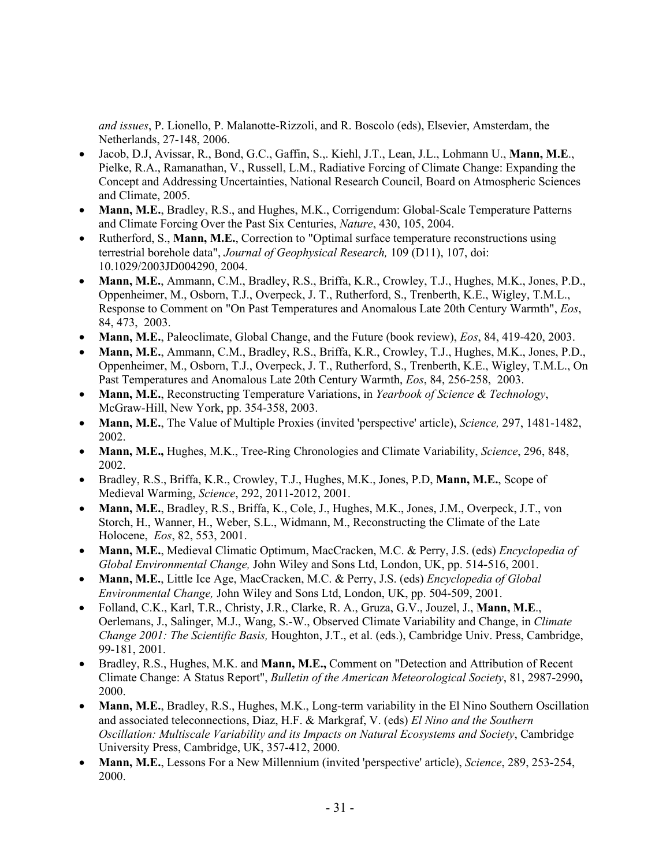*and issues*, P. Lionello, P. Malanotte-Rizzoli, and R. Boscolo (eds), Elsevier, Amsterdam, the Netherlands, 27-148, 2006.

- Jacob, D.J, Avissar, R., Bond, G.C., Gaffin, S.,. Kiehl, J.T., Lean, J.L., Lohmann U., **Mann, M.E**., Pielke, R.A., Ramanathan, V., Russell, L.M., Radiative Forcing of Climate Change: Expanding the Concept and Addressing Uncertainties, National Research Council, Board on Atmospheric Sciences and Climate, 2005.
- **Mann, M.E.**, Bradley, R.S., and Hughes, M.K., Corrigendum: Global-Scale Temperature Patterns and Climate Forcing Over the Past Six Centuries, *Nature*, 430, 105, 2004.
- Rutherford, S., **Mann, M.E.**, Correction to "Optimal surface temperature reconstructions using terrestrial borehole data", *Journal of Geophysical Research,* 109 (D11), 107, doi: 10.1029/2003JD004290, 2004.
- **Mann, M.E.**, Ammann, C.M., Bradley, R.S., Briffa, K.R., Crowley, T.J., Hughes, M.K., Jones, P.D., Oppenheimer, M., Osborn, T.J., Overpeck, J. T., Rutherford, S., Trenberth, K.E., Wigley, T.M.L., Response to Comment on "On Past Temperatures and Anomalous Late 20th Century Warmth", *Eos*, 84, 473, 2003.
- **Mann, M.E.**, Paleoclimate, Global Change, and the Future (book review), *Eos*, 84, 419-420, 2003.
- **Mann, M.E.**, Ammann, C.M., Bradley, R.S., Briffa, K.R., Crowley, T.J., Hughes, M.K., Jones, P.D., Oppenheimer, M., Osborn, T.J., Overpeck, J. T., Rutherford, S., Trenberth, K.E., Wigley, T.M.L., On Past Temperatures and Anomalous Late 20th Century Warmth, *Eos*, 84, 256-258, 2003.
- **Mann, M.E.**, Reconstructing Temperature Variations, in *Yearbook of Science & Technology*, McGraw-Hill, New York, pp. 354-358, 2003.
- **Mann, M.E.**, The Value of Multiple Proxies (invited 'perspective' article), *Science,* 297, 1481-1482, 2002.
- **Mann, M.E.,** Hughes, M.K., Tree-Ring Chronologies and Climate Variability, *Science*, 296, 848, 2002.
- Bradley, R.S., Briffa, K.R., Crowley, T.J., Hughes, M.K., Jones, P.D, **Mann, M.E.**, Scope of Medieval Warming, *Science*, 292, 2011-2012, 2001.
- **Mann, M.E.**, Bradley, R.S., Briffa, K., Cole, J., Hughes, M.K., Jones, J.M., Overpeck, J.T., von Storch, H., Wanner, H., Weber, S.L., Widmann, M., Reconstructing the Climate of the Late Holocene, *Eos*, 82, 553, 2001.
- **Mann, M.E.**, Medieval Climatic Optimum, MacCracken, M.C. & Perry, J.S. (eds) *Encyclopedia of Global Environmental Change,* John Wiley and Sons Ltd, London, UK, pp. 514-516, 2001.
- **Mann, M.E.**, Little Ice Age, MacCracken, M.C. & Perry, J.S. (eds) *Encyclopedia of Global Environmental Change,* John Wiley and Sons Ltd, London, UK, pp. 504-509, 2001.
- Folland, C.K., Karl, T.R., Christy, J.R., Clarke, R. A., Gruza, G.V., Jouzel, J., **Mann, M.E**., Oerlemans, J., Salinger, M.J., Wang, S.-W., Observed Climate Variability and Change, in *Climate Change 2001: The Scientific Basis,* Houghton, J.T., et al. (eds.), Cambridge Univ. Press, Cambridge, 99-181, 2001.
- Bradley, R.S., Hughes, M.K. and **Mann, M.E.,** Comment on "Detection and Attribution of Recent Climate Change: A Status Report", *Bulletin of the American Meteorological Society*, 81, 2987-2990**,** 2000.
- **Mann, M.E.**, Bradley, R.S., Hughes, M.K., Long-term variability in the El Nino Southern Oscillation and associated teleconnections, Diaz, H.F. & Markgraf, V. (eds) *El Nino and the Southern Oscillation: Multiscale Variability and its Impacts on Natural Ecosystems and Society*, Cambridge University Press, Cambridge, UK, 357-412, 2000.
- **Mann, M.E.**, Lessons For a New Millennium (invited 'perspective' article), *Science*, 289, 253-254, 2000.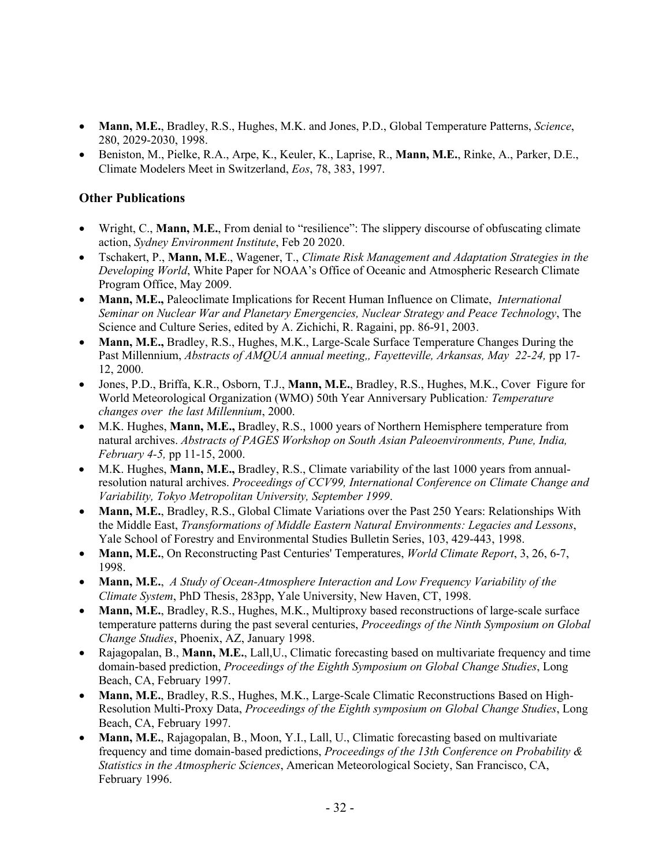- **Mann, M.E.**, Bradley, R.S., Hughes, M.K. and Jones, P.D., Global Temperature Patterns, *Science*, 280, 2029-2030, 1998.
- Beniston, M., Pielke, R.A., Arpe, K., Keuler, K., Laprise, R., **Mann, M.E.**, Rinke, A., Parker, D.E., Climate Modelers Meet in Switzerland, *Eos*, 78, 383, 1997.

### **Other Publications**

- Wright, C., **Mann, M.E.**, From denial to "resilience": The slippery discourse of obfuscating climate action, *Sydney Environment Institute*, Feb 20 2020.
- Tschakert, P., **Mann, M.E**., Wagener, T., *Climate Risk Management and Adaptation Strategies in the Developing World*, White Paper for NOAA's Office of Oceanic and Atmospheric Research Climate Program Office, May 2009.
- **Mann, M.E.,** Paleoclimate Implications for Recent Human Influence on Climate, *International Seminar on Nuclear War and Planetary Emergencies, Nuclear Strategy and Peace Technology*, The Science and Culture Series, edited by A. Zichichi, R. Ragaini, pp. 86-91, 2003.
- **Mann, M.E.,** Bradley, R.S., Hughes, M.K., Large-Scale Surface Temperature Changes During the Past Millennium, *Abstracts of AMQUA annual meeting,, Fayetteville, Arkansas, May 22-24,* pp 17- 12, 2000.
- Jones, P.D., Briffa, K.R., Osborn, T.J., **Mann, M.E.**, Bradley, R.S., Hughes, M.K., Cover Figure for World Meteorological Organization (WMO) 50th Year Anniversary Publication*: Temperature changes over the last Millennium*, 2000.
- M.K. Hughes, **Mann, M.E.,** Bradley, R.S., 1000 years of Northern Hemisphere temperature from natural archives. *Abstracts of PAGES Workshop on South Asian Paleoenvironments, Pune, India, February 4-5,* pp 11-15, 2000.
- M.K. Hughes, **Mann, M.E.,** Bradley, R.S., Climate variability of the last 1000 years from annualresolution natural archives. *Proceedings of CCV99, International Conference on Climate Change and Variability, Tokyo Metropolitan University, September 1999*.
- **Mann, M.E.**, Bradley, R.S., Global Climate Variations over the Past 250 Years: Relationships With the Middle East, *Transformations of Middle Eastern Natural Environments: Legacies and Lessons*, Yale School of Forestry and Environmental Studies Bulletin Series, 103, 429-443, 1998.
- **Mann, M.E.**, On Reconstructing Past Centuries' Temperatures, *World Climate Report*, 3, 26, 6-7, 1998.
- **Mann, M.E.**, *A Study of Ocean-Atmosphere Interaction and Low Frequency Variability of the Climate System*, PhD Thesis, 283pp, Yale University, New Haven, CT, 1998.
- **Mann, M.E.**, Bradley, R.S., Hughes, M.K., Multiproxy based reconstructions of large-scale surface temperature patterns during the past several centuries, *Proceedings of the Ninth Symposium on Global Change Studies*, Phoenix, AZ, January 1998.
- Rajagopalan, B., **Mann, M.E.**, Lall, U., Climatic forecasting based on multivariate frequency and time domain-based prediction, *Proceedings of the Eighth Symposium on Global Change Studies*, Long Beach, CA, February 1997.
- **Mann, M.E.**, Bradley, R.S., Hughes, M.K., Large-Scale Climatic Reconstructions Based on High-Resolution Multi-Proxy Data, *Proceedings of the Eighth symposium on Global Change Studies*, Long Beach, CA, February 1997.
- **Mann, M.E.**, Rajagopalan, B., Moon, Y.I., Lall, U., Climatic forecasting based on multivariate frequency and time domain-based predictions, *Proceedings of the 13th Conference on Probability & Statistics in the Atmospheric Sciences*, American Meteorological Society, San Francisco, CA, February 1996.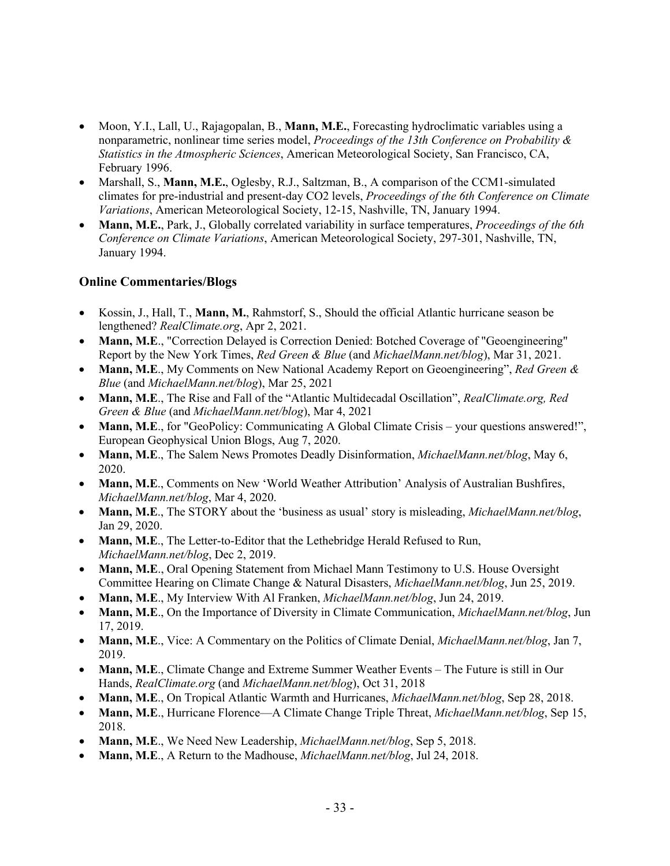- Moon, Y.I., Lall, U., Rajagopalan, B., **Mann, M.E.**, Forecasting hydroclimatic variables using a nonparametric, nonlinear time series model, *Proceedings of the 13th Conference on Probability & Statistics in the Atmospheric Sciences*, American Meteorological Society, San Francisco, CA, February 1996.
- Marshall, S., **Mann, M.E.**, Oglesby, R.J., Saltzman, B., A comparison of the CCM1-simulated climates for pre-industrial and present-day CO2 levels, *Proceedings of the 6th Conference on Climate Variations*, American Meteorological Society, 12-15, Nashville, TN, January 1994.
- **Mann, M.E.**, Park, J., Globally correlated variability in surface temperatures, *Proceedings of the 6th Conference on Climate Variations*, American Meteorological Society, 297-301, Nashville, TN, January 1994.

# **Online Commentaries/Blogs**

- Kossin, J., Hall, T., **Mann, M.**, Rahmstorf, S., Should the official Atlantic hurricane season be lengthened? *RealClimate.org*, Apr 2, 2021.
- **Mann, M.E.**, "Correction Delayed is Correction Denied: Botched Coverage of "Geoengineering" Report by the New York Times, *Red Green & Blue* (and *MichaelMann.net/blog*), Mar 31, 2021.
- **Mann, M.E**., My Comments on New National Academy Report on Geoengineering", *Red Green & Blue* (and *MichaelMann.net/blog*), Mar 25, 2021
- **Mann, M.E**., The Rise and Fall of the "Atlantic Multidecadal Oscillation", *RealClimate.org, Red Green & Blue* (and *MichaelMann.net/blog*), Mar 4, 2021
- **Mann, M.E.**, for "GeoPolicy: Communicating A Global Climate Crisis your questions answered!", European Geophysical Union Blogs, Aug 7, 2020.
- **Mann, M.E**., The Salem News Promotes Deadly Disinformation, *MichaelMann.net/blog*, May 6, 2020.
- **Mann, M.E**., Comments on New 'World Weather Attribution' Analysis of Australian Bushfires, *MichaelMann.net/blog*, Mar 4, 2020.
- **Mann, M.E**., The STORY about the 'business as usual' story is misleading, *MichaelMann.net/blog*, Jan 29, 2020.
- **Mann, M.E**., The Letter-to-Editor that the Lethebridge Herald Refused to Run, *MichaelMann.net/blog*, Dec 2, 2019.
- **Mann, M.E.**, Oral Opening Statement from Michael Mann Testimony to U.S. House Oversight Committee Hearing on Climate Change & Natural Disasters, *MichaelMann.net/blog*, Jun 25, 2019.
- **Mann, M.E**., My Interview With Al Franken, *MichaelMann.net/blog*, Jun 24, 2019.
- **Mann, M.E**., On the Importance of Diversity in Climate Communication, *MichaelMann.net/blog*, Jun 17, 2019.
- **Mann, M.E**., Vice: A Commentary on the Politics of Climate Denial, *MichaelMann.net/blog*, Jan 7, 2019.
- **Mann, M.E.**, Climate Change and Extreme Summer Weather Events The Future is still in Our Hands, *RealClimate.org* (and *MichaelMann.net/blog*), Oct 31, 2018
- **Mann, M.E**., On Tropical Atlantic Warmth and Hurricanes, *MichaelMann.net/blog*, Sep 28, 2018.
- **Mann, M.E**., Hurricane Florence—A Climate Change Triple Threat, *MichaelMann.net/blog*, Sep 15, 2018.
- **Mann, M.E**., We Need New Leadership, *MichaelMann.net/blog*, Sep 5, 2018.
- **Mann, M.E**., A Return to the Madhouse, *MichaelMann.net/blog*, Jul 24, 2018.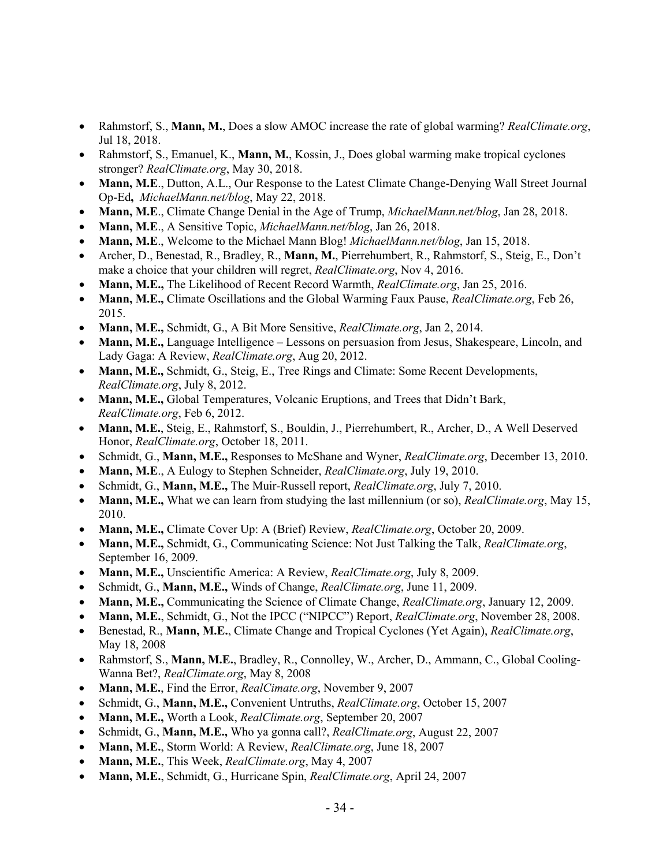- Rahmstorf, S., **Mann, M.**, Does a slow AMOC increase the rate of global warming? *RealClimate.org*, Jul 18, 2018.
- Rahmstorf, S., Emanuel, K., **Mann, M.**, Kossin, J., Does global warming make tropical cyclones stronger? *RealClimate.org*, May 30, 2018.
- **Mann, M.E**., Dutton, A.L., Our Response to the Latest Climate Change-Denying Wall Street Journal Op-Ed**,** *MichaelMann.net/blog*, May 22, 2018.
- **Mann, M.E**., Climate Change Denial in the Age of Trump, *MichaelMann.net/blog*, Jan 28, 2018.
- **Mann, M.E**., A Sensitive Topic, *MichaelMann.net/blog*, Jan 26, 2018.
- **Mann, M.E**., Welcome to the Michael Mann Blog! *MichaelMann.net/blog*, Jan 15, 2018.
- Archer, D., Benestad, R., Bradley, R., **Mann, M.**, Pierrehumbert, R., Rahmstorf, S., Steig, E., Don't make a choice that your children will regret, *RealClimate.org*, Nov 4, 2016.
- **Mann, M.E.,** The Likelihood of Recent Record Warmth, *RealClimate.org*, Jan 25, 2016.
- **Mann, M.E.,** Climate Oscillations and the Global Warming Faux Pause, *RealClimate.org*, Feb 26, 2015.
- **Mann, M.E.,** Schmidt, G., A Bit More Sensitive, *RealClimate.org*, Jan 2, 2014.
- **Mann, M.E.,** Language Intelligence Lessons on persuasion from Jesus, Shakespeare, Lincoln, and Lady Gaga: A Review, *RealClimate.org*, Aug 20, 2012.
- **Mann, M.E.,** Schmidt, G., Steig, E., Tree Rings and Climate: Some Recent Developments, *RealClimate.org*, July 8, 2012.
- **Mann, M.E.,** Global Temperatures, Volcanic Eruptions, and Trees that Didn't Bark, *RealClimate.org*, Feb 6, 2012.
- **Mann, M.E.**, Steig, E., Rahmstorf, S., Bouldin, J., Pierrehumbert, R., Archer, D., A Well Deserved Honor, *RealClimate.org*, October 18, 2011.
- Schmidt, G., **Mann, M.E.,** Responses to McShane and Wyner, *RealClimate.org*, December 13, 2010.
- **Mann, M.E**., A Eulogy to Stephen Schneider, *RealClimate.org*, July 19, 2010.
- Schmidt, G., **Mann, M.E.,** The Muir-Russell report, *RealClimate.org*, July 7, 2010.
- **Mann, M.E.,** What we can learn from studying the last millennium (or so), *RealClimate.org*, May 15, 2010.
- **Mann, M.E.,** Climate Cover Up: A (Brief) Review, *RealClimate.org*, October 20, 2009.
- **Mann, M.E.,** Schmidt, G., Communicating Science: Not Just Talking the Talk, *RealClimate.org*, September 16, 2009.
- **Mann, M.E.,** Unscientific America: A Review, *RealClimate.org*, July 8, 2009.
- Schmidt, G., **Mann, M.E.,** Winds of Change, *RealClimate.org*, June 11, 2009.
- **Mann, M.E.,** Communicating the Science of Climate Change, *RealClimate.org*, January 12, 2009.
- **Mann, M.E.**, Schmidt, G., Not the IPCC ("NIPCC") Report, *RealClimate.org*, November 28, 2008.
- Benestad, R., **Mann, M.E.**, Climate Change and Tropical Cyclones (Yet Again), *RealClimate.org*, May 18, 2008
- Rahmstorf, S., **Mann, M.E.**, Bradley, R., Connolley, W., Archer, D., Ammann, C., Global Cooling-Wanna Bet?, *RealClimate.org*, May 8, 2008
- **Mann, M.E.**, Find the Error, *RealCimate.org*, November 9, 2007
- Schmidt, G., **Mann, M.E.,** Convenient Untruths, *RealClimate.org*, October 15, 2007
- **Mann, M.E.,** Worth a Look, *RealClimate.org*, September 20, 2007
- Schmidt, G., **Mann, M.E.,** Who ya gonna call?, *RealClimate.org*, August 22, 2007
- **Mann, M.E.**, Storm World: A Review, *RealClimate.org*, June 18, 2007
- **Mann, M.E.**, This Week, *RealClimate.org*, May 4, 2007
- **Mann, M.E.**, Schmidt, G., Hurricane Spin, *RealClimate.org*, April 24, 2007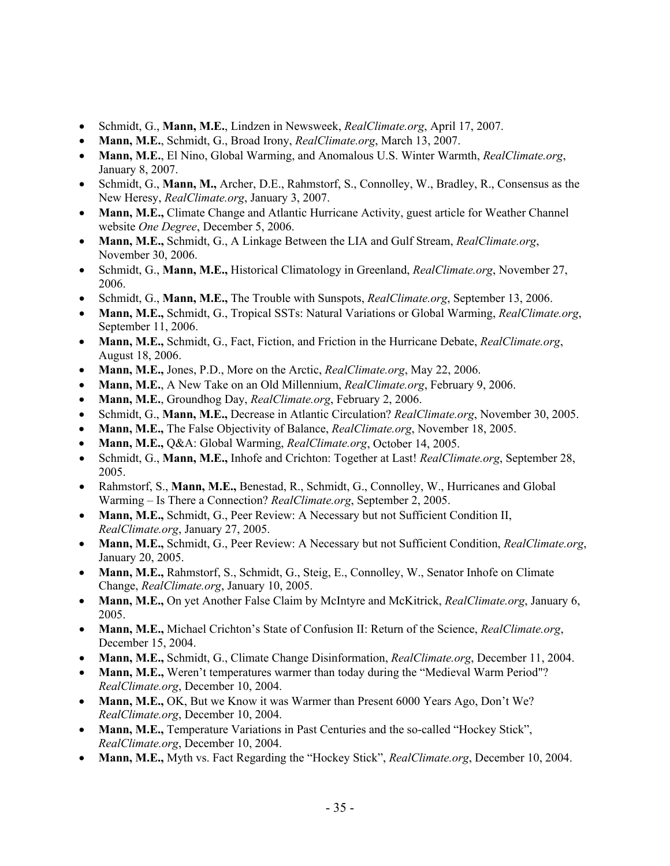- Schmidt, G., **Mann, M.E.**, Lindzen in Newsweek, *RealClimate.org*, April 17, 2007.
- **Mann, M.E.**, Schmidt, G., Broad Irony, *RealClimate.org*, March 13, 2007.
- **Mann, M.E.**, El Nino, Global Warming, and Anomalous U.S. Winter Warmth, *RealClimate.org*, January 8, 2007.
- Schmidt, G., **Mann, M.,** Archer, D.E., Rahmstorf, S., Connolley, W., Bradley, R., Consensus as the New Heresy, *RealClimate.org*, January 3, 2007.
- **Mann, M.E.,** Climate Change and Atlantic Hurricane Activity, guest article for Weather Channel website *One Degree*, December 5, 2006.
- **Mann, M.E.,** Schmidt, G., A Linkage Between the LIA and Gulf Stream, *RealClimate.org*, November 30, 2006.
- Schmidt, G., **Mann, M.E.,** Historical Climatology in Greenland, *RealClimate.org*, November 27, 2006.
- Schmidt, G., **Mann, M.E.,** The Trouble with Sunspots, *RealClimate.org*, September 13, 2006.
- **Mann, M.E.,** Schmidt, G., Tropical SSTs: Natural Variations or Global Warming, *RealClimate.org*, September 11, 2006.
- **Mann, M.E.,** Schmidt, G., Fact, Fiction, and Friction in the Hurricane Debate, *RealClimate.org*, August 18, 2006.
- **Mann, M.E.,** Jones, P.D., More on the Arctic, *RealClimate.org*, May 22, 2006.
- **Mann, M.E.**, A New Take on an Old Millennium, *RealClimate.org*, February 9, 2006.
- **Mann, M.E.**, Groundhog Day, *RealClimate.org*, February 2, 2006.
- Schmidt, G., **Mann, M.E.,** Decrease in Atlantic Circulation? *RealClimate.org*, November 30, 2005.
- **Mann, M.E.,** The False Objectivity of Balance, *RealClimate.org*, November 18, 2005.
- **Mann, M.E.,** Q&A: Global Warming, *RealClimate.org*, October 14, 2005.
- Schmidt, G., **Mann, M.E.,** Inhofe and Crichton: Together at Last! *RealClimate.org*, September 28, 2005.
- Rahmstorf, S., **Mann, M.E.,** Benestad, R., Schmidt, G., Connolley, W., Hurricanes and Global Warming – Is There a Connection? *RealClimate.org*, September 2, 2005.
- **Mann, M.E.,** Schmidt, G., Peer Review: A Necessary but not Sufficient Condition II, *RealClimate.org*, January 27, 2005.
- **Mann, M.E.,** Schmidt, G., Peer Review: A Necessary but not Sufficient Condition, *RealClimate.org*, January 20, 2005.
- **Mann, M.E.,** Rahmstorf, S., Schmidt, G., Steig, E., Connolley, W., Senator Inhofe on Climate Change, *RealClimate.org*, January 10, 2005.
- **Mann, M.E.,** On yet Another False Claim by McIntyre and McKitrick, *RealClimate.org*, January 6, 2005.
- **Mann, M.E.,** Michael Crichton's State of Confusion II: Return of the Science, *RealClimate.org*, December 15, 2004.
- **Mann, M.E.,** Schmidt, G., Climate Change Disinformation, *RealClimate.org*, December 11, 2004.
- **Mann, M.E.,** Weren't temperatures warmer than today during the "Medieval Warm Period"? *RealClimate.org*, December 10, 2004.
- **Mann, M.E.,** OK, But we Know it was Warmer than Present 6000 Years Ago, Don't We? *RealClimate.org*, December 10, 2004.
- **Mann, M.E.,** Temperature Variations in Past Centuries and the so-called "Hockey Stick", *RealClimate.org*, December 10, 2004.
- **Mann, M.E.,** Myth vs. Fact Regarding the "Hockey Stick", *RealClimate.org*, December 10, 2004.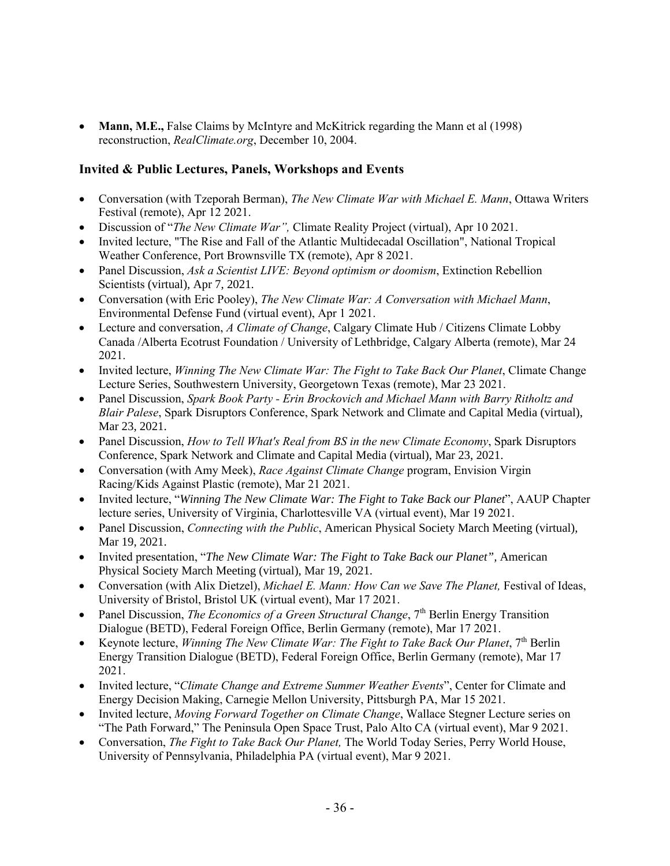• **Mann, M.E.,** False Claims by McIntyre and McKitrick regarding the Mann et al (1998) reconstruction, *RealClimate.org*, December 10, 2004.

# **Invited & Public Lectures, Panels, Workshops and Events**

- Conversation (with Tzeporah Berman), *The New Climate War with Michael E. Mann*, Ottawa Writers Festival (remote), Apr 12 2021.
- Discussion of "*The New Climate War",* Climate Reality Project (virtual), Apr 10 2021.
- Invited lecture, "The Rise and Fall of the Atlantic Multidecadal Oscillation", National Tropical Weather Conference, Port Brownsville TX (remote), Apr 8 2021.
- Panel Discussion, *Ask a Scientist LIVE: Beyond optimism or doomism*, Extinction Rebellion Scientists (virtual), Apr 7, 2021.
- Conversation (with Eric Pooley), *The New Climate War: A Conversation with Michael Mann*, Environmental Defense Fund (virtual event), Apr 1 2021.
- Lecture and conversation, *A Climate of Change*, Calgary Climate Hub / Citizens Climate Lobby Canada /Alberta Ecotrust Foundation / University of Lethbridge, Calgary Alberta (remote), Mar 24 2021.
- Invited lecture, *Winning The New Climate War: The Fight to Take Back Our Planet*, Climate Change Lecture Series, Southwestern University, Georgetown Texas (remote), Mar 23 2021.
- Panel Discussion, *Spark Book Party - Erin Brockovich and Michael Mann with Barry Ritholtz and Blair Palese*, Spark Disruptors Conference, Spark Network and Climate and Capital Media (virtual), Mar 23, 2021.
- Panel Discussion, *How to Tell What's Real from BS in the new Climate Economy*, Spark Disruptors Conference, Spark Network and Climate and Capital Media (virtual), Mar 23, 2021.
- Conversation (with Amy Meek), *Race Against Climate Change* program, Envision Virgin Racing/Kids Against Plastic (remote), Mar 21 2021.
- Invited lecture, "*Winning The New Climate War: The Fight to Take Back our Planet*", AAUP Chapter lecture series, University of Virginia, Charlottesville VA (virtual event), Mar 19 2021.
- Panel Discussion, *Connecting with the Public*, American Physical Society March Meeting (virtual), Mar 19, 2021.
- Invited presentation, "*The New Climate War: The Fight to Take Back our Planet",* American Physical Society March Meeting (virtual), Mar 19, 2021.
- Conversation (with Alix Dietzel), *Michael E. Mann: How Can we Save The Planet*, Festival of Ideas, University of Bristol, Bristol UK (virtual event), Mar 17 2021.
- Panel Discussion, *The Economics of a Green Structural Change*, 7<sup>th</sup> Berlin Energy Transition Dialogue (BETD), Federal Foreign Office, Berlin Germany (remote), Mar 17 2021.
- Keynote lecture, *Winning The New Climate War: The Fight to Take Back Our Planet*, 7th Berlin Energy Transition Dialogue (BETD), Federal Foreign Office, Berlin Germany (remote), Mar 17 2021.
- Invited lecture, "*Climate Change and Extreme Summer Weather Events*", Center for Climate and Energy Decision Making, Carnegie Mellon University, Pittsburgh PA, Mar 15 2021.
- Invited lecture, *Moving Forward Together on Climate Change*, Wallace Stegner Lecture series on "The Path Forward," The Peninsula Open Space Trust, Palo Alto CA (virtual event), Mar 9 2021.
- Conversation, *The Fight to Take Back Our Planet,* The World Today Series, Perry World House, University of Pennsylvania, Philadelphia PA (virtual event), Mar 9 2021.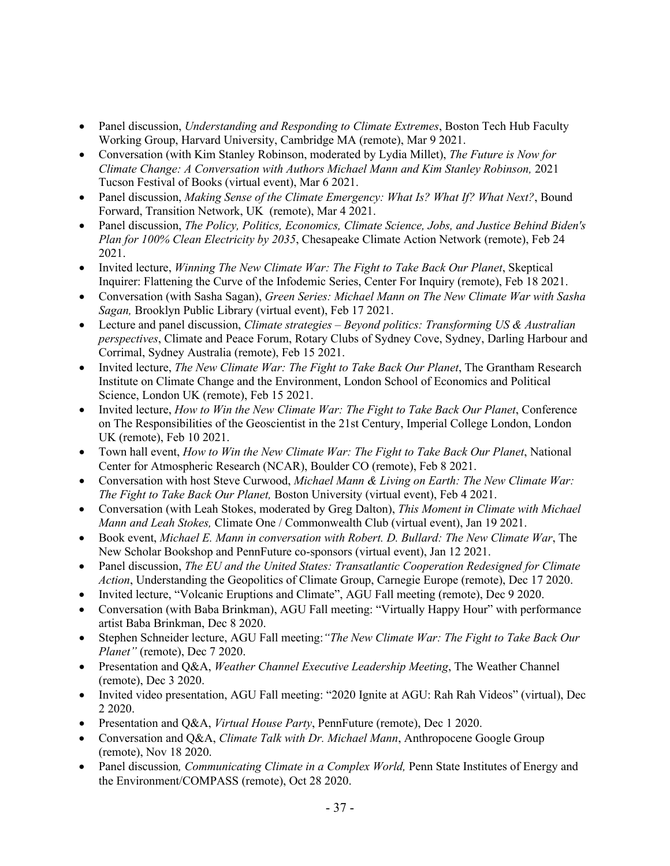- Panel discussion, *Understanding and Responding to Climate Extremes*, Boston Tech Hub Faculty Working Group, Harvard University, Cambridge MA (remote), Mar 9 2021.
- Conversation (with Kim Stanley Robinson, moderated by Lydia Millet), *The Future is Now for Climate Change: A Conversation with Authors Michael Mann and Kim Stanley Robinson, 2021* Tucson Festival of Books (virtual event), Mar 6 2021.
- Panel discussion, *Making Sense of the Climate Emergency: What Is? What If? What Next?*, Bound Forward, Transition Network, UK (remote), Mar 4 2021.
- Panel discussion, *The Policy, Politics, Economics, Climate Science, Jobs, and Justice Behind Biden's Plan for 100% Clean Electricity by 2035*, Chesapeake Climate Action Network (remote), Feb 24 2021.
- Invited lecture, *Winning The New Climate War: The Fight to Take Back Our Planet*, Skeptical Inquirer: Flattening the Curve of the Infodemic Series, Center For Inquiry (remote), Feb 18 2021.
- Conversation (with Sasha Sagan), *Green Series: Michael Mann on The New Climate War with Sasha Sagan,* Brooklyn Public Library (virtual event), Feb 17 2021.
- Lecture and panel discussion, *Climate strategies – Beyond politics: Transforming US & Australian perspectives*, Climate and Peace Forum, Rotary Clubs of Sydney Cove, Sydney, Darling Harbour and Corrimal, Sydney Australia (remote), Feb 15 2021.
- Invited lecture, *The New Climate War: The Fight to Take Back Our Planet*, The Grantham Research Institute on Climate Change and the Environment, London School of Economics and Political Science, London UK (remote), Feb 15 2021.
- Invited lecture, *How to Win the New Climate War: The Fight to Take Back Our Planet*, Conference on The Responsibilities of the Geoscientist in the 21st Century, Imperial College London, London UK (remote), Feb 10 2021.
- Town hall event, *How to Win the New Climate War: The Fight to Take Back Our Planet*, National Center for Atmospheric Research (NCAR), Boulder CO (remote), Feb 8 2021.
- Conversation with host Steve Curwood, *Michael Mann & Living on Earth: The New Climate War: The Fight to Take Back Our Planet,* Boston University (virtual event), Feb 4 2021.
- Conversation (with Leah Stokes, moderated by Greg Dalton), *This Moment in Climate with Michael Mann and Leah Stokes,* Climate One / Commonwealth Club (virtual event), Jan 19 2021.
- Book event, *Michael E. Mann in conversation with Robert. D. Bullard: The New Climate War*, The New Scholar Bookshop and PennFuture co-sponsors (virtual event), Jan 12 2021.
- Panel discussion, *The EU and the United States: Transatlantic Cooperation Redesigned for Climate Action*, Understanding the Geopolitics of Climate Group, Carnegie Europe (remote), Dec 17 2020.
- Invited lecture, "Volcanic Eruptions and Climate", AGU Fall meeting (remote), Dec 9 2020.
- Conversation (with Baba Brinkman), AGU Fall meeting: "Virtually Happy Hour" with performance artist Baba Brinkman, Dec 8 2020.
- Stephen Schneider lecture, AGU Fall meeting:*"The New Climate War: The Fight to Take Back Our Planet"* (remote), Dec 7 2020.
- Presentation and Q&A, *Weather Channel Executive Leadership Meeting*, The Weather Channel (remote), Dec 3 2020.
- Invited video presentation, AGU Fall meeting: "2020 Ignite at AGU: Rah Rah Videos" (virtual), Dec 2 2020.
- Presentation and Q&A, *Virtual House Party*, PennFuture (remote), Dec 1 2020.
- Conversation and Q&A, *Climate Talk with Dr. Michael Mann*, Anthropocene Google Group (remote), Nov 18 2020.
- Panel discussion, *Communicating Climate in a Complex World*, Penn State Institutes of Energy and the Environment/COMPASS (remote), Oct 28 2020.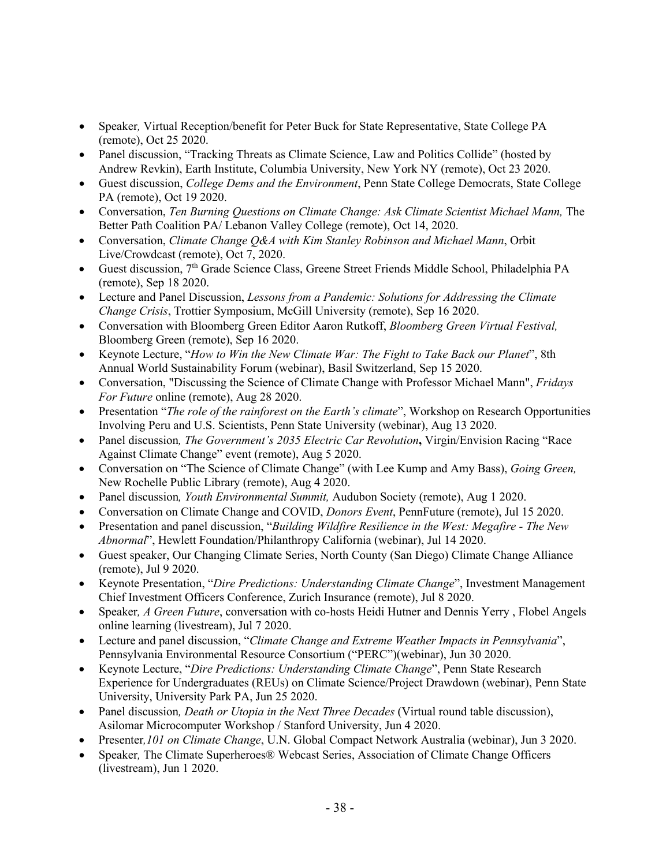- Speaker*,* Virtual Reception/benefit for Peter Buck for State Representative, State College PA (remote), Oct 25 2020.
- Panel discussion, "Tracking Threats as Climate Science, Law and Politics Collide" (hosted by Andrew Revkin), Earth Institute, Columbia University, New York NY (remote), Oct 23 2020.
- Guest discussion, *College Dems and the Environment*, Penn State College Democrats, State College PA (remote), Oct 19 2020.
- Conversation, *Ten Burning Questions on Climate Change: Ask Climate Scientist Michael Mann,* The Better Path Coalition PA/ Lebanon Valley College (remote), Oct 14, 2020.
- Conversation, *Climate Change Q&A with Kim Stanley Robinson and Michael Mann*, Orbit Live/Crowdcast (remote), Oct 7, 2020.
- Guest discussion, 7th Grade Science Class, Greene Street Friends Middle School, Philadelphia PA (remote), Sep 18 2020.
- Lecture and Panel Discussion, *Lessons from a Pandemic: Solutions for Addressing the Climate Change Crisis*, Trottier Symposium, McGill University (remote), Sep 16 2020.
- Conversation with Bloomberg Green Editor Aaron Rutkoff, *Bloomberg Green Virtual Festival,* Bloomberg Green (remote), Sep 16 2020.
- Keynote Lecture, "*How to Win the New Climate War: The Fight to Take Back our Planet*", 8th Annual World Sustainability Forum (webinar), Basil Switzerland, Sep 15 2020.
- Conversation, "Discussing the Science of Climate Change with Professor Michael Mann", *Fridays For Future* online (remote), Aug 28 2020.
- Presentation "*The role of the rainforest on the Earth's climate*", Workshop on Research Opportunities Involving Peru and U.S. Scientists, Penn State University (webinar), Aug 13 2020.
- Panel discussion, *The Government's 2035 Electric Car Revolution*, Virgin/Envision Racing "Race Against Climate Change" event (remote), Aug 5 2020.
- Conversation on "The Science of Climate Change" (with Lee Kump and Amy Bass), *Going Green,* New Rochelle Public Library (remote), Aug 4 2020.
- Panel discussion*, Youth Environmental Summit,* Audubon Society (remote), Aug 1 2020.
- Conversation on Climate Change and COVID, *Donors Event*, PennFuture (remote), Jul 15 2020.
- Presentation and panel discussion, "*Building Wildfire Resilience in the West: Megafire - The New Abnormal*", Hewlett Foundation/Philanthropy California (webinar), Jul 14 2020.
- Guest speaker, Our Changing Climate Series, North County (San Diego) Climate Change Alliance (remote), Jul 9 2020.
- Keynote Presentation, "*Dire Predictions: Understanding Climate Change*", Investment Management Chief Investment Officers Conference, Zurich Insurance (remote), Jul 8 2020.
- Speaker, *A Green Future*, conversation with co-hosts Heidi Hutner and Dennis Yerry, Flobel Angels online learning (livestream), Jul 7 2020.
- Lecture and panel discussion, "*Climate Change and Extreme Weather Impacts in Pennsylvania*", Pennsylvania Environmental Resource Consortium ("PERC")(webinar), Jun 30 2020.
- Keynote Lecture, "*Dire Predictions: Understanding Climate Change*", Penn State Research Experience for Undergraduates (REUs) on Climate Science/Project Drawdown (webinar), Penn State University, University Park PA, Jun 25 2020.
- Panel discussion*, Death or Utopia in the Next Three Decades* (Virtual round table discussion), Asilomar Microcomputer Workshop / Stanford University, Jun 4 2020.
- Presenter*,101 on Climate Change*, U.N. Global Compact Network Australia (webinar), Jun 3 2020.
- Speaker*,* The Climate Superheroes® Webcast Series, Association of Climate Change Officers (livestream), Jun 1 2020.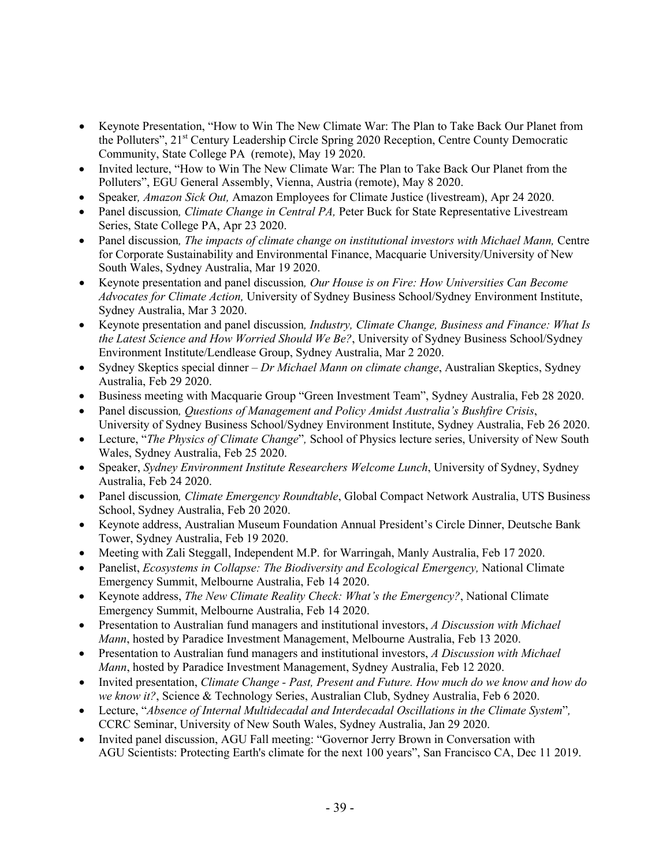- Keynote Presentation, "How to Win The New Climate War: The Plan to Take Back Our Planet from the Polluters", 21<sup>st</sup> Century Leadership Circle Spring 2020 Reception, Centre County Democratic Community, State College PA (remote), May 19 2020.
- Invited lecture, "How to Win The New Climate War: The Plan to Take Back Our Planet from the Polluters", EGU General Assembly, Vienna, Austria (remote), May 8 2020.
- Speaker*, Amazon Sick Out,* Amazon Employees for Climate Justice (livestream), Apr 24 2020.
- Panel discussion*, Climate Change in Central PA,* Peter Buck for State Representative Livestream Series, State College PA, Apr 23 2020.
- Panel discussion*, The impacts of climate change on institutional investors with Michael Mann,* Centre for Corporate Sustainability and Environmental Finance, Macquarie University/University of New South Wales, Sydney Australia, Mar 19 2020.
- Keynote presentation and panel discussion*, Our House is on Fire: How Universities Can Become Advocates for Climate Action,* University of Sydney Business School/Sydney Environment Institute, Sydney Australia, Mar 3 2020.
- Keynote presentation and panel discussion*, Industry, Climate Change, Business and Finance: What Is the Latest Science and How Worried Should We Be?*, University of Sydney Business School/Sydney Environment Institute/Lendlease Group, Sydney Australia, Mar 2 2020.
- Sydney Skeptics special dinner *Dr Michael Mann on climate change*, Australian Skeptics, Sydney Australia, Feb 29 2020.
- Business meeting with Macquarie Group "Green Investment Team", Sydney Australia, Feb 28 2020.
- Panel discussion*, Questions of Management and Policy Amidst Australia's Bushfire Crisis*, University of Sydney Business School/Sydney Environment Institute, Sydney Australia, Feb 26 2020.
- Lecture, "*The Physics of Climate Change*"*,* School of Physics lecture series, University of New South Wales, Sydney Australia, Feb 25 2020.
- Speaker, *Sydney Environment Institute Researchers Welcome Lunch*, University of Sydney, Sydney Australia, Feb 24 2020.
- Panel discussion*, Climate Emergency Roundtable*, Global Compact Network Australia, UTS Business School, Sydney Australia, Feb 20 2020.
- Keynote address, Australian Museum Foundation Annual President's Circle Dinner, Deutsche Bank Tower, Sydney Australia, Feb 19 2020.
- Meeting with Zali Steggall, Independent M.P. for Warringah, Manly Australia, Feb 17 2020.
- Panelist, *Ecosystems in Collapse: The Biodiversity and Ecological Emergency,* National Climate Emergency Summit, Melbourne Australia, Feb 14 2020.
- Keynote address, *The New Climate Reality Check: What's the Emergency?*, National Climate Emergency Summit, Melbourne Australia, Feb 14 2020.
- Presentation to Australian fund managers and institutional investors, *A Discussion with Michael Mann*, hosted by Paradice Investment Management, Melbourne Australia, Feb 13 2020.
- Presentation to Australian fund managers and institutional investors, *A Discussion with Michael Mann*, hosted by Paradice Investment Management, Sydney Australia, Feb 12 2020.
- Invited presentation, *Climate Change - Past, Present and Future. How much do we know and how do we know it?*, Science & Technology Series, Australian Club, Sydney Australia, Feb 6 2020.
- Lecture, "*Absence of Internal Multidecadal and Interdecadal Oscillations in the Climate System*"*,* CCRC Seminar, University of New South Wales, Sydney Australia, Jan 29 2020.
- Invited panel discussion, AGU Fall meeting: "Governor Jerry Brown in Conversation with AGU Scientists: Protecting Earth's climate for the next 100 years", San Francisco CA, Dec 11 2019.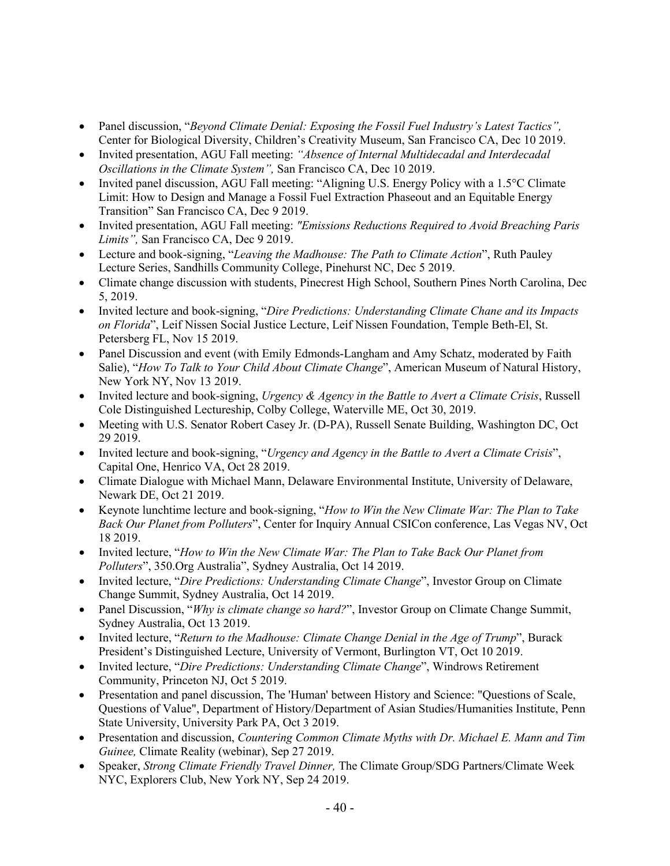- Panel discussion, "*Beyond Climate Denial: Exposing the Fossil Fuel Industry's Latest Tactics",* Center for Biological Diversity, Children's Creativity Museum, San Francisco CA, Dec 10 2019.
- Invited presentation, AGU Fall meeting: *"Absence of Internal Multidecadal and Interdecadal Oscillations in the Climate System",* San Francisco CA, Dec 10 2019.
- Invited panel discussion, AGU Fall meeting: "Aligning U.S. Energy Policy with a 1.5°C Climate Limit: How to Design and Manage a Fossil Fuel Extraction Phaseout and an Equitable Energy Transition" San Francisco CA, Dec 9 2019.
- Invited presentation, AGU Fall meeting: *"Emissions Reductions Required to Avoid Breaching Paris Limits",* San Francisco CA, Dec 9 2019.
- Lecture and book-signing, "*Leaving the Madhouse: The Path to Climate Action*", Ruth Pauley Lecture Series, Sandhills Community College, Pinehurst NC, Dec 5 2019.
- Climate change discussion with students, Pinecrest High School, Southern Pines North Carolina, Dec 5, 2019.
- Invited lecture and book-signing, "*Dire Predictions: Understanding Climate Chane and its Impacts on Florida*", Leif Nissen Social Justice Lecture, Leif Nissen Foundation, Temple Beth-El, St. Petersberg FL, Nov 15 2019.
- Panel Discussion and event (with Emily Edmonds-Langham and Amy Schatz, moderated by Faith Salie), "*How To Talk to Your Child About Climate Change*", American Museum of Natural History, New York NY, Nov 13 2019.
- Invited lecture and book-signing, *Urgency & Agency in the Battle to Avert a Climate Crisis*, Russell Cole Distinguished Lectureship, Colby College, Waterville ME, Oct 30, 2019.
- Meeting with U.S. Senator Robert Casey Jr. (D-PA), Russell Senate Building, Washington DC, Oct 29 2019.
- Invited lecture and book-signing, "*Urgency and Agency in the Battle to Avert a Climate Crisis*", Capital One, Henrico VA, Oct 28 2019.
- Climate Dialogue with Michael Mann, Delaware Environmental Institute, University of Delaware, Newark DE, Oct 21 2019.
- Keynote lunchtime lecture and book-signing, "*How to Win the New Climate War: The Plan to Take Back Our Planet from Polluters*", Center for Inquiry Annual CSICon conference, Las Vegas NV, Oct 18 2019.
- Invited lecture, "*How to Win the New Climate War: The Plan to Take Back Our Planet from Polluters*", 350.Org Australia", Sydney Australia, Oct 14 2019.
- Invited lecture, "*Dire Predictions: Understanding Climate Change*", Investor Group on Climate Change Summit, Sydney Australia, Oct 14 2019.
- Panel Discussion, "*Why is climate change so hard?*", Investor Group on Climate Change Summit, Sydney Australia, Oct 13 2019.
- Invited lecture, "*Return to the Madhouse: Climate Change Denial in the Age of Trump*", Burack President's Distinguished Lecture, University of Vermont, Burlington VT, Oct 10 2019.
- Invited lecture, "*Dire Predictions: Understanding Climate Change*", Windrows Retirement Community, Princeton NJ, Oct 5 2019.
- Presentation and panel discussion, The 'Human' between History and Science: "Questions of Scale, Questions of Value", Department of History/Department of Asian Studies/Humanities Institute, Penn State University, University Park PA, Oct 3 2019.
- Presentation and discussion, *Countering Common Climate Myths with Dr. Michael E. Mann and Tim Guinee,* Climate Reality (webinar), Sep 27 2019.
- Speaker, *Strong Climate Friendly Travel Dinner,* The Climate Group/SDG Partners/Climate Week NYC, Explorers Club, New York NY, Sep 24 2019.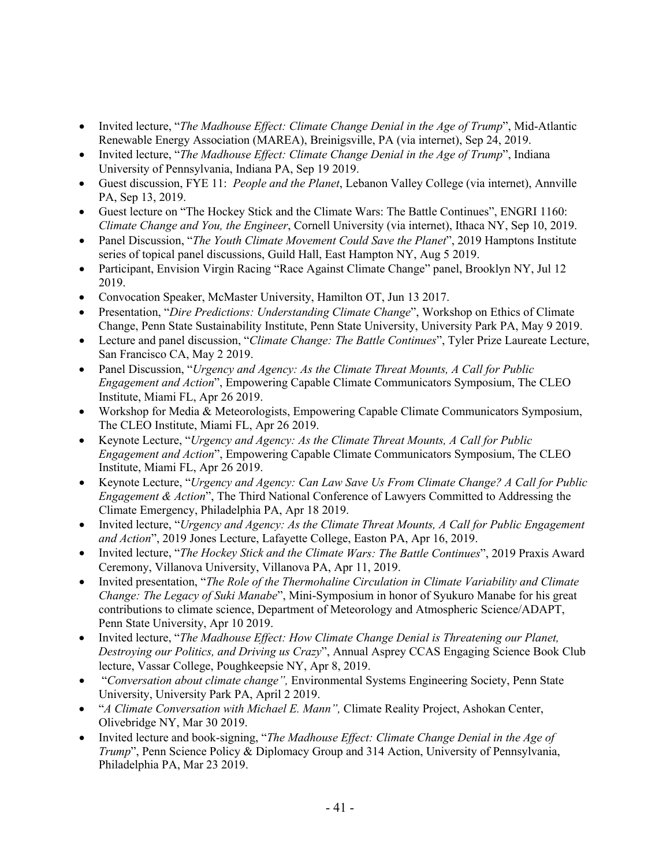- Invited lecture, "*The Madhouse Effect: Climate Change Denial in the Age of Trump*", Mid-Atlantic Renewable Energy Association (MAREA), Breinigsville, PA (via internet), Sep 24, 2019.
- Invited lecture, "*The Madhouse Effect: Climate Change Denial in the Age of Trump*", Indiana University of Pennsylvania, Indiana PA, Sep 19 2019.
- Guest discussion, FYE 11: *People and the Planet*, Lebanon Valley College (via internet), Annville PA, Sep 13, 2019.
- Guest lecture on "The Hockey Stick and the Climate Wars: The Battle Continues", ENGRI 1160: *Climate Change and You, the Engineer*, Cornell University (via internet), Ithaca NY, Sep 10, 2019.
- Panel Discussion, "*The Youth Climate Movement Could Save the Planet*", 2019 Hamptons Institute series of topical panel discussions, Guild Hall, East Hampton NY, Aug 5 2019.
- Participant, Envision Virgin Racing "Race Against Climate Change" panel, Brooklyn NY, Jul 12 2019.
- Convocation Speaker, McMaster University, Hamilton OT, Jun 13 2017.
- Presentation, "*Dire Predictions: Understanding Climate Change*", Workshop on Ethics of Climate Change, Penn State Sustainability Institute, Penn State University, University Park PA, May 9 2019.
- Lecture and panel discussion, "*Climate Change: The Battle Continues*", Tyler Prize Laureate Lecture, San Francisco CA, May 2 2019.
- Panel Discussion, "*Urgency and Agency: As the Climate Threat Mounts, A Call for Public Engagement and Action*", Empowering Capable Climate Communicators Symposium, The CLEO Institute, Miami FL, Apr 26 2019.
- Workshop for Media & Meteorologists, Empowering Capable Climate Communicators Symposium, The CLEO Institute, Miami FL, Apr 26 2019.
- Keynote Lecture, "*Urgency and Agency: As the Climate Threat Mounts, A Call for Public Engagement and Action*", Empowering Capable Climate Communicators Symposium, The CLEO Institute, Miami FL, Apr 26 2019.
- Keynote Lecture, "*Urgency and Agency: Can Law Save Us From Climate Change? A Call for Public Engagement & Action*", The Third National Conference of Lawyers Committed to Addressing the Climate Emergency, Philadelphia PA, Apr 18 2019.
- Invited lecture, "*Urgency and Agency: As the Climate Threat Mounts, A Call for Public Engagement and Action*", 2019 Jones Lecture, Lafayette College, Easton PA, Apr 16, 2019.
- Invited lecture, "*The Hockey Stick and the Climate Wars: The Battle Continues*", 2019 Praxis Award Ceremony, Villanova University, Villanova PA, Apr 11, 2019.
- Invited presentation, "*The Role of the Thermohaline Circulation in Climate Variability and Climate Change: The Legacy of Suki Manabe*", Mini-Symposium in honor of Syukuro Manabe for his great contributions to climate science, Department of Meteorology and Atmospheric Science/ADAPT, Penn State University, Apr 10 2019.
- Invited lecture, "*The Madhouse Effect: How Climate Change Denial is Threatening our Planet, Destroying our Politics, and Driving us Crazy*", Annual Asprey CCAS Engaging Science Book Club lecture, Vassar College, Poughkeepsie NY, Apr 8, 2019.
- "*Conversation about climate change",* Environmental Systems Engineering Society, Penn State University, University Park PA, April 2 2019.
- "*A Climate Conversation with Michael E. Mann",* Climate Reality Project, Ashokan Center, Olivebridge NY, Mar 30 2019.
- Invited lecture and book-signing, "*The Madhouse Effect: Climate Change Denial in the Age of Trump*", Penn Science Policy & Diplomacy Group and 314 Action, University of Pennsylvania, Philadelphia PA, Mar 23 2019.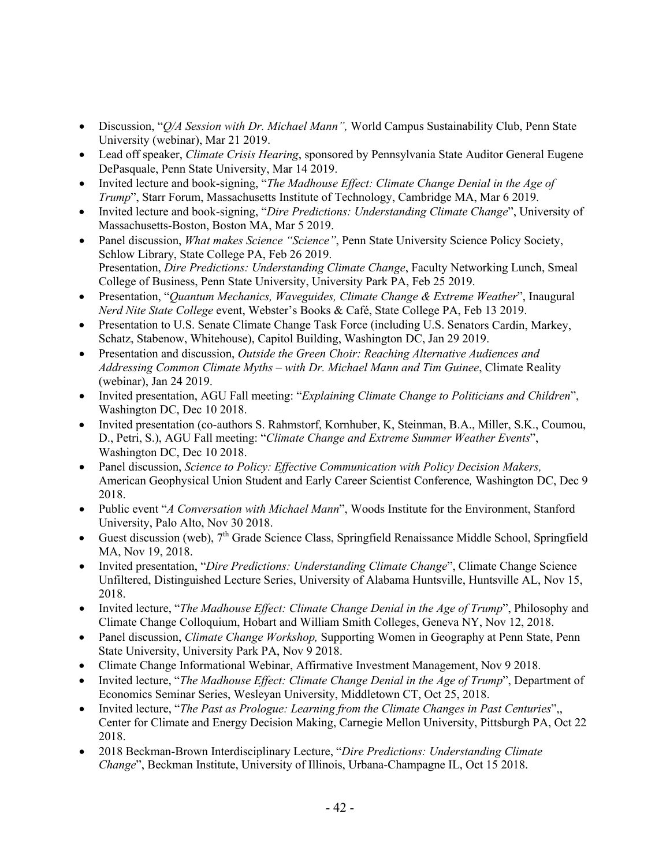- Discussion, "*Q/A Session with Dr. Michael Mann",* World Campus Sustainability Club, Penn State University (webinar), Mar 21 2019.
- Lead off speaker, *Climate Crisis Hearing*, sponsored by Pennsylvania State Auditor General Eugene DePasquale, Penn State University, Mar 14 2019.
- Invited lecture and book-signing, "*The Madhouse Effect: Climate Change Denial in the Age of Trump*", Starr Forum, Massachusetts Institute of Technology, Cambridge MA, Mar 6 2019.
- Invited lecture and book-signing, "*Dire Predictions: Understanding Climate Change*", University of Massachusetts-Boston, Boston MA, Mar 5 2019.
- Panel discussion, *What makes Science "Science"*, Penn State University Science Policy Society, Schlow Library, State College PA, Feb 26 2019. Presentation, *Dire Predictions: Understanding Climate Change*, Faculty Networking Lunch, Smeal College of Business, Penn State University, University Park PA, Feb 25 2019.
- Presentation, "*Quantum Mechanics, Waveguides, Climate Change & Extreme Weather*", Inaugural *Nerd Nite State College* event, Webster's Books & Café, State College PA, Feb 13 2019.
- Presentation to U.S. Senate Climate Change Task Force (including U.S. Senators Cardin, Markey, Schatz, Stabenow, Whitehouse), Capitol Building, Washington DC, Jan 29 2019.
- Presentation and discussion, *Outside the Green Choir: Reaching Alternative Audiences and Addressing Common Climate Myths – with Dr. Michael Mann and Tim Guinee*, Climate Reality (webinar), Jan 24 2019.
- Invited presentation, AGU Fall meeting: "*Explaining Climate Change to Politicians and Children*", Washington DC, Dec 10 2018.
- Invited presentation (co-authors S. Rahmstorf, Kornhuber, K, Steinman, B.A., Miller, S.K., Coumou, D., Petri, S.), AGU Fall meeting: "*Climate Change and Extreme Summer Weather Events*", Washington DC, Dec 10 2018.
- Panel discussion, *Science to Policy: Effective Communication with Policy Decision Makers,* American Geophysical Union Student and Early Career Scientist Conference*,* Washington DC, Dec 9 2018.
- Public event "*A Conversation with Michael Mann*", Woods Institute for the Environment, Stanford University, Palo Alto, Nov 30 2018.
- Guest discussion (web),  $7<sup>th</sup>$  Grade Science Class, Springfield Renaissance Middle School, Springfield MA, Nov 19, 2018.
- Invited presentation, "*Dire Predictions: Understanding Climate Change*", Climate Change Science Unfiltered, Distinguished Lecture Series, University of Alabama Huntsville, Huntsville AL, Nov 15, 2018.
- Invited lecture, "*The Madhouse Effect: Climate Change Denial in the Age of Trump*", Philosophy and Climate Change Colloquium, Hobart and William Smith Colleges, Geneva NY, Nov 12, 2018.
- Panel discussion, *Climate Change Workshop,* Supporting Women in Geography at Penn State, Penn State University, University Park PA, Nov 9 2018.
- Climate Change Informational Webinar, Affirmative Investment Management, Nov 9 2018.
- Invited lecture, "*The Madhouse Effect: Climate Change Denial in the Age of Trump*", Department of Economics Seminar Series, Wesleyan University, Middletown CT, Oct 25, 2018.
- Invited lecture, "*The Past as Prologue: Learning from the Climate Changes in Past Centuries*",, Center for Climate and Energy Decision Making, Carnegie Mellon University, Pittsburgh PA, Oct 22 2018.
- 2018 Beckman-Brown Interdisciplinary Lecture, "*Dire Predictions: Understanding Climate Change*", Beckman Institute, University of Illinois, Urbana-Champagne IL, Oct 15 2018.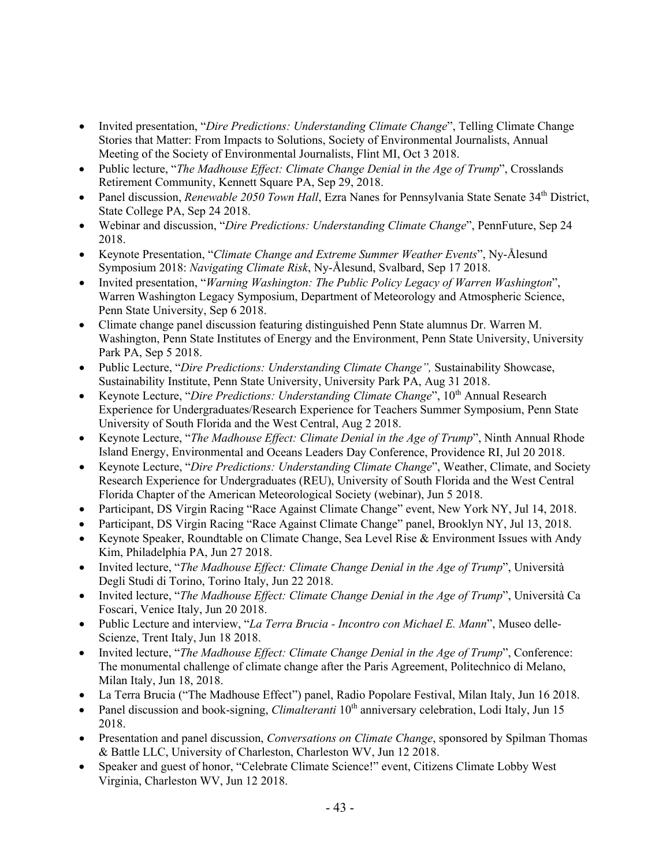- Invited presentation, "*Dire Predictions: Understanding Climate Change*", Telling Climate Change Stories that Matter: From Impacts to Solutions, Society of Environmental Journalists, Annual Meeting of the Society of Environmental Journalists, Flint MI, Oct 3 2018.
- Public lecture, "*The Madhouse Effect: Climate Change Denial in the Age of Trump*", Crosslands Retirement Community, Kennett Square PA, Sep 29, 2018.
- Panel discussion, *Renewable 2050 Town Hall*, Ezra Nanes for Pennsylvania State Senate 34th District, State College PA, Sep 24 2018.
- Webinar and discussion, "*Dire Predictions: Understanding Climate Change*", PennFuture, Sep 24 2018.
- Keynote Presentation, "*Climate Change and Extreme Summer Weather Events*", Ny-Ålesund Symposium 2018: *Navigating Climate Risk*, Ny-Ålesund, Svalbard, Sep 17 2018.
- Invited presentation, "*Warning Washington: The Public Policy Legacy of Warren Washington*", Warren Washington Legacy Symposium, Department of Meteorology and Atmospheric Science, Penn State University, Sep 6 2018.
- Climate change panel discussion featuring distinguished Penn State alumnus Dr. Warren M. Washington, Penn State Institutes of Energy and the Environment, Penn State University, University Park PA, Sep 5 2018.
- Public Lecture, "*Dire Predictions: Understanding Climate Change",* Sustainability Showcase, Sustainability Institute, Penn State University, University Park PA, Aug 31 2018.
- Keynote Lecture, "*Dire Predictions: Understanding Climate Change*", 10<sup>th</sup> Annual Research Experience for Undergraduates/Research Experience for Teachers Summer Symposium, Penn State University of South Florida and the West Central, Aug 2 2018.
- Keynote Lecture, "*The Madhouse Effect: Climate Denial in the Age of Trump*", Ninth Annual Rhode Island Energy, Environmental and Oceans Leaders Day Conference, Providence RI, Jul 20 2018.
- Keynote Lecture, "*Dire Predictions: Understanding Climate Change*", Weather, Climate, and Society Research Experience for Undergraduates (REU), University of South Florida and the West Central Florida Chapter of the American Meteorological Society (webinar), Jun 5 2018.
- Participant, DS Virgin Racing "Race Against Climate Change" event, New York NY, Jul 14, 2018.
- Participant, DS Virgin Racing "Race Against Climate Change" panel, Brooklyn NY, Jul 13, 2018.
- Keynote Speaker, Roundtable on Climate Change, Sea Level Rise & Environment Issues with Andy Kim, Philadelphia PA, Jun 27 2018.
- Invited lecture, "*The Madhouse Effect: Climate Change Denial in the Age of Trump*", Università Degli Studi di Torino, Torino Italy, Jun 22 2018.
- Invited lecture, "*The Madhouse Effect: Climate Change Denial in the Age of Trump*", Università Ca Foscari, Venice Italy, Jun 20 2018.
- Public Lecture and interview, "*La Terra Brucia - Incontro con Michael E. Mann*", Museo delle-Scienze, Trent Italy, Jun 18 2018.
- Invited lecture, "*The Madhouse Effect: Climate Change Denial in the Age of Trump*", Conference: The monumental challenge of climate change after the Paris Agreement, Politechnico di Melano, Milan Italy, Jun 18, 2018.
- La Terra Brucia ("The Madhouse Effect") panel, Radio Popolare Festival, Milan Italy, Jun 16 2018.
- Panel discussion and book-signing, *Climalteranti* 10<sup>th</sup> anniversary celebration, Lodi Italy, Jun 15 2018.
- Presentation and panel discussion, *Conversations on Climate Change*, sponsored by Spilman Thomas & Battle LLC, University of Charleston, Charleston WV, Jun 12 2018.
- Speaker and guest of honor, "Celebrate Climate Science!" event, Citizens Climate Lobby West Virginia, Charleston WV, Jun 12 2018.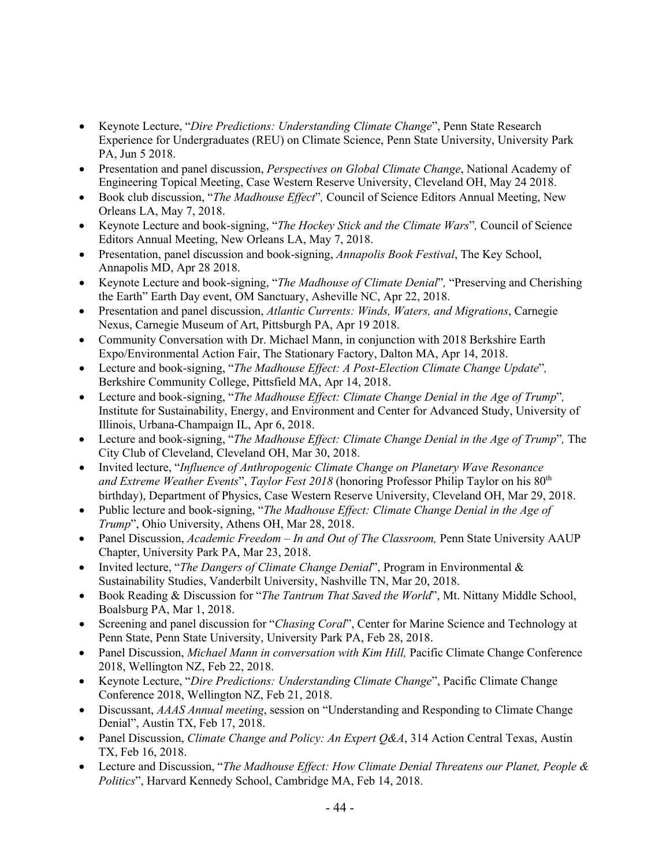- Keynote Lecture, "*Dire Predictions: Understanding Climate Change*", Penn State Research Experience for Undergraduates (REU) on Climate Science, Penn State University, University Park PA, Jun 5 2018.
- Presentation and panel discussion, *Perspectives on Global Climate Change*, National Academy of Engineering Topical Meeting, Case Western Reserve University, Cleveland OH, May 24 2018.
- Book club discussion, "*The Madhouse Effect*"*,* Council of Science Editors Annual Meeting, New Orleans LA, May 7, 2018.
- Keynote Lecture and book-signing, "*The Hockey Stick and the Climate Wars*"*,* Council of Science Editors Annual Meeting, New Orleans LA, May 7, 2018.
- Presentation, panel discussion and book-signing, *Annapolis Book Festival*, The Key School, Annapolis MD, Apr 28 2018.
- Keynote Lecture and book-signing, "*The Madhouse of Climate Denial*"*,* "Preserving and Cherishing the Earth" Earth Day event, OM Sanctuary, Asheville NC, Apr 22, 2018.
- Presentation and panel discussion, *Atlantic Currents: Winds, Waters, and Migrations*, Carnegie Nexus, Carnegie Museum of Art, Pittsburgh PA, Apr 19 2018.
- Community Conversation with Dr. Michael Mann, in conjunction with 2018 Berkshire Earth Expo/Environmental Action Fair, The Stationary Factory, Dalton MA, Apr 14, 2018.
- Lecture and book-signing, "*The Madhouse Effect: A Post-Election Climate Change Update*"*,* Berkshire Community College, Pittsfield MA, Apr 14, 2018.
- Lecture and book-signing, "*The Madhouse Effect: Climate Change Denial in the Age of Trump*"*,* Institute for Sustainability, Energy, and Environment and Center for Advanced Study, University of Illinois, Urbana-Champaign IL, Apr 6, 2018.
- Lecture and book-signing, "*The Madhouse Effect: Climate Change Denial in the Age of Trump*"*,* The City Club of Cleveland, Cleveland OH, Mar 30, 2018.
- Invited lecture, "*Influence of Anthropogenic Climate Change on Planetary Wave Resonance and Extreme Weather Events*", *Taylor Fest 2018* (honoring Professor Philip Taylor on his 80th birthday), Department of Physics, Case Western Reserve University, Cleveland OH, Mar 29, 2018.
- Public lecture and book-signing, "*The Madhouse Effect: Climate Change Denial in the Age of Trump*", Ohio University, Athens OH, Mar 28, 2018.
- Panel Discussion, *Academic Freedom – In and Out of The Classroom,* Penn State University AAUP Chapter, University Park PA, Mar 23, 2018.
- Invited lecture, "*The Dangers of Climate Change Denial*", Program in Environmental & Sustainability Studies, Vanderbilt University, Nashville TN, Mar 20, 2018.
- Book Reading & Discussion for "*The Tantrum That Saved the World*", Mt. Nittany Middle School, Boalsburg PA, Mar 1, 2018.
- Screening and panel discussion for "*Chasing Coral*", Center for Marine Science and Technology at Penn State, Penn State University, University Park PA, Feb 28, 2018.
- Panel Discussion, *Michael Mann in conversation with Kim Hill,* Pacific Climate Change Conference 2018, Wellington NZ, Feb 22, 2018.
- Keynote Lecture, "*Dire Predictions: Understanding Climate Change*", Pacific Climate Change Conference 2018, Wellington NZ, Feb 21, 2018.
- Discussant, *AAAS Annual meeting*, session on "Understanding and Responding to Climate Change Denial", Austin TX, Feb 17, 2018.
- Panel Discussion, *Climate Change and Policy: An Expert Q&A*, 314 Action Central Texas, Austin TX, Feb 16, 2018.
- Lecture and Discussion, "*The Madhouse Effect: How Climate Denial Threatens our Planet, People & Politics*", Harvard Kennedy School, Cambridge MA, Feb 14, 2018.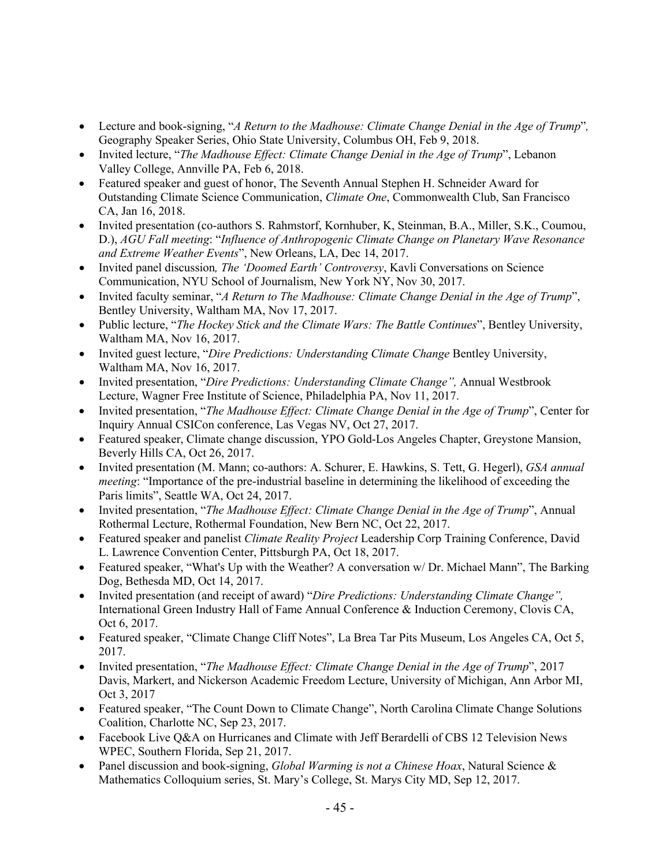- Lecture and book-signing, "*A Return to the Madhouse: Climate Change Denial in the Age of Trump*"*,* Geography Speaker Series, Ohio State University, Columbus OH, Feb 9, 2018.
- Invited lecture, "*The Madhouse Effect: Climate Change Denial in the Age of Trump*", Lebanon Valley College, Annville PA, Feb 6, 2018.
- Featured speaker and guest of honor, The Seventh Annual Stephen H. Schneider Award for Outstanding Climate Science Communication, *Climate One*, Commonwealth Club, San Francisco CA, Jan 16, 2018.
- Invited presentation (co-authors S. Rahmstorf, Kornhuber, K, Steinman, B.A., Miller, S.K., Coumou, D.), *AGU Fall meeting*: "*Influence of Anthropogenic Climate Change on Planetary Wave Resonance and Extreme Weather Events*", New Orleans, LA, Dec 14, 2017.
- Invited panel discussion*, The 'Doomed Earth' Controversy*, Kavli Conversations on Science Communication, NYU School of Journalism, New York NY, Nov 30, 2017.
- Invited faculty seminar, "*A Return to The Madhouse: Climate Change Denial in the Age of Trump*", Bentley University, Waltham MA, Nov 17, 2017.
- Public lecture, "*The Hockey Stick and the Climate Wars: The Battle Continues*", Bentley University, Waltham MA, Nov 16, 2017.
- Invited guest lecture, "*Dire Predictions: Understanding Climate Change* Bentley University, Waltham MA, Nov 16, 2017.
- Invited presentation, "*Dire Predictions: Understanding Climate Change",* Annual Westbrook Lecture, Wagner Free Institute of Science, Philadelphia PA, Nov 11, 2017.
- Invited presentation, "*The Madhouse Effect: Climate Change Denial in the Age of Trump*", Center for Inquiry Annual CSICon conference, Las Vegas NV, Oct 27, 2017.
- Featured speaker, Climate change discussion, YPO Gold-Los Angeles Chapter, Greystone Mansion, Beverly Hills CA, Oct 26, 2017.
- Invited presentation (M. Mann; co-authors: A. Schurer, E. Hawkins, S. Tett, G. Hegerl), *GSA annual meeting*: "Importance of the pre-industrial baseline in determining the likelihood of exceeding the Paris limits", Seattle WA, Oct 24, 2017.
- Invited presentation, "*The Madhouse Effect: Climate Change Denial in the Age of Trump*", Annual Rothermal Lecture, Rothermal Foundation, New Bern NC, Oct 22, 2017.
- Featured speaker and panelist *Climate Reality Project* Leadership Corp Training Conference, David L. Lawrence Convention Center, Pittsburgh PA, Oct 18, 2017.
- Featured speaker, "What's Up with the Weather? A conversation w/ Dr. Michael Mann", The Barking Dog, Bethesda MD, Oct 14, 2017.
- Invited presentation (and receipt of award) "*Dire Predictions: Understanding Climate Change",* International Green Industry Hall of Fame Annual Conference & Induction Ceremony, Clovis CA, Oct 6, 2017.
- Featured speaker, "Climate Change Cliff Notes", La Brea Tar Pits Museum, Los Angeles CA, Oct 5, 2017.
- Invited presentation, "*The Madhouse Effect: Climate Change Denial in the Age of Trump*", 2017 Davis, Markert, and Nickerson Academic Freedom Lecture, University of Michigan, Ann Arbor MI, Oct 3, 2017
- Featured speaker, "The Count Down to Climate Change", North Carolina Climate Change Solutions Coalition, Charlotte NC, Sep 23, 2017.
- Facebook Live Q&A on Hurricanes and Climate with Jeff Berardelli of CBS 12 Television News WPEC, Southern Florida, Sep 21, 2017.
- Panel discussion and book-signing, *Global Warming is not a Chinese Hoax*, Natural Science & Mathematics Colloquium series, St. Mary's College, St. Marys City MD, Sep 12, 2017.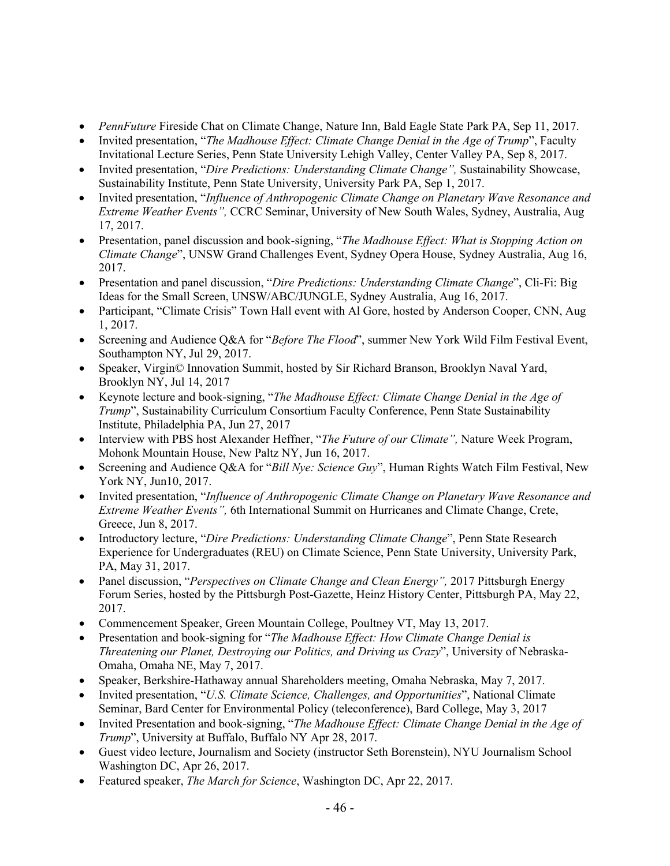- *PennFuture* Fireside Chat on Climate Change, Nature Inn, Bald Eagle State Park PA, Sep 11, 2017.
- Invited presentation, "*The Madhouse Effect: Climate Change Denial in the Age of Trump*", Faculty Invitational Lecture Series, Penn State University Lehigh Valley, Center Valley PA, Sep 8, 2017.
- Invited presentation, "*Dire Predictions: Understanding Climate Change",* Sustainability Showcase, Sustainability Institute, Penn State University, University Park PA, Sep 1, 2017.
- Invited presentation, "*Influence of Anthropogenic Climate Change on Planetary Wave Resonance and Extreme Weather Events",* CCRC Seminar, University of New South Wales, Sydney, Australia, Aug 17, 2017.
- Presentation, panel discussion and book-signing, "*The Madhouse Effect: What is Stopping Action on Climate Change*", UNSW Grand Challenges Event, Sydney Opera House, Sydney Australia, Aug 16, 2017.
- Presentation and panel discussion, "*Dire Predictions: Understanding Climate Change*", Cli-Fi: Big Ideas for the Small Screen, UNSW/ABC/JUNGLE, Sydney Australia, Aug 16, 2017.
- Participant, "Climate Crisis" Town Hall event with Al Gore, hosted by Anderson Cooper, CNN, Aug 1, 2017.
- Screening and Audience Q&A for "*Before The Flood*", summer New York Wild Film Festival Event, Southampton NY, Jul 29, 2017.
- Speaker, Virgin© Innovation Summit, hosted by Sir Richard Branson, Brooklyn Naval Yard, Brooklyn NY, Jul 14, 2017
- Keynote lecture and book-signing, "*The Madhouse Effect: Climate Change Denial in the Age of Trump*", Sustainability Curriculum Consortium Faculty Conference, Penn State Sustainability Institute, Philadelphia PA, Jun 27, 2017
- Interview with PBS host Alexander Heffner, "*The Future of our Climate",* Nature Week Program, Mohonk Mountain House, New Paltz NY, Jun 16, 2017.
- Screening and Audience Q&A for "*Bill Nye: Science Guy*", Human Rights Watch Film Festival, New York NY, Jun10, 2017.
- Invited presentation, "*Influence of Anthropogenic Climate Change on Planetary Wave Resonance and Extreme Weather Events",* 6th International Summit on Hurricanes and Climate Change, Crete, Greece, Jun 8, 2017.
- Introductory lecture, "*Dire Predictions: Understanding Climate Change*", Penn State Research Experience for Undergraduates (REU) on Climate Science, Penn State University, University Park, PA, May 31, 2017.
- Panel discussion, "*Perspectives on Climate Change and Clean Energy",* 2017 Pittsburgh Energy Forum Series, hosted by the Pittsburgh Post-Gazette, Heinz History Center, Pittsburgh PA, May 22, 2017.
- Commencement Speaker, Green Mountain College, Poultney VT, May 13, 2017.
- Presentation and book-signing for "*The Madhouse Effect: How Climate Change Denial is Threatening our Planet, Destroying our Politics, and Driving us Crazy*", University of Nebraska-Omaha, Omaha NE, May 7, 2017.
- Speaker, Berkshire-Hathaway annual Shareholders meeting, Omaha Nebraska, May 7, 2017.
- Invited presentation, "*U.S. Climate Science, Challenges, and Opportunities*", National Climate Seminar, Bard Center for Environmental Policy (teleconference), Bard College, May 3, 2017
- Invited Presentation and book-signing, "*The Madhouse Effect: Climate Change Denial in the Age of Trump*", University at Buffalo, Buffalo NY Apr 28, 2017.
- Guest video lecture, Journalism and Society (instructor Seth Borenstein), NYU Journalism School Washington DC, Apr 26, 2017.
- Featured speaker, *The March for Science*, Washington DC, Apr 22, 2017.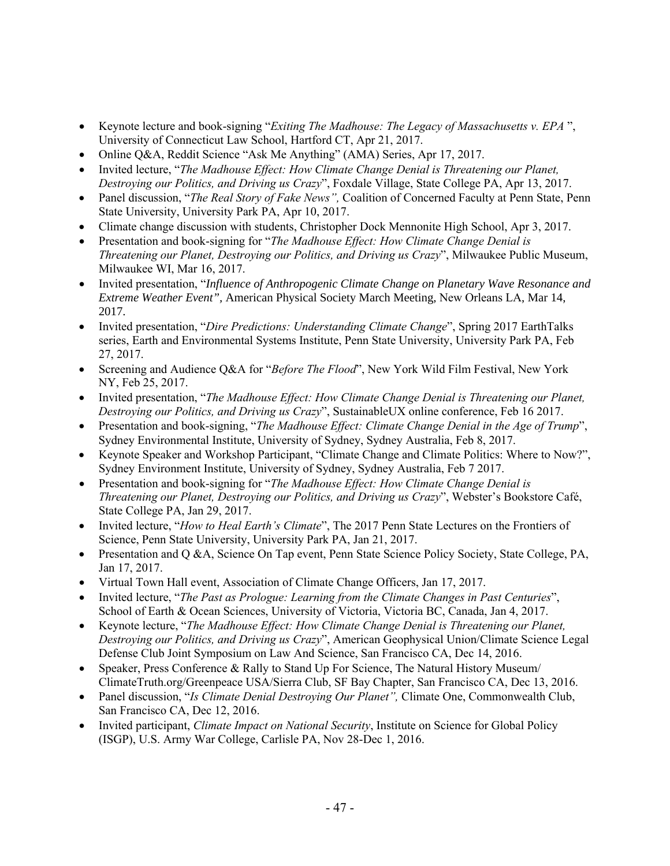- Keynote lecture and book-signing "*Exiting The Madhouse: The Legacy of Massachusetts v. EPA* ", University of Connecticut Law School, Hartford CT, Apr 21, 2017.
- Online Q&A, Reddit Science "Ask Me Anything" (AMA) Series, Apr 17, 2017.
- Invited lecture, "*The Madhouse Effect: How Climate Change Denial is Threatening our Planet, Destroying our Politics, and Driving us Crazy*", Foxdale Village, State College PA, Apr 13, 2017.
- Panel discussion, "*The Real Story of Fake News",* Coalition of Concerned Faculty at Penn State, Penn State University, University Park PA, Apr 10, 2017.
- Climate change discussion with students, Christopher Dock Mennonite High School, Apr 3, 2017.
- Presentation and book-signing for "*The Madhouse Effect: How Climate Change Denial is Threatening our Planet, Destroying our Politics, and Driving us Crazy*", Milwaukee Public Museum, Milwaukee WI, Mar 16, 2017.
- Invited presentation, "*Influence of Anthropogenic Climate Change on Planetary Wave Resonance and Extreme Weather Event",* American Physical Society March Meeting, New Orleans LA, Mar 14, 2017.
- Invited presentation, "*Dire Predictions: Understanding Climate Change*", Spring 2017 EarthTalks series, Earth and Environmental Systems Institute, Penn State University, University Park PA, Feb 27, 2017.
- Screening and Audience Q&A for "*Before The Flood*", New York Wild Film Festival, New York NY, Feb 25, 2017.
- Invited presentation, "*The Madhouse Effect: How Climate Change Denial is Threatening our Planet, Destroying our Politics, and Driving us Crazy*", SustainableUX online conference, Feb 16 2017.
- Presentation and book-signing, "*The Madhouse Effect: Climate Change Denial in the Age of Trump*", Sydney Environmental Institute, University of Sydney, Sydney Australia, Feb 8, 2017.
- Keynote Speaker and Workshop Participant, "Climate Change and Climate Politics: Where to Now?", Sydney Environment Institute, University of Sydney, Sydney Australia, Feb 7 2017.
- Presentation and book-signing for "*The Madhouse Effect: How Climate Change Denial is Threatening our Planet, Destroying our Politics, and Driving us Crazy*", Webster's Bookstore Café, State College PA, Jan 29, 2017.
- Invited lecture, "*How to Heal Earth's Climate*", The 2017 Penn State Lectures on the Frontiers of Science, Penn State University, University Park PA, Jan 21, 2017.
- Presentation and Q &A, Science On Tap event, Penn State Science Policy Society, State College, PA, Jan 17, 2017.
- Virtual Town Hall event, Association of Climate Change Officers, Jan 17, 2017.
- Invited lecture, "*The Past as Prologue: Learning from the Climate Changes in Past Centuries*", School of Earth & Ocean Sciences, University of Victoria, Victoria BC, Canada, Jan 4, 2017.
- Keynote lecture, "*The Madhouse Effect: How Climate Change Denial is Threatening our Planet, Destroying our Politics, and Driving us Crazy*", American Geophysical Union/Climate Science Legal Defense Club Joint Symposium on Law And Science, San Francisco CA, Dec 14, 2016.
- Speaker, Press Conference & Rally to Stand Up For Science, The Natural History Museum/ ClimateTruth.org/Greenpeace USA/Sierra Club, SF Bay Chapter, San Francisco CA, Dec 13, 2016.
- Panel discussion, "*Is Climate Denial Destroying Our Planet",* Climate One, Commonwealth Club, San Francisco CA, Dec 12, 2016.
- Invited participant, *Climate Impact on National Security*, Institute on Science for Global Policy (ISGP), U.S. Army War College, Carlisle PA, Nov 28-Dec 1, 2016.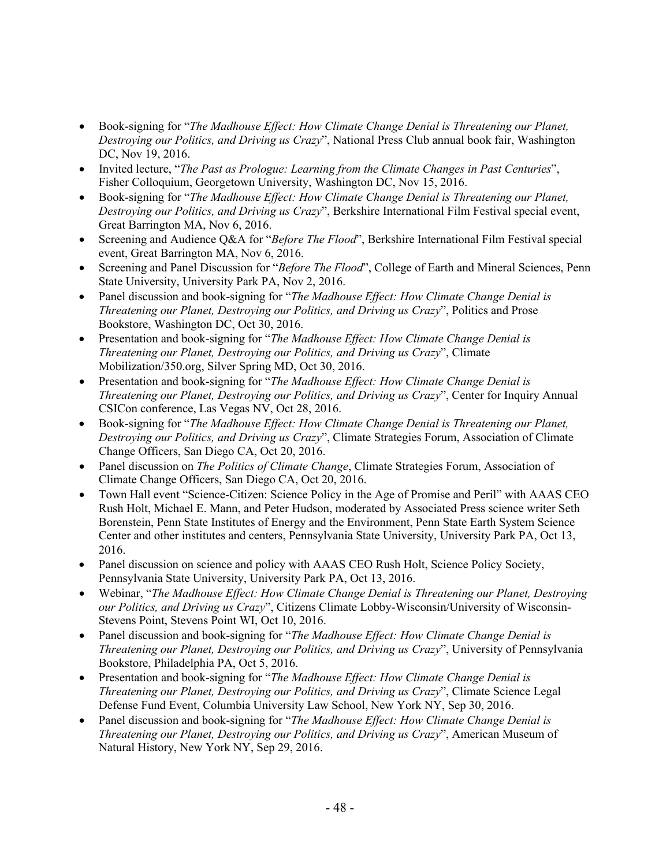- Book-signing for "*The Madhouse Effect: How Climate Change Denial is Threatening our Planet, Destroying our Politics, and Driving us Crazy*", National Press Club annual book fair, Washington DC, Nov 19, 2016.
- Invited lecture, "*The Past as Prologue: Learning from the Climate Changes in Past Centuries*", Fisher Colloquium, Georgetown University, Washington DC, Nov 15, 2016.
- Book-signing for "*The Madhouse Effect: How Climate Change Denial is Threatening our Planet, Destroying our Politics, and Driving us Crazy*", Berkshire International Film Festival special event, Great Barrington MA, Nov 6, 2016.
- Screening and Audience Q&A for "*Before The Flood*", Berkshire International Film Festival special event, Great Barrington MA, Nov 6, 2016.
- Screening and Panel Discussion for "*Before The Flood*", College of Earth and Mineral Sciences, Penn State University, University Park PA, Nov 2, 2016.
- Panel discussion and book-signing for "*The Madhouse Effect: How Climate Change Denial is Threatening our Planet, Destroying our Politics, and Driving us Crazy*", Politics and Prose Bookstore, Washington DC, Oct 30, 2016.
- Presentation and book-signing for "*The Madhouse Effect: How Climate Change Denial is Threatening our Planet, Destroying our Politics, and Driving us Crazy*", Climate Mobilization/350.org, Silver Spring MD, Oct 30, 2016.
- Presentation and book-signing for "*The Madhouse Effect: How Climate Change Denial is Threatening our Planet, Destroying our Politics, and Driving us Crazy*", Center for Inquiry Annual CSICon conference, Las Vegas NV, Oct 28, 2016.
- Book-signing for "*The Madhouse Effect: How Climate Change Denial is Threatening our Planet, Destroying our Politics, and Driving us Crazy*", Climate Strategies Forum, Association of Climate Change Officers, San Diego CA, Oct 20, 2016.
- Panel discussion on *The Politics of Climate Change*, Climate Strategies Forum, Association of Climate Change Officers, San Diego CA, Oct 20, 2016.
- Town Hall event "Science-Citizen: Science Policy in the Age of Promise and Peril" with AAAS CEO Rush Holt, Michael E. Mann, and Peter Hudson, moderated by Associated Press science writer Seth Borenstein, Penn State Institutes of Energy and the Environment, Penn State Earth System Science Center and other institutes and centers, Pennsylvania State University, University Park PA, Oct 13, 2016.
- Panel discussion on science and policy with AAAS CEO Rush Holt, Science Policy Society, Pennsylvania State University, University Park PA, Oct 13, 2016.
- Webinar, "*The Madhouse Effect: How Climate Change Denial is Threatening our Planet, Destroying our Politics, and Driving us Crazy*", Citizens Climate Lobby-Wisconsin/University of Wisconsin-Stevens Point, Stevens Point WI, Oct 10, 2016.
- Panel discussion and book-signing for "*The Madhouse Effect: How Climate Change Denial is Threatening our Planet, Destroying our Politics, and Driving us Crazy*", University of Pennsylvania Bookstore, Philadelphia PA, Oct 5, 2016.
- Presentation and book-signing for "*The Madhouse Effect: How Climate Change Denial is Threatening our Planet, Destroying our Politics, and Driving us Crazy*", Climate Science Legal Defense Fund Event, Columbia University Law School, New York NY, Sep 30, 2016.
- Panel discussion and book-signing for "*The Madhouse Effect: How Climate Change Denial is Threatening our Planet, Destroying our Politics, and Driving us Crazy*", American Museum of Natural History, New York NY, Sep 29, 2016.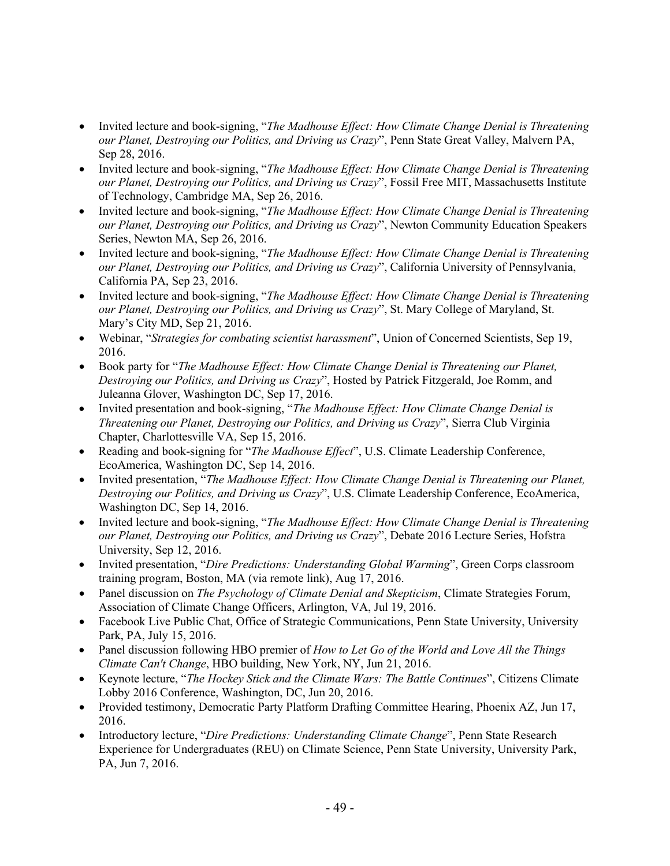- Invited lecture and book-signing, "*The Madhouse Effect: How Climate Change Denial is Threatening our Planet, Destroying our Politics, and Driving us Crazy*", Penn State Great Valley, Malvern PA, Sep 28, 2016.
- Invited lecture and book-signing, "*The Madhouse Effect: How Climate Change Denial is Threatening our Planet, Destroying our Politics, and Driving us Crazy*", Fossil Free MIT, Massachusetts Institute of Technology, Cambridge MA, Sep 26, 2016.
- Invited lecture and book-signing, "*The Madhouse Effect: How Climate Change Denial is Threatening our Planet, Destroying our Politics, and Driving us Crazy*", Newton Community Education Speakers Series, Newton MA, Sep 26, 2016.
- Invited lecture and book-signing, "*The Madhouse Effect: How Climate Change Denial is Threatening our Planet, Destroying our Politics, and Driving us Crazy*", California University of Pennsylvania, California PA, Sep 23, 2016.
- Invited lecture and book-signing, "*The Madhouse Effect: How Climate Change Denial is Threatening our Planet, Destroying our Politics, and Driving us Crazy*", St. Mary College of Maryland, St. Mary's City MD, Sep 21, 2016.
- Webinar, "*Strategies for combating scientist harassment*", Union of Concerned Scientists, Sep 19, 2016.
- Book party for "*The Madhouse Effect: How Climate Change Denial is Threatening our Planet, Destroying our Politics, and Driving us Crazy*", Hosted by Patrick Fitzgerald, Joe Romm, and Juleanna Glover, Washington DC, Sep 17, 2016.
- Invited presentation and book-signing, "*The Madhouse Effect: How Climate Change Denial is Threatening our Planet, Destroying our Politics, and Driving us Crazy*", Sierra Club Virginia Chapter, Charlottesville VA, Sep 15, 2016.
- Reading and book-signing for "*The Madhouse Effect*", U.S. Climate Leadership Conference, EcoAmerica, Washington DC, Sep 14, 2016.
- Invited presentation, "*The Madhouse Effect: How Climate Change Denial is Threatening our Planet, Destroying our Politics, and Driving us Crazy*", U.S. Climate Leadership Conference, EcoAmerica, Washington DC, Sep 14, 2016.
- Invited lecture and book-signing, "*The Madhouse Effect: How Climate Change Denial is Threatening our Planet, Destroying our Politics, and Driving us Crazy*", Debate 2016 Lecture Series, Hofstra University, Sep 12, 2016.
- Invited presentation, "*Dire Predictions: Understanding Global Warming*", Green Corps classroom training program, Boston, MA (via remote link), Aug 17, 2016.
- Panel discussion on *The Psychology of Climate Denial and Skepticism*, Climate Strategies Forum, Association of Climate Change Officers, Arlington, VA, Jul 19, 2016.
- Facebook Live Public Chat, Office of Strategic Communications, Penn State University, University Park, PA, July 15, 2016.
- Panel discussion following HBO premier of *How to Let Go of the World and Love All the Things Climate Can't Change*, HBO building, New York, NY, Jun 21, 2016.
- Keynote lecture, "*The Hockey Stick and the Climate Wars: The Battle Continues*", Citizens Climate Lobby 2016 Conference, Washington, DC, Jun 20, 2016.
- Provided testimony, Democratic Party Platform Drafting Committee Hearing, Phoenix AZ, Jun 17, 2016.
- Introductory lecture, "*Dire Predictions: Understanding Climate Change*", Penn State Research Experience for Undergraduates (REU) on Climate Science, Penn State University, University Park, PA, Jun 7, 2016.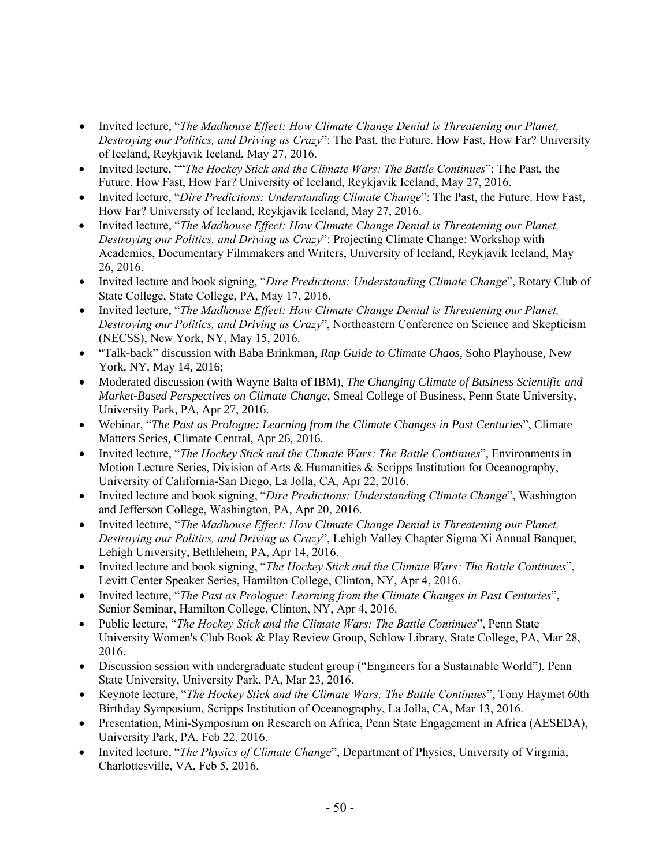- Invited lecture, "*The Madhouse Effect: How Climate Change Denial is Threatening our Planet, Destroying our Politics, and Driving us Crazy*": The Past, the Future. How Fast, How Far? University of Iceland, Reykjavik Iceland, May 27, 2016.
- Invited lecture, ""*The Hockey Stick and the Climate Wars: The Battle Continues*": The Past, the Future. How Fast, How Far? University of Iceland, Reykjavik Iceland, May 27, 2016.
- Invited lecture, "*Dire Predictions: Understanding Climate Change*": The Past, the Future. How Fast, How Far? University of Iceland, Reykjavik Iceland, May 27, 2016.
- Invited lecture, "*The Madhouse Effect: How Climate Change Denial is Threatening our Planet, Destroying our Politics, and Driving us Crazy*": Projecting Climate Change: Workshop with Academics, Documentary Filmmakers and Writers, University of Iceland, Reykjavik Iceland, May 26, 2016.
- Invited lecture and book signing, "*Dire Predictions: Understanding Climate Change*", Rotary Club of State College, State College, PA, May 17, 2016.
- Invited lecture, "*The Madhouse Effect: How Climate Change Denial is Threatening our Planet, Destroying our Politics, and Driving us Crazy*", Northeastern Conference on Science and Skepticism (NECSS), New York, NY, May 15, 2016.
- "Talk-back" discussion with Baba Brinkman, *Rap Guide to Climate Chaos*, Soho Playhouse, New York, NY, May 14, 2016;
- Moderated discussion (with Wayne Balta of IBM), *The Changing Climate of Business Scientific and Market-Based Perspectives on Climate Change*, Smeal College of Business, Penn State University, University Park, PA, Apr 27, 2016.
- Webinar, "*The Past as Prologue: Learning from the Climate Changes in Past Centuries*", Climate Matters Series, Climate Central, Apr 26, 2016.
- Invited lecture, "*The Hockey Stick and the Climate Wars: The Battle Continues*", Environments in Motion Lecture Series, Division of Arts & Humanities & Scripps Institution for Oceanography, University of California-San Diego, La Jolla, CA, Apr 22, 2016.
- Invited lecture and book signing, "*Dire Predictions: Understanding Climate Change*", Washington and Jefferson College, Washington, PA, Apr 20, 2016.
- Invited lecture, "*The Madhouse Effect: How Climate Change Denial is Threatening our Planet, Destroying our Politics, and Driving us Crazy*", Lehigh Valley Chapter Sigma Xi Annual Banquet, Lehigh University, Bethlehem, PA, Apr 14, 2016.
- Invited lecture and book signing, "*The Hockey Stick and the Climate Wars: The Battle Continues*", Levitt Center Speaker Series, Hamilton College, Clinton, NY, Apr 4, 2016.
- Invited lecture, "*The Past as Prologue: Learning from the Climate Changes in Past Centuries*", Senior Seminar, Hamilton College, Clinton, NY, Apr 4, 2016.
- Public lecture, "*The Hockey Stick and the Climate Wars: The Battle Continues*", Penn State University Women's Club Book & Play Review Group, Schlow Library, State College, PA, Mar 28, 2016.
- Discussion session with undergraduate student group ("Engineers for a Sustainable World"), Penn State University, University Park, PA, Mar 23, 2016.
- Keynote lecture, "*The Hockey Stick and the Climate Wars: The Battle Continues*", Tony Haymet 60th Birthday Symposium, Scripps Institution of Oceanography, La Jolla, CA, Mar 13, 2016.
- Presentation, Mini-Symposium on Research on Africa, Penn State Engagement in Africa (AESEDA), University Park, PA, Feb 22, 2016.
- Invited lecture, "*The Physics of Climate Change*", Department of Physics, University of Virginia, Charlottesville, VA, Feb 5, 2016.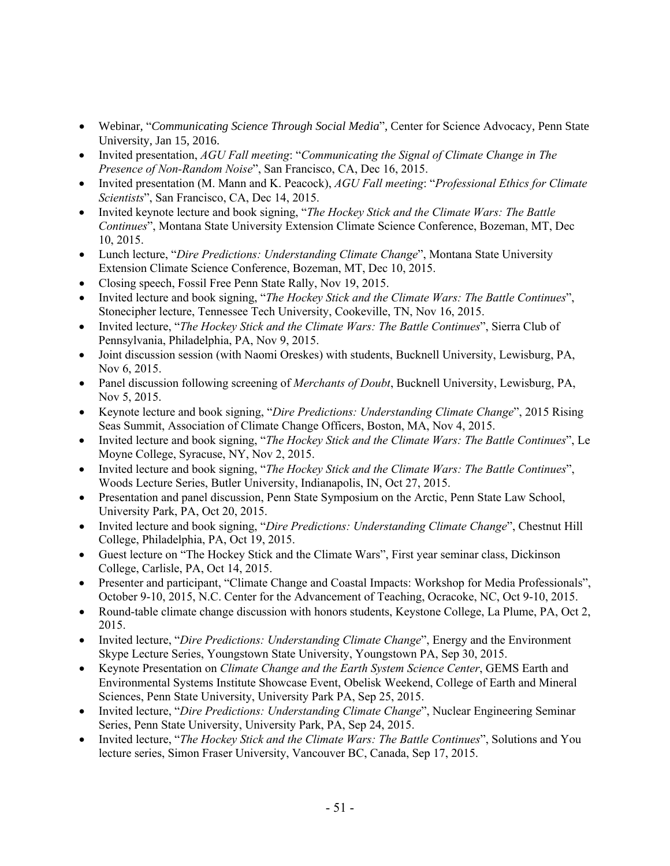- Webinar, "*Communicating Science Through Social Media*", Center for Science Advocacy, Penn State University, Jan 15, 2016.
- Invited presentation, *AGU Fall meeting*: "*Communicating the Signal of Climate Change in The Presence of Non-Random Noise*", San Francisco, CA, Dec 16, 2015.
- Invited presentation (M. Mann and K. Peacock), *AGU Fall meeting*: "*Professional Ethics for Climate Scientists*", San Francisco, CA, Dec 14, 2015.
- Invited keynote lecture and book signing, "*The Hockey Stick and the Climate Wars: The Battle Continues*", Montana State University Extension Climate Science Conference, Bozeman, MT, Dec 10, 2015.
- Lunch lecture, "*Dire Predictions: Understanding Climate Change*", Montana State University Extension Climate Science Conference, Bozeman, MT, Dec 10, 2015.
- Closing speech, Fossil Free Penn State Rally, Nov 19, 2015.
- Invited lecture and book signing, "*The Hockey Stick and the Climate Wars: The Battle Continues*", Stonecipher lecture, Tennessee Tech University, Cookeville, TN, Nov 16, 2015.
- Invited lecture, "*The Hockey Stick and the Climate Wars: The Battle Continues*", Sierra Club of Pennsylvania, Philadelphia, PA, Nov 9, 2015.
- Joint discussion session (with Naomi Oreskes) with students, Bucknell University, Lewisburg, PA, Nov 6, 2015.
- Panel discussion following screening of *Merchants of Doubt*, Bucknell University, Lewisburg, PA, Nov 5, 2015.
- Keynote lecture and book signing, "*Dire Predictions: Understanding Climate Change*", 2015 Rising Seas Summit, Association of Climate Change Officers, Boston, MA, Nov 4, 2015.
- Invited lecture and book signing, "*The Hockey Stick and the Climate Wars: The Battle Continues*", Le Moyne College, Syracuse, NY, Nov 2, 2015.
- Invited lecture and book signing, "*The Hockey Stick and the Climate Wars: The Battle Continues*", Woods Lecture Series, Butler University, Indianapolis, IN, Oct 27, 2015.
- Presentation and panel discussion, Penn State Symposium on the Arctic, Penn State Law School, University Park, PA, Oct 20, 2015.
- Invited lecture and book signing, "*Dire Predictions: Understanding Climate Change*", Chestnut Hill College, Philadelphia, PA, Oct 19, 2015.
- Guest lecture on "The Hockey Stick and the Climate Wars", First year seminar class, Dickinson College, Carlisle, PA, Oct 14, 2015.
- Presenter and participant, "Climate Change and Coastal Impacts: Workshop for Media Professionals", October 9-10, 2015, N.C. Center for the Advancement of Teaching, Ocracoke, NC, Oct 9-10, 2015.
- Round-table climate change discussion with honors students, Keystone College, La Plume, PA, Oct 2, 2015.
- Invited lecture, "*Dire Predictions: Understanding Climate Change*", Energy and the Environment Skype Lecture Series, Youngstown State University, Youngstown PA, Sep 30, 2015.
- Keynote Presentation on *Climate Change and the Earth System Science Center*, GEMS Earth and Environmental Systems Institute Showcase Event, Obelisk Weekend, College of Earth and Mineral Sciences, Penn State University, University Park PA, Sep 25, 2015.
- Invited lecture, "*Dire Predictions: Understanding Climate Change*", Nuclear Engineering Seminar Series, Penn State University, University Park, PA, Sep 24, 2015.
- Invited lecture, "*The Hockey Stick and the Climate Wars: The Battle Continues*", Solutions and You lecture series, Simon Fraser University, Vancouver BC, Canada, Sep 17, 2015.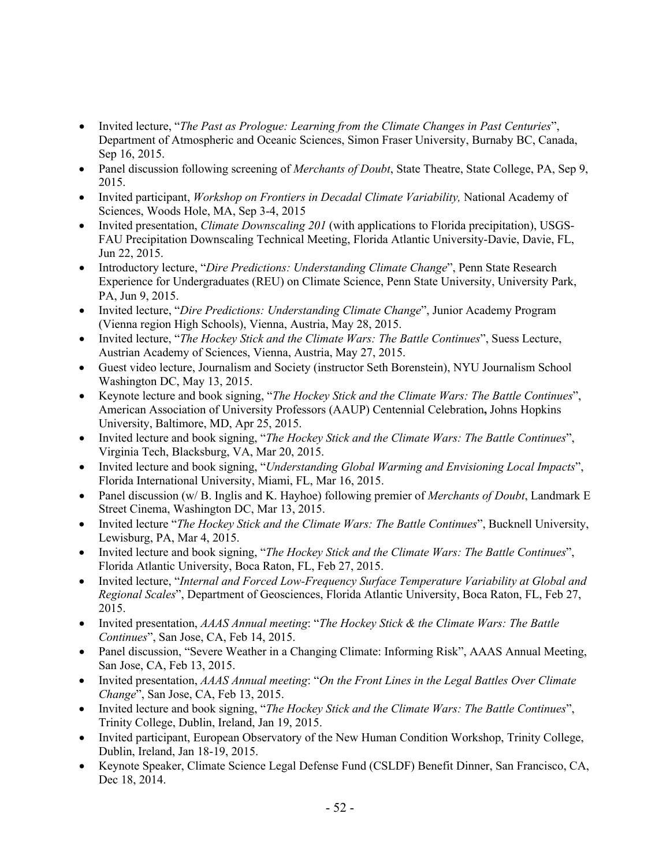- Invited lecture, "*The Past as Prologue: Learning from the Climate Changes in Past Centuries*", Department of Atmospheric and Oceanic Sciences, Simon Fraser University, Burnaby BC, Canada, Sep 16, 2015.
- Panel discussion following screening of *Merchants of Doubt*, State Theatre, State College, PA, Sep 9, 2015.
- Invited participant, *Workshop on Frontiers in Decadal Climate Variability,* National Academy of Sciences, Woods Hole, MA, Sep 3-4, 2015
- Invited presentation, *Climate Downscaling 201* (with applications to Florida precipitation), USGS-FAU Precipitation Downscaling Technical Meeting, Florida Atlantic University-Davie, Davie, FL, Jun 22, 2015.
- Introductory lecture, "*Dire Predictions: Understanding Climate Change*", Penn State Research Experience for Undergraduates (REU) on Climate Science, Penn State University, University Park, PA, Jun 9, 2015.
- Invited lecture, "*Dire Predictions: Understanding Climate Change*", Junior Academy Program (Vienna region High Schools), Vienna, Austria, May 28, 2015.
- Invited lecture, "*The Hockey Stick and the Climate Wars: The Battle Continues*", Suess Lecture, Austrian Academy of Sciences, Vienna, Austria, May 27, 2015.
- Guest video lecture, Journalism and Society (instructor Seth Borenstein), NYU Journalism School Washington DC, May 13, 2015.
- Keynote lecture and book signing, "*The Hockey Stick and the Climate Wars: The Battle Continues*", American Association of University Professors (AAUP) Centennial Celebration**,** Johns Hopkins University, Baltimore, MD, Apr 25, 2015.
- Invited lecture and book signing, "*The Hockey Stick and the Climate Wars: The Battle Continues*", Virginia Tech, Blacksburg, VA, Mar 20, 2015.
- Invited lecture and book signing, "*Understanding Global Warming and Envisioning Local Impacts*", Florida International University, Miami, FL, Mar 16, 2015.
- Panel discussion (w/ B. Inglis and K. Hayhoe) following premier of *Merchants of Doubt*, Landmark E Street Cinema, Washington DC, Mar 13, 2015.
- Invited lecture "*The Hockey Stick and the Climate Wars: The Battle Continues*", Bucknell University, Lewisburg, PA, Mar 4, 2015.
- Invited lecture and book signing, "*The Hockey Stick and the Climate Wars: The Battle Continues*", Florida Atlantic University, Boca Raton, FL, Feb 27, 2015.
- Invited lecture, "*Internal and Forced Low-Frequency Surface Temperature Variability at Global and Regional Scales*", Department of Geosciences, Florida Atlantic University, Boca Raton, FL, Feb 27, 2015.
- Invited presentation, *AAAS Annual meeting*: "*The Hockey Stick & the Climate Wars: The Battle Continues*", San Jose, CA, Feb 14, 2015.
- Panel discussion, "Severe Weather in a Changing Climate: Informing Risk", AAAS Annual Meeting, San Jose, CA, Feb 13, 2015.
- Invited presentation, *AAAS Annual meeting*: "*On the Front Lines in the Legal Battles Over Climate Change*", San Jose, CA, Feb 13, 2015.
- Invited lecture and book signing, "*The Hockey Stick and the Climate Wars: The Battle Continues*", Trinity College, Dublin, Ireland, Jan 19, 2015.
- Invited participant, European Observatory of the New Human Condition Workshop, Trinity College, Dublin, Ireland, Jan 18-19, 2015.
- Keynote Speaker, Climate Science Legal Defense Fund (CSLDF) Benefit Dinner, San Francisco, CA, Dec 18, 2014.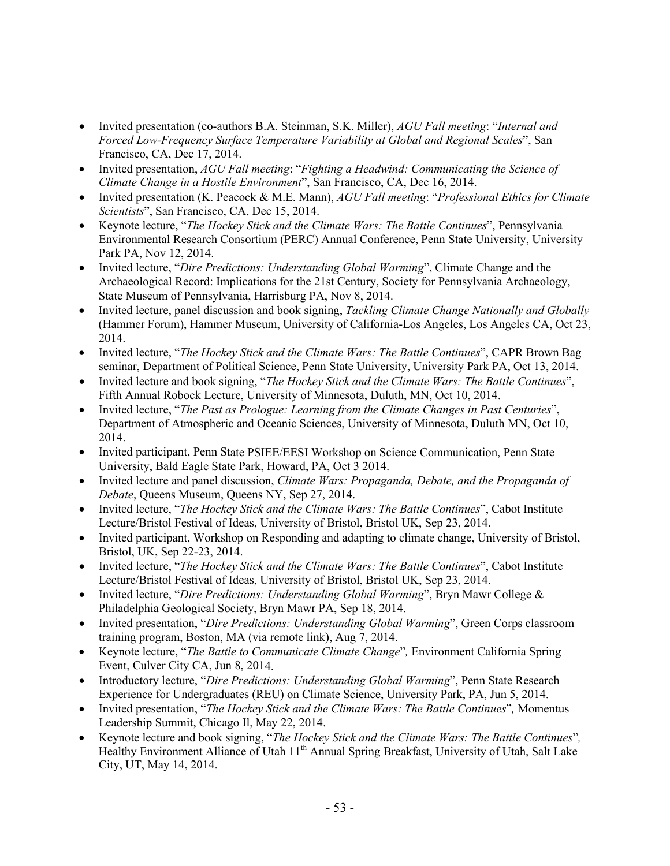- Invited presentation (co-authors B.A. Steinman, S.K. Miller), *AGU Fall meeting*: "*Internal and Forced Low-Frequency Surface Temperature Variability at Global and Regional Scales*", San Francisco, CA, Dec 17, 2014.
- Invited presentation, *AGU Fall meeting*: "*Fighting a Headwind: Communicating the Science of Climate Change in a Hostile Environment*", San Francisco, CA, Dec 16, 2014.
- Invited presentation (K. Peacock & M.E. Mann), *AGU Fall meeting*: "*Professional Ethics for Climate Scientists*", San Francisco, CA, Dec 15, 2014.
- Keynote lecture, "*The Hockey Stick and the Climate Wars: The Battle Continues*", Pennsylvania Environmental Research Consortium (PERC) Annual Conference, Penn State University, University Park PA, Nov 12, 2014.
- Invited lecture, "*Dire Predictions: Understanding Global Warming*", Climate Change and the Archaeological Record: Implications for the 21st Century, Society for Pennsylvania Archaeology, State Museum of Pennsylvania, Harrisburg PA, Nov 8, 2014.
- Invited lecture, panel discussion and book signing, *Tackling Climate Change Nationally and Globally* (Hammer Forum), Hammer Museum, University of California-Los Angeles, Los Angeles CA, Oct 23, 2014.
- Invited lecture, "*The Hockey Stick and the Climate Wars: The Battle Continues*", CAPR Brown Bag seminar, Department of Political Science, Penn State University, University Park PA, Oct 13, 2014.
- Invited lecture and book signing, "*The Hockey Stick and the Climate Wars: The Battle Continues*", Fifth Annual Robock Lecture, University of Minnesota, Duluth, MN, Oct 10, 2014.
- Invited lecture, "*The Past as Prologue: Learning from the Climate Changes in Past Centuries*", Department of Atmospheric and Oceanic Sciences, University of Minnesota, Duluth MN, Oct 10, 2014.
- Invited participant, Penn State PSIEE/EESI Workshop on Science Communication, Penn State University, Bald Eagle State Park, Howard, PA, Oct 3 2014.
- Invited lecture and panel discussion, *Climate Wars: Propaganda, Debate, and the Propaganda of Debate*, Queens Museum, Queens NY, Sep 27, 2014.
- Invited lecture, "*The Hockey Stick and the Climate Wars: The Battle Continues*", Cabot Institute Lecture/Bristol Festival of Ideas, University of Bristol, Bristol UK, Sep 23, 2014.
- Invited participant, Workshop on Responding and adapting to climate change, University of Bristol, Bristol, UK, Sep 22-23, 2014.
- Invited lecture, "*The Hockey Stick and the Climate Wars: The Battle Continues*", Cabot Institute Lecture/Bristol Festival of Ideas, University of Bristol, Bristol UK, Sep 23, 2014.
- Invited lecture, "*Dire Predictions: Understanding Global Warming*", Bryn Mawr College & Philadelphia Geological Society, Bryn Mawr PA, Sep 18, 2014.
- Invited presentation, "*Dire Predictions: Understanding Global Warming*", Green Corps classroom training program, Boston, MA (via remote link), Aug 7, 2014.
- Keynote lecture, "*The Battle to Communicate Climate Change*"*,* Environment California Spring Event, Culver City CA, Jun 8, 2014.
- Introductory lecture, "*Dire Predictions: Understanding Global Warming*", Penn State Research Experience for Undergraduates (REU) on Climate Science, University Park, PA, Jun 5, 2014.
- Invited presentation, "*The Hockey Stick and the Climate Wars: The Battle Continues*"*,* Momentus Leadership Summit, Chicago Il, May 22, 2014.
- Keynote lecture and book signing, "*The Hockey Stick and the Climate Wars: The Battle Continues*"*,* Healthy Environment Alliance of Utah 11<sup>th</sup> Annual Spring Breakfast, University of Utah, Salt Lake City, UT, May 14, 2014.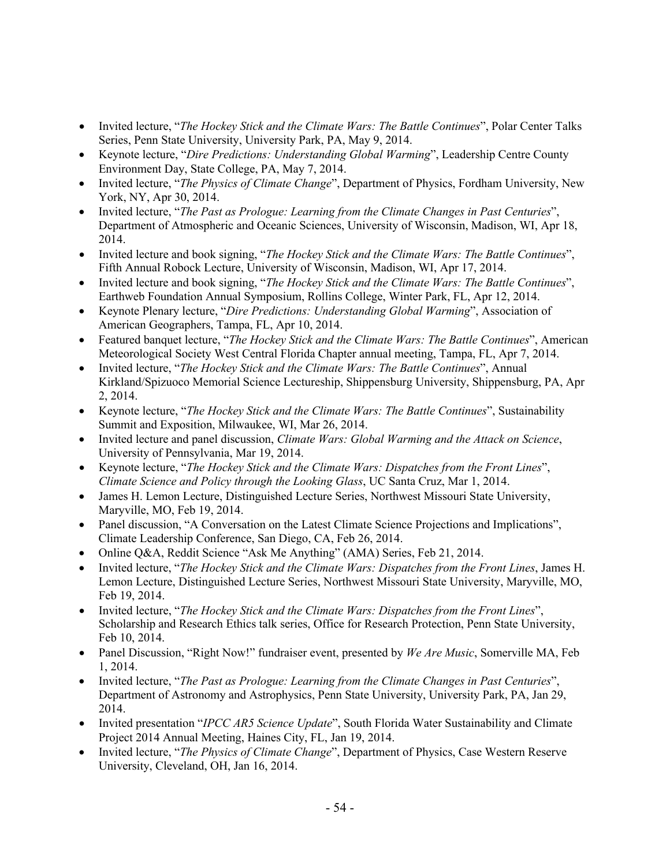- Invited lecture, "*The Hockey Stick and the Climate Wars: The Battle Continues*", Polar Center Talks Series, Penn State University, University Park, PA, May 9, 2014.
- Keynote lecture, "*Dire Predictions: Understanding Global Warming*", Leadership Centre County Environment Day, State College, PA, May 7, 2014.
- Invited lecture, "*The Physics of Climate Change*", Department of Physics, Fordham University, New York, NY, Apr 30, 2014.
- Invited lecture, "*The Past as Prologue: Learning from the Climate Changes in Past Centuries*", Department of Atmospheric and Oceanic Sciences, University of Wisconsin, Madison, WI, Apr 18, 2014.
- Invited lecture and book signing, "*The Hockey Stick and the Climate Wars: The Battle Continues*", Fifth Annual Robock Lecture, University of Wisconsin, Madison, WI, Apr 17, 2014.
- Invited lecture and book signing, "*The Hockey Stick and the Climate Wars: The Battle Continues*", Earthweb Foundation Annual Symposium, Rollins College, Winter Park, FL, Apr 12, 2014.
- Keynote Plenary lecture, "*Dire Predictions: Understanding Global Warming*", Association of American Geographers, Tampa, FL, Apr 10, 2014.
- Featured banquet lecture, "*The Hockey Stick and the Climate Wars: The Battle Continues*", American Meteorological Society West Central Florida Chapter annual meeting, Tampa, FL, Apr 7, 2014.
- Invited lecture, "*The Hockey Stick and the Climate Wars: The Battle Continues*", Annual Kirkland/Spizuoco Memorial Science Lectureship, Shippensburg University, Shippensburg, PA, Apr 2, 2014.
- Keynote lecture, "*The Hockey Stick and the Climate Wars: The Battle Continues*", Sustainability Summit and Exposition, Milwaukee, WI, Mar 26, 2014.
- Invited lecture and panel discussion, *Climate Wars: Global Warming and the Attack on Science*, University of Pennsylvania, Mar 19, 2014.
- Keynote lecture, "*The Hockey Stick and the Climate Wars: Dispatches from the Front Lines*", *Climate Science and Policy through the Looking Glass*, UC Santa Cruz, Mar 1, 2014.
- James H. Lemon Lecture, Distinguished Lecture Series, Northwest Missouri State University, Maryville, MO, Feb 19, 2014.
- Panel discussion, "A Conversation on the Latest Climate Science Projections and Implications", Climate Leadership Conference, San Diego, CA, Feb 26, 2014.
- Online Q&A, Reddit Science "Ask Me Anything" (AMA) Series, Feb 21, 2014.
- Invited lecture, "*The Hockey Stick and the Climate Wars: Dispatches from the Front Lines*, James H. Lemon Lecture, Distinguished Lecture Series, Northwest Missouri State University, Maryville, MO, Feb 19, 2014.
- Invited lecture, "*The Hockey Stick and the Climate Wars: Dispatches from the Front Lines*", Scholarship and Research Ethics talk series, Office for Research Protection, Penn State University, Feb 10, 2014.
- Panel Discussion, "Right Now!" fundraiser event, presented by *We Are Music*, Somerville MA, Feb 1, 2014.
- Invited lecture, "*The Past as Prologue: Learning from the Climate Changes in Past Centuries*", Department of Astronomy and Astrophysics, Penn State University, University Park, PA, Jan 29, 2014.
- Invited presentation "*IPCC AR5 Science Update*", South Florida Water Sustainability and Climate Project 2014 Annual Meeting, Haines City, FL, Jan 19, 2014.
- Invited lecture, "*The Physics of Climate Change*", Department of Physics, Case Western Reserve University, Cleveland, OH, Jan 16, 2014.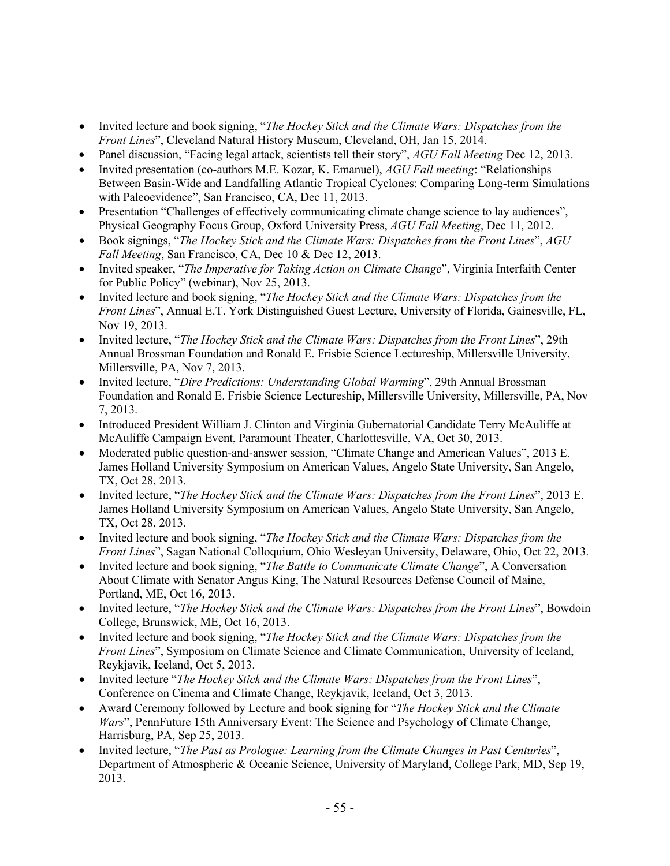- Invited lecture and book signing, "*The Hockey Stick and the Climate Wars: Dispatches from the Front Lines*", Cleveland Natural History Museum, Cleveland, OH, Jan 15, 2014.
- Panel discussion, "Facing legal attack, scientists tell their story", *AGU Fall Meeting* Dec 12, 2013.
- Invited presentation (co-authors M.E. Kozar, K. Emanuel), *AGU Fall meeting*: "Relationships Between Basin-Wide and Landfalling Atlantic Tropical Cyclones: Comparing Long-term Simulations with Paleoevidence", San Francisco, CA, Dec 11, 2013.
- Presentation "Challenges of effectively communicating climate change science to lay audiences", Physical Geography Focus Group, Oxford University Press, *AGU Fall Meeting*, Dec 11, 2012.
- Book signings, "*The Hockey Stick and the Climate Wars: Dispatches from the Front Lines*", *AGU Fall Meeting*, San Francisco, CA, Dec 10 & Dec 12, 2013.
- Invited speaker, "*The Imperative for Taking Action on Climate Change*", Virginia Interfaith Center for Public Policy" (webinar), Nov 25, 2013.
- Invited lecture and book signing, "*The Hockey Stick and the Climate Wars: Dispatches from the Front Lines*", Annual E.T. York Distinguished Guest Lecture, University of Florida, Gainesville, FL, Nov 19, 2013.
- Invited lecture, "*The Hockey Stick and the Climate Wars: Dispatches from the Front Lines*", 29th Annual Brossman Foundation and Ronald E. Frisbie Science Lectureship, Millersville University, Millersville, PA, Nov 7, 2013.
- Invited lecture, "*Dire Predictions: Understanding Global Warming*", 29th Annual Brossman Foundation and Ronald E. Frisbie Science Lectureship, Millersville University, Millersville, PA, Nov 7, 2013.
- Introduced President William J. Clinton and Virginia Gubernatorial Candidate Terry McAuliffe at McAuliffe Campaign Event, Paramount Theater, Charlottesville, VA, Oct 30, 2013.
- Moderated public question-and-answer session, "Climate Change and American Values", 2013 E. James Holland University Symposium on American Values, Angelo State University, San Angelo, TX, Oct 28, 2013.
- Invited lecture, "*The Hockey Stick and the Climate Wars: Dispatches from the Front Lines*", 2013 E. James Holland University Symposium on American Values, Angelo State University, San Angelo, TX, Oct 28, 2013.
- Invited lecture and book signing, "*The Hockey Stick and the Climate Wars: Dispatches from the Front Lines*", Sagan National Colloquium, Ohio Wesleyan University, Delaware, Ohio, Oct 22, 2013.
- Invited lecture and book signing, "*The Battle to Communicate Climate Change*", A Conversation About Climate with Senator Angus King, The Natural Resources Defense Council of Maine, Portland, ME, Oct 16, 2013.
- Invited lecture, "*The Hockey Stick and the Climate Wars: Dispatches from the Front Lines*", Bowdoin College, Brunswick, ME, Oct 16, 2013.
- Invited lecture and book signing, "*The Hockey Stick and the Climate Wars: Dispatches from the Front Lines*", Symposium on Climate Science and Climate Communication, University of Iceland, Reykjavik, Iceland, Oct 5, 2013.
- Invited lecture "*The Hockey Stick and the Climate Wars: Dispatches from the Front Lines*", Conference on Cinema and Climate Change, Reykjavik, Iceland, Oct 3, 2013.
- Award Ceremony followed by Lecture and book signing for "*The Hockey Stick and the Climate Wars*", PennFuture 15th Anniversary Event: The Science and Psychology of Climate Change, Harrisburg, PA, Sep 25, 2013.
- Invited lecture, "*The Past as Prologue: Learning from the Climate Changes in Past Centuries*", Department of Atmospheric & Oceanic Science, University of Maryland, College Park, MD, Sep 19, 2013.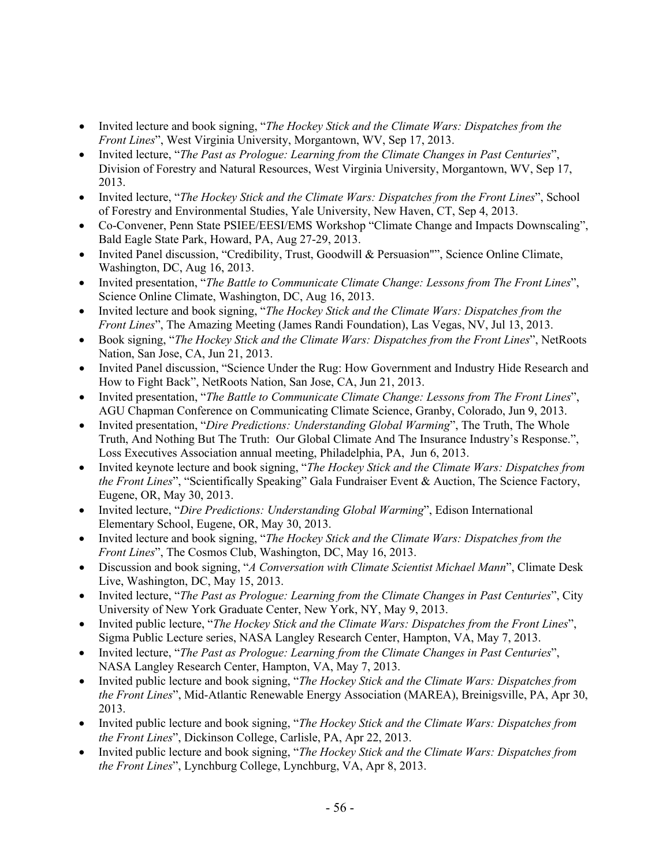- Invited lecture and book signing, "*The Hockey Stick and the Climate Wars: Dispatches from the Front Lines*", West Virginia University, Morgantown, WV, Sep 17, 2013.
- Invited lecture, "*The Past as Prologue: Learning from the Climate Changes in Past Centuries*", Division of Forestry and Natural Resources, West Virginia University, Morgantown, WV, Sep 17, 2013.
- Invited lecture, "*The Hockey Stick and the Climate Wars: Dispatches from the Front Lines*", School of Forestry and Environmental Studies, Yale University, New Haven, CT, Sep 4, 2013.
- Co-Convener, Penn State PSIEE/EESI/EMS Workshop "Climate Change and Impacts Downscaling", Bald Eagle State Park, Howard, PA, Aug 27-29, 2013.
- Invited Panel discussion, "Credibility, Trust, Goodwill & Persuasion"", Science Online Climate, Washington, DC, Aug 16, 2013.
- Invited presentation, "*The Battle to Communicate Climate Change: Lessons from The Front Lines*", Science Online Climate, Washington, DC, Aug 16, 2013.
- Invited lecture and book signing, "*The Hockey Stick and the Climate Wars: Dispatches from the Front Lines*", The Amazing Meeting (James Randi Foundation), Las Vegas, NV, Jul 13, 2013.
- Book signing, "*The Hockey Stick and the Climate Wars: Dispatches from the Front Lines*", NetRoots Nation, San Jose, CA, Jun 21, 2013.
- Invited Panel discussion, "Science Under the Rug: How Government and Industry Hide Research and How to Fight Back", NetRoots Nation, San Jose, CA, Jun 21, 2013.
- Invited presentation, "*The Battle to Communicate Climate Change: Lessons from The Front Lines*", AGU Chapman Conference on Communicating Climate Science, Granby, Colorado, Jun 9, 2013.
- Invited presentation, "*Dire Predictions: Understanding Global Warming*", The Truth, The Whole Truth, And Nothing But The Truth: Our Global Climate And The Insurance Industry's Response.", Loss Executives Association annual meeting, Philadelphia, PA, Jun 6, 2013.
- Invited keynote lecture and book signing, "*The Hockey Stick and the Climate Wars: Dispatches from the Front Lines*", "Scientifically Speaking" Gala Fundraiser Event & Auction, The Science Factory, Eugene, OR, May 30, 2013.
- Invited lecture, "*Dire Predictions: Understanding Global Warming*", Edison International Elementary School, Eugene, OR, May 30, 2013.
- Invited lecture and book signing, "*The Hockey Stick and the Climate Wars: Dispatches from the Front Lines*", The Cosmos Club, Washington, DC, May 16, 2013.
- Discussion and book signing, "*A Conversation with Climate Scientist Michael Mann*", Climate Desk Live, Washington, DC, May 15, 2013.
- Invited lecture, "*The Past as Prologue: Learning from the Climate Changes in Past Centuries*", City University of New York Graduate Center, New York, NY, May 9, 2013.
- Invited public lecture, "*The Hockey Stick and the Climate Wars: Dispatches from the Front Lines*", Sigma Public Lecture series, NASA Langley Research Center, Hampton, VA, May 7, 2013.
- Invited lecture, "*The Past as Prologue: Learning from the Climate Changes in Past Centuries*", NASA Langley Research Center, Hampton, VA, May 7, 2013.
- Invited public lecture and book signing, "*The Hockey Stick and the Climate Wars: Dispatches from the Front Lines*", Mid-Atlantic Renewable Energy Association (MAREA), Breinigsville, PA, Apr 30, 2013.
- Invited public lecture and book signing, "*The Hockey Stick and the Climate Wars: Dispatches from the Front Lines*", Dickinson College, Carlisle, PA, Apr 22, 2013.
- Invited public lecture and book signing, "*The Hockey Stick and the Climate Wars: Dispatches from the Front Lines*", Lynchburg College, Lynchburg, VA, Apr 8, 2013.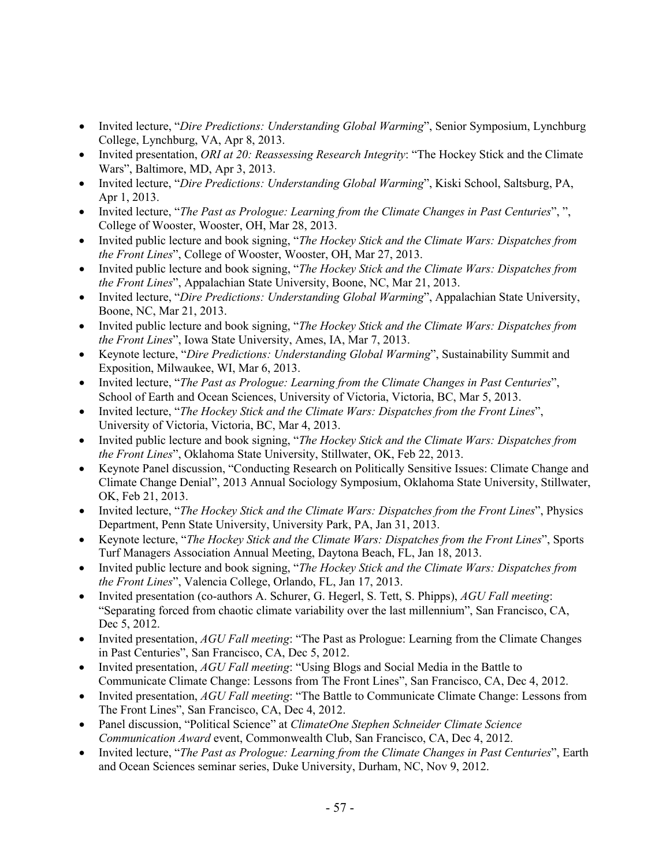- Invited lecture, "*Dire Predictions: Understanding Global Warming*", Senior Symposium, Lynchburg College, Lynchburg, VA, Apr 8, 2013.
- Invited presentation, *ORI at 20: Reassessing Research Integrity*: "The Hockey Stick and the Climate Wars", Baltimore, MD, Apr 3, 2013.
- Invited lecture, "*Dire Predictions: Understanding Global Warming*", Kiski School, Saltsburg, PA, Apr 1, 2013.
- Invited lecture, "*The Past as Prologue: Learning from the Climate Changes in Past Centuries*", ", College of Wooster, Wooster, OH, Mar 28, 2013.
- Invited public lecture and book signing, "*The Hockey Stick and the Climate Wars: Dispatches from the Front Lines*", College of Wooster, Wooster, OH, Mar 27, 2013.
- Invited public lecture and book signing, "*The Hockey Stick and the Climate Wars: Dispatches from the Front Lines*", Appalachian State University, Boone, NC, Mar 21, 2013.
- Invited lecture, "*Dire Predictions: Understanding Global Warming*", Appalachian State University, Boone, NC, Mar 21, 2013.
- Invited public lecture and book signing, "*The Hockey Stick and the Climate Wars: Dispatches from the Front Lines*", Iowa State University, Ames, IA, Mar 7, 2013.
- Keynote lecture, "*Dire Predictions: Understanding Global Warming*", Sustainability Summit and Exposition, Milwaukee, WI, Mar 6, 2013.
- Invited lecture, "*The Past as Prologue: Learning from the Climate Changes in Past Centuries*", School of Earth and Ocean Sciences, University of Victoria, Victoria, BC, Mar 5, 2013.
- Invited lecture, "*The Hockey Stick and the Climate Wars: Dispatches from the Front Lines*", University of Victoria, Victoria, BC, Mar 4, 2013.
- Invited public lecture and book signing, "*The Hockey Stick and the Climate Wars: Dispatches from the Front Lines*", Oklahoma State University, Stillwater, OK, Feb 22, 2013.
- Keynote Panel discussion, "Conducting Research on Politically Sensitive Issues: Climate Change and Climate Change Denial", 2013 Annual Sociology Symposium, Oklahoma State University, Stillwater, OK, Feb 21, 2013.
- Invited lecture, "*The Hockey Stick and the Climate Wars: Dispatches from the Front Lines*", Physics Department, Penn State University, University Park, PA, Jan 31, 2013.
- Keynote lecture, "*The Hockey Stick and the Climate Wars: Dispatches from the Front Lines*", Sports Turf Managers Association Annual Meeting, Daytona Beach, FL, Jan 18, 2013.
- Invited public lecture and book signing, "*The Hockey Stick and the Climate Wars: Dispatches from the Front Lines*", Valencia College, Orlando, FL, Jan 17, 2013.
- Invited presentation (co-authors A. Schurer, G. Hegerl, S. Tett, S. Phipps), *AGU Fall meeting*: "Separating forced from chaotic climate variability over the last millennium", San Francisco, CA, Dec 5, 2012.
- Invited presentation, *AGU Fall meeting*: "The Past as Prologue: Learning from the Climate Changes in Past Centuries", San Francisco, CA, Dec 5, 2012.
- Invited presentation, *AGU Fall meeting*: "Using Blogs and Social Media in the Battle to Communicate Climate Change: Lessons from The Front Lines", San Francisco, CA, Dec 4, 2012.
- Invited presentation, *AGU Fall meeting*: "The Battle to Communicate Climate Change: Lessons from The Front Lines", San Francisco, CA, Dec 4, 2012.
- Panel discussion, "Political Science" at *ClimateOne Stephen Schneider Climate Science Communication Award* event, Commonwealth Club, San Francisco, CA, Dec 4, 2012.
- Invited lecture, "*The Past as Prologue: Learning from the Climate Changes in Past Centuries*", Earth and Ocean Sciences seminar series, Duke University, Durham, NC, Nov 9, 2012.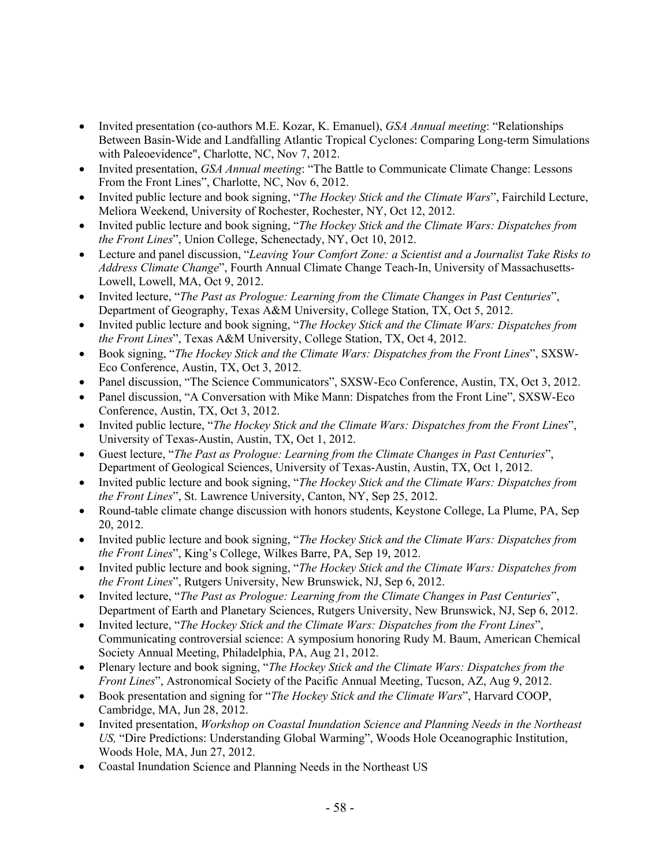- Invited presentation (co-authors M.E. Kozar, K. Emanuel), *GSA Annual meeting*: "Relationships Between Basin-Wide and Landfalling Atlantic Tropical Cyclones: Comparing Long-term Simulations with Paleoevidence", Charlotte, NC, Nov 7, 2012.
- Invited presentation, *GSA Annual meeting*: "The Battle to Communicate Climate Change: Lessons From the Front Lines", Charlotte, NC, Nov 6, 2012.
- Invited public lecture and book signing, "*The Hockey Stick and the Climate Wars*", Fairchild Lecture, Meliora Weekend, University of Rochester, Rochester, NY, Oct 12, 2012.
- Invited public lecture and book signing, "*The Hockey Stick and the Climate Wars: Dispatches from the Front Lines*", Union College, Schenectady, NY, Oct 10, 2012.
- Lecture and panel discussion, "*Leaving Your Comfort Zone: a Scientist and a Journalist Take Risks to Address Climate Change*", Fourth Annual Climate Change Teach-In, University of Massachusetts-Lowell, Lowell, MA, Oct 9, 2012.
- Invited lecture, "*The Past as Prologue: Learning from the Climate Changes in Past Centuries*", Department of Geography, Texas A&M University, College Station, TX, Oct 5, 2012.
- Invited public lecture and book signing, "*The Hockey Stick and the Climate Wars: Dispatches from the Front Lines*", Texas A&M University, College Station, TX, Oct 4, 2012.
- Book signing, "*The Hockey Stick and the Climate Wars: Dispatches from the Front Lines*", SXSW-Eco Conference, Austin, TX, Oct 3, 2012.
- Panel discussion, "The Science Communicators", SXSW-Eco Conference, Austin, TX, Oct 3, 2012.
- Panel discussion, "A Conversation with Mike Mann: Dispatches from the Front Line", SXSW-Eco Conference, Austin, TX, Oct 3, 2012.
- Invited public lecture, "*The Hockey Stick and the Climate Wars: Dispatches from the Front Lines*", University of Texas-Austin, Austin, TX, Oct 1, 2012.
- Guest lecture, "*The Past as Prologue: Learning from the Climate Changes in Past Centuries*", Department of Geological Sciences, University of Texas-Austin, Austin, TX, Oct 1, 2012.
- Invited public lecture and book signing, "*The Hockey Stick and the Climate Wars: Dispatches from the Front Lines*", St. Lawrence University, Canton, NY, Sep 25, 2012.
- Round-table climate change discussion with honors students, Keystone College, La Plume, PA, Sep 20, 2012.
- Invited public lecture and book signing, "*The Hockey Stick and the Climate Wars: Dispatches from the Front Lines*", King's College, Wilkes Barre, PA, Sep 19, 2012.
- Invited public lecture and book signing, "*The Hockey Stick and the Climate Wars: Dispatches from the Front Lines*", Rutgers University, New Brunswick, NJ, Sep 6, 2012.
- Invited lecture, "*The Past as Prologue: Learning from the Climate Changes in Past Centuries*", Department of Earth and Planetary Sciences, Rutgers University, New Brunswick, NJ, Sep 6, 2012.
- Invited lecture, "*The Hockey Stick and the Climate Wars: Dispatches from the Front Lines*", Communicating controversial science: A symposium honoring Rudy M. Baum, American Chemical Society Annual Meeting, Philadelphia, PA, Aug 21, 2012.
- Plenary lecture and book signing, "*The Hockey Stick and the Climate Wars: Dispatches from the Front Lines*", Astronomical Society of the Pacific Annual Meeting, Tucson, AZ, Aug 9, 2012.
- Book presentation and signing for "*The Hockey Stick and the Climate Wars*", Harvard COOP, Cambridge, MA, Jun 28, 2012.
- Invited presentation, *Workshop on Coastal Inundation Science and Planning Needs in the Northeast US,* "Dire Predictions: Understanding Global Warming", Woods Hole Oceanographic Institution, Woods Hole, MA, Jun 27, 2012.
- Coastal Inundation Science and Planning Needs in the Northeast US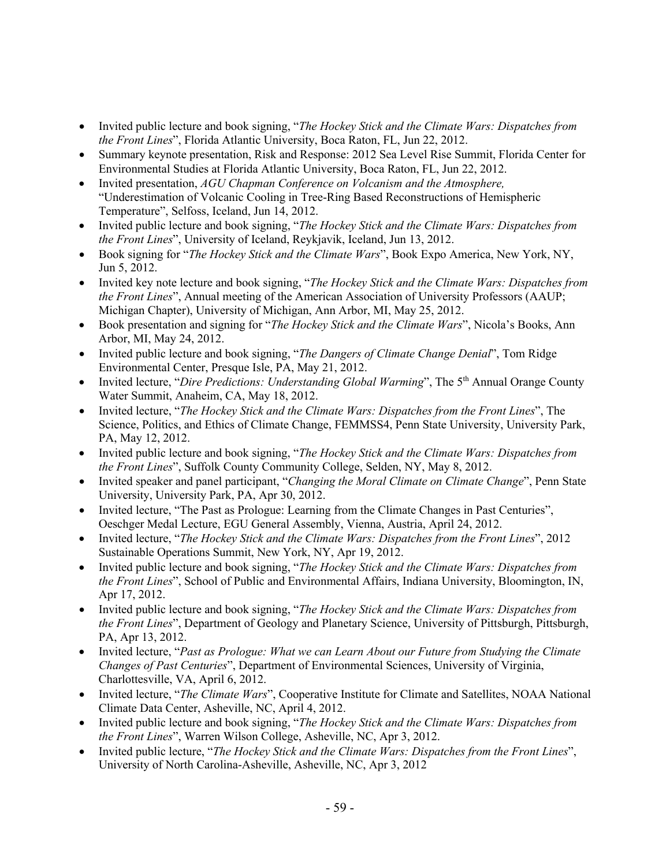- Invited public lecture and book signing, "*The Hockey Stick and the Climate Wars: Dispatches from the Front Lines*", Florida Atlantic University, Boca Raton, FL, Jun 22, 2012.
- Summary keynote presentation, Risk and Response: 2012 Sea Level Rise Summit, Florida Center for Environmental Studies at Florida Atlantic University, Boca Raton, FL, Jun 22, 2012.
- Invited presentation, *AGU Chapman Conference on Volcanism and the Atmosphere,*  "Underestimation of Volcanic Cooling in Tree-Ring Based Reconstructions of Hemispheric Temperature", Selfoss, Iceland, Jun 14, 2012.
- Invited public lecture and book signing, "*The Hockey Stick and the Climate Wars: Dispatches from the Front Lines*", University of Iceland, Reykjavik, Iceland, Jun 13, 2012.
- Book signing for "*The Hockey Stick and the Climate Wars*", Book Expo America, New York, NY, Jun 5, 2012.
- Invited key note lecture and book signing, "*The Hockey Stick and the Climate Wars: Dispatches from the Front Lines*", Annual meeting of the American Association of University Professors (AAUP; Michigan Chapter), University of Michigan, Ann Arbor, MI, May 25, 2012.
- Book presentation and signing for "*The Hockey Stick and the Climate Wars*", Nicola's Books, Ann Arbor, MI, May 24, 2012.
- Invited public lecture and book signing, "*The Dangers of Climate Change Denial*", Tom Ridge Environmental Center, Presque Isle, PA, May 21, 2012.
- Invited lecture, "*Dire Predictions: Understanding Global Warming*", The 5<sup>th</sup> Annual Orange County Water Summit, Anaheim, CA, May 18, 2012.
- Invited lecture, "*The Hockey Stick and the Climate Wars: Dispatches from the Front Lines*", The Science, Politics, and Ethics of Climate Change, FEMMSS4, Penn State University, University Park, PA, May 12, 2012.
- Invited public lecture and book signing, "*The Hockey Stick and the Climate Wars: Dispatches from the Front Lines*", Suffolk County Community College, Selden, NY, May 8, 2012.
- Invited speaker and panel participant, "*Changing the Moral Climate on Climate Change*", Penn State University, University Park, PA, Apr 30, 2012.
- Invited lecture, "The Past as Prologue: Learning from the Climate Changes in Past Centuries", Oeschger Medal Lecture, EGU General Assembly, Vienna, Austria, April 24, 2012.
- Invited lecture, "*The Hockey Stick and the Climate Wars: Dispatches from the Front Lines*", 2012 Sustainable Operations Summit, New York, NY, Apr 19, 2012.
- Invited public lecture and book signing, "*The Hockey Stick and the Climate Wars: Dispatches from the Front Lines*", School of Public and Environmental Affairs, Indiana University, Bloomington, IN, Apr 17, 2012.
- Invited public lecture and book signing, "*The Hockey Stick and the Climate Wars: Dispatches from the Front Lines*", Department of Geology and Planetary Science, University of Pittsburgh, Pittsburgh, PA, Apr 13, 2012.
- Invited lecture, "*Past as Prologue: What we can Learn About our Future from Studying the Climate Changes of Past Centuries*", Department of Environmental Sciences, University of Virginia, Charlottesville, VA, April 6, 2012.
- Invited lecture, "*The Climate Wars*", Cooperative Institute for Climate and Satellites, NOAA National Climate Data Center, Asheville, NC, April 4, 2012.
- Invited public lecture and book signing, "*The Hockey Stick and the Climate Wars: Dispatches from the Front Lines*", Warren Wilson College, Asheville, NC, Apr 3, 2012.
- Invited public lecture, "*The Hockey Stick and the Climate Wars: Dispatches from the Front Lines*", University of North Carolina-Asheville, Asheville, NC, Apr 3, 2012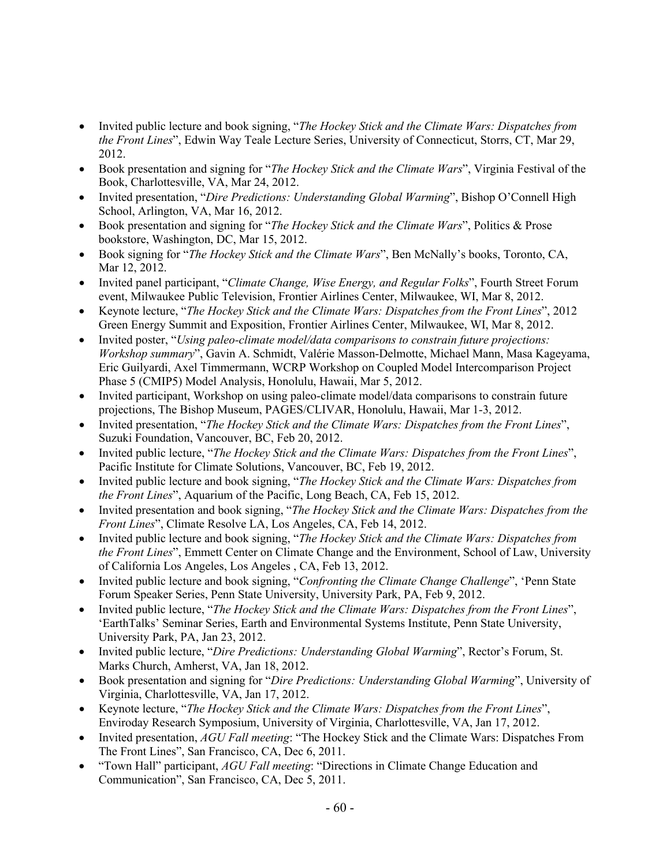- Invited public lecture and book signing, "*The Hockey Stick and the Climate Wars: Dispatches from the Front Lines*", Edwin Way Teale Lecture Series, University of Connecticut, Storrs, CT, Mar 29, 2012.
- Book presentation and signing for "*The Hockey Stick and the Climate Wars*", Virginia Festival of the Book, Charlottesville, VA, Mar 24, 2012.
- Invited presentation, "*Dire Predictions: Understanding Global Warming*", Bishop O'Connell High School, Arlington, VA, Mar 16, 2012.
- Book presentation and signing for "*The Hockey Stick and the Climate Wars*", Politics & Prose bookstore, Washington, DC, Mar 15, 2012.
- Book signing for "*The Hockey Stick and the Climate Wars*", Ben McNally's books, Toronto, CA, Mar 12, 2012.
- Invited panel participant, "*Climate Change, Wise Energy, and Regular Folks*", Fourth Street Forum event, Milwaukee Public Television, Frontier Airlines Center, Milwaukee, WI, Mar 8, 2012.
- Keynote lecture, "*The Hockey Stick and the Climate Wars: Dispatches from the Front Lines*", 2012 Green Energy Summit and Exposition, Frontier Airlines Center, Milwaukee, WI, Mar 8, 2012.
- Invited poster, "*Using paleo-climate model/data comparisons to constrain future projections: Workshop summary*", Gavin A. Schmidt, Valérie Masson-Delmotte, Michael Mann, Masa Kageyama, Eric Guilyardi, Axel Timmermann, WCRP Workshop on Coupled Model Intercomparison Project Phase 5 (CMIP5) Model Analysis, Honolulu, Hawaii, Mar 5, 2012.
- Invited participant, Workshop on using paleo-climate model/data comparisons to constrain future projections, The Bishop Museum, PAGES/CLIVAR, Honolulu, Hawaii, Mar 1-3, 2012.
- Invited presentation, "*The Hockey Stick and the Climate Wars: Dispatches from the Front Lines*", Suzuki Foundation, Vancouver, BC, Feb 20, 2012.
- Invited public lecture, "*The Hockey Stick and the Climate Wars: Dispatches from the Front Lines*", Pacific Institute for Climate Solutions, Vancouver, BC, Feb 19, 2012.
- Invited public lecture and book signing, "*The Hockey Stick and the Climate Wars: Dispatches from the Front Lines*", Aquarium of the Pacific, Long Beach, CA, Feb 15, 2012.
- Invited presentation and book signing, "*The Hockey Stick and the Climate Wars: Dispatches from the Front Lines*", Climate Resolve LA, Los Angeles, CA, Feb 14, 2012.
- Invited public lecture and book signing, "*The Hockey Stick and the Climate Wars: Dispatches from the Front Lines*", Emmett Center on Climate Change and the Environment, School of Law, University of California Los Angeles, Los Angeles , CA, Feb 13, 2012.
- Invited public lecture and book signing, "*Confronting the Climate Change Challenge*", 'Penn State Forum Speaker Series, Penn State University, University Park, PA, Feb 9, 2012.
- Invited public lecture, "*The Hockey Stick and the Climate Wars: Dispatches from the Front Lines*", 'EarthTalks' Seminar Series, Earth and Environmental Systems Institute, Penn State University, University Park, PA, Jan 23, 2012.
- Invited public lecture, "*Dire Predictions: Understanding Global Warming*", Rector's Forum, St. Marks Church, Amherst, VA, Jan 18, 2012.
- Book presentation and signing for "*Dire Predictions: Understanding Global Warming*", University of Virginia, Charlottesville, VA, Jan 17, 2012.
- Keynote lecture, "*The Hockey Stick and the Climate Wars: Dispatches from the Front Lines*", Enviroday Research Symposium, University of Virginia, Charlottesville, VA, Jan 17, 2012.
- Invited presentation, *AGU Fall meeting*: "The Hockey Stick and the Climate Wars: Dispatches From The Front Lines", San Francisco, CA, Dec 6, 2011.
- "Town Hall" participant, *AGU Fall meeting*: "Directions in Climate Change Education and Communication", San Francisco, CA, Dec 5, 2011.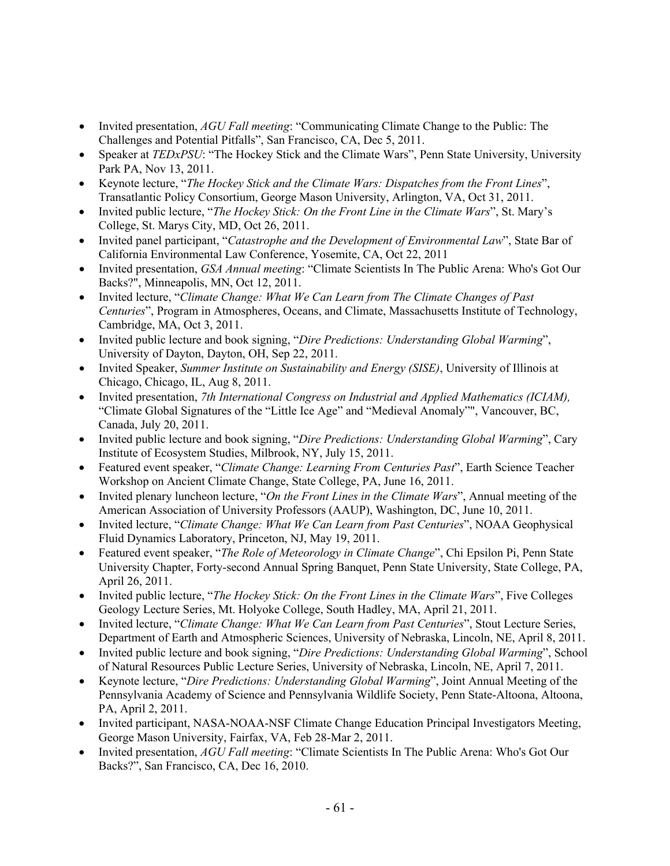- Invited presentation, *AGU Fall meeting*: "Communicating Climate Change to the Public: The Challenges and Potential Pitfalls", San Francisco, CA, Dec 5, 2011.
- Speaker at *TEDxPSU*: "The Hockey Stick and the Climate Wars", Penn State University, University Park PA, Nov 13, 2011.
- Keynote lecture, "*The Hockey Stick and the Climate Wars: Dispatches from the Front Lines*", Transatlantic Policy Consortium, George Mason University, Arlington, VA, Oct 31, 2011.
- Invited public lecture, "*The Hockey Stick: On the Front Line in the Climate Wars*", St. Mary's College, St. Marys City, MD, Oct 26, 2011.
- Invited panel participant, "*Catastrophe and the Development of Environmental Law*", State Bar of California Environmental Law Conference, Yosemite, CA, Oct 22, 2011
- Invited presentation, *GSA Annual meeting*: "Climate Scientists In The Public Arena: Who's Got Our Backs?", Minneapolis, MN, Oct 12, 2011.
- Invited lecture, "*Climate Change: What We Can Learn from The Climate Changes of Past Centuries*", Program in Atmospheres, Oceans, and Climate, Massachusetts Institute of Technology, Cambridge, MA, Oct 3, 2011.
- Invited public lecture and book signing, "*Dire Predictions: Understanding Global Warming*", University of Dayton, Dayton, OH, Sep 22, 2011.
- Invited Speaker, *Summer Institute on Sustainability and Energy (SISE)*, University of Illinois at Chicago, Chicago, IL, Aug 8, 2011.
- Invited presentation, *7th International Congress on Industrial and Applied Mathematics (ICIAM),*  "Climate Global Signatures of the "Little Ice Age" and "Medieval Anomaly"", Vancouver, BC, Canada, July 20, 2011.
- Invited public lecture and book signing, "*Dire Predictions: Understanding Global Warming*", Cary Institute of Ecosystem Studies, Milbrook, NY, July 15, 2011.
- Featured event speaker, "*Climate Change: Learning From Centuries Past*", Earth Science Teacher Workshop on Ancient Climate Change, State College, PA, June 16, 2011.
- Invited plenary luncheon lecture, "*On the Front Lines in the Climate Wars*", Annual meeting of the American Association of University Professors (AAUP), Washington, DC, June 10, 2011.
- Invited lecture, "*Climate Change: What We Can Learn from Past Centuries*", NOAA Geophysical Fluid Dynamics Laboratory, Princeton, NJ, May 19, 2011.
- Featured event speaker, "*The Role of Meteorology in Climate Change*", Chi Epsilon Pi, Penn State University Chapter, Forty-second Annual Spring Banquet, Penn State University, State College, PA, April 26, 2011.
- Invited public lecture, "*The Hockey Stick: On the Front Lines in the Climate Wars*", Five Colleges Geology Lecture Series, Mt. Holyoke College, South Hadley, MA, April 21, 2011.
- Invited lecture, "*Climate Change: What We Can Learn from Past Centuries*", Stout Lecture Series, Department of Earth and Atmospheric Sciences, University of Nebraska, Lincoln, NE, April 8, 2011.
- Invited public lecture and book signing, "*Dire Predictions: Understanding Global Warming*", School of Natural Resources Public Lecture Series, University of Nebraska, Lincoln, NE, April 7, 2011.
- Keynote lecture, "*Dire Predictions: Understanding Global Warming*", Joint Annual Meeting of the Pennsylvania Academy of Science and Pennsylvania Wildlife Society, Penn State-Altoona, Altoona, PA, April 2, 2011.
- Invited participant, NASA-NOAA-NSF Climate Change Education Principal Investigators Meeting, George Mason University, Fairfax, VA, Feb 28-Mar 2, 2011.
- Invited presentation, *AGU Fall meeting*: "Climate Scientists In The Public Arena: Who's Got Our Backs?", San Francisco, CA, Dec 16, 2010.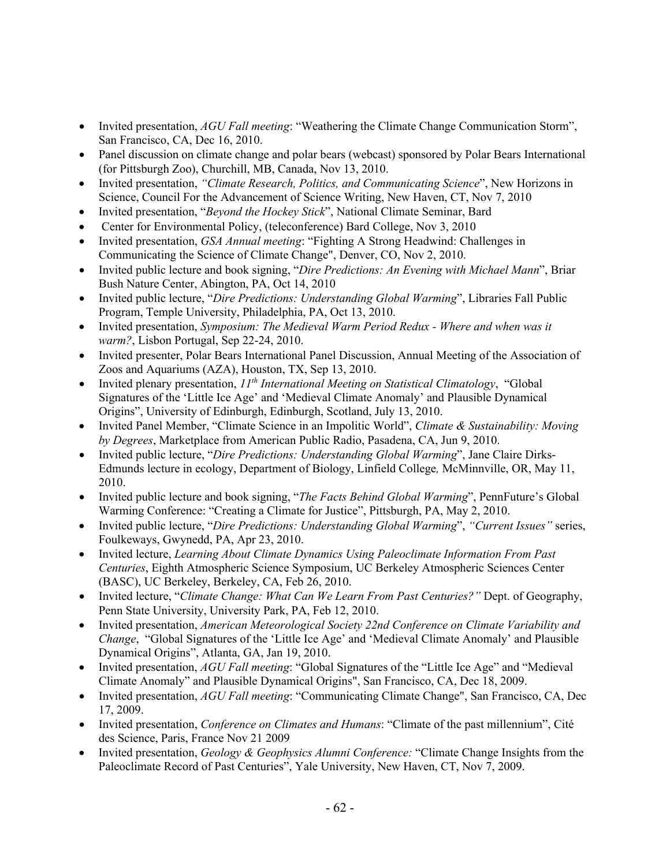- Invited presentation, *AGU Fall meeting*: "Weathering the Climate Change Communication Storm", San Francisco, CA, Dec 16, 2010.
- Panel discussion on climate change and polar bears (webcast) sponsored by Polar Bears International (for Pittsburgh Zoo), Churchill, MB, Canada, Nov 13, 2010.
- Invited presentation, *"Climate Research, Politics, and Communicating Science*", New Horizons in Science, Council For the Advancement of Science Writing, New Haven, CT, Nov 7, 2010
- Invited presentation, "*Beyond the Hockey Stick*", National Climate Seminar, Bard
- Center for Environmental Policy, (teleconference) Bard College, Nov 3, 2010
- Invited presentation, *GSA Annual meeting*: "Fighting A Strong Headwind: Challenges in Communicating the Science of Climate Change", Denver, CO, Nov 2, 2010.
- Invited public lecture and book signing, "*Dire Predictions: An Evening with Michael Mann*", Briar Bush Nature Center, Abington, PA, Oct 14, 2010
- Invited public lecture, "*Dire Predictions: Understanding Global Warming*", Libraries Fall Public Program, Temple University, Philadelphia, PA, Oct 13, 2010.
- Invited presentation, *Symposium: The Medieval Warm Period Redux - Where and when was it warm?*, Lisbon Portugal, Sep 22-24, 2010.
- Invited presenter, Polar Bears International Panel Discussion, Annual Meeting of the Association of Zoos and Aquariums (AZA), Houston, TX, Sep 13, 2010.
- Invited plenary presentation, *11th International Meeting on Statistical Climatology*, "Global Signatures of the 'Little Ice Age' and 'Medieval Climate Anomaly' and Plausible Dynamical Origins", University of Edinburgh, Edinburgh, Scotland, July 13, 2010.
- Invited Panel Member, "Climate Science in an Impolitic World", *Climate & Sustainability: Moving by Degrees*, Marketplace from American Public Radio, Pasadena, CA, Jun 9, 2010.
- Invited public lecture, "*Dire Predictions: Understanding Global Warming*", Jane Claire Dirks-Edmunds lecture in ecology, Department of Biology, Linfield College*,* McMinnville, OR, May 11, 2010.
- Invited public lecture and book signing, "*The Facts Behind Global Warming*", PennFuture's Global Warming Conference: "Creating a Climate for Justice", Pittsburgh, PA, May 2, 2010.
- Invited public lecture, "*Dire Predictions: Understanding Global Warming*", *"Current Issues"* series, Foulkeways, Gwynedd, PA, Apr 23, 2010.
- Invited lecture, *Learning About Climate Dynamics Using Paleoclimate Information From Past Centuries*, Eighth Atmospheric Science Symposium, UC Berkeley Atmospheric Sciences Center (BASC), UC Berkeley, Berkeley, CA, Feb 26, 2010.
- Invited lecture, "*Climate Change: What Can We Learn From Past Centuries?"* Dept. of Geography, Penn State University, University Park, PA, Feb 12, 2010.
- Invited presentation, *American Meteorological Society 22nd Conference on Climate Variability and Change*, "Global Signatures of the 'Little Ice Age' and 'Medieval Climate Anomaly' and Plausible Dynamical Origins", Atlanta, GA, Jan 19, 2010.
- Invited presentation, *AGU Fall meeting*: "Global Signatures of the "Little Ice Age" and "Medieval Climate Anomaly" and Plausible Dynamical Origins", San Francisco, CA, Dec 18, 2009.
- Invited presentation, *AGU Fall meeting*: "Communicating Climate Change", San Francisco, CA, Dec 17, 2009.
- Invited presentation, *Conference on Climates and Humans*: "Climate of the past millennium", Cité des Science, Paris, France Nov 21 2009
- Invited presentation, *Geology & Geophysics Alumni Conference:* "Climate Change Insights from the Paleoclimate Record of Past Centuries", Yale University, New Haven, CT, Nov 7, 2009.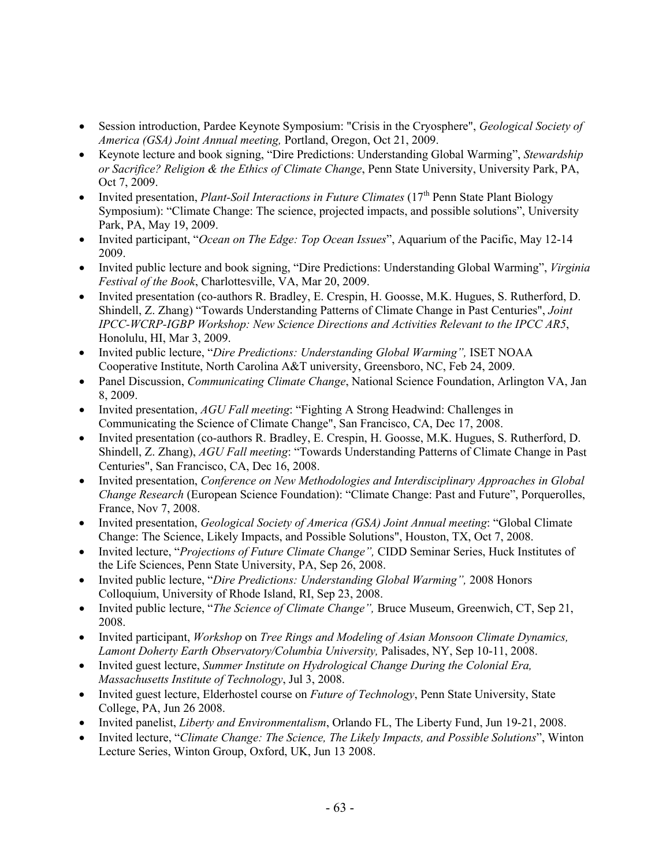- Session introduction, Pardee Keynote Symposium: "Crisis in the Cryosphere", *Geological Society of America (GSA) Joint Annual meeting,* Portland, Oregon, Oct 21, 2009.
- Keynote lecture and book signing, "Dire Predictions: Understanding Global Warming", *Stewardship or Sacrifice? Religion & the Ethics of Climate Change*, Penn State University, University Park, PA, Oct 7, 2009.
- Invited presentation, *Plant-Soil Interactions in Future Climates* (17<sup>th</sup> Penn State Plant Biology Symposium): "Climate Change: The science, projected impacts, and possible solutions", University Park, PA, May 19, 2009.
- Invited participant, "*Ocean on The Edge: Top Ocean Issues*", Aquarium of the Pacific, May 12-14 2009.
- Invited public lecture and book signing, "Dire Predictions: Understanding Global Warming", *Virginia Festival of the Book*, Charlottesville, VA, Mar 20, 2009.
- Invited presentation (co-authors R. Bradley, E. Crespin, H. Goosse, M.K. Hugues, S. Rutherford, D. Shindell, Z. Zhang) "Towards Understanding Patterns of Climate Change in Past Centuries", *Joint IPCC-WCRP-IGBP Workshop: New Science Directions and Activities Relevant to the IPCC AR5*, Honolulu, HI, Mar 3, 2009.
- Invited public lecture, "*Dire Predictions: Understanding Global Warming",* ISET NOAA Cooperative Institute, North Carolina A&T university, Greensboro, NC, Feb 24, 2009.
- Panel Discussion, *Communicating Climate Change*, National Science Foundation, Arlington VA, Jan 8, 2009.
- Invited presentation, *AGU Fall meeting*: "Fighting A Strong Headwind: Challenges in Communicating the Science of Climate Change", San Francisco, CA, Dec 17, 2008.
- Invited presentation (co-authors R. Bradley, E. Crespin, H. Goosse, M.K. Hugues, S. Rutherford, D. Shindell, Z. Zhang), *AGU Fall meeting*: "Towards Understanding Patterns of Climate Change in Past Centuries", San Francisco, CA, Dec 16, 2008.
- Invited presentation, *Conference on New Methodologies and Interdisciplinary Approaches in Global Change Research* (European Science Foundation): "Climate Change: Past and Future", Porquerolles, France, Nov 7, 2008.
- Invited presentation, *Geological Society of America (GSA) Joint Annual meeting*: "Global Climate Change: The Science, Likely Impacts, and Possible Solutions", Houston, TX, Oct 7, 2008.
- Invited lecture, "*Projections of Future Climate Change",* CIDD Seminar Series, Huck Institutes of the Life Sciences, Penn State University, PA, Sep 26, 2008.
- Invited public lecture, "*Dire Predictions: Understanding Global Warming",* 2008 Honors Colloquium, University of Rhode Island, RI, Sep 23, 2008.
- Invited public lecture, "*The Science of Climate Change",* Bruce Museum, Greenwich, CT, Sep 21, 2008.
- Invited participant, *Workshop* on *Tree Rings and Modeling of Asian Monsoon Climate Dynamics, Lamont Doherty Earth Observatory/Columbia University,* Palisades, NY, Sep 10-11, 2008.
- Invited guest lecture, *Summer Institute on Hydrological Change During the Colonial Era, Massachusetts Institute of Technology*, Jul 3, 2008.
- Invited guest lecture, Elderhostel course on *Future of Technology*, Penn State University, State College, PA, Jun 26 2008.
- Invited panelist, *Liberty and Environmentalism*, Orlando FL, The Liberty Fund, Jun 19-21, 2008.
- Invited lecture, "*Climate Change: The Science, The Likely Impacts, and Possible Solutions*", Winton Lecture Series, Winton Group, Oxford, UK, Jun 13 2008.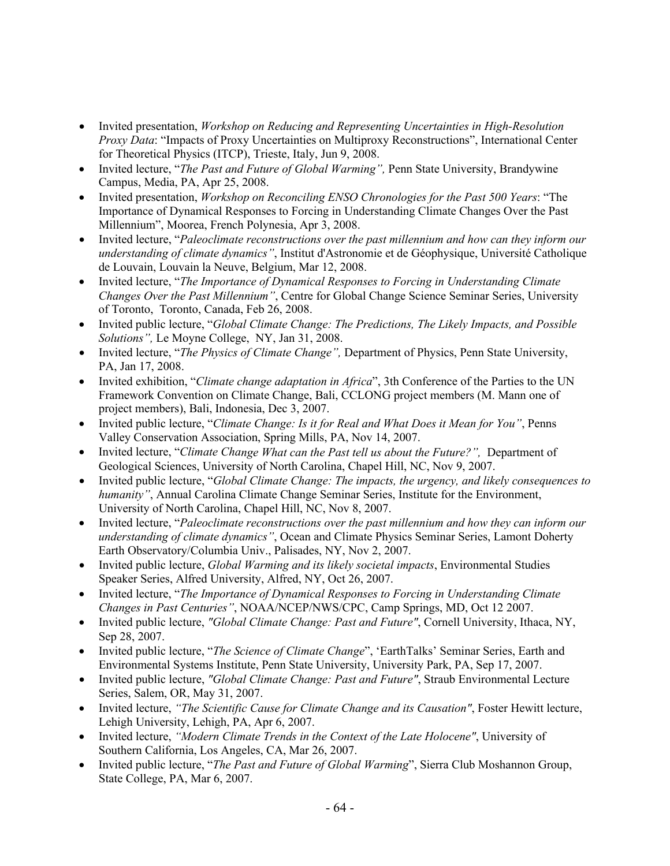- Invited presentation, *Workshop on Reducing and Representing Uncertainties in High-Resolution Proxy Data*: "Impacts of Proxy Uncertainties on Multiproxy Reconstructions", International Center for Theoretical Physics (ITCP), Trieste, Italy, Jun 9, 2008.
- Invited lecture, "*The Past and Future of Global Warming",* Penn State University, Brandywine Campus, Media, PA, Apr 25, 2008.
- Invited presentation, *Workshop on Reconciling ENSO Chronologies for the Past 500 Years*: "The Importance of Dynamical Responses to Forcing in Understanding Climate Changes Over the Past Millennium", Moorea, French Polynesia, Apr 3, 2008.
- Invited lecture, "*Paleoclimate reconstructions over the past millennium and how can they inform our understanding of climate dynamics"*, Institut d'Astronomie et de Géophysique, Université Catholique de Louvain, Louvain la Neuve, Belgium, Mar 12, 2008.
- Invited lecture, "*The Importance of Dynamical Responses to Forcing in Understanding Climate Changes Over the Past Millennium"*, Centre for Global Change Science Seminar Series, University of Toronto, Toronto, Canada, Feb 26, 2008.
- Invited public lecture, "*Global Climate Change: The Predictions, The Likely Impacts, and Possible Solutions",* Le Moyne College, NY, Jan 31, 2008.
- Invited lecture, "*The Physics of Climate Change",* Department of Physics, Penn State University, PA, Jan 17, 2008.
- Invited exhibition, "*Climate change adaptation in Africa*", 3th Conference of the Parties to the UN Framework Convention on Climate Change, Bali, CCLONG project members (M. Mann one of project members), Bali, Indonesia, Dec 3, 2007.
- Invited public lecture, "*Climate Change: Is it for Real and What Does it Mean for You"*, Penns Valley Conservation Association, Spring Mills, PA, Nov 14, 2007.
- Invited lecture, "*Climate Change What can the Past tell us about the Future?",* Department of Geological Sciences, University of North Carolina, Chapel Hill, NC, Nov 9, 2007.
- Invited public lecture, "*Global Climate Change: The impacts, the urgency, and likely consequences to humanity*", Annual Carolina Climate Change Seminar Series, Institute for the Environment, University of North Carolina, Chapel Hill, NC, Nov 8, 2007.
- Invited lecture, "*Paleoclimate reconstructions over the past millennium and how they can inform our understanding of climate dynamics"*, Ocean and Climate Physics Seminar Series, Lamont Doherty Earth Observatory/Columbia Univ., Palisades, NY, Nov 2, 2007.
- Invited public lecture, *Global Warming and its likely societal impacts*, Environmental Studies Speaker Series, Alfred University, Alfred, NY, Oct 26, 2007.
- Invited lecture, "*The Importance of Dynamical Responses to Forcing in Understanding Climate Changes in Past Centuries"*, NOAA/NCEP/NWS/CPC, Camp Springs, MD, Oct 12 2007.
- Invited public lecture, *"Global Climate Change: Past and Future"*, Cornell University, Ithaca, NY, Sep 28, 2007.
- Invited public lecture, "*The Science of Climate Change*", 'EarthTalks' Seminar Series, Earth and Environmental Systems Institute, Penn State University, University Park, PA, Sep 17, 2007.
- Invited public lecture, *"Global Climate Change: Past and Future"*, Straub Environmental Lecture Series, Salem, OR, May 31, 2007.
- Invited lecture, *"The Scientific Cause for Climate Change and its Causation"*, Foster Hewitt lecture, Lehigh University, Lehigh, PA, Apr 6, 2007.
- Invited lecture, *"Modern Climate Trends in the Context of the Late Holocene"*, University of Southern California, Los Angeles, CA, Mar 26, 2007.
- Invited public lecture, "*The Past and Future of Global Warming*", Sierra Club Moshannon Group, State College, PA, Mar 6, 2007.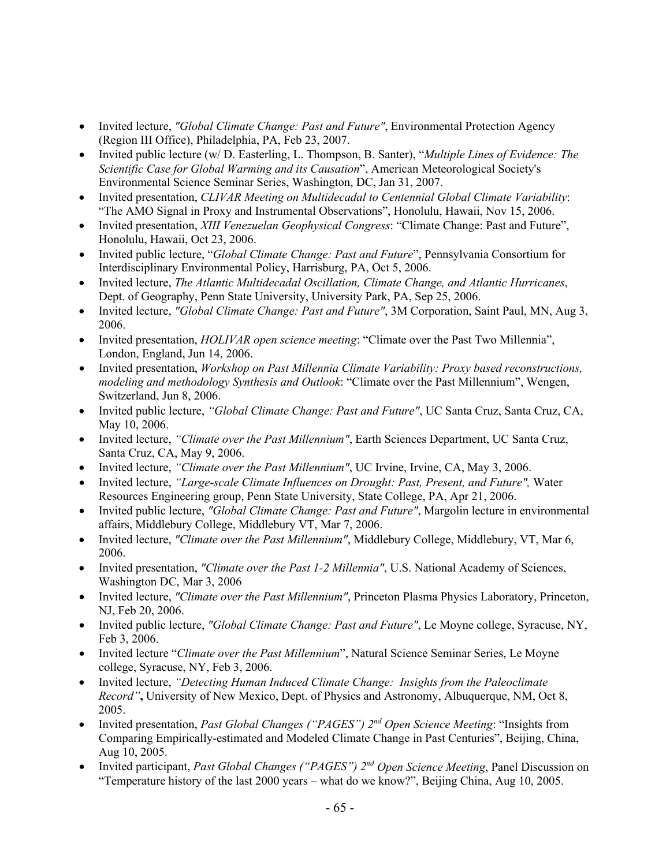- Invited lecture, *"Global Climate Change: Past and Future"*, Environmental Protection Agency (Region III Office), Philadelphia, PA, Feb 23, 2007.
- Invited public lecture (w/ D. Easterling, L. Thompson, B. Santer), "*Multiple Lines of Evidence: The Scientific Case for Global Warming and its Causation*", American Meteorological Society's Environmental Science Seminar Series, Washington, DC, Jan 31, 2007.
- Invited presentation, *CLIVAR Meeting on Multidecadal to Centennial Global Climate Variability*: "The AMO Signal in Proxy and Instrumental Observations", Honolulu, Hawaii, Nov 15, 2006.
- Invited presentation, *XIII Venezuelan Geophysical Congress*: "Climate Change: Past and Future", Honolulu, Hawaii, Oct 23, 2006.
- Invited public lecture, "*Global Climate Change: Past and Future*", Pennsylvania Consortium for Interdisciplinary Environmental Policy, Harrisburg, PA, Oct 5, 2006.
- Invited lecture, *The Atlantic Multidecadal Oscillation, Climate Change, and Atlantic Hurricanes*, Dept. of Geography, Penn State University, University Park, PA, Sep 25, 2006.
- Invited lecture, *"Global Climate Change: Past and Future"*, 3M Corporation, Saint Paul, MN, Aug 3, 2006.
- Invited presentation, *HOLIVAR open science meeting*: "Climate over the Past Two Millennia", London, England, Jun 14, 2006.
- Invited presentation, *Workshop on Past Millennia Climate Variability: Proxy based reconstructions, modeling and methodology Synthesis and Outlook*: "Climate over the Past Millennium", Wengen, Switzerland, Jun 8, 2006.
- Invited public lecture, *"Global Climate Change: Past and Future"*, UC Santa Cruz, Santa Cruz, CA, May 10, 2006.
- Invited lecture, *"Climate over the Past Millennium"*, Earth Sciences Department, UC Santa Cruz, Santa Cruz, CA, May 9, 2006.
- Invited lecture, *"Climate over the Past Millennium"*, UC Irvine, Irvine, CA, May 3, 2006.
- Invited lecture, *"Large-scale Climate Influences on Drought: Past, Present, and Future",* Water Resources Engineering group, Penn State University, State College, PA, Apr 21, 2006.
- Invited public lecture, *"Global Climate Change: Past and Future"*, Margolin lecture in environmental affairs, Middlebury College, Middlebury VT, Mar 7, 2006.
- Invited lecture, *"Climate over the Past Millennium"*, Middlebury College, Middlebury, VT, Mar 6, 2006.
- Invited presentation, *"Climate over the Past 1-2 Millennia"*, U.S. National Academy of Sciences, Washington DC, Mar 3, 2006
- Invited lecture, *"Climate over the Past Millennium"*, Princeton Plasma Physics Laboratory, Princeton, NJ, Feb 20, 2006.
- Invited public lecture, *"Global Climate Change: Past and Future"*, Le Moyne college, Syracuse, NY, Feb 3, 2006.
- Invited lecture "*Climate over the Past Millennium*", Natural Science Seminar Series, Le Moyne college, Syracuse, NY, Feb 3, 2006.
- Invited lecture, *"Detecting Human Induced Climate Change: Insights from the Paleoclimate Record"***,** University of New Mexico, Dept. of Physics and Astronomy, Albuquerque, NM, Oct 8, 2005.
- Invited presentation, *Past Global Changes ("PAGES") 2nd Open Science Meeting*: "Insights from Comparing Empirically-estimated and Modeled Climate Change in Past Centuries", Beijing, China, Aug 10, 2005.
- Invited participant, *Past Global Changes ("PAGES") 2nd Open Science Meeting*, Panel Discussion on "Temperature history of the last 2000 years – what do we know?", Beijing China, Aug 10, 2005.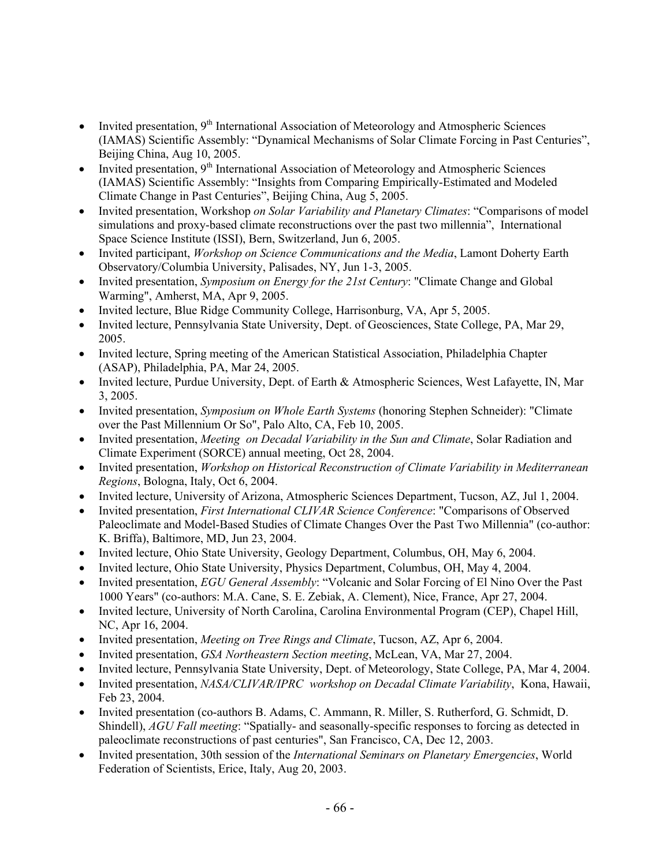- Invited presentation, 9<sup>th</sup> International Association of Meteorology and Atmospheric Sciences (IAMAS) Scientific Assembly: "Dynamical Mechanisms of Solar Climate Forcing in Past Centuries", Beijing China, Aug 10, 2005.
- Invited presentation,  $9<sup>th</sup>$  International Association of Meteorology and Atmospheric Sciences (IAMAS) Scientific Assembly: "Insights from Comparing Empirically-Estimated and Modeled Climate Change in Past Centuries", Beijing China, Aug 5, 2005.
- Invited presentation, Workshop *on Solar Variability and Planetary Climates*: "Comparisons of model simulations and proxy-based climate reconstructions over the past two millennia", International Space Science Institute (ISSI), Bern, Switzerland, Jun 6, 2005.
- Invited participant, *Workshop on Science Communications and the Media*, Lamont Doherty Earth Observatory/Columbia University, Palisades, NY, Jun 1-3, 2005.
- Invited presentation, *Symposium on Energy for the 21st Century*: "Climate Change and Global Warming", Amherst, MA, Apr 9, 2005.
- Invited lecture, Blue Ridge Community College, Harrisonburg, VA, Apr 5, 2005.
- Invited lecture, Pennsylvania State University, Dept. of Geosciences, State College, PA, Mar 29, 2005.
- Invited lecture, Spring meeting of the American Statistical Association, Philadelphia Chapter (ASAP), Philadelphia, PA, Mar 24, 2005.
- Invited lecture, Purdue University, Dept. of Earth & Atmospheric Sciences, West Lafayette, IN, Mar 3, 2005.
- Invited presentation, *Symposium on Whole Earth Systems* (honoring Stephen Schneider): "Climate over the Past Millennium Or So", Palo Alto, CA, Feb 10, 2005.
- Invited presentation, *Meeting on Decadal Variability in the Sun and Climate*, Solar Radiation and Climate Experiment (SORCE) annual meeting, Oct 28, 2004.
- Invited presentation, *Workshop on Historical Reconstruction of Climate Variability in Mediterranean Regions*, Bologna, Italy, Oct 6, 2004.
- Invited lecture, University of Arizona, Atmospheric Sciences Department, Tucson, AZ, Jul 1, 2004.
- Invited presentation, *First International CLIVAR Science Conference*: "Comparisons of Observed Paleoclimate and Model-Based Studies of Climate Changes Over the Past Two Millennia" (co-author: K. Briffa), Baltimore, MD, Jun 23, 2004.
- Invited lecture, Ohio State University, Geology Department, Columbus, OH, May 6, 2004.
- Invited lecture, Ohio State University, Physics Department, Columbus, OH, May 4, 2004.
- Invited presentation, *EGU General Assembly*: "Volcanic and Solar Forcing of El Nino Over the Past 1000 Years" (co-authors: M.A. Cane, S. E. Zebiak, A. Clement), Nice, France, Apr 27, 2004.
- Invited lecture, University of North Carolina, Carolina Environmental Program (CEP), Chapel Hill, NC, Apr 16, 2004.
- Invited presentation, *Meeting on Tree Rings and Climate*, Tucson, AZ, Apr 6, 2004.
- Invited presentation, *GSA Northeastern Section meeting*, McLean, VA, Mar 27, 2004.
- Invited lecture, Pennsylvania State University, Dept. of Meteorology, State College, PA, Mar 4, 2004.
- Invited presentation, *NASA/CLIVAR/IPRC workshop on Decadal Climate Variability*, Kona, Hawaii, Feb 23, 2004.
- Invited presentation (co-authors B. Adams, C. Ammann, R. Miller, S. Rutherford, G. Schmidt, D. Shindell), *AGU Fall meeting*: "Spatially- and seasonally-specific responses to forcing as detected in paleoclimate reconstructions of past centuries", San Francisco, CA, Dec 12, 2003.
- Invited presentation, 30th session of the *International Seminars on Planetary Emergencies*, World Federation of Scientists, Erice, Italy, Aug 20, 2003.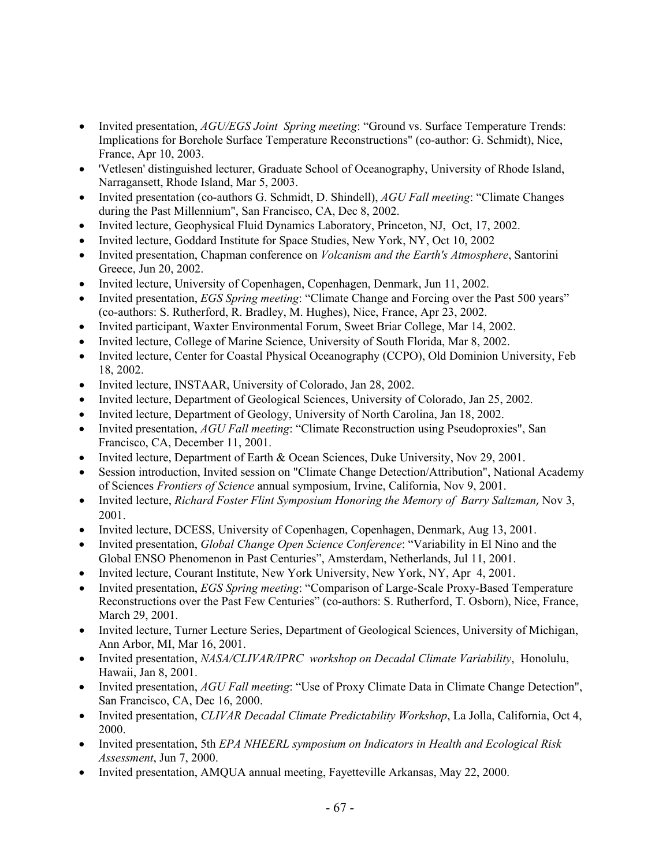- Invited presentation, *AGU/EGS Joint Spring meeting*: "Ground vs. Surface Temperature Trends: Implications for Borehole Surface Temperature Reconstructions" (co-author: G. Schmidt), Nice, France, Apr 10, 2003.
- 'Vetlesen' distinguished lecturer, Graduate School of Oceanography, University of Rhode Island, Narragansett, Rhode Island, Mar 5, 2003.
- Invited presentation (co-authors G. Schmidt, D. Shindell), *AGU Fall meeting*: "Climate Changes during the Past Millennium", San Francisco, CA, Dec 8, 2002.
- Invited lecture, Geophysical Fluid Dynamics Laboratory, Princeton, NJ, Oct, 17, 2002.
- Invited lecture, Goddard Institute for Space Studies, New York, NY, Oct 10, 2002
- Invited presentation, Chapman conference on *Volcanism and the Earth's Atmosphere*, Santorini Greece, Jun 20, 2002.
- Invited lecture, University of Copenhagen, Copenhagen, Denmark, Jun 11, 2002.
- Invited presentation, *EGS Spring meeting*: "Climate Change and Forcing over the Past 500 years" (co-authors: S. Rutherford, R. Bradley, M. Hughes), Nice, France, Apr 23, 2002.
- Invited participant, Waxter Environmental Forum, Sweet Briar College, Mar 14, 2002.
- Invited lecture, College of Marine Science, University of South Florida, Mar 8, 2002.
- Invited lecture, Center for Coastal Physical Oceanography (CCPO), Old Dominion University, Feb 18, 2002.
- Invited lecture, INSTAAR, University of Colorado, Jan 28, 2002.
- Invited lecture, Department of Geological Sciences, University of Colorado, Jan 25, 2002.
- Invited lecture, Department of Geology, University of North Carolina, Jan 18, 2002.
- Invited presentation, *AGU Fall meeting*: "Climate Reconstruction using Pseudoproxies", San Francisco, CA, December 11, 2001.
- Invited lecture, Department of Earth & Ocean Sciences, Duke University, Nov 29, 2001.
- Session introduction, Invited session on "Climate Change Detection/Attribution", National Academy of Sciences *Frontiers of Science* annual symposium, Irvine, California, Nov 9, 2001.
- Invited lecture, *Richard Foster Flint Symposium Honoring the Memory of Barry Saltzman*, Nov 3, 2001.
- Invited lecture, DCESS, University of Copenhagen, Copenhagen, Denmark, Aug 13, 2001.
- Invited presentation, *Global Change Open Science Conference*: "Variability in El Nino and the Global ENSO Phenomenon in Past Centuries", Amsterdam, Netherlands, Jul 11, 2001.
- Invited lecture, Courant Institute, New York University, New York, NY, Apr 4, 2001.
- Invited presentation, *EGS Spring meeting*: "Comparison of Large-Scale Proxy-Based Temperature Reconstructions over the Past Few Centuries" (co-authors: S. Rutherford, T. Osborn), Nice, France, March 29, 2001.
- Invited lecture, Turner Lecture Series, Department of Geological Sciences, University of Michigan, Ann Arbor, MI, Mar 16, 2001.
- Invited presentation, *NASA/CLIVAR/IPRC workshop on Decadal Climate Variability*, Honolulu, Hawaii, Jan 8, 2001.
- Invited presentation, *AGU Fall meeting*: "Use of Proxy Climate Data in Climate Change Detection", San Francisco, CA, Dec 16, 2000.
- Invited presentation, *CLIVAR Decadal Climate Predictability Workshop*, La Jolla, California, Oct 4, 2000.
- Invited presentation, 5th *EPA NHEERL symposium on Indicators in Health and Ecological Risk Assessment*, Jun 7, 2000.
- Invited presentation, AMQUA annual meeting, Fayetteville Arkansas, May 22, 2000.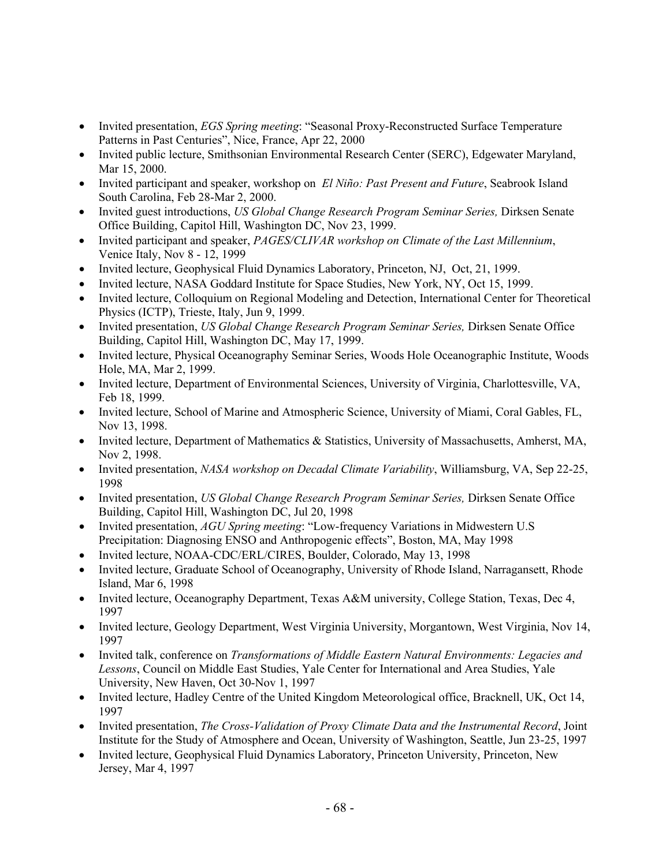- Invited presentation, *EGS Spring meeting*: "Seasonal Proxy-Reconstructed Surface Temperature Patterns in Past Centuries", Nice, France, Apr 22, 2000
- Invited public lecture, Smithsonian Environmental Research Center (SERC), Edgewater Maryland, Mar 15, 2000.
- Invited participant and speaker, workshop on *El Niño: Past Present and Future*, Seabrook Island South Carolina, Feb 28-Mar 2, 2000.
- Invited guest introductions, *US Global Change Research Program Seminar Series,* Dirksen Senate Office Building, Capitol Hill, Washington DC, Nov 23, 1999.
- Invited participant and speaker, *PAGES/CLIVAR workshop on Climate of the Last Millennium*, Venice Italy, Nov 8 - 12, 1999
- Invited lecture, Geophysical Fluid Dynamics Laboratory, Princeton, NJ, Oct, 21, 1999.
- Invited lecture, NASA Goddard Institute for Space Studies, New York, NY, Oct 15, 1999.
- Invited lecture, Colloquium on Regional Modeling and Detection, International Center for Theoretical Physics (ICTP), Trieste, Italy, Jun 9, 1999.
- Invited presentation, *US Global Change Research Program Seminar Series,* Dirksen Senate Office Building, Capitol Hill, Washington DC, May 17, 1999.
- Invited lecture, Physical Oceanography Seminar Series, Woods Hole Oceanographic Institute, Woods Hole, MA, Mar 2, 1999.
- Invited lecture, Department of Environmental Sciences, University of Virginia, Charlottesville, VA, Feb 18, 1999.
- Invited lecture, School of Marine and Atmospheric Science, University of Miami, Coral Gables, FL, Nov 13, 1998.
- Invited lecture, Department of Mathematics & Statistics, University of Massachusetts, Amherst, MA, Nov 2, 1998.
- Invited presentation, *NASA workshop on Decadal Climate Variability*, Williamsburg, VA, Sep 22-25, 1998
- Invited presentation, *US Global Change Research Program Seminar Series,* Dirksen Senate Office Building, Capitol Hill, Washington DC, Jul 20, 1998
- Invited presentation, *AGU Spring meeting*: "Low-frequency Variations in Midwestern U.S Precipitation: Diagnosing ENSO and Anthropogenic effects", Boston, MA, May 1998
- Invited lecture, NOAA-CDC/ERL/CIRES, Boulder, Colorado, May 13, 1998
- Invited lecture, Graduate School of Oceanography, University of Rhode Island, Narragansett, Rhode Island, Mar 6, 1998
- Invited lecture, Oceanography Department, Texas A&M university, College Station, Texas, Dec 4, 1997
- Invited lecture, Geology Department, West Virginia University, Morgantown, West Virginia, Nov 14, 1997
- Invited talk, conference on *Transformations of Middle Eastern Natural Environments: Legacies and Lessons*, Council on Middle East Studies, Yale Center for International and Area Studies, Yale University, New Haven, Oct 30-Nov 1, 1997
- Invited lecture, Hadley Centre of the United Kingdom Meteorological office, Bracknell, UK, Oct 14, 1997
- Invited presentation, *The Cross-Validation of Proxy Climate Data and the Instrumental Record*, Joint Institute for the Study of Atmosphere and Ocean, University of Washington, Seattle, Jun 23-25, 1997
- Invited lecture, Geophysical Fluid Dynamics Laboratory, Princeton University, Princeton, New Jersey, Mar 4, 1997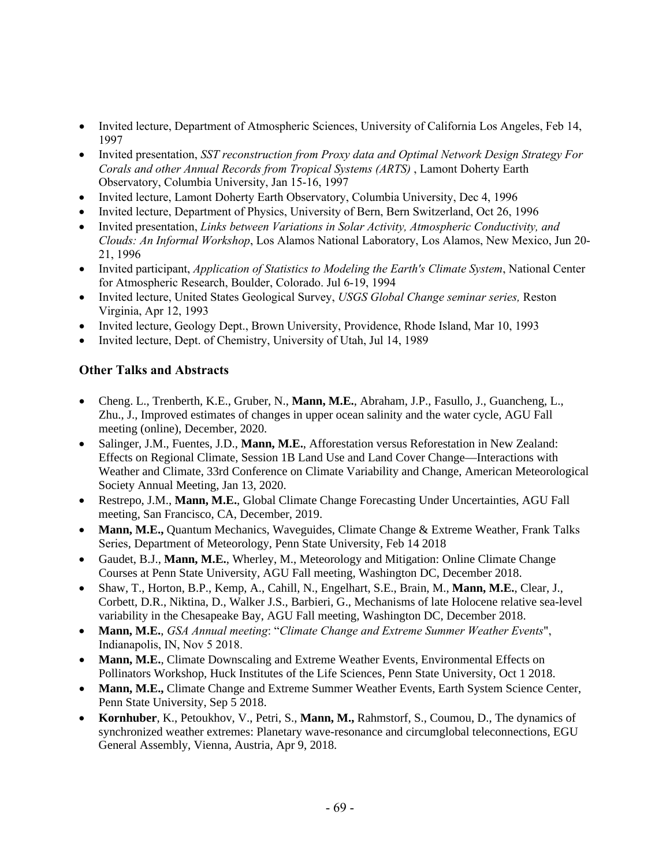- Invited lecture, Department of Atmospheric Sciences, University of California Los Angeles, Feb 14, 1997
- Invited presentation, *SST reconstruction from Proxy data and Optimal Network Design Strategy For Corals and other Annual Records from Tropical Systems (ARTS)* , Lamont Doherty Earth Observatory, Columbia University, Jan 15-16, 1997
- Invited lecture, Lamont Doherty Earth Observatory, Columbia University, Dec 4, 1996
- Invited lecture, Department of Physics, University of Bern, Bern Switzerland, Oct 26, 1996
- Invited presentation, *Links between Variations in Solar Activity, Atmospheric Conductivity, and Clouds: An Informal Workshop*, Los Alamos National Laboratory, Los Alamos, New Mexico, Jun 20- 21, 1996
- Invited participant, *Application of Statistics to Modeling the Earth's Climate System*, National Center for Atmospheric Research, Boulder, Colorado. Jul 6-19, 1994
- Invited lecture, United States Geological Survey, *USGS Global Change seminar series,* Reston Virginia, Apr 12, 1993
- Invited lecture, Geology Dept., Brown University, Providence, Rhode Island, Mar 10, 1993
- Invited lecture, Dept. of Chemistry, University of Utah, Jul 14, 1989

## **Other Talks and Abstracts**

- Cheng. L., Trenberth, K.E., Gruber, N., **Mann, M.E.**, Abraham, J.P., Fasullo, J., Guancheng, L., Zhu., J., Improved estimates of changes in upper ocean salinity and the water cycle, AGU Fall meeting (online), December, 2020.
- Salinger, J.M., Fuentes, J.D., **Mann, M.E.**, Afforestation versus Reforestation in New Zealand: Effects on Regional Climate, Session 1B Land Use and Land Cover Change—Interactions with Weather and Climate, 33rd Conference on Climate Variability and Change, American Meteorological Society Annual Meeting, Jan 13, 2020.
- Restrepo, J.M., **Mann, M.E.**, Global Climate Change Forecasting Under Uncertainties, AGU Fall meeting, San Francisco, CA, December, 2019.
- **Mann, M.E.,** Quantum Mechanics, Waveguides, Climate Change & Extreme Weather, Frank Talks Series, Department of Meteorology, Penn State University, Feb 14 2018
- Gaudet, B.J., **Mann, M.E.**, Wherley, M., Meteorology and Mitigation: Online Climate Change Courses at Penn State University, AGU Fall meeting, Washington DC, December 2018.
- Shaw, T., Horton, B.P., Kemp, A., Cahill, N., Engelhart, S.E., Brain, M., **Mann, M.E.**, Clear, J., Corbett, D.R., Niktina, D., Walker J.S., Barbieri, G., Mechanisms of late Holocene relative sea-level variability in the Chesapeake Bay, AGU Fall meeting, Washington DC, December 2018.
- **Mann, M.E.**, *GSA Annual meeting*: "*Climate Change and Extreme Summer Weather Events*", Indianapolis, IN, Nov 5 2018.
- **Mann, M.E.**, Climate Downscaling and Extreme Weather Events, Environmental Effects on Pollinators Workshop, Huck Institutes of the Life Sciences, Penn State University, Oct 1 2018.
- **Mann, M.E.,** Climate Change and Extreme Summer Weather Events, Earth System Science Center, Penn State University, Sep 5 2018.
- **Kornhuber**, K., Petoukhov, V., Petri, S., **Mann, M.,** Rahmstorf, S., Coumou, D., The dynamics of synchronized weather extremes: Planetary wave-resonance and circumglobal teleconnections, EGU General Assembly, Vienna, Austria, Apr 9, 2018.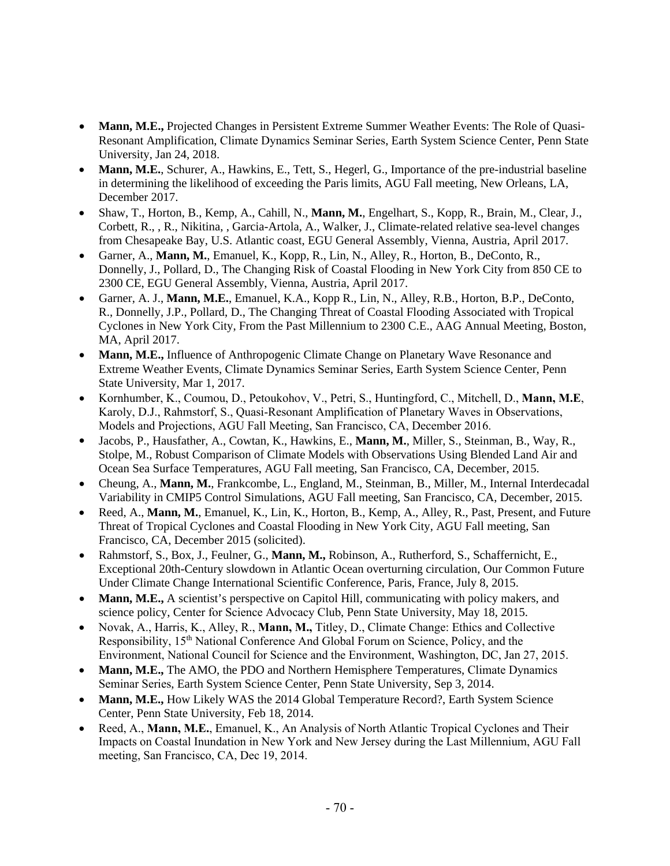- **Mann, M.E.,** Projected Changes in Persistent Extreme Summer Weather Events: The Role of Quasi-Resonant Amplification, Climate Dynamics Seminar Series, Earth System Science Center, Penn State University, Jan 24, 2018.
- **Mann, M.E.**, Schurer, A., Hawkins, E., Tett, S., Hegerl, G., Importance of the pre-industrial baseline in determining the likelihood of exceeding the Paris limits, AGU Fall meeting, New Orleans, LA, December 2017.
- Shaw, T., Horton, B., Kemp, A., Cahill, N., **Mann, M.**, Engelhart, S., Kopp, R., Brain, M., Clear, J., Corbett, R., , R., Nikitina, , Garcia-Artola, A., Walker, J., Climate-related relative sea-level changes from Chesapeake Bay, U.S. Atlantic coast, EGU General Assembly, Vienna, Austria, April 2017.
- Garner, A., **Mann, M.**, Emanuel, K., Kopp, R., Lin, N., Alley, R., Horton, B., DeConto, R., Donnelly, J., Pollard, D., The Changing Risk of Coastal Flooding in New York City from 850 CE to 2300 CE, EGU General Assembly, Vienna, Austria, April 2017.
- Garner, A. J., **Mann, M.E.**, Emanuel, K.A., Kopp R., Lin, N., Alley, R.B., Horton, B.P., DeConto, R., Donnelly, J.P., Pollard, D., The Changing Threat of Coastal Flooding Associated with Tropical Cyclones in New York City, From the Past Millennium to 2300 C.E., AAG Annual Meeting, Boston, MA, April 2017.
- **Mann, M.E.,** Influence of Anthropogenic Climate Change on Planetary Wave Resonance and Extreme Weather Events, Climate Dynamics Seminar Series, Earth System Science Center, Penn State University, Mar 1, 2017.
- Kornhumber, K., Coumou, D., Petoukohov, V., Petri, S., Huntingford, C., Mitchell, D., **Mann, M.E**, Karoly, D.J., Rahmstorf, S., Quasi-Resonant Amplification of Planetary Waves in Observations, Models and Projections, AGU Fall Meeting, San Francisco, CA, December 2016.
- Jacobs, P., Hausfather, A., Cowtan, K., Hawkins, E., **Mann, M.**, Miller, S., Steinman, B., Way, R., Stolpe, M., Robust Comparison of Climate Models with Observations Using Blended Land Air and Ocean Sea Surface Temperatures, AGU Fall meeting, San Francisco, CA, December, 2015.
- Cheung, A., **Mann, M.**, Frankcombe, L., England, M., Steinman, B., Miller, M., Internal Interdecadal Variability in CMIP5 Control Simulations, AGU Fall meeting, San Francisco, CA, December, 2015.
- Reed, A., **Mann, M.**, Emanuel, K., Lin, K., Horton, B., Kemp, A., Alley, R., Past, Present, and Future Threat of Tropical Cyclones and Coastal Flooding in New York City, AGU Fall meeting, San Francisco, CA, December 2015 (solicited).
- Rahmstorf, S., Box, J., Feulner, G., **Mann, M.,** Robinson, A., Rutherford, S., Schaffernicht, E., Exceptional 20th-Century slowdown in Atlantic Ocean overturning circulation, Our Common Future Under Climate Change International Scientific Conference, Paris, France, July 8, 2015.
- **Mann, M.E.,** A scientist's perspective on Capitol Hill, communicating with policy makers, and science policy, Center for Science Advocacy Club, Penn State University, May 18, 2015.
- Novak, A., Harris, K., Alley, R., **Mann, M.,** Titley, D., Climate Change: Ethics and Collective Responsibility, 15<sup>th</sup> National Conference And Global Forum on Science, Policy, and the Environment, National Council for Science and the Environment, Washington, DC, Jan 27, 2015.
- **Mann, M.E.,** The AMO, the PDO and Northern Hemisphere Temperatures, Climate Dynamics Seminar Series, Earth System Science Center, Penn State University, Sep 3, 2014.
- **Mann, M.E., How Likely WAS the 2014 Global Temperature Record?, Earth System Science** Center, Penn State University, Feb 18, 2014.
- Reed, A., **Mann, M.E.**, Emanuel, K., An Analysis of North Atlantic Tropical Cyclones and Their Impacts on Coastal Inundation in New York and New Jersey during the Last Millennium, AGU Fall meeting, San Francisco, CA, Dec 19, 2014.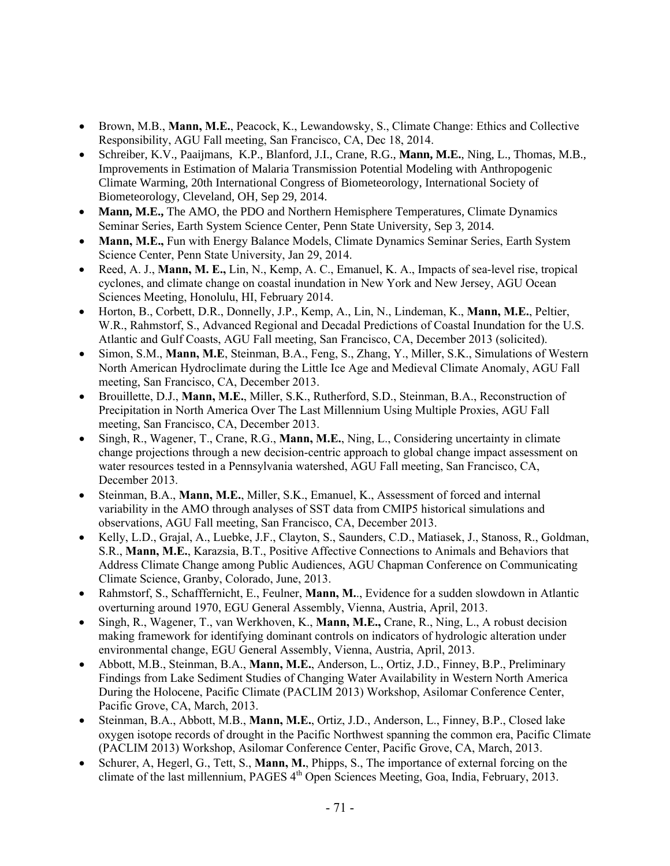- Brown, M.B., **Mann, M.E.**, Peacock, K., Lewandowsky, S., Climate Change: Ethics and Collective Responsibility, AGU Fall meeting, San Francisco, CA, Dec 18, 2014.
- Schreiber, K.V., Paaijmans, K.P., Blanford, J.I., Crane, R.G., **Mann, M.E.**, Ning, L., Thomas, M.B., Improvements in Estimation of Malaria Transmission Potential Modeling with Anthropogenic Climate Warming, 20th International Congress of Biometeorology, International Society of Biometeorology, Cleveland, OH, Sep 29, 2014.
- **Mann, M.E.,** The AMO, the PDO and Northern Hemisphere Temperatures, Climate Dynamics Seminar Series, Earth System Science Center, Penn State University, Sep 3, 2014.
- **Mann, M.E.,** Fun with Energy Balance Models, Climate Dynamics Seminar Series, Earth System Science Center, Penn State University, Jan 29, 2014.
- Reed, A. J., **Mann, M. E.,** Lin, N., Kemp, A. C., Emanuel, K. A., Impacts of sea-level rise, tropical cyclones, and climate change on coastal inundation in New York and New Jersey, AGU Ocean Sciences Meeting, Honolulu, HI, February 2014.
- Horton, B., Corbett, D.R., Donnelly, J.P., Kemp, A., Lin, N., Lindeman, K., **Mann, M.E.**, Peltier, W.R., Rahmstorf, S., Advanced Regional and Decadal Predictions of Coastal Inundation for the U.S. Atlantic and Gulf Coasts, AGU Fall meeting, San Francisco, CA, December 2013 (solicited).
- Simon, S.M., **Mann, M.E**, Steinman, B.A., Feng, S., Zhang, Y., Miller, S.K., Simulations of Western North American Hydroclimate during the Little Ice Age and Medieval Climate Anomaly, AGU Fall meeting, San Francisco, CA, December 2013.
- Brouillette, D.J., **Mann, M.E.**, Miller, S.K., Rutherford, S.D., Steinman, B.A., Reconstruction of Precipitation in North America Over The Last Millennium Using Multiple Proxies, AGU Fall meeting, San Francisco, CA, December 2013.
- Singh, R., Wagener, T., Crane, R.G., **Mann, M.E.**, Ning, L., Considering uncertainty in climate change projections through a new decision-centric approach to global change impact assessment on water resources tested in a Pennsylvania watershed, AGU Fall meeting, San Francisco, CA, December 2013.
- Steinman, B.A., **Mann, M.E.**, Miller, S.K., Emanuel, K., Assessment of forced and internal variability in the AMO through analyses of SST data from CMIP5 historical simulations and observations, AGU Fall meeting, San Francisco, CA, December 2013.
- Kelly, L.D., Grajal, A., Luebke, J.F., Clayton, S., Saunders, C.D., Matiasek, J., Stanoss, R., Goldman, S.R., **Mann, M.E.**, Karazsia, B.T., Positive Affective Connections to Animals and Behaviors that Address Climate Change among Public Audiences, AGU Chapman Conference on Communicating Climate Science, Granby, Colorado, June, 2013.
- Rahmstorf, S., Schafffernicht, E., Feulner, **Mann, M.**., Evidence for a sudden slowdown in Atlantic overturning around 1970, EGU General Assembly, Vienna, Austria, April, 2013.
- Singh, R., Wagener, T., van Werkhoven, K., **Mann, M.E.,** Crane, R., Ning, L., A robust decision making framework for identifying dominant controls on indicators of hydrologic alteration under environmental change, EGU General Assembly, Vienna, Austria, April, 2013.
- Abbott, M.B., Steinman, B.A., **Mann, M.E.**, Anderson, L., Ortiz, J.D., Finney, B.P., Preliminary Findings from Lake Sediment Studies of Changing Water Availability in Western North America During the Holocene, Pacific Climate (PACLIM 2013) Workshop, Asilomar Conference Center, Pacific Grove, CA, March, 2013.
- Steinman, B.A., Abbott, M.B., **Mann, M.E.**, Ortiz, J.D., Anderson, L., Finney, B.P., Closed lake oxygen isotope records of drought in the Pacific Northwest spanning the common era, Pacific Climate (PACLIM 2013) Workshop, Asilomar Conference Center, Pacific Grove, CA, March, 2013.
- Schurer, A, Hegerl, G., Tett, S., **Mann, M.**, Phipps, S., The importance of external forcing on the climate of the last millennium, PAGES 4<sup>th</sup> Open Sciences Meeting, Goa, India, February, 2013.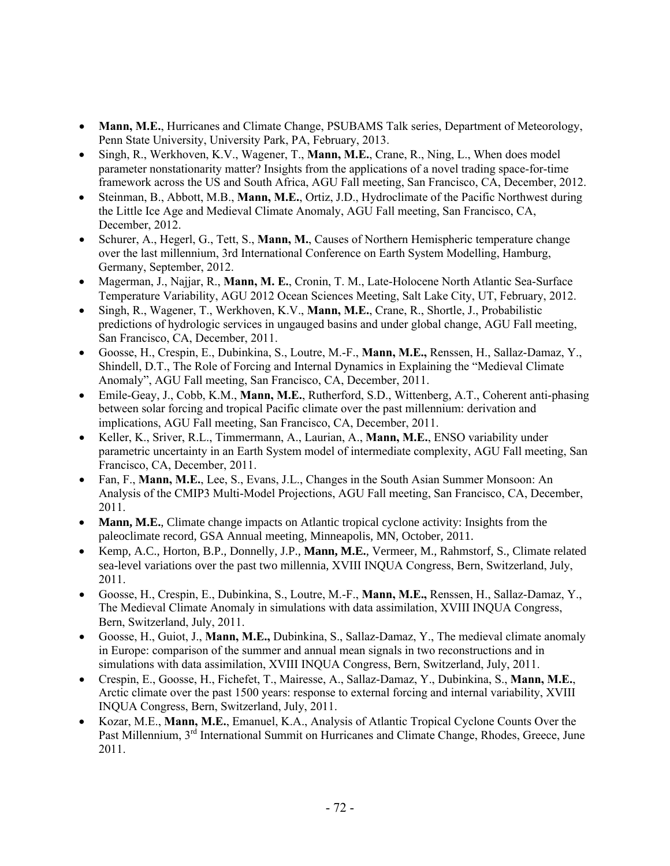- **Mann, M.E.**, Hurricanes and Climate Change, PSUBAMS Talk series, Department of Meteorology, Penn State University, University Park, PA, February, 2013.
- Singh, R., Werkhoven, K.V., Wagener, T., **Mann, M.E.**, Crane, R., Ning, L., When does model parameter nonstationarity matter? Insights from the applications of a novel trading space-for-time framework across the US and South Africa, AGU Fall meeting, San Francisco, CA, December, 2012.
- Steinman, B., Abbott, M.B., **Mann, M.E.**, Ortiz, J.D., Hydroclimate of the Pacific Northwest during the Little Ice Age and Medieval Climate Anomaly, AGU Fall meeting, San Francisco, CA, December, 2012.
- Schurer, A., Hegerl, G., Tett, S., **Mann, M.**, Causes of Northern Hemispheric temperature change over the last millennium, 3rd International Conference on Earth System Modelling, Hamburg, Germany, September, 2012.
- Magerman, J., Najjar, R., **Mann, M. E.**, Cronin, T. M., Late-Holocene North Atlantic Sea-Surface Temperature Variability, AGU 2012 Ocean Sciences Meeting, Salt Lake City, UT, February, 2012.
- Singh, R., Wagener, T., Werkhoven, K.V., **Mann, M.E.**, Crane, R., Shortle, J., Probabilistic predictions of hydrologic services in ungauged basins and under global change, AGU Fall meeting, San Francisco, CA, December, 2011.
- Goosse, H., Crespin, E., Dubinkina, S., Loutre, M.-F., **Mann, M.E.,** Renssen, H., Sallaz-Damaz, Y., Shindell, D.T., The Role of Forcing and Internal Dynamics in Explaining the "Medieval Climate Anomaly", AGU Fall meeting, San Francisco, CA, December, 2011.
- Emile-Geay, J., Cobb, K.M., **Mann, M.E.**, Rutherford, S.D., Wittenberg, A.T., Coherent anti-phasing between solar forcing and tropical Pacific climate over the past millennium: derivation and implications, AGU Fall meeting, San Francisco, CA, December, 2011.
- Keller, K., Sriver, R.L., Timmermann, A., Laurian, A., **Mann, M.E.**, ENSO variability under parametric uncertainty in an Earth System model of intermediate complexity, AGU Fall meeting, San Francisco, CA, December, 2011.
- Fan, F., **Mann, M.E.**, Lee, S., Evans, J.L., Changes in the South Asian Summer Monsoon: An Analysis of the CMIP3 Multi-Model Projections, AGU Fall meeting, San Francisco, CA, December, 2011.
- **Mann, M.E.**, Climate change impacts on Atlantic tropical cyclone activity: Insights from the paleoclimate record, GSA Annual meeting, Minneapolis, MN, October, 2011.
- Kemp, A.C., Horton, B.P., Donnelly, J.P., **Mann, M.E.**, Vermeer, M., Rahmstorf, S., Climate related sea-level variations over the past two millennia, XVIII INQUA Congress, Bern, Switzerland, July, 2011.
- Goosse, H., Crespin, E., Dubinkina, S., Loutre, M.-F., **Mann, M.E.,** Renssen, H., Sallaz-Damaz, Y., The Medieval Climate Anomaly in simulations with data assimilation, XVIII INQUA Congress, Bern, Switzerland, July, 2011.
- Goosse, H., Guiot, J., **Mann, M.E.,** Dubinkina, S., Sallaz-Damaz, Y., The medieval climate anomaly in Europe: comparison of the summer and annual mean signals in two reconstructions and in simulations with data assimilation, XVIII INQUA Congress, Bern, Switzerland, July, 2011.
- Crespin, E., Goosse, H., Fichefet, T., Mairesse, A., Sallaz-Damaz, Y., Dubinkina, S., **Mann, M.E.**, Arctic climate over the past 1500 years: response to external forcing and internal variability, XVIII INQUA Congress, Bern, Switzerland, July, 2011.
- Kozar, M.E., **Mann, M.E.**, Emanuel, K.A., Analysis of Atlantic Tropical Cyclone Counts Over the Past Millennium, 3<sup>rd</sup> International Summit on Hurricanes and Climate Change, Rhodes, Greece, June 2011.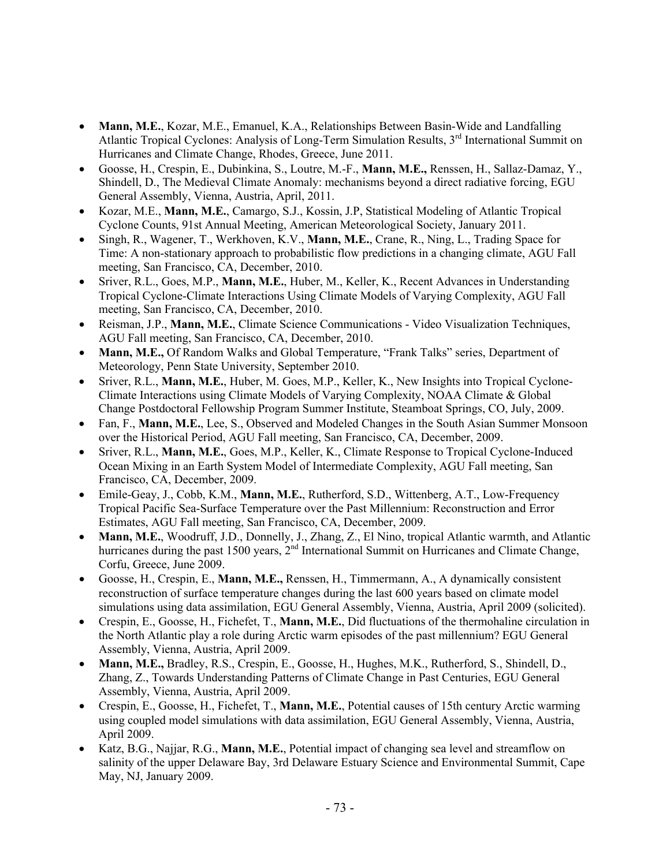- **Mann, M.E.**, Kozar, M.E., Emanuel, K.A., Relationships Between Basin-Wide and Landfalling Atlantic Tropical Cyclones: Analysis of Long-Term Simulation Results, 3<sup>rd</sup> International Summit on Hurricanes and Climate Change, Rhodes, Greece, June 2011.
- Goosse, H., Crespin, E., Dubinkina, S., Loutre, M.-F., **Mann, M.E.,** Renssen, H., Sallaz-Damaz, Y., Shindell, D., The Medieval Climate Anomaly: mechanisms beyond a direct radiative forcing, EGU General Assembly, Vienna, Austria, April, 2011.
- Kozar, M.E., **Mann, M.E.**, Camargo, S.J., Kossin, J.P, Statistical Modeling of Atlantic Tropical Cyclone Counts, 91st Annual Meeting, American Meteorological Society, January 2011.
- Singh, R., Wagener, T., Werkhoven, K.V., **Mann, M.E.**, Crane, R., Ning, L., Trading Space for Time: A non-stationary approach to probabilistic flow predictions in a changing climate, AGU Fall meeting, San Francisco, CA, December, 2010.
- Sriver, R.L., Goes, M.P., **Mann, M.E.**, Huber, M., Keller, K., Recent Advances in Understanding Tropical Cyclone-Climate Interactions Using Climate Models of Varying Complexity, AGU Fall meeting, San Francisco, CA, December, 2010.
- Reisman, J.P., **Mann, M.E.**, Climate Science Communications Video Visualization Techniques, AGU Fall meeting, San Francisco, CA, December, 2010.
- **Mann, M.E.,** Of Random Walks and Global Temperature, "Frank Talks" series, Department of Meteorology, Penn State University, September 2010.
- Sriver, R.L., **Mann, M.E.**, Huber, M. Goes, M.P., Keller, K., New Insights into Tropical Cyclone-Climate Interactions using Climate Models of Varying Complexity, NOAA Climate & Global Change Postdoctoral Fellowship Program Summer Institute, Steamboat Springs, CO, July, 2009.
- Fan, F., **Mann, M.E.**, Lee, S., Observed and Modeled Changes in the South Asian Summer Monsoon over the Historical Period, AGU Fall meeting, San Francisco, CA, December, 2009.
- Sriver, R.L., **Mann, M.E.**, Goes, M.P., Keller, K., Climate Response to Tropical Cyclone-Induced Ocean Mixing in an Earth System Model of Intermediate Complexity, AGU Fall meeting, San Francisco, CA, December, 2009.
- Emile-Geay, J., Cobb, K.M., **Mann, M.E.**, Rutherford, S.D., Wittenberg, A.T., Low-Frequency Tropical Pacific Sea-Surface Temperature over the Past Millennium: Reconstruction and Error Estimates, AGU Fall meeting, San Francisco, CA, December, 2009.
- **Mann, M.E.**, Woodruff, J.D., Donnelly, J., Zhang, Z., El Nino, tropical Atlantic warmth, and Atlantic hurricanes during the past 1500 years, 2<sup>nd</sup> International Summit on Hurricanes and Climate Change, Corfu, Greece, June 2009.
- Goosse, H., Crespin, E., **Mann, M.E.,** Renssen, H., Timmermann, A., A dynamically consistent reconstruction of surface temperature changes during the last 600 years based on climate model simulations using data assimilation, EGU General Assembly, Vienna, Austria, April 2009 (solicited).
- Crespin, E., Goosse, H., Fichefet, T., **Mann, M.E.**, Did fluctuations of the thermohaline circulation in the North Atlantic play a role during Arctic warm episodes of the past millennium? EGU General Assembly, Vienna, Austria, April 2009.
- **Mann, M.E.,** Bradley, R.S., Crespin, E., Goosse, H., Hughes, M.K., Rutherford, S., Shindell, D., Zhang, Z., Towards Understanding Patterns of Climate Change in Past Centuries, EGU General Assembly, Vienna, Austria, April 2009.
- Crespin, E., Goosse, H., Fichefet, T., **Mann, M.E.**, Potential causes of 15th century Arctic warming using coupled model simulations with data assimilation, EGU General Assembly, Vienna, Austria, April 2009.
- Katz, B.G., Najjar, R.G., **Mann, M.E.**, Potential impact of changing sea level and streamflow on salinity of the upper Delaware Bay, 3rd Delaware Estuary Science and Environmental Summit, Cape May, NJ, January 2009.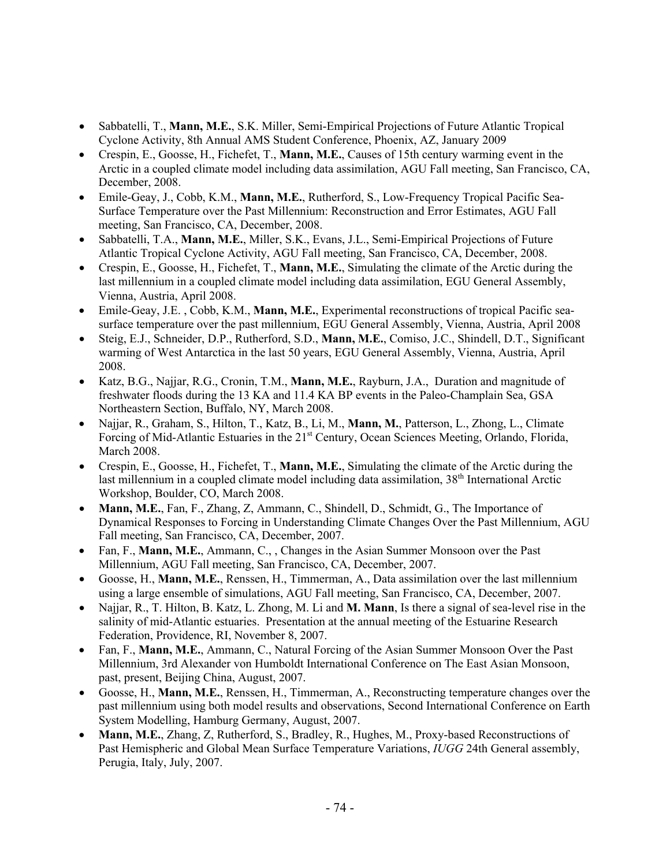- Sabbatelli, T., **Mann, M.E.**, S.K. Miller, Semi-Empirical Projections of Future Atlantic Tropical Cyclone Activity, 8th Annual AMS Student Conference, Phoenix, AZ, January 2009
- Crespin, E., Goosse, H., Fichefet, T., **Mann, M.E.**, Causes of 15th century warming event in the Arctic in a coupled climate model including data assimilation, AGU Fall meeting, San Francisco, CA, December, 2008.
- Emile-Geay, J., Cobb, K.M., **Mann, M.E.**, Rutherford, S., Low-Frequency Tropical Pacific Sea-Surface Temperature over the Past Millennium: Reconstruction and Error Estimates, AGU Fall meeting, San Francisco, CA, December, 2008.
- Sabbatelli, T.A., **Mann, M.E.**, Miller, S.K., Evans, J.L., Semi-Empirical Projections of Future Atlantic Tropical Cyclone Activity, AGU Fall meeting, San Francisco, CA, December, 2008.
- Crespin, E., Goosse, H., Fichefet, T., **Mann, M.E.**, Simulating the climate of the Arctic during the last millennium in a coupled climate model including data assimilation, EGU General Assembly, Vienna, Austria, April 2008.
- Emile-Geay, J.E. , Cobb, K.M., **Mann, M.E.**, Experimental reconstructions of tropical Pacific seasurface temperature over the past millennium, EGU General Assembly, Vienna, Austria, April 2008
- Steig, E.J., Schneider, D.P., Rutherford, S.D., **Mann, M.E.**, Comiso, J.C., Shindell, D.T., Significant warming of West Antarctica in the last 50 years, EGU General Assembly, Vienna, Austria, April 2008.
- Katz, B.G., Najjar, R.G., Cronin, T.M., **Mann, M.E.**, Rayburn, J.A., Duration and magnitude of freshwater floods during the 13 KA and 11.4 KA BP events in the Paleo-Champlain Sea, GSA Northeastern Section, Buffalo, NY, March 2008.
- Najjar, R., Graham, S., Hilton, T., Katz, B., Li, M., **Mann, M.**, Patterson, L., Zhong, L., Climate Forcing of Mid-Atlantic Estuaries in the 21<sup>st</sup> Century, Ocean Sciences Meeting, Orlando, Florida, March 2008.
- Crespin, E., Goosse, H., Fichefet, T., **Mann, M.E.**, Simulating the climate of the Arctic during the last millennium in a coupled climate model including data assimilation,  $38<sup>th</sup>$  International Arctic Workshop, Boulder, CO, March 2008.
- **Mann, M.E.**, Fan, F., Zhang, Z, Ammann, C., Shindell, D., Schmidt, G., The Importance of Dynamical Responses to Forcing in Understanding Climate Changes Over the Past Millennium, AGU Fall meeting, San Francisco, CA, December, 2007.
- Fan, F., **Mann, M.E.**, Ammann, C., , Changes in the Asian Summer Monsoon over the Past Millennium, AGU Fall meeting, San Francisco, CA, December, 2007.
- Goosse, H., **Mann, M.E.**, Renssen, H., Timmerman, A., Data assimilation over the last millennium using a large ensemble of simulations, AGU Fall meeting, San Francisco, CA, December, 2007.
- Najjar, R., T. Hilton, B. Katz, L. Zhong, M. Li and **M. Mann**, Is there a signal of sea-level rise in the salinity of mid-Atlantic estuaries. Presentation at the annual meeting of the Estuarine Research Federation, Providence, RI, November 8, 2007.
- Fan, F., **Mann, M.E.**, Ammann, C., Natural Forcing of the Asian Summer Monsoon Over the Past Millennium, 3rd Alexander von Humboldt International Conference on The East Asian Monsoon, past, present, Beijing China, August, 2007.
- Goosse, H., **Mann, M.E.**, Renssen, H., Timmerman, A., Reconstructing temperature changes over the past millennium using both model results and observations, Second International Conference on Earth System Modelling, Hamburg Germany, August, 2007.
- **Mann, M.E.**, Zhang, Z, Rutherford, S., Bradley, R., Hughes, M., Proxy-based Reconstructions of Past Hemispheric and Global Mean Surface Temperature Variations, *IUGG* 24th General assembly, Perugia, Italy, July, 2007.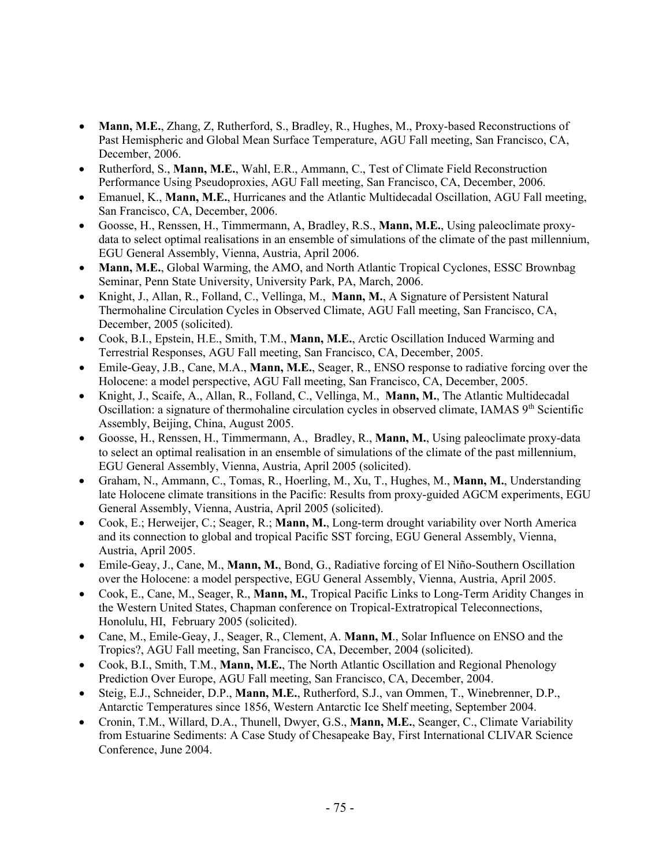- **Mann, M.E.**, Zhang, Z, Rutherford, S., Bradley, R., Hughes, M., Proxy-based Reconstructions of Past Hemispheric and Global Mean Surface Temperature, AGU Fall meeting, San Francisco, CA, December, 2006.
- Rutherford, S., **Mann, M.E.**, Wahl, E.R., Ammann, C., Test of Climate Field Reconstruction Performance Using Pseudoproxies, AGU Fall meeting, San Francisco, CA, December, 2006.
- Emanuel, K., **Mann, M.E.**, Hurricanes and the Atlantic Multidecadal Oscillation, AGU Fall meeting, San Francisco, CA, December, 2006.
- Goosse, H., Renssen, H., Timmermann, A, Bradley, R.S., **Mann, M.E.**, Using paleoclimate proxydata to select optimal realisations in an ensemble of simulations of the climate of the past millennium, EGU General Assembly, Vienna, Austria, April 2006.
- **Mann, M.E.**, Global Warming, the AMO, and North Atlantic Tropical Cyclones, ESSC Brownbag Seminar, Penn State University, University Park, PA, March, 2006.
- Knight, J., Allan, R., Folland, C., Vellinga, M., **Mann, M.**, A Signature of Persistent Natural Thermohaline Circulation Cycles in Observed Climate, AGU Fall meeting, San Francisco, CA, December, 2005 (solicited).
- Cook, B.I., Epstein, H.E., Smith, T.M., **Mann, M.E.**, Arctic Oscillation Induced Warming and Terrestrial Responses, AGU Fall meeting, San Francisco, CA, December, 2005.
- Emile-Geay, J.B., Cane, M.A., **Mann, M.E.**, Seager, R., ENSO response to radiative forcing over the Holocene: a model perspective, AGU Fall meeting, San Francisco, CA, December, 2005.
- Knight, J., Scaife, A., Allan, R., Folland, C., Vellinga, M., **Mann, M.**, The Atlantic Multidecadal Oscillation: a signature of thermohaline circulation cycles in observed climate, IAMAS 9<sup>th</sup> Scientific Assembly, Beijing, China, August 2005.
- Goosse, H., Renssen, H., Timmermann, A., Bradley, R., **Mann, M.**, Using paleoclimate proxy-data to select an optimal realisation in an ensemble of simulations of the climate of the past millennium, EGU General Assembly, Vienna, Austria, April 2005 (solicited).
- Graham, N., Ammann, C., Tomas, R., Hoerling, M., Xu, T., Hughes, M., **Mann, M.**, Understanding late Holocene climate transitions in the Pacific: Results from proxy-guided AGCM experiments, EGU General Assembly, Vienna, Austria, April 2005 (solicited).
- Cook, E.; Herweijer, C.; Seager, R.; **Mann, M.**, Long-term drought variability over North America and its connection to global and tropical Pacific SST forcing, EGU General Assembly, Vienna, Austria, April 2005.
- Emile-Geay, J., Cane, M., **Mann, M.**, Bond, G., Radiative forcing of El Niño-Southern Oscillation over the Holocene: a model perspective, EGU General Assembly, Vienna, Austria, April 2005.
- Cook, E., Cane, M., Seager, R., **Mann, M.**, Tropical Pacific Links to Long-Term Aridity Changes in the Western United States, Chapman conference on Tropical-Extratropical Teleconnections, Honolulu, HI, February 2005 (solicited).
- Cane, M., Emile-Geay, J., Seager, R., Clement, A. **Mann, M**., Solar Influence on ENSO and the Tropics?, AGU Fall meeting, San Francisco, CA, December, 2004 (solicited).
- Cook, B.I., Smith, T.M., **Mann, M.E.**, The North Atlantic Oscillation and Regional Phenology Prediction Over Europe, AGU Fall meeting, San Francisco, CA, December, 2004.
- Steig, E.J., Schneider, D.P., **Mann, M.E.**, Rutherford, S.J., van Ommen, T., Winebrenner, D.P., Antarctic Temperatures since 1856, Western Antarctic Ice Shelf meeting, September 2004.
- Cronin, T.M., Willard, D.A., Thunell, Dwyer, G.S., **Mann, M.E.**, Seanger, C., Climate Variability from Estuarine Sediments: A Case Study of Chesapeake Bay, First International CLIVAR Science Conference, June 2004.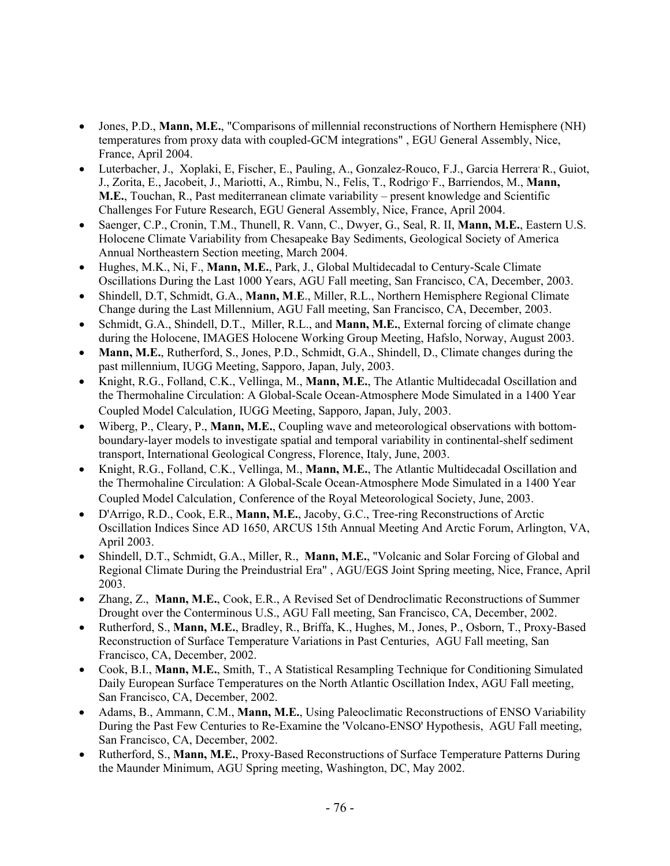- Jones, P.D., **Mann, M.E.**, "Comparisons of millennial reconstructions of Northern Hemisphere (NH) temperatures from proxy data with coupled-GCM integrations" , EGU General Assembly, Nice, France, April 2004.
- Luterbacher, J., Xoplaki, E, Fischer, E., Pauling, A., Gonzalez-Rouco, F.J., Garcia Herrera<sup>,</sup> R., Guiot, J., Zorita, E., Jacobeit, J., Mariotti, A., Rimbu, N., Felis, T., Rodrigo, F., Barriendos, M., **Mann, M.E.**, Touchan, R., Past mediterranean climate variability – present knowledge and Scientific Challenges For Future Research, EGU General Assembly, Nice, France, April 2004.
- Saenger, C.P., Cronin, T.M., Thunell, R. Vann, C., Dwyer, G., Seal, R. II, **Mann, M.E.**, Eastern U.S. Holocene Climate Variability from Chesapeake Bay Sediments, Geological Society of America Annual Northeastern Section meeting, March 2004.
- Hughes, M.K., Ni, F., **Mann, M.E.**, Park, J., Global Multidecadal to Century-Scale Climate Oscillations During the Last 1000 Years, AGU Fall meeting, San Francisco, CA, December, 2003.
- Shindell, D.T, Schmidt, G.A., **Mann, M**.**E**., Miller, R.L., Northern Hemisphere Regional Climate Change during the Last Millennium, AGU Fall meeting, San Francisco, CA, December, 2003.
- Schmidt, G.A., Shindell, D.T., Miller, R.L., and **Mann, M.E.**, External forcing of climate change during the Holocene, IMAGES Holocene Working Group Meeting, Hafslo, Norway, August 2003.
- **Mann, M.E.**, Rutherford, S., Jones, P.D., Schmidt, G.A., Shindell, D., Climate changes during the past millennium, IUGG Meeting, Sapporo, Japan, July, 2003.
- Knight, R.G., Folland, C.K., Vellinga, M., **Mann, M.E.**, The Atlantic Multidecadal Oscillation and the Thermohaline Circulation: A Global-Scale Ocean-Atmosphere Mode Simulated in a 1400 Year Coupled Model Calculation, IUGG Meeting, Sapporo, Japan, July, 2003.
- Wiberg, P., Cleary, P., **Mann, M.E.**, Coupling wave and meteorological observations with bottomboundary-layer models to investigate spatial and temporal variability in continental-shelf sediment transport, International Geological Congress, Florence, Italy, June, 2003.
- Knight, R.G., Folland, C.K., Vellinga, M., **Mann, M.E.**, The Atlantic Multidecadal Oscillation and the Thermohaline Circulation: A Global-Scale Ocean-Atmosphere Mode Simulated in a 1400 Year Coupled Model Calculation, Conference of the Royal Meteorological Society, June, 2003.
- D'Arrigo, R.D., Cook, E.R., **Mann, M.E.**, Jacoby, G.C., Tree-ring Reconstructions of Arctic Oscillation Indices Since AD 1650, ARCUS 15th Annual Meeting And Arctic Forum, Arlington, VA, April 2003.
- Shindell, D.T., Schmidt, G.A., Miller, R., **Mann, M.E.**, "Volcanic and Solar Forcing of Global and Regional Climate During the Preindustrial Era" , AGU/EGS Joint Spring meeting, Nice, France, April 2003.
- Zhang, Z., **Mann, M.E.**, Cook, E.R., A Revised Set of Dendroclimatic Reconstructions of Summer Drought over the Conterminous U.S., AGU Fall meeting, San Francisco, CA, December, 2002.
- Rutherford, S., **Mann, M.E.**, Bradley, R., Briffa, K., Hughes, M., Jones, P., Osborn, T., Proxy-Based Reconstruction of Surface Temperature Variations in Past Centuries, AGU Fall meeting, San Francisco, CA, December, 2002.
- Cook, B.I., **Mann, M.E.**, Smith, T., A Statistical Resampling Technique for Conditioning Simulated Daily European Surface Temperatures on the North Atlantic Oscillation Index, AGU Fall meeting, San Francisco, CA, December, 2002.
- Adams, B., Ammann, C.M., **Mann, M.E.**, Using Paleoclimatic Reconstructions of ENSO Variability During the Past Few Centuries to Re-Examine the 'Volcano-ENSO' Hypothesis, AGU Fall meeting, San Francisco, CA, December, 2002.
- Rutherford, S., **Mann, M.E.**, Proxy-Based Reconstructions of Surface Temperature Patterns During the Maunder Minimum, AGU Spring meeting, Washington, DC, May 2002.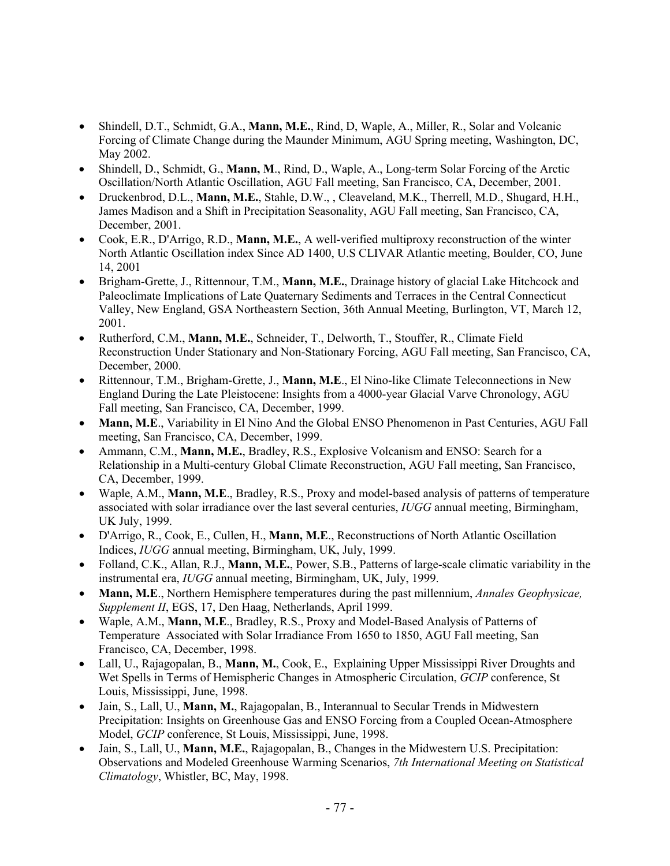- Shindell, D.T., Schmidt, G.A., **Mann, M.E.**, Rind, D, Waple, A., Miller, R., Solar and Volcanic Forcing of Climate Change during the Maunder Minimum, AGU Spring meeting, Washington, DC, May 2002.
- Shindell, D., Schmidt, G., **Mann, M**., Rind, D., Waple, A., Long-term Solar Forcing of the Arctic Oscillation/North Atlantic Oscillation, AGU Fall meeting, San Francisco, CA, December, 2001.
- Druckenbrod, D.L., **Mann, M.E.**, Stahle, D.W., , Cleaveland, M.K., Therrell, M.D., Shugard, H.H., James Madison and a Shift in Precipitation Seasonality, AGU Fall meeting, San Francisco, CA, December, 2001.
- Cook, E.R., D'Arrigo, R.D., **Mann, M.E.**, A well-verified multiproxy reconstruction of the winter North Atlantic Oscillation index Since AD 1400, U.S CLIVAR Atlantic meeting, Boulder, CO, June 14, 2001
- Brigham-Grette, J., Rittennour, T.M., **Mann, M.E.**, Drainage history of glacial Lake Hitchcock and Paleoclimate Implications of Late Quaternary Sediments and Terraces in the Central Connecticut Valley, New England, GSA Northeastern Section, 36th Annual Meeting, Burlington, VT, March 12, 2001.
- Rutherford, C.M., **Mann, M.E.**, Schneider, T., Delworth, T., Stouffer, R., Climate Field Reconstruction Under Stationary and Non-Stationary Forcing, AGU Fall meeting, San Francisco, CA, December, 2000.
- Rittennour, T.M., Brigham-Grette, J., **Mann, M.E**., El Nino-like Climate Teleconnections in New England During the Late Pleistocene: Insights from a 4000-year Glacial Varve Chronology, AGU Fall meeting, San Francisco, CA, December, 1999.
- **Mann, M.E**., Variability in El Nino And the Global ENSO Phenomenon in Past Centuries, AGU Fall meeting, San Francisco, CA, December, 1999.
- Ammann, C.M., **Mann, M.E.**, Bradley, R.S., Explosive Volcanism and ENSO: Search for a Relationship in a Multi-century Global Climate Reconstruction, AGU Fall meeting, San Francisco, CA, December, 1999.
- Waple, A.M., **Mann, M.E**., Bradley, R.S., Proxy and model-based analysis of patterns of temperature associated with solar irradiance over the last several centuries, *IUGG* annual meeting, Birmingham, UK July, 1999.
- D'Arrigo, R., Cook, E., Cullen, H., **Mann, M.E**., Reconstructions of North Atlantic Oscillation Indices, *IUGG* annual meeting, Birmingham, UK, July, 1999.
- Folland, C.K., Allan, R.J., **Mann, M.E.**, Power, S.B., Patterns of large-scale climatic variability in the instrumental era, *IUGG* annual meeting, Birmingham, UK, July, 1999.
- **Mann, M.E**., Northern Hemisphere temperatures during the past millennium, *Annales Geophysicae, Supplement II*, EGS, 17, Den Haag, Netherlands, April 1999.
- Waple, A.M., **Mann, M.E**., Bradley, R.S., Proxy and Model-Based Analysis of Patterns of Temperature Associated with Solar Irradiance From 1650 to 1850, AGU Fall meeting, San Francisco, CA, December, 1998.
- Lall, U., Rajagopalan, B., **Mann, M.**, Cook, E., Explaining Upper Mississippi River Droughts and Wet Spells in Terms of Hemispheric Changes in Atmospheric Circulation, *GCIP* conference, St Louis, Mississippi, June, 1998.
- Jain, S., Lall, U., **Mann, M.**, Rajagopalan, B., Interannual to Secular Trends in Midwestern Precipitation: Insights on Greenhouse Gas and ENSO Forcing from a Coupled Ocean-Atmosphere Model, *GCIP* conference, St Louis, Mississippi, June, 1998.
- Jain, S., Lall, U., **Mann, M.E.**, Rajagopalan, B., Changes in the Midwestern U.S. Precipitation: Observations and Modeled Greenhouse Warming Scenarios, *7th International Meeting on Statistical Climatology*, Whistler, BC, May, 1998.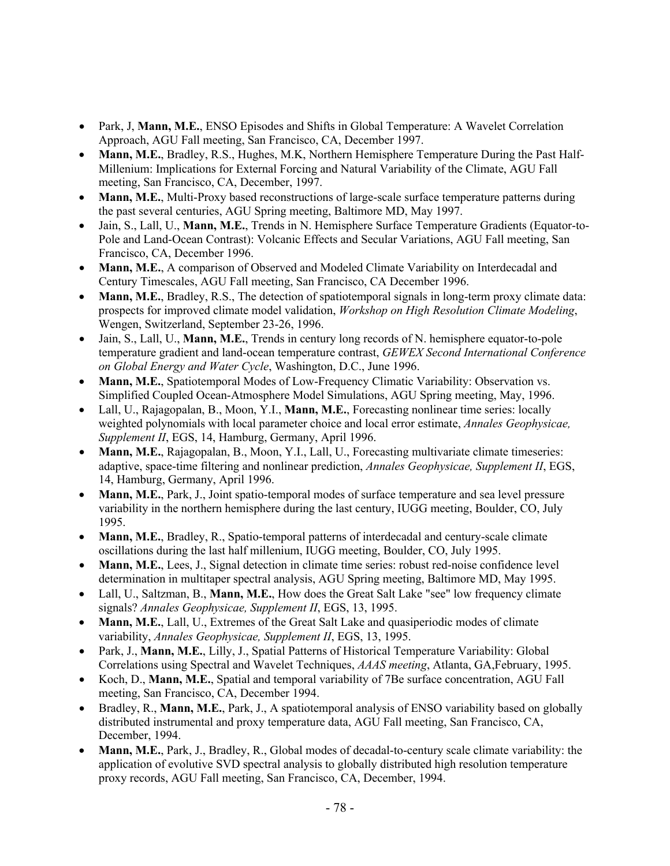- Park, J, **Mann, M.E.**, ENSO Episodes and Shifts in Global Temperature: A Wavelet Correlation Approach, AGU Fall meeting, San Francisco, CA, December 1997.
- **Mann, M.E.**, Bradley, R.S., Hughes, M.K, Northern Hemisphere Temperature During the Past Half-Millenium: Implications for External Forcing and Natural Variability of the Climate, AGU Fall meeting, San Francisco, CA, December, 1997.
- **Mann, M.E.**, Multi-Proxy based reconstructions of large-scale surface temperature patterns during the past several centuries, AGU Spring meeting, Baltimore MD, May 1997.
- Jain, S., Lall, U., **Mann, M.E.**, Trends in N. Hemisphere Surface Temperature Gradients (Equator-to-Pole and Land-Ocean Contrast): Volcanic Effects and Secular Variations, AGU Fall meeting, San Francisco, CA, December 1996.
- **Mann, M.E.**, A comparison of Observed and Modeled Climate Variability on Interdecadal and Century Timescales, AGU Fall meeting, San Francisco, CA December 1996.
- **Mann, M.E.**, Bradley, R.S., The detection of spatiotemporal signals in long-term proxy climate data: prospects for improved climate model validation, *Workshop on High Resolution Climate Modeling*, Wengen, Switzerland, September 23-26, 1996.
- Jain, S., Lall, U., **Mann, M.E.**, Trends in century long records of N. hemisphere equator-to-pole temperature gradient and land-ocean temperature contrast, *GEWEX Second International Conference on Global Energy and Water Cycle*, Washington, D.C., June 1996.
- **Mann, M.E.**, Spatiotemporal Modes of Low-Frequency Climatic Variability: Observation vs. Simplified Coupled Ocean-Atmosphere Model Simulations, AGU Spring meeting, May, 1996.
- Lall, U., Rajagopalan, B., Moon, Y.I., **Mann, M.E.**, Forecasting nonlinear time series: locally weighted polynomials with local parameter choice and local error estimate, *Annales Geophysicae, Supplement II*, EGS, 14, Hamburg, Germany, April 1996.
- **Mann, M.E.**, Rajagopalan, B., Moon, Y.I., Lall, U., Forecasting multivariate climate timeseries: adaptive, space-time filtering and nonlinear prediction, *Annales Geophysicae, Supplement II*, EGS, 14, Hamburg, Germany, April 1996.
- **Mann, M.E.**, Park, J., Joint spatio-temporal modes of surface temperature and sea level pressure variability in the northern hemisphere during the last century, IUGG meeting, Boulder, CO, July 1995.
- **Mann, M.E.**, Bradley, R., Spatio-temporal patterns of interdecadal and century-scale climate oscillations during the last half millenium, IUGG meeting, Boulder, CO, July 1995.
- **Mann, M.E.**, Lees, J., Signal detection in climate time series: robust red-noise confidence level determination in multitaper spectral analysis, AGU Spring meeting, Baltimore MD, May 1995.
- Lall, U., Saltzman, B., **Mann, M.E.**, How does the Great Salt Lake "see" low frequency climate signals? *Annales Geophysicae, Supplement II*, EGS, 13, 1995.
- **Mann, M.E.**, Lall, U., Extremes of the Great Salt Lake and quasiperiodic modes of climate variability, *Annales Geophysicae, Supplement II*, EGS, 13, 1995.
- Park, J., **Mann, M.E.**, Lilly, J., Spatial Patterns of Historical Temperature Variability: Global Correlations using Spectral and Wavelet Techniques, *AAAS meeting*, Atlanta, GA,February, 1995.
- Koch, D., **Mann, M.E.**, Spatial and temporal variability of 7Be surface concentration, AGU Fall meeting, San Francisco, CA, December 1994.
- Bradley, R., **Mann, M.E.**, Park, J., A spatiotemporal analysis of ENSO variability based on globally distributed instrumental and proxy temperature data, AGU Fall meeting, San Francisco, CA, December, 1994.
- **Mann, M.E.**, Park, J., Bradley, R., Global modes of decadal-to-century scale climate variability: the application of evolutive SVD spectral analysis to globally distributed high resolution temperature proxy records, AGU Fall meeting, San Francisco, CA, December, 1994.